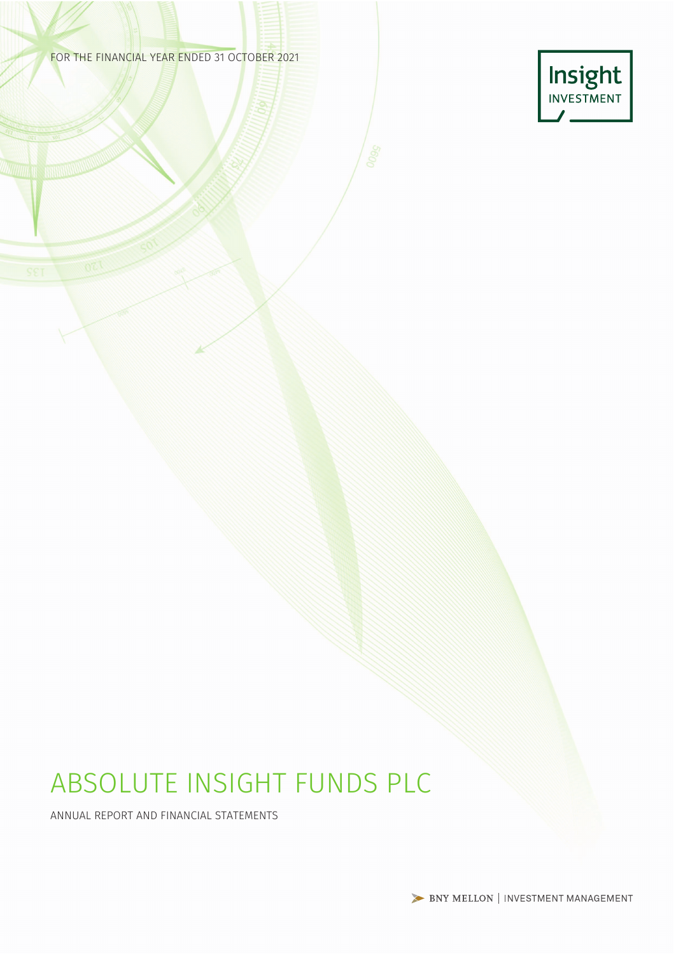### FOR THE FINANCIAL YEAR ENDED 31 OCTOBER 2021



# ABSOLUTE INSIGHT FUNDS PLC

ANNUAL REPORT AND FINANCIAL STATEMENTS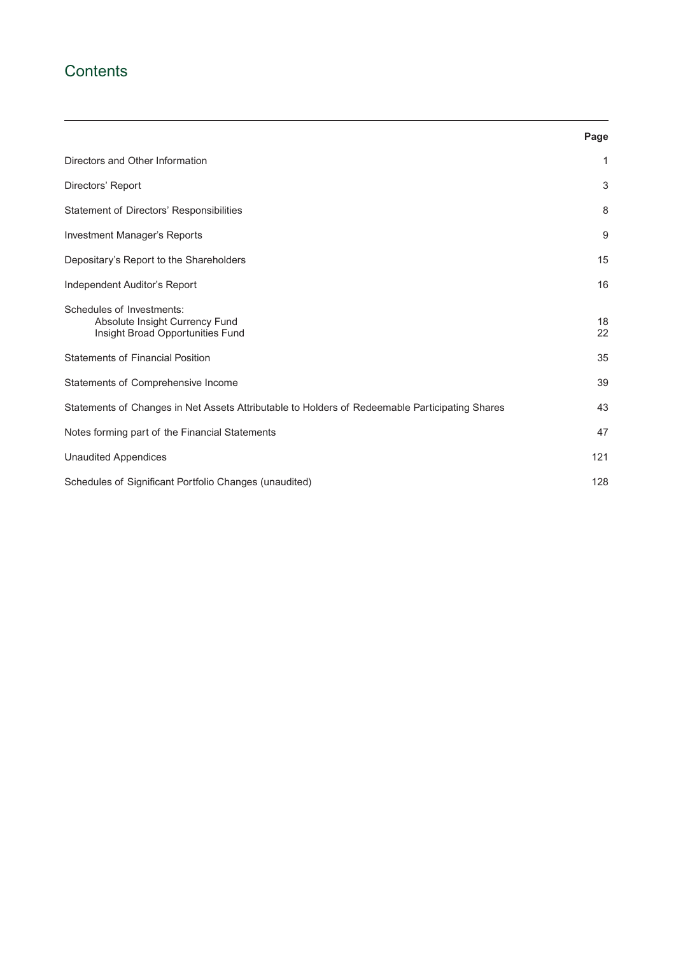# **Contents**

|                                                                                                 | Page     |
|-------------------------------------------------------------------------------------------------|----------|
| Directors and Other Information                                                                 | 1        |
| Directors' Report                                                                               | 3        |
| Statement of Directors' Responsibilities                                                        | 8        |
| Investment Manager's Reports                                                                    | 9        |
| Depositary's Report to the Shareholders                                                         | 15       |
| Independent Auditor's Report                                                                    | 16       |
| Schedules of Investments:<br>Absolute Insight Currency Fund<br>Insight Broad Opportunities Fund | 18<br>22 |
| <b>Statements of Financial Position</b>                                                         | 35       |
| Statements of Comprehensive Income                                                              | 39       |
| Statements of Changes in Net Assets Attributable to Holders of Redeemable Participating Shares  | 43       |
| Notes forming part of the Financial Statements                                                  | 47       |
| <b>Unaudited Appendices</b>                                                                     | 121      |
| Schedules of Significant Portfolio Changes (unaudited)                                          | 128      |

<u> 1989 - Johann Stoff, amerikansk politiker (d. 1989)</u>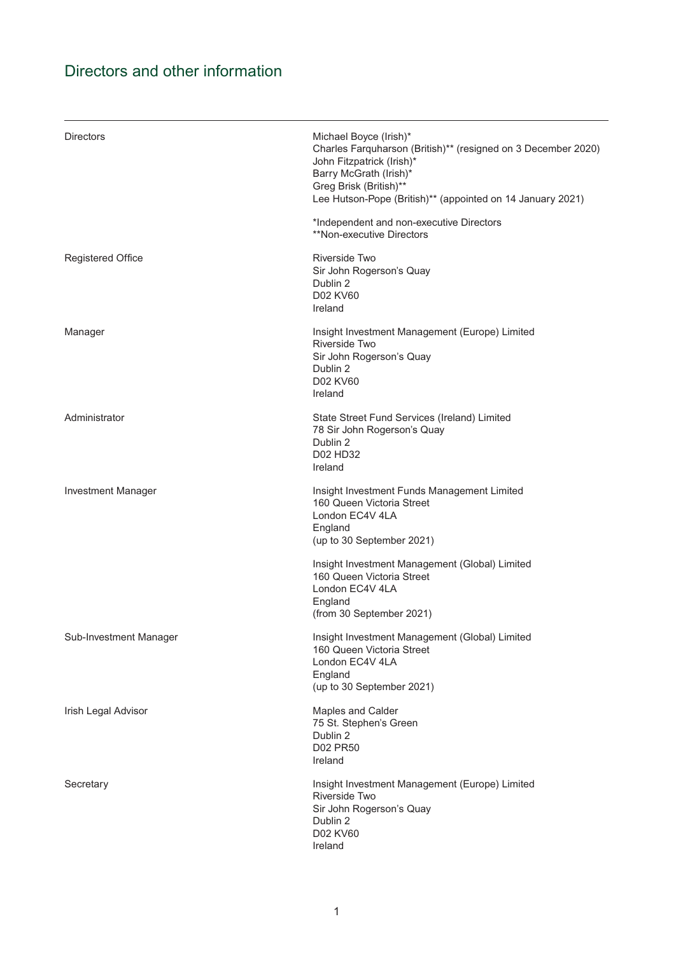# <span id="page-2-0"></span>Directors and other information

| <b>Directors</b>          | Michael Boyce (Irish)*<br>Charles Farquharson (British)** (resigned on 3 December 2020)<br>John Fitzpatrick (Irish)*<br>Barry McGrath (Irish)*<br>Greg Brisk (British)**<br>Lee Hutson-Pope (British)** (appointed on 14 January 2021)<br>*Independent and non-executive Directors |
|---------------------------|------------------------------------------------------------------------------------------------------------------------------------------------------------------------------------------------------------------------------------------------------------------------------------|
|                           | **Non-executive Directors                                                                                                                                                                                                                                                          |
| <b>Registered Office</b>  | Riverside Two<br>Sir John Rogerson's Quay<br>Dublin 2<br><b>D02 KV60</b><br>Ireland                                                                                                                                                                                                |
| Manager                   | Insight Investment Management (Europe) Limited<br>Riverside Two<br>Sir John Rogerson's Quay<br>Dublin 2<br>D02 KV60<br>Ireland                                                                                                                                                     |
| Administrator             | State Street Fund Services (Ireland) Limited<br>78 Sir John Rogerson's Quay<br>Dublin 2<br>D02 HD32<br>Ireland                                                                                                                                                                     |
| <b>Investment Manager</b> | Insight Investment Funds Management Limited<br>160 Queen Victoria Street<br>London EC4V 4LA<br>England<br>(up to 30 September 2021)                                                                                                                                                |
|                           | Insight Investment Management (Global) Limited<br>160 Queen Victoria Street<br>London EC4V 4LA<br>England<br>(from 30 September 2021)                                                                                                                                              |
| Sub-Investment Manager    | Insight Investment Management (Global) Limited<br>160 Queen Victoria Street<br>London EC4V 4LA<br>England<br>(up to 30 September 2021)                                                                                                                                             |
| Irish Legal Advisor       | Maples and Calder<br>75 St. Stephen's Green<br>Dublin 2<br><b>D02 PR50</b><br>Ireland                                                                                                                                                                                              |
| Secretary                 | Insight Investment Management (Europe) Limited<br>Riverside Two<br>Sir John Rogerson's Quay<br>Dublin 2<br>D02 KV60<br>Ireland                                                                                                                                                     |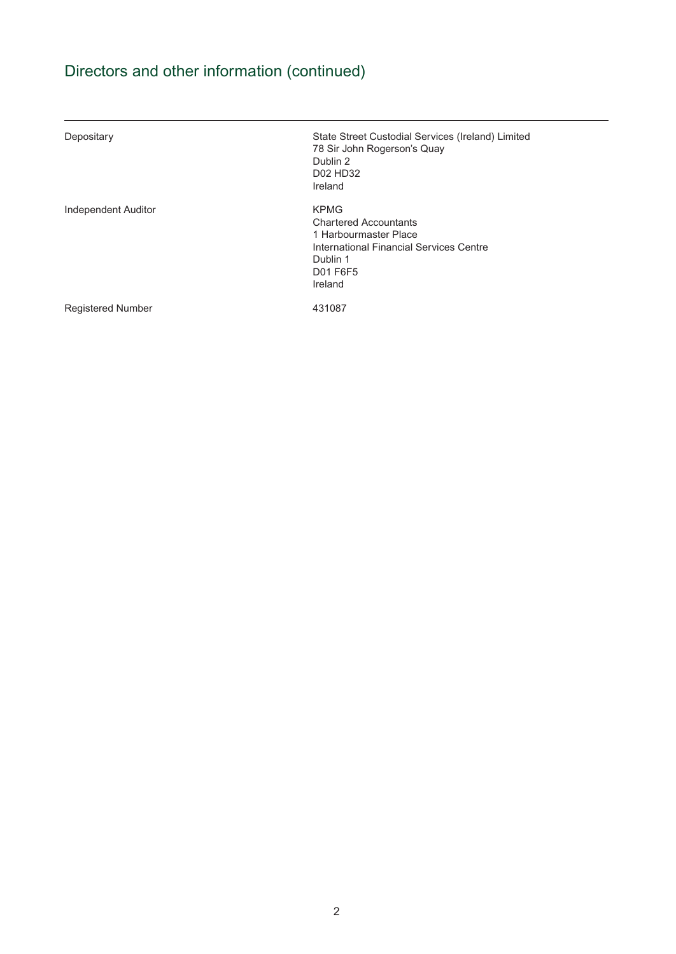# Directors and other information (continued)

| Depositary               | State Street Custodial Services (Ireland) Limited<br>78 Sir John Rogerson's Quay<br>Dublin 2<br>D02 HD32<br>Ireland                                |
|--------------------------|----------------------------------------------------------------------------------------------------------------------------------------------------|
| Independent Auditor      | <b>KPMG</b><br><b>Chartered Accountants</b><br>1 Harbourmaster Place<br>International Financial Services Centre<br>Dublin 1<br>D01 F6F5<br>Ireland |
| <b>Registered Number</b> | 431087                                                                                                                                             |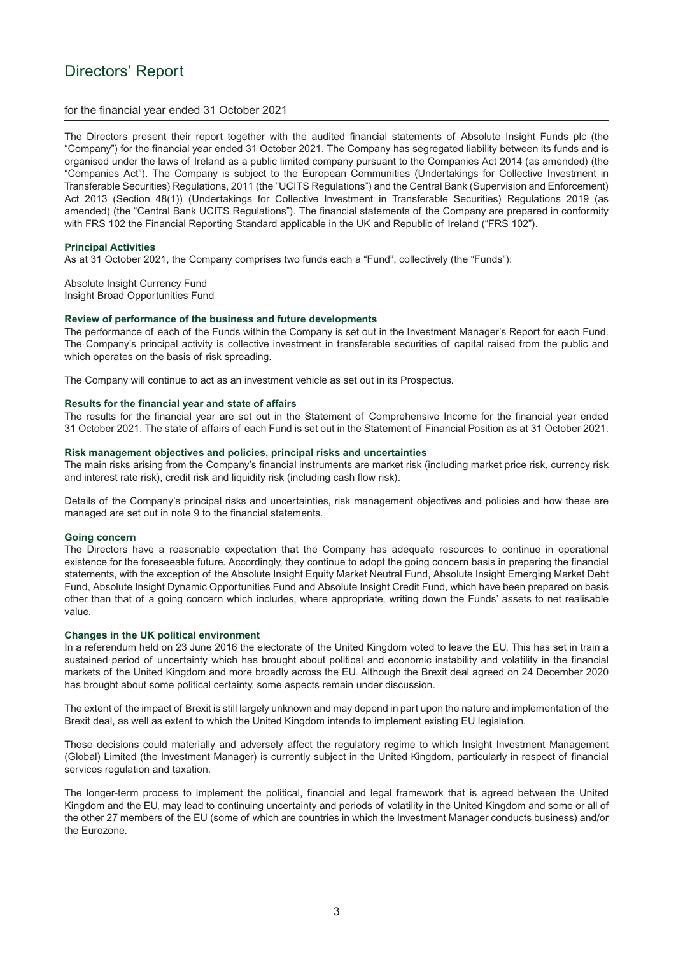## <span id="page-4-0"></span>Directors' Report

#### for the financial year ended 31 October 2021

The Directors present their report together with the audited financial statements of Absolute Insight Funds plc (the "Company") for the financial year ended 31 October 2021. The Company has segregated liability between its funds and is organised under the laws of Ireland as a public limited company pursuant to the Companies Act 2014 (as amended) (the "Companies Act"). The Company is subject to the European Communities (Undertakings for Collective Investment in Transferable Securities) Regulations, 2011 (the "UCITS Regulations") and the Central Bank (Supervision and Enforcement) Act 2013 (Section 48(1)) (Undertakings for Collective Investment in Transferable Securities) Regulations 2019 (as amended) (the "Central Bank UCITS Regulations"). The financial statements of the Company are prepared in conformity with FRS 102 the Financial Reporting Standard applicable in the UK and Republic of Ireland ("FRS 102").

#### **Principal Activities**

As at 31 October 2021, the Company comprises two funds each a "Fund", collectively (the "Funds"):

Absolute Insight Currency Fund Insight Broad Opportunities Fund

#### **Review of performance of the business and future developments**

The performance of each of the Funds within the Company is set out in the Investment Manager's Report for each Fund. The Company's principal activity is collective investment in transferable securities of capital raised from the public and which operates on the basis of risk spreading.

The Company will continue to act as an investment vehicle as set out in its Prospectus.

#### **Results for the financial year and state of affairs**

The results for the financial year are set out in the Statement of Comprehensive Income for the financial year ended 31 October 2021. The state of affairs of each Fund is set out in the Statement of Financial Position as at 31 October 2021.

#### **Risk management objectives and policies, principal risks and uncertainties**

The main risks arising from the Company's financial instruments are market risk (including market price risk, currency risk and interest rate risk), credit risk and liquidity risk (including cash flow risk).

Details of the Company's principal risks and uncertainties, risk management objectives and policies and how these are managed are set out in note 9 to the financial statements.

#### **Going concern**

The Directors have a reasonable expectation that the Company has adequate resources to continue in operational existence for the foreseeable future. Accordingly, they continue to adopt the going concern basis in preparing the financial statements, with the exception of the Absolute Insight Equity Market Neutral Fund, Absolute Insight Emerging Market Debt Fund, Absolute Insight Dynamic Opportunities Fund and Absolute Insight Credit Fund, which have been prepared on basis other than that of a going concern which includes, where appropriate, writing down the Funds' assets to net realisable value.

#### **Changes in the UK political environment**

In a referendum held on 23 June 2016 the electorate of the United Kingdom voted to leave the EU. This has set in train a sustained period of uncertainty which has brought about political and economic instability and volatility in the financial markets of the United Kingdom and more broadly across the EU. Although the Brexit deal agreed on 24 December 2020 has brought about some political certainty, some aspects remain under discussion.

The extent of the impact of Brexit is still largely unknown and may depend in part upon the nature and implementation of the Brexit deal, as well as extent to which the United Kingdom intends to implement existing EU legislation.

Those decisions could materially and adversely affect the regulatory regime to which Insight Investment Management (Global) Limited (the Investment Manager) is currently subject in the United Kingdom, particularly in respect of financial services regulation and taxation.

The longer-term process to implement the political, financial and legal framework that is agreed between the United Kingdom and the EU, may lead to continuing uncertainty and periods of volatility in the United Kingdom and some or all of the other 27 members of the EU (some of which are countries in which the Investment Manager conducts business) and/or the Eurozone.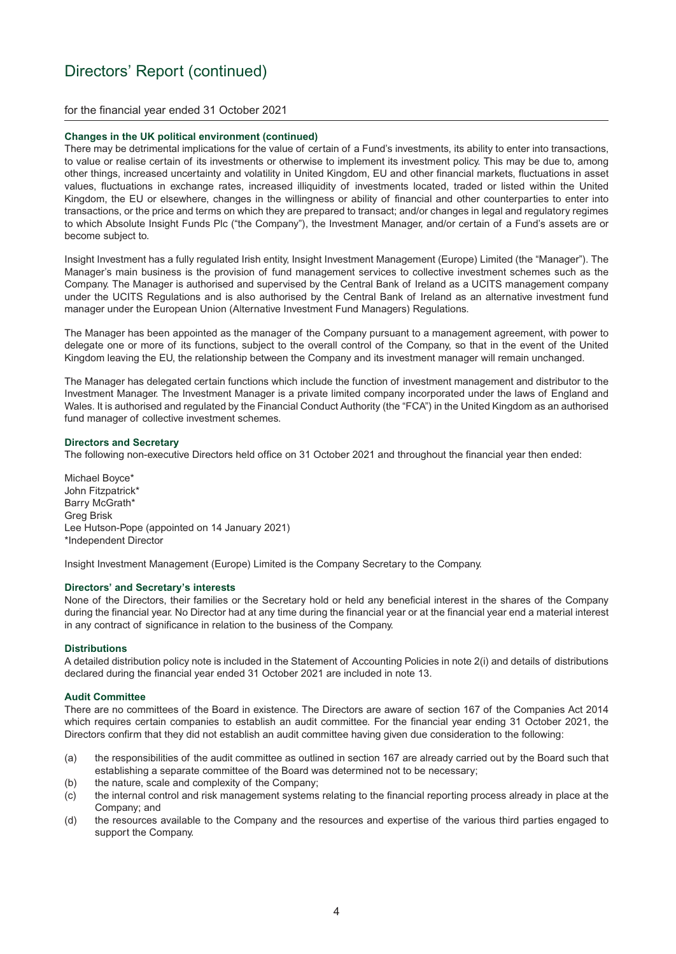#### for the financial year ended 31 October 2021

#### **Changes in the UK political environment (continued)**

There may be detrimental implications for the value of certain of a Fund's investments, its ability to enter into transactions, to value or realise certain of its investments or otherwise to implement its investment policy. This may be due to, among other things, increased uncertainty and volatility in United Kingdom, EU and other financial markets, fluctuations in asset values, fluctuations in exchange rates, increased illiquidity of investments located, traded or listed within the United Kingdom, the EU or elsewhere, changes in the willingness or ability of financial and other counterparties to enter into transactions, or the price and terms on which they are prepared to transact; and/or changes in legal and regulatory regimes to which Absolute Insight Funds Plc ("the Company"), the Investment Manager, and/or certain of a Fund's assets are or become subject to.

Insight Investment has a fully regulated Irish entity, Insight Investment Management (Europe) Limited (the "Manager"). The Manager's main business is the provision of fund management services to collective investment schemes such as the Company. The Manager is authorised and supervised by the Central Bank of Ireland as a UCITS management company under the UCITS Regulations and is also authorised by the Central Bank of Ireland as an alternative investment fund manager under the European Union (Alternative Investment Fund Managers) Regulations.

The Manager has been appointed as the manager of the Company pursuant to a management agreement, with power to delegate one or more of its functions, subject to the overall control of the Company, so that in the event of the United Kingdom leaving the EU, the relationship between the Company and its investment manager will remain unchanged.

The Manager has delegated certain functions which include the function of investment management and distributor to the Investment Manager. The Investment Manager is a private limited company incorporated under the laws of England and Wales. It is authorised and regulated by the Financial Conduct Authority (the "FCA") in the United Kingdom as an authorised fund manager of collective investment schemes.

#### **Directors and Secretary**

The following non-executive Directors held office on 31 October 2021 and throughout the financial year then ended:

Michael Boyce\* John Fitzpatrick\* Barry McGrath\* Greg Brisk Lee Hutson-Pope (appointed on 14 January 2021) \*Independent Director

Insight Investment Management (Europe) Limited is the Company Secretary to the Company.

#### **Directors' and Secretary's interests**

None of the Directors, their families or the Secretary hold or held any beneficial interest in the shares of the Company during the financial year. No Director had at any time during the financial year or at the financial year end a material interest in any contract of significance in relation to the business of the Company.

#### **Distributions**

A detailed distribution policy note is included in the Statement of Accounting Policies in note 2(i) and details of distributions declared during the financial year ended 31 October 2021 are included in note 13.

#### **Audit Committee**

There are no committees of the Board in existence. The Directors are aware of section 167 of the Companies Act 2014 which requires certain companies to establish an audit committee. For the financial year ending 31 October 2021, the Directors confirm that they did not establish an audit committee having given due consideration to the following:

- (a) the responsibilities of the audit committee as outlined in section 167 are already carried out by the Board such that establishing a separate committee of the Board was determined not to be necessary;
- (b) the nature, scale and complexity of the Company;
- (c) the internal control and risk management systems relating to the financial reporting process already in place at the Company; and
- (d) the resources available to the Company and the resources and expertise of the various third parties engaged to support the Company.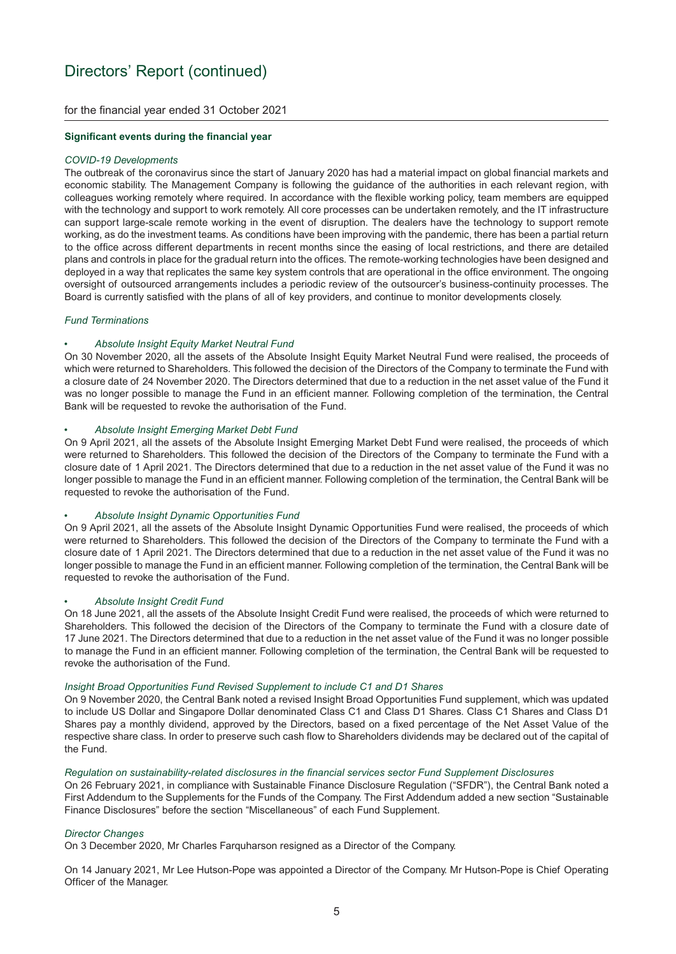for the financial year ended 31 October 2021

#### **Significant events during the financial year**

#### *COVID-19 Developments*

The outbreak of the coronavirus since the start of January 2020 has had a material impact on global financial markets and economic stability. The Management Company is following the guidance of the authorities in each relevant region, with colleagues working remotely where required. In accordance with the flexible working policy, team members are equipped with the technology and support to work remotely. All core processes can be undertaken remotely, and the IT infrastructure can support large-scale remote working in the event of disruption. The dealers have the technology to support remote working, as do the investment teams. As conditions have been improving with the pandemic, there has been a partial return to the office across different departments in recent months since the easing of local restrictions, and there are detailed plans and controls in place for the gradual return into the offices. The remote-working technologies have been designed and deployed in a way that replicates the same key system controls that are operational in the office environment. The ongoing oversight of outsourced arrangements includes a periodic review of the outsourcer's business-continuity processes. The Board is currently satisfied with the plans of all of key providers, and continue to monitor developments closely.

#### *Fund Terminations*

#### • *Absolute Insight Equity Market Neutral Fund*

On 30 November 2020, all the assets of the Absolute Insight Equity Market Neutral Fund were realised, the proceeds of which were returned to Shareholders. This followed the decision of the Directors of the Company to terminate the Fund with a closure date of 24 November 2020. The Directors determined that due to a reduction in the net asset value of the Fund it was no longer possible to manage the Fund in an efficient manner. Following completion of the termination, the Central Bank will be requested to revoke the authorisation of the Fund.

#### • *Absolute Insight Emerging Market Debt Fund*

On 9 April 2021, all the assets of the Absolute Insight Emerging Market Debt Fund were realised, the proceeds of which were returned to Shareholders. This followed the decision of the Directors of the Company to terminate the Fund with a closure date of 1 April 2021. The Directors determined that due to a reduction in the net asset value of the Fund it was no longer possible to manage the Fund in an efficient manner. Following completion of the termination, the Central Bank will be requested to revoke the authorisation of the Fund.

#### • *Absolute Insight Dynamic Opportunities Fund*

On 9 April 2021, all the assets of the Absolute Insight Dynamic Opportunities Fund were realised, the proceeds of which were returned to Shareholders. This followed the decision of the Directors of the Company to terminate the Fund with a closure date of 1 April 2021. The Directors determined that due to a reduction in the net asset value of the Fund it was no longer possible to manage the Fund in an efficient manner. Following completion of the termination, the Central Bank will be requested to revoke the authorisation of the Fund.

#### • *Absolute Insight Credit Fund*

On 18 June 2021, all the assets of the Absolute Insight Credit Fund were realised, the proceeds of which were returned to Shareholders. This followed the decision of the Directors of the Company to terminate the Fund with a closure date of 17 June 2021. The Directors determined that due to a reduction in the net asset value of the Fund it was no longer possible to manage the Fund in an efficient manner. Following completion of the termination, the Central Bank will be requested to revoke the authorisation of the Fund.

#### *Insight Broad Opportunities Fund Revised Supplement to include C1 and D1 Shares*

On 9 November 2020, the Central Bank noted a revised Insight Broad Opportunities Fund supplement, which was updated to include US Dollar and Singapore Dollar denominated Class C1 and Class D1 Shares. Class C1 Shares and Class D1 Shares pay a monthly dividend, approved by the Directors, based on a fixed percentage of the Net Asset Value of the respective share class. In order to preserve such cash flow to Shareholders dividends may be declared out of the capital of the Fund.

#### *Regulation on sustainability-related disclosures in the financial services sector Fund Supplement Disclosures*

On 26 February 2021, in compliance with Sustainable Finance Disclosure Regulation ("SFDR"), the Central Bank noted a First Addendum to the Supplements for the Funds of the Company. The First Addendum added a new section "Sustainable Finance Disclosures" before the section "Miscellaneous" of each Fund Supplement.

#### *Director Changes*

On 3 December 2020, Mr Charles Farquharson resigned as a Director of the Company.

On 14 January 2021, Mr Lee Hutson-Pope was appointed a Director of the Company. Mr Hutson-Pope is Chief Operating Officer of the Manager.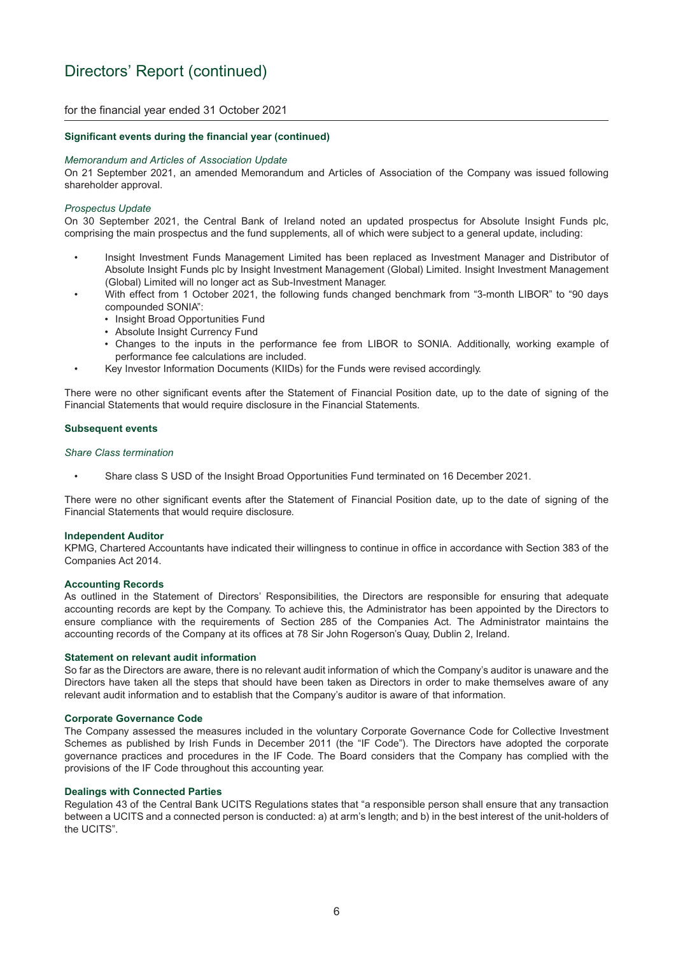for the financial year ended 31 October 2021

#### **Significant events during the financial year (continued)**

#### *Memorandum and Articles of Association Update*

On 21 September 2021, an amended Memorandum and Articles of Association of the Company was issued following shareholder approval.

#### *Prospectus Update*

On 30 September 2021, the Central Bank of Ireland noted an updated prospectus for Absolute Insight Funds plc, comprising the main prospectus and the fund supplements, all of which were subject to a general update, including:

- Insight Investment Funds Management Limited has been replaced as Investment Manager and Distributor of Absolute Insight Funds plc by Insight Investment Management (Global) Limited. Insight Investment Management (Global) Limited will no longer act as Sub-Investment Manager.
- With effect from 1 October 2021, the following funds changed benchmark from "3-month LIBOR" to "90 days compounded SONIA":
	- Insight Broad Opportunities Fund
	- Absolute Insight Currency Fund
	- Changes to the inputs in the performance fee from LIBOR to SONIA. Additionally, working example of performance fee calculations are included.
	- Key Investor Information Documents (KIIDs) for the Funds were revised accordingly.

There were no other significant events after the Statement of Financial Position date, up to the date of signing of the Financial Statements that would require disclosure in the Financial Statements.

#### **Subsequent events**

#### *Share Class termination*

• Share class S USD of the Insight Broad Opportunities Fund terminated on 16 December 2021.

There were no other significant events after the Statement of Financial Position date, up to the date of signing of the Financial Statements that would require disclosure.

#### **Independent Auditor**

KPMG, Chartered Accountants have indicated their willingness to continue in office in accordance with Section 383 of the Companies Act 2014.

#### **Accounting Records**

As outlined in the Statement of Directors' Responsibilities, the Directors are responsible for ensuring that adequate accounting records are kept by the Company. To achieve this, the Administrator has been appointed by the Directors to ensure compliance with the requirements of Section 285 of the Companies Act. The Administrator maintains the accounting records of the Company at its offices at 78 Sir John Rogerson's Quay, Dublin 2, Ireland.

#### **Statement on relevant audit information**

So far as the Directors are aware, there is no relevant audit information of which the Company's auditor is unaware and the Directors have taken all the steps that should have been taken as Directors in order to make themselves aware of any relevant audit information and to establish that the Company's auditor is aware of that information.

#### **Corporate Governance Code**

The Company assessed the measures included in the voluntary Corporate Governance Code for Collective Investment Schemes as published by Irish Funds in December 2011 (the "IF Code"). The Directors have adopted the corporate governance practices and procedures in the IF Code. The Board considers that the Company has complied with the provisions of the IF Code throughout this accounting year.

#### **Dealings with Connected Parties**

Regulation 43 of the Central Bank UCITS Regulations states that "a responsible person shall ensure that any transaction between a UCITS and a connected person is conducted: a) at arm's length; and b) in the best interest of the unit-holders of the UCITS".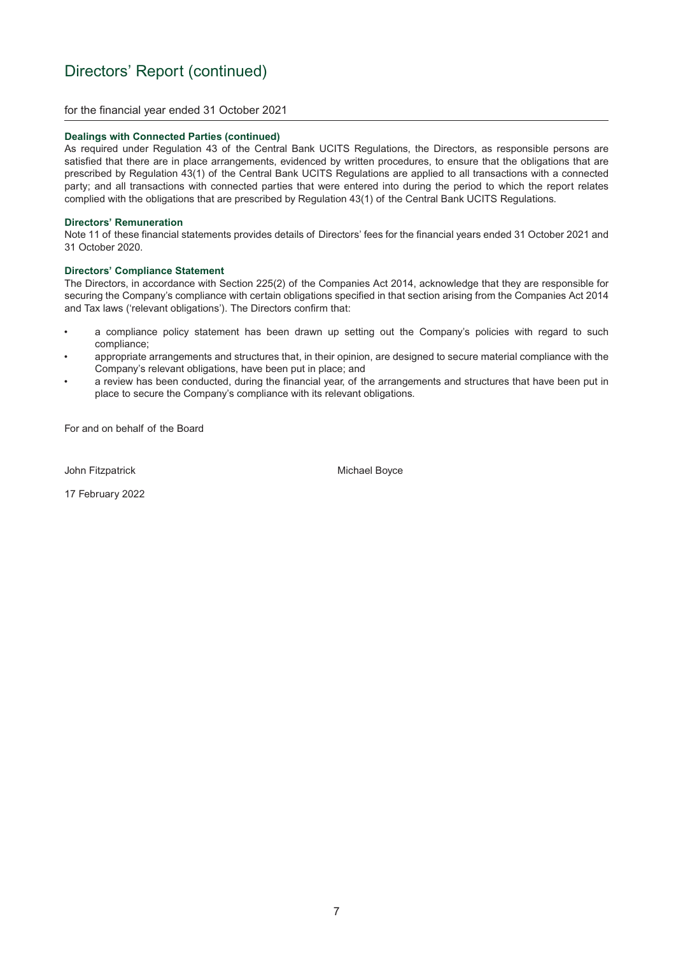for the financial year ended 31 October 2021

#### **Dealings with Connected Parties (continued)**

As required under Regulation 43 of the Central Bank UCITS Regulations, the Directors, as responsible persons are satisfied that there are in place arrangements, evidenced by written procedures, to ensure that the obligations that are prescribed by Regulation 43(1) of the Central Bank UCITS Regulations are applied to all transactions with a connected party; and all transactions with connected parties that were entered into during the period to which the report relates complied with the obligations that are prescribed by Regulation 43(1) of the Central Bank UCITS Regulations.

#### **Directors' Remuneration**

Note 11 of these financial statements provides details of Directors' fees for the financial years ended 31 October 2021 and 31 October 2020.

#### **Directors' Compliance Statement**

The Directors, in accordance with Section 225(2) of the Companies Act 2014, acknowledge that they are responsible for securing the Company's compliance with certain obligations specified in that section arising from the Companies Act 2014 and Tax laws ('relevant obligations'). The Directors confirm that:

- a compliance policy statement has been drawn up setting out the Company's policies with regard to such compliance;
- appropriate arrangements and structures that, in their opinion, are designed to secure material compliance with the Company's relevant obligations, have been put in place; and
- a review has been conducted, during the financial year, of the arrangements and structures that have been put in place to secure the Company's compliance with its relevant obligations.

For and on behalf of the Board

John Fitzpatrick **Michael Boyce** Michael Boyce

17 February 2022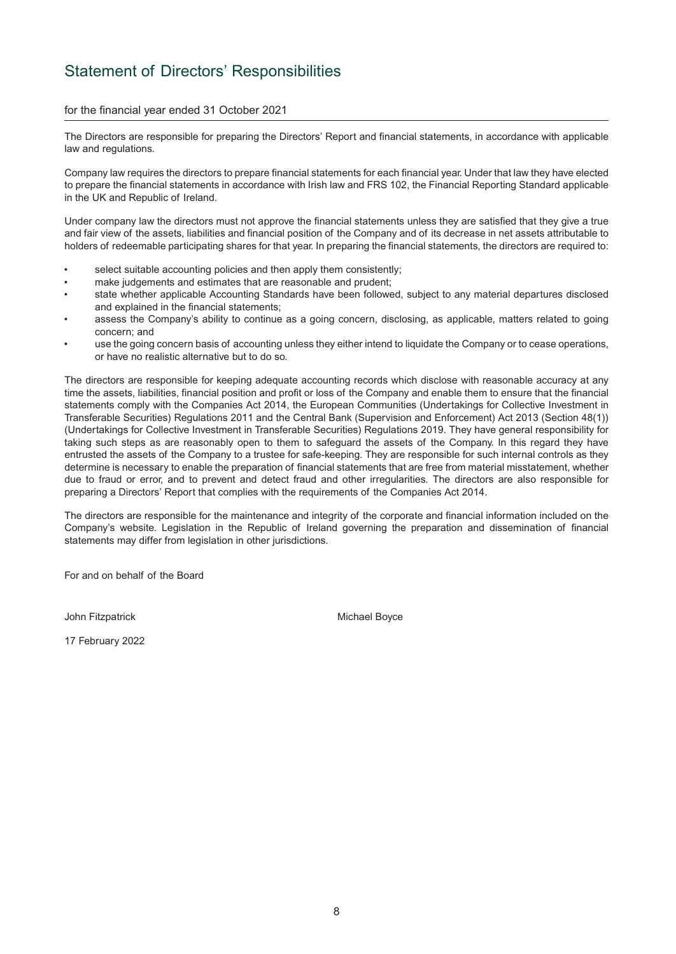## <span id="page-9-0"></span>Statement of Directors' Responsibilities

#### for the financial year ended 31 October 2021

The Directors are responsible for preparing the Directors' Report and financial statements, in accordance with applicable law and regulations.

Company law requires the directors to prepare financial statements for each financial year. Under that law they have elected to prepare the financial statements in accordance with Irish law and FRS 102, the Financial Reporting Standard applicable in the UK and Republic of Ireland.

Under company law the directors must not approve the financial statements unless they are satisfied that they give a true and fair view of the assets, liabilities and financial position of the Company and of its decrease in net assets attributable to holders of redeemable participating shares for that year. In preparing the financial statements, the directors are required to:

- select suitable accounting policies and then apply them consistently;
- make judgements and estimates that are reasonable and prudent;
- state whether applicable Accounting Standards have been followed, subject to any material departures disclosed and explained in the financial statements;
- assess the Company's ability to continue as a going concern, disclosing, as applicable, matters related to going concern; and
- use the going concern basis of accounting unless they either intend to liquidate the Company or to cease operations, or have no realistic alternative but to do so.

The directors are responsible for keeping adequate accounting records which disclose with reasonable accuracy at any time the assets, liabilities, financial position and profit or loss of the Company and enable them to ensure that the financial statements comply with the Companies Act 2014, the European Communities (Undertakings for Collective Investment in Transferable Securities) Regulations 2011 and the Central Bank (Supervision and Enforcement) Act 2013 (Section 48(1)) (Undertakings for Collective Investment in Transferable Securities) Regulations 2019. They have general responsibility for taking such steps as are reasonably open to them to safeguard the assets of the Company. In this regard they have entrusted the assets of the Company to a trustee for safe-keeping. They are responsible for such internal controls as they determine is necessary to enable the preparation of financial statements that are free from material misstatement, whether due to fraud or error, and to prevent and detect fraud and other irregularities. The directors are also responsible for preparing a Directors' Report that complies with the requirements of the Companies Act 2014.

The directors are responsible for the maintenance and integrity of the corporate and financial information included on the Company's website. Legislation in the Republic of Ireland governing the preparation and dissemination of financial statements may differ from legislation in other jurisdictions.

For and on behalf of the Board

John Fitzpatrick **Michael Boyce** Michael Boyce

17 February 2022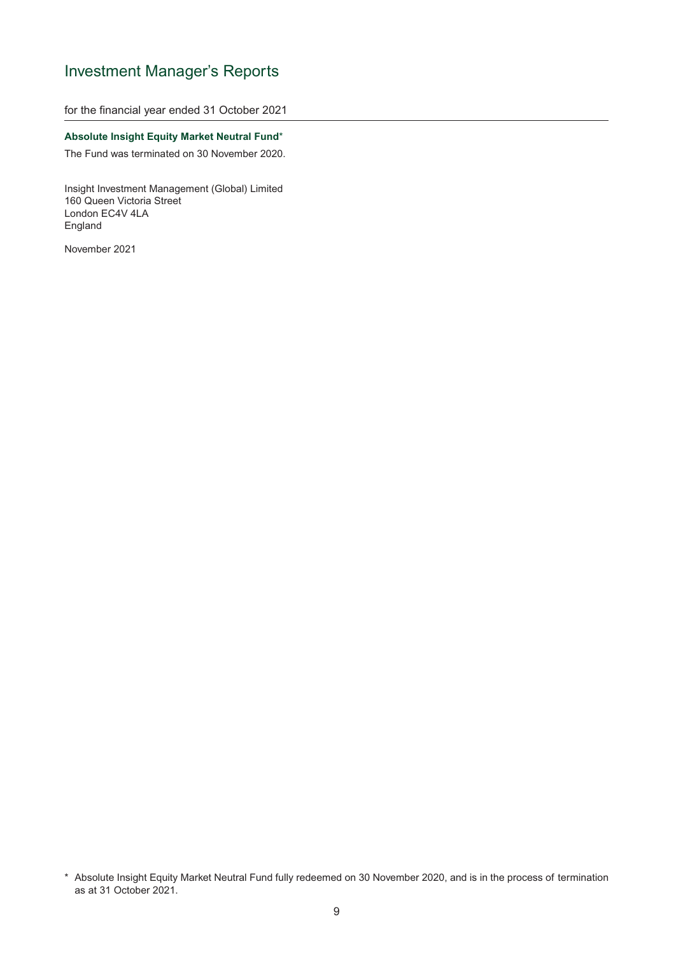## <span id="page-10-0"></span>Investment Manager's Reports

for the financial year ended 31 October 2021

#### **Absolute Insight Equity Market Neutral Fund**\*

The Fund was terminated on 30 November 2020.

Insight Investment Management (Global) Limited 160 Queen Victoria Street London EC4V 4LA England

<sup>\*</sup> Absolute Insight Equity Market Neutral Fund fully redeemed on 30 November 2020, and is in the process of termination as at 31 October 2021.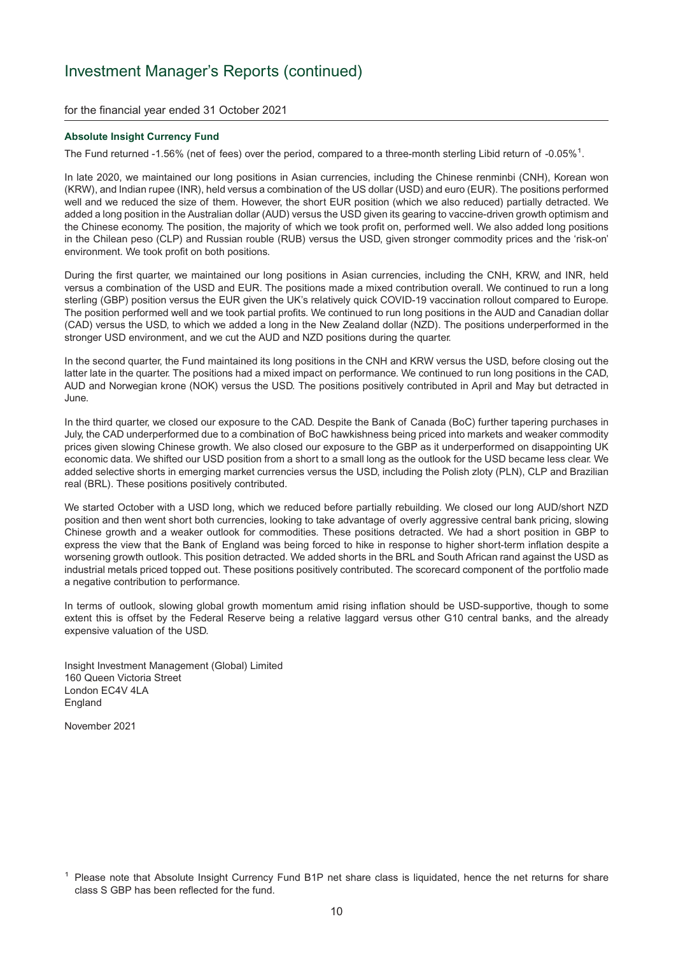for the financial year ended 31 October 2021

#### **Absolute Insight Currency Fund**

The Fund returned -1.56% (net of fees) over the period, compared to a three-month sterling Libid return of -0.05%<sup>1</sup>.

In late 2020, we maintained our long positions in Asian currencies, including the Chinese renminbi (CNH), Korean won (KRW), and Indian rupee (INR), held versus a combination of the US dollar (USD) and euro (EUR). The positions performed well and we reduced the size of them. However, the short EUR position (which we also reduced) partially detracted. We added a long position in the Australian dollar (AUD) versus the USD given its gearing to vaccine-driven growth optimism and the Chinese economy. The position, the majority of which we took profit on, performed well. We also added long positions in the Chilean peso (CLP) and Russian rouble (RUB) versus the USD, given stronger commodity prices and the 'risk-on' environment. We took profit on both positions.

During the first quarter, we maintained our long positions in Asian currencies, including the CNH, KRW, and INR, held versus a combination of the USD and EUR. The positions made a mixed contribution overall. We continued to run a long sterling (GBP) position versus the EUR given the UK's relatively quick COVID-19 vaccination rollout compared to Europe. The position performed well and we took partial profits. We continued to run long positions in the AUD and Canadian dollar (CAD) versus the USD, to which we added a long in the New Zealand dollar (NZD). The positions underperformed in the stronger USD environment, and we cut the AUD and NZD positions during the quarter.

In the second quarter, the Fund maintained its long positions in the CNH and KRW versus the USD, before closing out the latter late in the quarter. The positions had a mixed impact on performance. We continued to run long positions in the CAD, AUD and Norwegian krone (NOK) versus the USD. The positions positively contributed in April and May but detracted in June.

In the third quarter, we closed our exposure to the CAD. Despite the Bank of Canada (BoC) further tapering purchases in July, the CAD underperformed due to a combination of BoC hawkishness being priced into markets and weaker commodity prices given slowing Chinese growth. We also closed our exposure to the GBP as it underperformed on disappointing UK economic data. We shifted our USD position from a short to a small long as the outlook for the USD became less clear. We added selective shorts in emerging market currencies versus the USD, including the Polish zloty (PLN), CLP and Brazilian real (BRL). These positions positively contributed.

We started October with a USD long, which we reduced before partially rebuilding. We closed our long AUD/short NZD position and then went short both currencies, looking to take advantage of overly aggressive central bank pricing, slowing Chinese growth and a weaker outlook for commodities. These positions detracted. We had a short position in GBP to express the view that the Bank of England was being forced to hike in response to higher short-term inflation despite a worsening growth outlook. This position detracted. We added shorts in the BRL and South African rand against the USD as industrial metals priced topped out. These positions positively contributed. The scorecard component of the portfolio made a negative contribution to performance.

In terms of outlook, slowing global growth momentum amid rising inflation should be USD-supportive, though to some extent this is offset by the Federal Reserve being a relative laggard versus other G10 central banks, and the already expensive valuation of the USD.

Insight Investment Management (Global) Limited 160 Queen Victoria Street London EC4V 4LA **England** 

<sup>1</sup> Please note that Absolute Insight Currency Fund B1P net share class is liquidated, hence the net returns for share class S GBP has been reflected for the fund.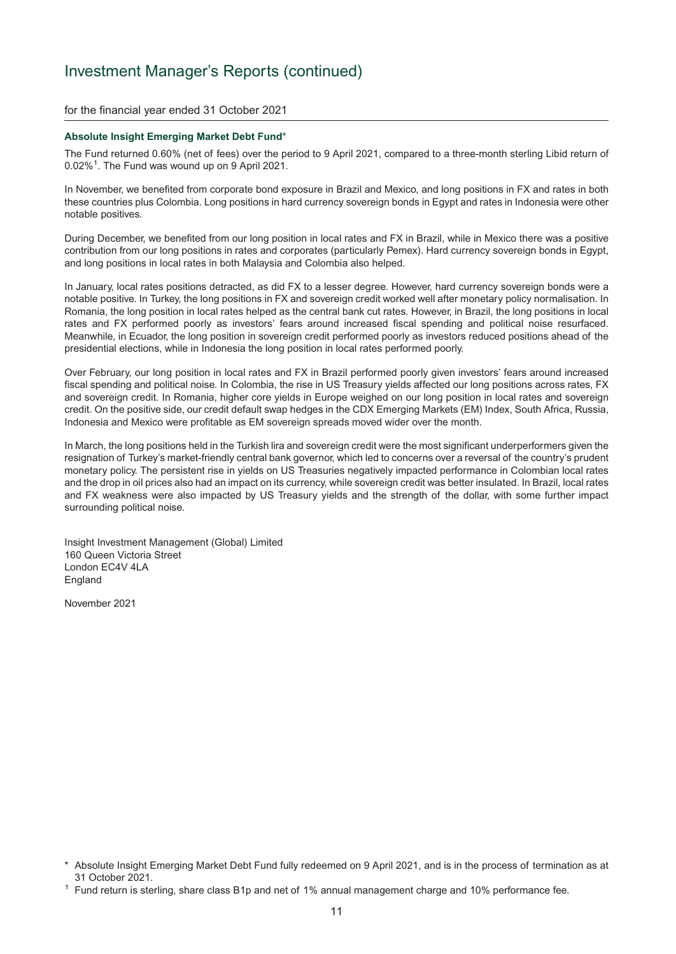for the financial year ended 31 October 2021

#### **Absolute Insight Emerging Market Debt Fund**\*

The Fund returned 0.60% (net of fees) over the period to 9 April 2021, compared to a three-month sterling Libid return of 0.02%<sup>1</sup>. The Fund was wound up on 9 April 2021.

In November, we benefited from corporate bond exposure in Brazil and Mexico, and long positions in FX and rates in both these countries plus Colombia. Long positions in hard currency sovereign bonds in Egypt and rates in Indonesia were other notable positives.

During December, we benefited from our long position in local rates and FX in Brazil, while in Mexico there was a positive contribution from our long positions in rates and corporates (particularly Pemex). Hard currency sovereign bonds in Egypt, and long positions in local rates in both Malaysia and Colombia also helped.

In January, local rates positions detracted, as did FX to a lesser degree. However, hard currency sovereign bonds were a notable positive. In Turkey, the long positions in FX and sovereign credit worked well after monetary policy normalisation. In Romania, the long position in local rates helped as the central bank cut rates. However, in Brazil, the long positions in local rates and FX performed poorly as investors' fears around increased fiscal spending and political noise resurfaced. Meanwhile, in Ecuador, the long position in sovereign credit performed poorly as investors reduced positions ahead of the presidential elections, while in Indonesia the long position in local rates performed poorly.

Over February, our long position in local rates and FX in Brazil performed poorly given investors' fears around increased fiscal spending and political noise. In Colombia, the rise in US Treasury yields affected our long positions across rates, FX and sovereign credit. In Romania, higher core yields in Europe weighed on our long position in local rates and sovereign credit. On the positive side, our credit default swap hedges in the CDX Emerging Markets (EM) Index, South Africa, Russia, Indonesia and Mexico were profitable as EM sovereign spreads moved wider over the month.

In March, the long positions held in the Turkish lira and sovereign credit were the most significant underperformers given the resignation of Turkey's market-friendly central bank governor, which led to concerns over a reversal of the country's prudent monetary policy. The persistent rise in yields on US Treasuries negatively impacted performance in Colombian local rates and the drop in oil prices also had an impact on its currency, while sovereign credit was better insulated. In Brazil, local rates and FX weakness were also impacted by US Treasury yields and the strength of the dollar, with some further impact surrounding political noise.

Insight Investment Management (Global) Limited 160 Queen Victoria Street London EC4V 4LA **England** 

<sup>\*</sup> Absolute Insight Emerging Market Debt Fund fully redeemed on 9 April 2021, and is in the process of termination as at 31 October 2021.<br><sup>1</sup> Fund return is sterling, share class B1p and net of 1% annual management charge and 10% performance fee.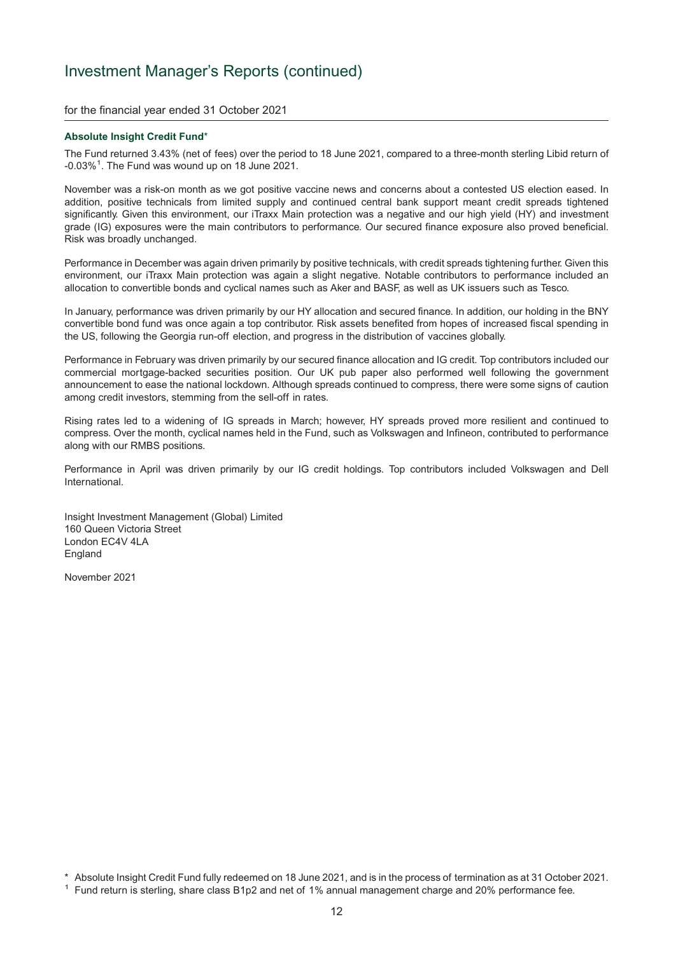for the financial year ended 31 October 2021

#### **Absolute Insight Credit Fund**\*

The Fund returned 3.43% (net of fees) over the period to 18 June 2021, compared to a three-month sterling Libid return of  $-0.03\%$ <sup>1</sup>. The Fund was wound up on 18 June 2021.

November was a risk-on month as we got positive vaccine news and concerns about a contested US election eased. In addition, positive technicals from limited supply and continued central bank support meant credit spreads tightened significantly. Given this environment, our iTraxx Main protection was a negative and our high yield (HY) and investment grade (IG) exposures were the main contributors to performance. Our secured finance exposure also proved beneficial. Risk was broadly unchanged.

Performance in December was again driven primarily by positive technicals, with credit spreads tightening further. Given this environment, our iTraxx Main protection was again a slight negative. Notable contributors to performance included an allocation to convertible bonds and cyclical names such as Aker and BASF, as well as UK issuers such as Tesco.

In January, performance was driven primarily by our HY allocation and secured finance. In addition, our holding in the BNY convertible bond fund was once again a top contributor. Risk assets benefited from hopes of increased fiscal spending in the US, following the Georgia run-off election, and progress in the distribution of vaccines globally.

Performance in February was driven primarily by our secured finance allocation and IG credit. Top contributors included our commercial mortgage-backed securities position. Our UK pub paper also performed well following the government announcement to ease the national lockdown. Although spreads continued to compress, there were some signs of caution among credit investors, stemming from the sell-off in rates.

Rising rates led to a widening of IG spreads in March; however, HY spreads proved more resilient and continued to compress. Over the month, cyclical names held in the Fund, such as Volkswagen and Infineon, contributed to performance along with our RMBS positions.

Performance in April was driven primarily by our IG credit holdings. Top contributors included Volkswagen and Dell International.

Insight Investment Management (Global) Limited 160 Queen Victoria Street London EC4V 4LA England

November 2021

\* Absolute Insight Credit Fund fully redeemed on 18 June 2021, and is in the process of termination as at 31 October 2021.

<sup>1</sup> Fund return is sterling, share class B1p2 and net of 1% annual management charge and 20% performance fee.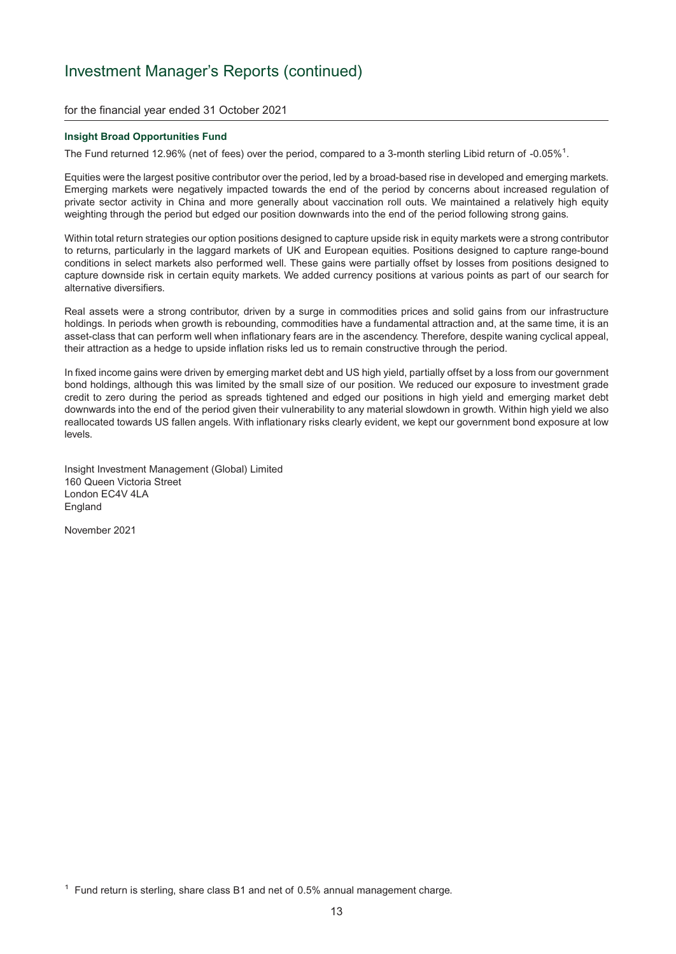for the financial year ended 31 October 2021

#### **Insight Broad Opportunities Fund**

The Fund returned 12.96% (net of fees) over the period, compared to a 3-month sterling Libid return of -0.05%<sup>1</sup>.

Equities were the largest positive contributor over the period, led by a broad-based rise in developed and emerging markets. Emerging markets were negatively impacted towards the end of the period by concerns about increased regulation of private sector activity in China and more generally about vaccination roll outs. We maintained a relatively high equity weighting through the period but edged our position downwards into the end of the period following strong gains.

Within total return strategies our option positions designed to capture upside risk in equity markets were a strong contributor to returns, particularly in the laggard markets of UK and European equities. Positions designed to capture range-bound conditions in select markets also performed well. These gains were partially offset by losses from positions designed to capture downside risk in certain equity markets. We added currency positions at various points as part of our search for alternative diversifiers.

Real assets were a strong contributor, driven by a surge in commodities prices and solid gains from our infrastructure holdings. In periods when growth is rebounding, commodities have a fundamental attraction and, at the same time, it is an asset-class that can perform well when inflationary fears are in the ascendency. Therefore, despite waning cyclical appeal, their attraction as a hedge to upside inflation risks led us to remain constructive through the period.

In fixed income gains were driven by emerging market debt and US high yield, partially offset by a loss from our government bond holdings, although this was limited by the small size of our position. We reduced our exposure to investment grade credit to zero during the period as spreads tightened and edged our positions in high yield and emerging market debt downwards into the end of the period given their vulnerability to any material slowdown in growth. Within high yield we also reallocated towards US fallen angels. With inflationary risks clearly evident, we kept our government bond exposure at low levels.

Insight Investment Management (Global) Limited 160 Queen Victoria Street London EC4V 4LA **England** 

 $1$  Fund return is sterling, share class B1 and net of 0.5% annual management charge.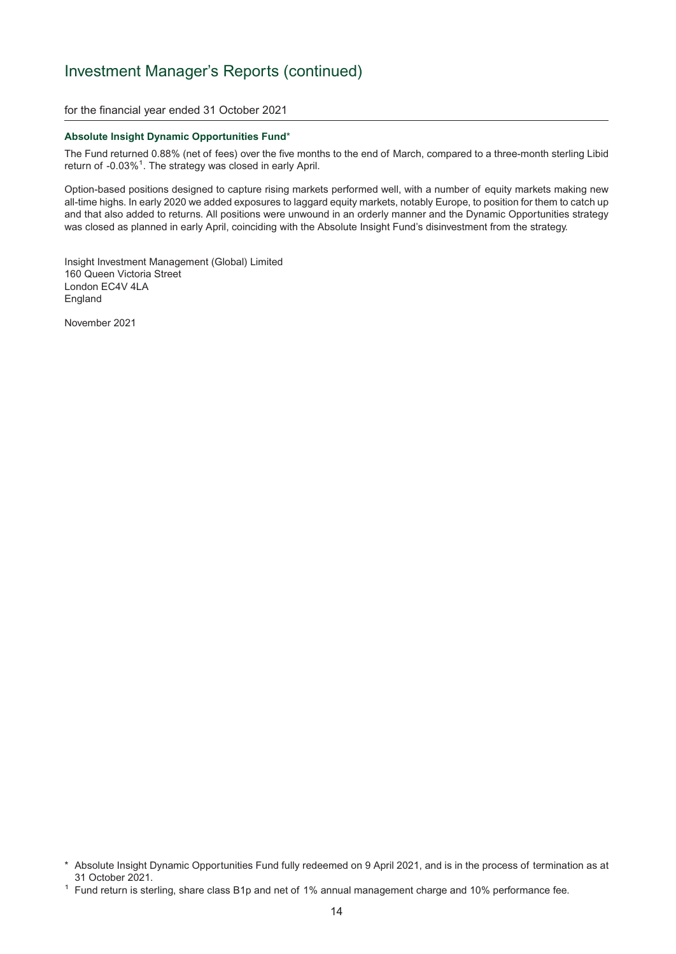for the financial year ended 31 October 2021

#### **Absolute Insight Dynamic Opportunities Fund**\*

The Fund returned 0.88% (net of fees) over the five months to the end of March, compared to a three-month sterling Libid return of -0.03%<sup>1</sup>. The strategy was closed in early April.

Option-based positions designed to capture rising markets performed well, with a number of equity markets making new all-time highs. In early 2020 we added exposures to laggard equity markets, notably Europe, to position for them to catch up and that also added to returns. All positions were unwound in an orderly manner and the Dynamic Opportunities strategy was closed as planned in early April, coinciding with the Absolute Insight Fund's disinvestment from the strategy.

Insight Investment Management (Global) Limited 160 Queen Victoria Street London EC4V 4LA England

<sup>\*</sup> Absolute Insight Dynamic Opportunities Fund fully redeemed on 9 April 2021, and is in the process of termination as at 31 October 2021.<br><sup>1</sup> Fund return is sterling, share class B1p and net of 1% annual management charge and 10% performance fee.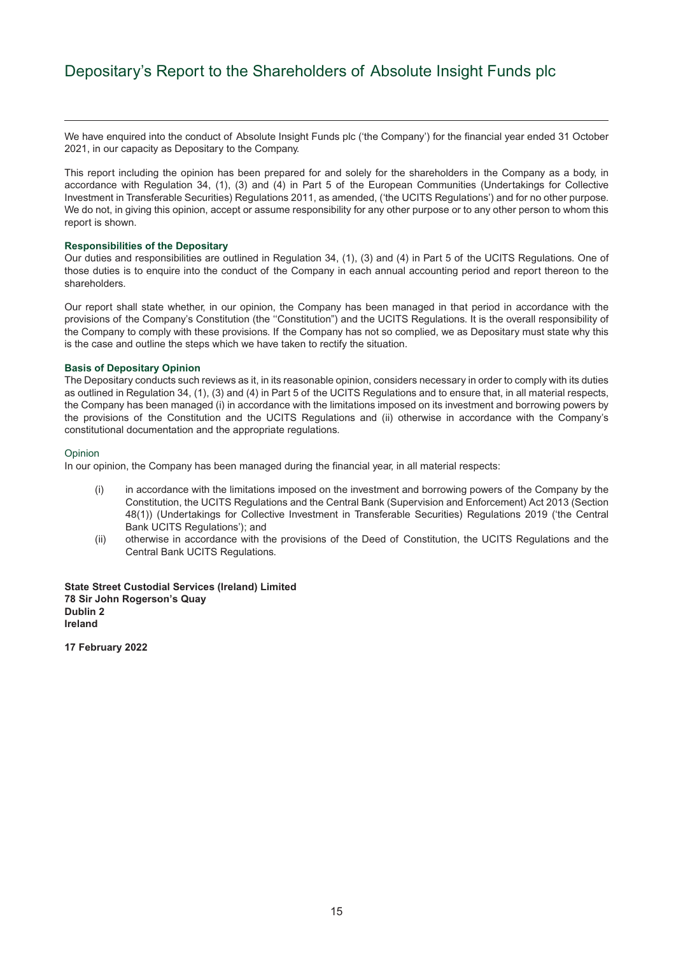## <span id="page-16-0"></span>Depositary's Report to the Shareholders of Absolute Insight Funds plc

We have enguired into the conduct of Absolute Insight Funds plc ('the Company') for the financial year ended 31 October 2021, in our capacity as Depositary to the Company.

This report including the opinion has been prepared for and solely for the shareholders in the Company as a body, in accordance with Regulation 34, (1), (3) and (4) in Part 5 of the European Communities (Undertakings for Collective Investment in Transferable Securities) Regulations 2011, as amended, ('the UCITS Regulations') and for no other purpose. We do not, in giving this opinion, accept or assume responsibility for any other purpose or to any other person to whom this report is shown.

#### **Responsibilities of the Depositary**

Our duties and responsibilities are outlined in Regulation 34, (1), (3) and (4) in Part 5 of the UCITS Regulations. One of those duties is to enquire into the conduct of the Company in each annual accounting period and report thereon to the shareholders.

Our report shall state whether, in our opinion, the Company has been managed in that period in accordance with the provisions of the Company's Constitution (the ''Constitution") and the UCITS Regulations. It is the overall responsibility of the Company to comply with these provisions. If the Company has not so complied, we as Depositary must state why this is the case and outline the steps which we have taken to rectify the situation.

#### **Basis of Depositary Opinion**

The Depositary conducts such reviews as it, in its reasonable opinion, considers necessary in order to comply with its duties as outlined in Regulation 34, (1), (3) and (4) in Part 5 of the UCITS Regulations and to ensure that, in all material respects, the Company has been managed (i) in accordance with the limitations imposed on its investment and borrowing powers by the provisions of the Constitution and the UCITS Regulations and (ii) otherwise in accordance with the Company's constitutional documentation and the appropriate regulations.

#### **Opinion**

In our opinion, the Company has been managed during the financial year, in all material respects:

- (i) in accordance with the limitations imposed on the investment and borrowing powers of the Company by the Constitution, the UCITS Regulations and the Central Bank (Supervision and Enforcement) Act 2013 (Section 48(1)) (Undertakings for Collective Investment in Transferable Securities) Regulations 2019 ('the Central Bank UCITS Regulations'); and
- (ii) otherwise in accordance with the provisions of the Deed of Constitution, the UCITS Regulations and the Central Bank UCITS Regulations.

**State Street Custodial Services (Ireland) Limited 78 Sir John Rogerson's Quay Dublin 2 Ireland**

**17 February 2022**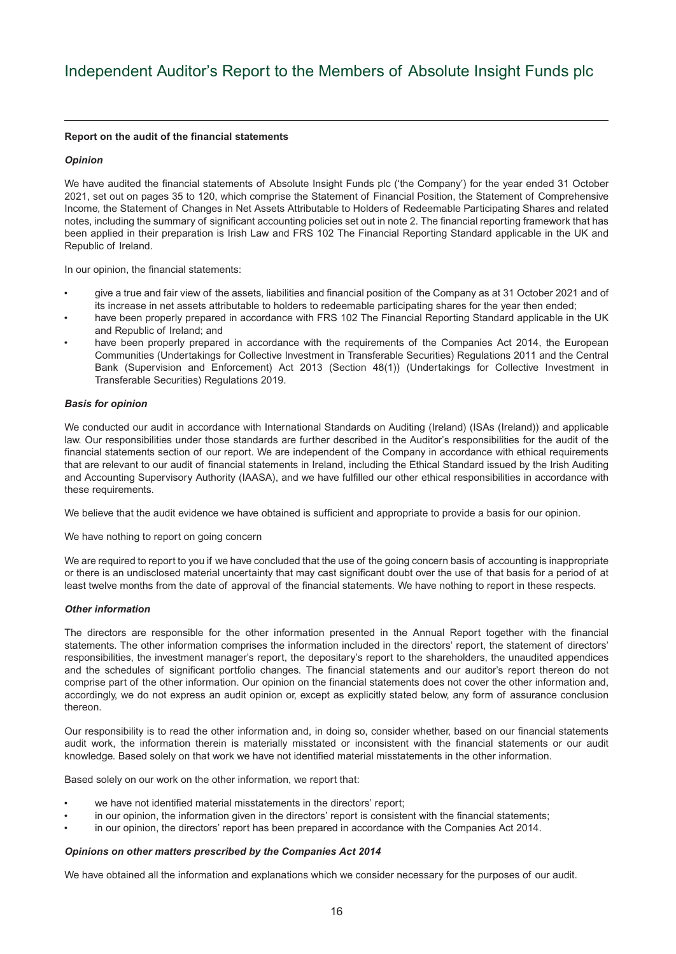#### <span id="page-17-0"></span>**Report on the audit of the financial statements**

#### *Opinion*

We have audited the financial statements of Absolute Insight Funds plc ('the Company') for the year ended 31 October 2021, set out on pages 35 to 120, which comprise the Statement of Financial Position, the Statement of Comprehensive Income, the Statement of Changes in Net Assets Attributable to Holders of Redeemable Participating Shares and related notes, including the summary of significant accounting policies set out in note 2. The financial reporting framework that has been applied in their preparation is Irish Law and FRS 102 The Financial Reporting Standard applicable in the UK and Republic of Ireland.

In our opinion, the financial statements:

- give a true and fair view of the assets, liabilities and financial position of the Company as at 31 October 2021 and of its increase in net assets attributable to holders to redeemable participating shares for the year then ended;
- have been properly prepared in accordance with FRS 102 The Financial Reporting Standard applicable in the UK and Republic of Ireland; and
- have been properly prepared in accordance with the requirements of the Companies Act 2014, the European Communities (Undertakings for Collective Investment in Transferable Securities) Regulations 2011 and the Central Bank (Supervision and Enforcement) Act 2013 (Section 48(1)) (Undertakings for Collective Investment in Transferable Securities) Regulations 2019.

#### *Basis for opinion*

We conducted our audit in accordance with International Standards on Auditing (Ireland) (ISAs (Ireland)) and applicable law. Our responsibilities under those standards are further described in the Auditor's responsibilities for the audit of the financial statements section of our report. We are independent of the Company in accordance with ethical requirements that are relevant to our audit of financial statements in Ireland, including the Ethical Standard issued by the Irish Auditing and Accounting Supervisory Authority (IAASA), and we have fulfilled our other ethical responsibilities in accordance with these requirements.

We believe that the audit evidence we have obtained is sufficient and appropriate to provide a basis for our opinion.

We have nothing to report on going concern

We are required to report to you if we have concluded that the use of the going concern basis of accounting is inappropriate or there is an undisclosed material uncertainty that may cast significant doubt over the use of that basis for a period of at least twelve months from the date of approval of the financial statements. We have nothing to report in these respects.

#### *Other information*

The directors are responsible for the other information presented in the Annual Report together with the financial statements. The other information comprises the information included in the directors' report, the statement of directors' responsibilities, the investment manager's report, the depositary's report to the shareholders, the unaudited appendices and the schedules of significant portfolio changes. The financial statements and our auditor's report thereon do not comprise part of the other information. Our opinion on the financial statements does not cover the other information and, accordingly, we do not express an audit opinion or, except as explicitly stated below, any form of assurance conclusion thereon.

Our responsibility is to read the other information and, in doing so, consider whether, based on our financial statements audit work, the information therein is materially misstated or inconsistent with the financial statements or our audit knowledge. Based solely on that work we have not identified material misstatements in the other information.

Based solely on our work on the other information, we report that:

- we have not identified material misstatements in the directors' report;
- in our opinion, the information given in the directors' report is consistent with the financial statements;
- in our opinion, the directors' report has been prepared in accordance with the Companies Act 2014.

#### *Opinions on other matters prescribed by the Companies Act 2014*

We have obtained all the information and explanations which we consider necessary for the purposes of our audit.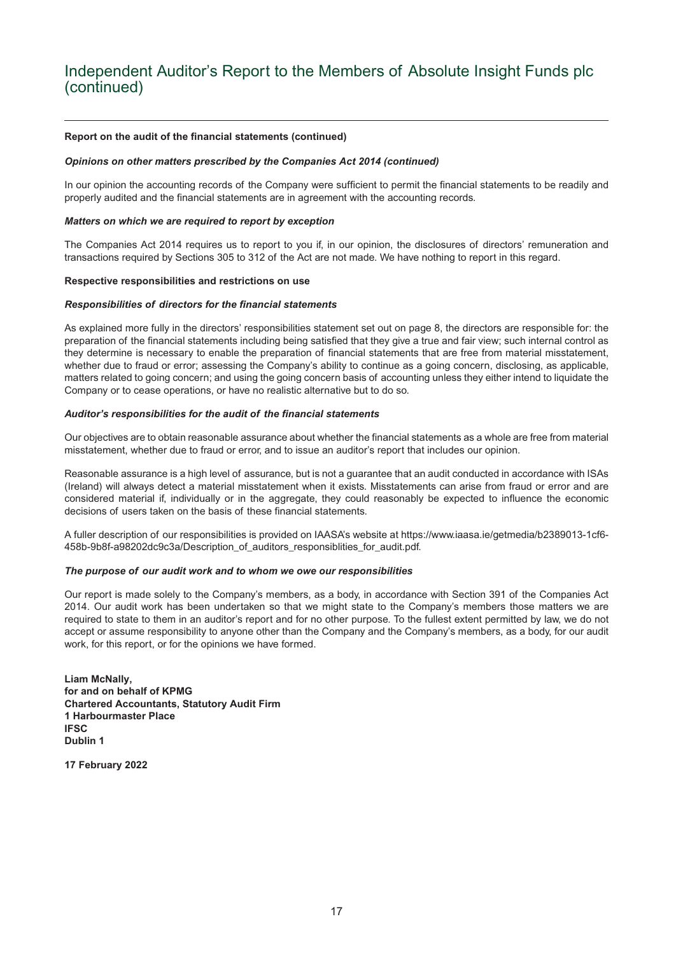## Independent Auditor's Report to the Members of Absolute Insight Funds plc (continued)

#### **Report on the audit of the financial statements (continued)**

#### *Opinions on other matters prescribed by the Companies Act 2014 (continued)*

In our opinion the accounting records of the Company were sufficient to permit the financial statements to be readily and properly audited and the financial statements are in agreement with the accounting records.

#### *Matters on which we are required to report by exception*

The Companies Act 2014 requires us to report to you if, in our opinion, the disclosures of directors' remuneration and transactions required by Sections 305 to 312 of the Act are not made. We have nothing to report in this regard.

#### **Respective responsibilities and restrictions on use**

#### *Responsibilities of directors for the financial statements*

As explained more fully in the directors' responsibilities statement set out on page 8, the directors are responsible for: the preparation of the financial statements including being satisfied that they give a true and fair view; such internal control as they determine is necessary to enable the preparation of financial statements that are free from material misstatement, whether due to fraud or error; assessing the Company's ability to continue as a going concern, disclosing, as applicable, matters related to going concern; and using the going concern basis of accounting unless they either intend to liquidate the Company or to cease operations, or have no realistic alternative but to do so.

#### *Auditor's responsibilities for the audit of the financial statements*

Our objectives are to obtain reasonable assurance about whether the financial statements as a whole are free from material misstatement, whether due to fraud or error, and to issue an auditor's report that includes our opinion.

Reasonable assurance is a high level of assurance, but is not a guarantee that an audit conducted in accordance with ISAs (Ireland) will always detect a material misstatement when it exists. Misstatements can arise from fraud or error and are considered material if, individually or in the aggregate, they could reasonably be expected to influence the economic decisions of users taken on the basis of these financial statements.

A fuller description of our responsibilities is provided on IAASA's website at [https://www.iaasa.ie/getmedia/b2389013-1cf6-](https://www.iaasa.ie/getmedia/b2389013-1cf6-458b-9b8f-a98202dc9c3a/Description_of_auditors_responsiblities_for_audit.pdf.) [458b-9b8f-a98202dc9c3a/Description\\_of\\_auditors\\_responsiblities\\_for\\_audit.pdf.](https://www.iaasa.ie/getmedia/b2389013-1cf6-458b-9b8f-a98202dc9c3a/Description_of_auditors_responsiblities_for_audit.pdf.)

#### *The purpose of our audit work and to whom we owe our responsibilities*

Our report is made solely to the Company's members, as a body, in accordance with Section 391 of the Companies Act 2014. Our audit work has been undertaken so that we might state to the Company's members those matters we are required to state to them in an auditor's report and for no other purpose. To the fullest extent permitted by law, we do not accept or assume responsibility to anyone other than the Company and the Company's members, as a body, for our audit work, for this report, or for the opinions we have formed.

**Liam McNally, for and on behalf of KPMG Chartered Accountants, Statutory Audit Firm 1 Harbourmaster Place IFSC Dublin 1**

**17 February 2022**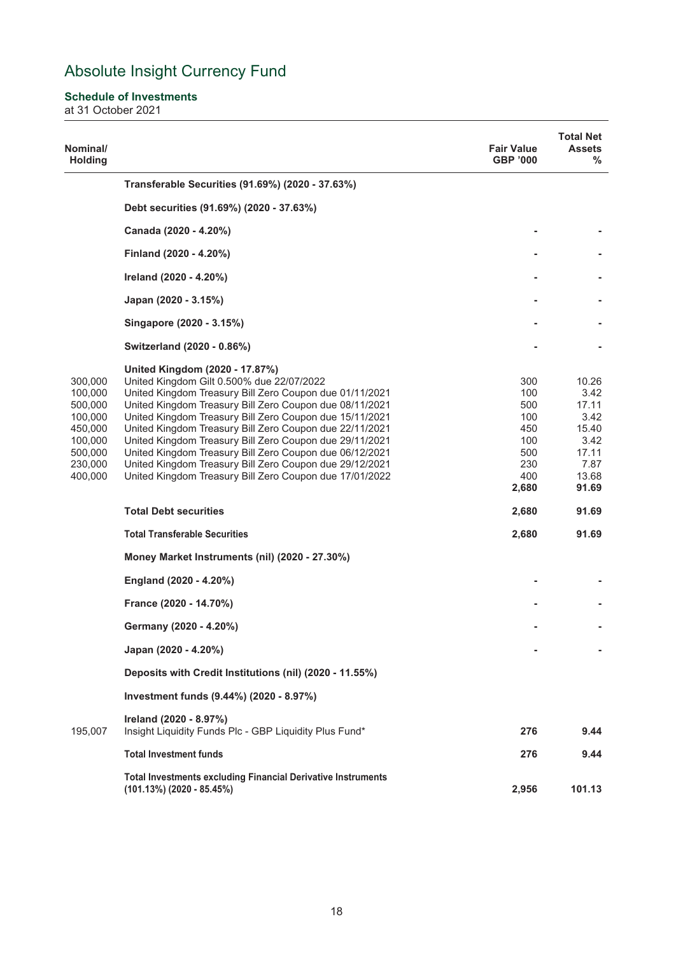### <span id="page-19-0"></span>**Schedule of Investments**

at 31 October 2021

| Nominal/<br><b>Holding</b>                                                                      |                                                                                                                                                                                                                                                                                                                                                                                                                                                                                                                                                                     | <b>Fair Value</b><br><b>GBP '000</b>                                 | <b>Total Net</b><br><b>Assets</b><br>%                                             |
|-------------------------------------------------------------------------------------------------|---------------------------------------------------------------------------------------------------------------------------------------------------------------------------------------------------------------------------------------------------------------------------------------------------------------------------------------------------------------------------------------------------------------------------------------------------------------------------------------------------------------------------------------------------------------------|----------------------------------------------------------------------|------------------------------------------------------------------------------------|
|                                                                                                 | Transferable Securities (91.69%) (2020 - 37.63%)                                                                                                                                                                                                                                                                                                                                                                                                                                                                                                                    |                                                                      |                                                                                    |
|                                                                                                 | Debt securities (91.69%) (2020 - 37.63%)                                                                                                                                                                                                                                                                                                                                                                                                                                                                                                                            |                                                                      |                                                                                    |
|                                                                                                 | Canada (2020 - 4.20%)                                                                                                                                                                                                                                                                                                                                                                                                                                                                                                                                               |                                                                      |                                                                                    |
|                                                                                                 | Finland (2020 - 4.20%)                                                                                                                                                                                                                                                                                                                                                                                                                                                                                                                                              |                                                                      |                                                                                    |
|                                                                                                 | Ireland (2020 - 4.20%)                                                                                                                                                                                                                                                                                                                                                                                                                                                                                                                                              |                                                                      |                                                                                    |
|                                                                                                 | Japan (2020 - 3.15%)                                                                                                                                                                                                                                                                                                                                                                                                                                                                                                                                                |                                                                      |                                                                                    |
|                                                                                                 | Singapore (2020 - 3.15%)                                                                                                                                                                                                                                                                                                                                                                                                                                                                                                                                            |                                                                      |                                                                                    |
|                                                                                                 | Switzerland (2020 - 0.86%)                                                                                                                                                                                                                                                                                                                                                                                                                                                                                                                                          |                                                                      |                                                                                    |
| 300,000<br>100,000<br>500,000<br>100,000<br>450,000<br>100,000<br>500,000<br>230,000<br>400,000 | United Kingdom (2020 - 17.87%)<br>United Kingdom Gilt 0.500% due 22/07/2022<br>United Kingdom Treasury Bill Zero Coupon due 01/11/2021<br>United Kingdom Treasury Bill Zero Coupon due 08/11/2021<br>United Kingdom Treasury Bill Zero Coupon due 15/11/2021<br>United Kingdom Treasury Bill Zero Coupon due 22/11/2021<br>United Kingdom Treasury Bill Zero Coupon due 29/11/2021<br>United Kingdom Treasury Bill Zero Coupon due 06/12/2021<br>United Kingdom Treasury Bill Zero Coupon due 29/12/2021<br>United Kingdom Treasury Bill Zero Coupon due 17/01/2022 | 300<br>100<br>500<br>100<br>450<br>100<br>500<br>230<br>400<br>2,680 | 10.26<br>3.42<br>17.11<br>3.42<br>15.40<br>3.42<br>17.11<br>7.87<br>13.68<br>91.69 |
|                                                                                                 | <b>Total Debt securities</b>                                                                                                                                                                                                                                                                                                                                                                                                                                                                                                                                        | 2,680                                                                | 91.69                                                                              |
|                                                                                                 | <b>Total Transferable Securities</b>                                                                                                                                                                                                                                                                                                                                                                                                                                                                                                                                | 2,680                                                                | 91.69                                                                              |
|                                                                                                 | Money Market Instruments (nil) (2020 - 27.30%)                                                                                                                                                                                                                                                                                                                                                                                                                                                                                                                      |                                                                      |                                                                                    |
|                                                                                                 | England (2020 - 4.20%)                                                                                                                                                                                                                                                                                                                                                                                                                                                                                                                                              |                                                                      |                                                                                    |
|                                                                                                 | France (2020 - 14.70%)                                                                                                                                                                                                                                                                                                                                                                                                                                                                                                                                              |                                                                      |                                                                                    |
|                                                                                                 | Germany (2020 - 4.20%)                                                                                                                                                                                                                                                                                                                                                                                                                                                                                                                                              |                                                                      |                                                                                    |
|                                                                                                 | Japan (2020 - 4.20%)                                                                                                                                                                                                                                                                                                                                                                                                                                                                                                                                                |                                                                      |                                                                                    |
|                                                                                                 | Deposits with Credit Institutions (nil) (2020 - 11.55%)                                                                                                                                                                                                                                                                                                                                                                                                                                                                                                             |                                                                      |                                                                                    |
|                                                                                                 | Investment funds (9.44%) (2020 - 8.97%)                                                                                                                                                                                                                                                                                                                                                                                                                                                                                                                             |                                                                      |                                                                                    |
| 195,007                                                                                         | Ireland (2020 - 8.97%)<br>Insight Liquidity Funds Plc - GBP Liquidity Plus Fund*                                                                                                                                                                                                                                                                                                                                                                                                                                                                                    | 276                                                                  | 9.44                                                                               |
|                                                                                                 | <b>Total Investment funds</b>                                                                                                                                                                                                                                                                                                                                                                                                                                                                                                                                       | 276                                                                  | 9.44                                                                               |
|                                                                                                 | <b>Total Investments excluding Financial Derivative Instruments</b><br>$(101.13\%)$ (2020 - 85.45%)                                                                                                                                                                                                                                                                                                                                                                                                                                                                 | 2,956                                                                | 101.13                                                                             |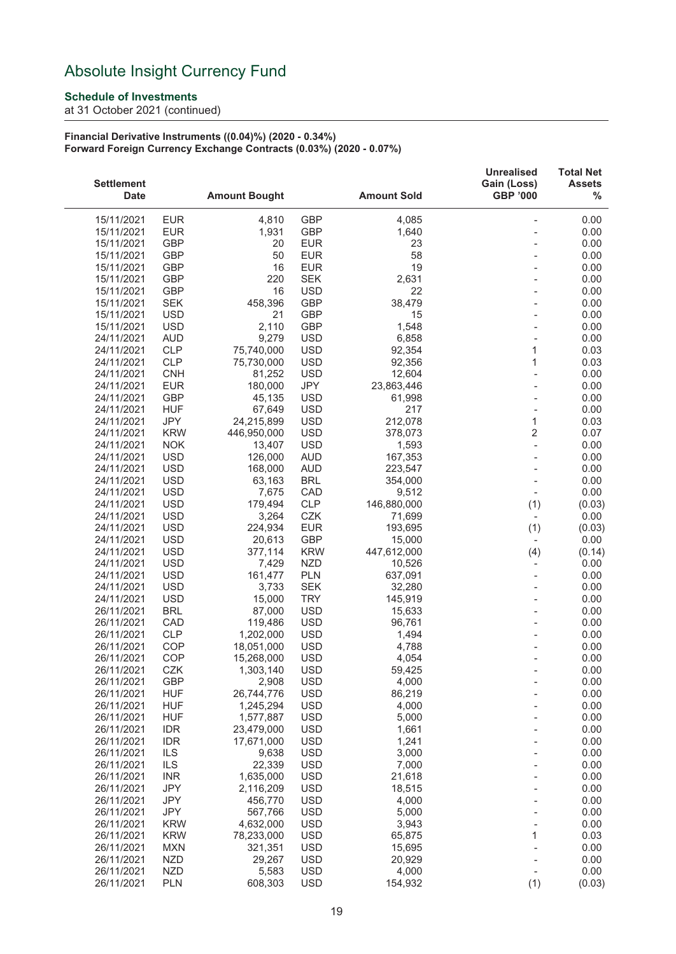### **Schedule of Investments**

at 31 October 2021 (continued)

#### **Financial Derivative Instruments ((0.04)%) (2020 - 0.34%) Forward Foreign Currency Exchange Contracts (0.03%) (2020 - 0.07%)**

| <b>Settlement</b><br><b>Date</b> |                          | <b>Amount Bought</b> |                          | <b>Amount Sold</b>    | <b>Unrealised</b><br>Gain (Loss)<br><b>GBP '000</b> | <b>Total Net</b><br><b>Assets</b><br>$\%$ |
|----------------------------------|--------------------------|----------------------|--------------------------|-----------------------|-----------------------------------------------------|-------------------------------------------|
| 15/11/2021                       | <b>EUR</b>               | 4,810                | <b>GBP</b>               | 4,085                 |                                                     | 0.00                                      |
| 15/11/2021                       | <b>EUR</b>               | 1,931                | <b>GBP</b>               | 1,640                 |                                                     | 0.00                                      |
| 15/11/2021                       | <b>GBP</b>               | 20                   | <b>EUR</b>               | 23                    |                                                     | 0.00                                      |
| 15/11/2021                       | <b>GBP</b>               | 50                   | <b>EUR</b>               | 58                    |                                                     | 0.00                                      |
| 15/11/2021                       | <b>GBP</b>               | 16                   | <b>EUR</b>               | 19                    |                                                     | 0.00                                      |
| 15/11/2021                       | <b>GBP</b>               | 220                  | <b>SEK</b>               | 2,631                 |                                                     | 0.00                                      |
| 15/11/2021                       | <b>GBP</b>               | 16                   | <b>USD</b>               | 22                    |                                                     | 0.00                                      |
| 15/11/2021                       | <b>SEK</b>               | 458,396              | <b>GBP</b>               | 38,479                |                                                     | 0.00                                      |
| 15/11/2021                       | <b>USD</b>               | 21                   | <b>GBP</b>               | 15                    |                                                     | 0.00                                      |
| 15/11/2021                       | <b>USD</b>               | 2,110                | <b>GBP</b>               | 1,548                 |                                                     | 0.00                                      |
| 24/11/2021                       | <b>AUD</b>               | 9,279                | <b>USD</b>               | 6,858                 |                                                     | 0.00                                      |
| 24/11/2021                       | <b>CLP</b>               | 75,740,000           | <b>USD</b>               | 92,354                | 1                                                   | 0.03                                      |
| 24/11/2021                       | CLP                      | 75,730,000           | <b>USD</b>               | 92,356                | 1                                                   | 0.03                                      |
| 24/11/2021                       | <b>CNH</b>               | 81,252               | <b>USD</b>               | 12,604                |                                                     | 0.00                                      |
| 24/11/2021                       | <b>EUR</b>               | 180,000              | JPY                      | 23,863,446            |                                                     | 0.00                                      |
| 24/11/2021                       | <b>GBP</b>               | 45,135               | <b>USD</b>               | 61,998                |                                                     | 0.00                                      |
| 24/11/2021                       | <b>HUF</b>               | 67,649               | <b>USD</b>               | 217                   |                                                     | 0.00                                      |
| 24/11/2021                       | JPY                      | 24,215,899           | <b>USD</b>               | 212,078               | $\mathbf{1}$                                        | 0.03                                      |
| 24/11/2021                       | <b>KRW</b>               | 446,950,000          | <b>USD</b>               | 378,073               | $\overline{2}$                                      | 0.07                                      |
| 24/11/2021                       | <b>NOK</b>               | 13,407               | <b>USD</b>               | 1,593                 |                                                     | 0.00                                      |
| 24/11/2021                       | <b>USD</b>               | 126,000              | <b>AUD</b>               | 167,353               |                                                     | 0.00                                      |
| 24/11/2021                       | <b>USD</b>               | 168,000              | <b>AUD</b>               | 223,547               |                                                     | 0.00                                      |
| 24/11/2021                       | <b>USD</b>               | 63,163               | <b>BRL</b>               | 354,000               |                                                     | 0.00                                      |
| 24/11/2021                       | <b>USD</b>               | 7,675                | CAD                      | 9,512                 | $\overline{\phantom{a}}$                            | 0.00                                      |
| 24/11/2021                       | <b>USD</b>               | 179,494              | <b>CLP</b>               | 146,880,000           | (1)                                                 | (0.03)                                    |
| 24/11/2021                       | <b>USD</b>               | 3,264                | CZK                      | 71,699                | $\overline{\phantom{a}}$                            | 0.00                                      |
| 24/11/2021                       | <b>USD</b>               | 224,934              | <b>EUR</b>               | 193,695               | (1)                                                 | (0.03)                                    |
| 24/11/2021                       | <b>USD</b><br><b>USD</b> | 20,613               | GBP                      | 15,000<br>447,612,000 | $\overline{\phantom{a}}$                            | 0.00                                      |
| 24/11/2021<br>24/11/2021         | <b>USD</b>               | 377,114<br>7,429     | <b>KRW</b><br><b>NZD</b> | 10,526                | (4)<br>$\overline{\phantom{0}}$                     | (0.14)<br>0.00                            |
| 24/11/2021                       | <b>USD</b>               | 161,477              | <b>PLN</b>               | 637,091               |                                                     | 0.00                                      |
| 24/11/2021                       | <b>USD</b>               | 3,733                | <b>SEK</b>               | 32,280                |                                                     | 0.00                                      |
| 24/11/2021                       | <b>USD</b>               | 15,000               | <b>TRY</b>               | 145,919               |                                                     | 0.00                                      |
| 26/11/2021                       | <b>BRL</b>               | 87,000               | <b>USD</b>               | 15,633                |                                                     | 0.00                                      |
| 26/11/2021                       | CAD                      | 119,486              | <b>USD</b>               | 96,761                |                                                     | 0.00                                      |
| 26/11/2021                       | <b>CLP</b>               | 1,202,000            | <b>USD</b>               | 1,494                 |                                                     | 0.00                                      |
| 26/11/2021                       | <b>COP</b>               | 18,051,000           | <b>USD</b>               | 4,788                 |                                                     | 0.00                                      |
| 26/11/2021                       | COP                      | 15,268,000           | <b>USD</b>               | 4,054                 |                                                     | 0.00                                      |
| 26/11/2021                       | <b>CZK</b>               | 1,303,140            | <b>USD</b>               | 59,425                |                                                     | 0.00                                      |
| 26/11/2021                       | GBP                      | 2,908                | <b>USD</b>               | 4,000                 |                                                     | 0.00                                      |
| 26/11/2021                       | <b>HUF</b>               | 26,744,776           | <b>USD</b>               | 86,219                |                                                     | 0.00                                      |
| 26/11/2021                       | <b>HUF</b>               | 1,245,294            | <b>USD</b>               | 4,000                 |                                                     | 0.00                                      |
| 26/11/2021                       | <b>HUF</b>               | 1,577,887            | <b>USD</b>               | 5,000                 |                                                     | 0.00                                      |
| 26/11/2021                       | <b>IDR</b>               | 23,479,000           | <b>USD</b>               | 1,661                 |                                                     | 0.00                                      |
| 26/11/2021                       | <b>IDR</b>               | 17,671,000           | <b>USD</b>               | 1,241                 |                                                     | 0.00                                      |
| 26/11/2021                       | ILS                      | 9,638                | <b>USD</b>               | 3,000                 |                                                     | 0.00                                      |
| 26/11/2021                       | ILS                      | 22,339               | <b>USD</b>               | 7,000                 |                                                     | 0.00                                      |
| 26/11/2021                       | <b>INR</b>               | 1,635,000            | <b>USD</b>               | 21,618                |                                                     | 0.00                                      |
| 26/11/2021                       | JPY                      | 2,116,209            | <b>USD</b>               | 18,515                |                                                     | 0.00                                      |
| 26/11/2021                       | <b>JPY</b>               | 456,770              | <b>USD</b>               | 4,000                 |                                                     | 0.00                                      |
| 26/11/2021                       | JPY                      | 567,766              | <b>USD</b>               | 5,000                 |                                                     | 0.00                                      |
| 26/11/2021                       | <b>KRW</b>               | 4,632,000            | <b>USD</b>               | 3,943                 |                                                     | 0.00                                      |
| 26/11/2021                       | <b>KRW</b>               | 78,233,000           | <b>USD</b>               | 65,875                | 1                                                   | 0.03                                      |
| 26/11/2021                       | <b>MXN</b>               | 321,351              | <b>USD</b>               | 15,695                |                                                     | 0.00                                      |
| 26/11/2021                       | <b>NZD</b>               | 29,267               | <b>USD</b>               | 20,929                |                                                     | 0.00                                      |
| 26/11/2021                       | <b>NZD</b>               | 5,583                | <b>USD</b>               | 4,000                 | $\overline{a}$                                      | 0.00                                      |
| 26/11/2021                       | PLN                      | 608,303              | <b>USD</b>               | 154,932               | (1)                                                 | (0.03)                                    |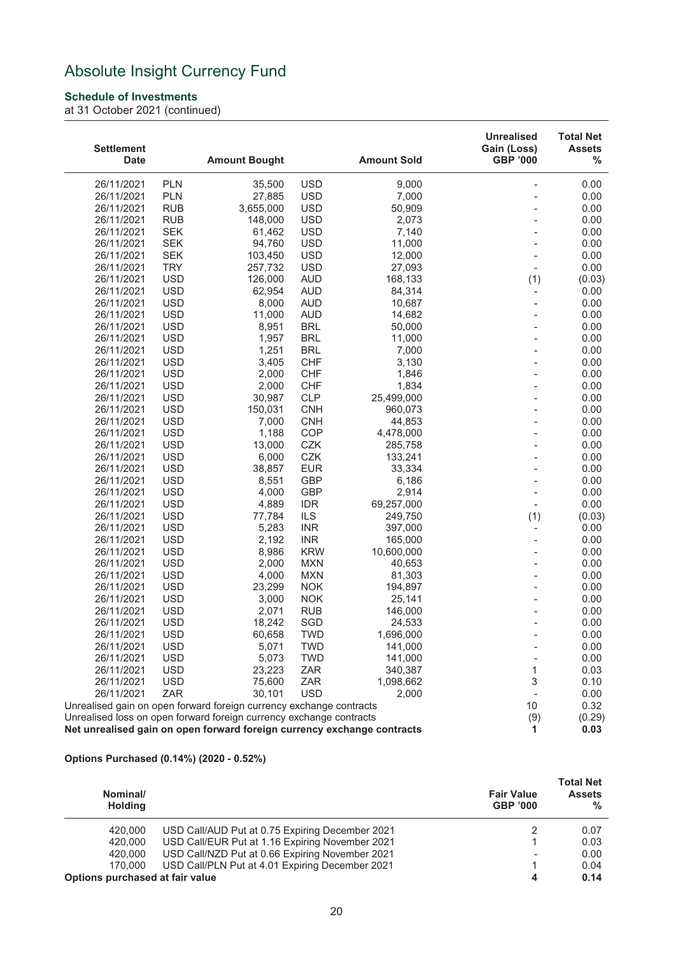### **Schedule of Investments**

at 31 October 2021 (continued)

| <b>Settlement</b><br><b>Date</b> |                          | <b>Amount Bought</b>                                                    |                          | <b>Amount Sold</b>   | <b>Unrealised</b><br>Gain (Loss)<br><b>GBP '000</b> | <b>Total Net</b><br><b>Assets</b><br>% |
|----------------------------------|--------------------------|-------------------------------------------------------------------------|--------------------------|----------------------|-----------------------------------------------------|----------------------------------------|
|                                  |                          |                                                                         |                          |                      |                                                     |                                        |
| 26/11/2021                       | <b>PLN</b>               | 35,500                                                                  | <b>USD</b>               | 9,000                | $\overline{a}$                                      | 0.00                                   |
| 26/11/2021                       | <b>PLN</b>               | 27,885                                                                  | <b>USD</b>               | 7,000                |                                                     | 0.00                                   |
| 26/11/2021                       | <b>RUB</b>               | 3,655,000                                                               | <b>USD</b>               | 50,909               |                                                     | 0.00                                   |
| 26/11/2021                       | <b>RUB</b>               | 148,000                                                                 | <b>USD</b>               | 2,073                |                                                     | 0.00                                   |
| 26/11/2021                       | <b>SEK</b>               | 61,462                                                                  | <b>USD</b>               | 7,140                |                                                     | 0.00                                   |
| 26/11/2021                       | <b>SEK</b>               | 94,760                                                                  | <b>USD</b>               | 11,000               |                                                     | 0.00                                   |
| 26/11/2021                       | <b>SEK</b>               | 103,450                                                                 | <b>USD</b>               | 12,000               |                                                     | 0.00                                   |
| 26/11/2021                       | <b>TRY</b>               | 257,732                                                                 | <b>USD</b>               | 27,093               |                                                     | 0.00                                   |
| 26/11/2021                       | <b>USD</b>               | 126,000                                                                 | <b>AUD</b>               | 168,133              | (1)                                                 | (0.03)                                 |
| 26/11/2021                       | <b>USD</b>               | 62,954                                                                  | <b>AUD</b>               | 84,314               | $\overline{\phantom{a}}$                            | 0.00                                   |
| 26/11/2021                       | <b>USD</b>               | 8,000                                                                   | <b>AUD</b>               | 10,687               | $\overline{a}$                                      | 0.00                                   |
| 26/11/2021                       | <b>USD</b>               | 11,000                                                                  | <b>AUD</b>               | 14,682               |                                                     | 0.00                                   |
| 26/11/2021                       | <b>USD</b>               | 8,951                                                                   | <b>BRL</b>               | 50,000               |                                                     | 0.00                                   |
| 26/11/2021                       | <b>USD</b>               | 1,957                                                                   | <b>BRL</b>               | 11,000               |                                                     | 0.00                                   |
| 26/11/2021                       | <b>USD</b>               | 1,251                                                                   | <b>BRL</b>               | 7,000                |                                                     | 0.00                                   |
| 26/11/2021                       | <b>USD</b>               | 3,405                                                                   | <b>CHF</b>               | 3,130                |                                                     | 0.00                                   |
| 26/11/2021                       | <b>USD</b>               | 2,000                                                                   | <b>CHF</b>               | 1,846                |                                                     | 0.00                                   |
| 26/11/2021                       | <b>USD</b>               | 2,000                                                                   | <b>CHF</b>               | 1,834                |                                                     | 0.00                                   |
| 26/11/2021                       | <b>USD</b>               | 30,987                                                                  | CLP                      | 25,499,000           |                                                     | 0.00                                   |
| 26/11/2021                       | <b>USD</b>               | 150,031                                                                 | <b>CNH</b>               | 960,073              |                                                     | 0.00                                   |
| 26/11/2021                       | <b>USD</b>               | 7,000                                                                   | <b>CNH</b>               | 44,853               |                                                     | 0.00                                   |
| 26/11/2021                       | <b>USD</b>               | 1,188                                                                   | COP                      | 4,478,000            |                                                     | 0.00                                   |
| 26/11/2021                       | <b>USD</b>               | 13,000                                                                  | CZK                      | 285,758              |                                                     | 0.00                                   |
| 26/11/2021                       | <b>USD</b>               | 6,000                                                                   | CZK                      | 133,241              |                                                     | 0.00                                   |
| 26/11/2021                       | <b>USD</b>               | 38,857                                                                  | <b>EUR</b>               | 33,334               |                                                     | 0.00                                   |
| 26/11/2021                       | <b>USD</b>               | 8,551                                                                   | <b>GBP</b>               | 6,186                |                                                     | 0.00                                   |
| 26/11/2021                       | <b>USD</b>               | 4,000                                                                   | <b>GBP</b>               | 2,914                |                                                     | 0.00                                   |
| 26/11/2021                       | <b>USD</b>               | 4,889                                                                   | <b>IDR</b>               | 69,257,000           | $\overline{\phantom{a}}$                            | 0.00                                   |
| 26/11/2021                       | <b>USD</b>               | 77,784                                                                  | ILS                      | 249,750              | (1)                                                 | (0.03)                                 |
| 26/11/2021                       | <b>USD</b>               | 5,283                                                                   | <b>INR</b>               | 397,000              | $\overline{\phantom{0}}$                            | 0.00                                   |
| 26/11/2021                       | <b>USD</b>               | 2,192                                                                   | <b>INR</b>               | 165,000              |                                                     | 0.00                                   |
| 26/11/2021                       | <b>USD</b>               | 8,986                                                                   | <b>KRW</b>               | 10,600,000           |                                                     | 0.00                                   |
| 26/11/2021                       | <b>USD</b>               | 2,000                                                                   | <b>MXN</b>               | 40,653               |                                                     | 0.00                                   |
| 26/11/2021                       | <b>USD</b>               | 4,000                                                                   | <b>MXN</b>               | 81,303               |                                                     | 0.00                                   |
| 26/11/2021                       | <b>USD</b>               | 23,299                                                                  | <b>NOK</b>               | 194,897              |                                                     | 0.00                                   |
| 26/11/2021                       | <b>USD</b><br><b>USD</b> | 3,000<br>2,071                                                          | <b>NOK</b><br><b>RUB</b> | 25,141               |                                                     | 0.00<br>0.00                           |
| 26/11/2021                       | <b>USD</b>               |                                                                         | SGD                      | 146,000              |                                                     | 0.00                                   |
| 26/11/2021<br>26/11/2021         | <b>USD</b>               | 18,242<br>60,658                                                        | TWD                      | 24,533<br>1,696,000  |                                                     | 0.00                                   |
| 26/11/2021                       |                          |                                                                         |                          |                      |                                                     |                                        |
|                                  | <b>USD</b><br><b>USD</b> | 5,071<br>5,073                                                          | <b>TWD</b>               | 141,000<br>141,000   |                                                     | 0.00<br>0.00                           |
| 26/11/2021                       | <b>USD</b>               |                                                                         | <b>TWD</b>               |                      |                                                     |                                        |
| 26/11/2021<br>26/11/2021         | <b>USD</b>               | 23,223                                                                  | ZAR<br>ZAR               | 340,387<br>1,098,662 | 1<br>3                                              | 0.03<br>0.10                           |
| 26/11/2021                       | ZAR                      | 75,600<br>30,101                                                        | <b>USD</b>               | 2,000                |                                                     | 0.00                                   |
|                                  |                          | Unrealised gain on open forward foreign currency exchange contracts     |                          |                      | 10                                                  | 0.32                                   |
|                                  |                          | Unrealised loss on open forward foreign currency exchange contracts     |                          |                      | (9)                                                 | (0.29)                                 |
|                                  |                          | Net unrealised gain on open forward foreign currency exchange contracts |                          |                      | 1.                                                  | 0.03                                   |
|                                  |                          |                                                                         |                          |                      |                                                     |                                        |

#### **Options Purchased (0.14%) (2020 - 0.52%)**

| Nominal/<br><b>Holding</b>      |                                                 | <b>Fair Value</b><br><b>GBP '000</b> | <b>Total Net</b><br><b>Assets</b><br>$\%$ |
|---------------------------------|-------------------------------------------------|--------------------------------------|-------------------------------------------|
| 420,000                         | USD Call/AUD Put at 0.75 Expiring December 2021 |                                      | 0.07                                      |
| 420,000                         | USD Call/EUR Put at 1.16 Expiring November 2021 |                                      | 0.03                                      |
| 420,000                         | USD Call/NZD Put at 0.66 Expiring November 2021 | $\overline{\phantom{a}}$             | 0.00                                      |
| 170,000                         | USD Call/PLN Put at 4.01 Expiring December 2021 |                                      | 0.04                                      |
| Options purchased at fair value |                                                 | 4                                    | 0.14                                      |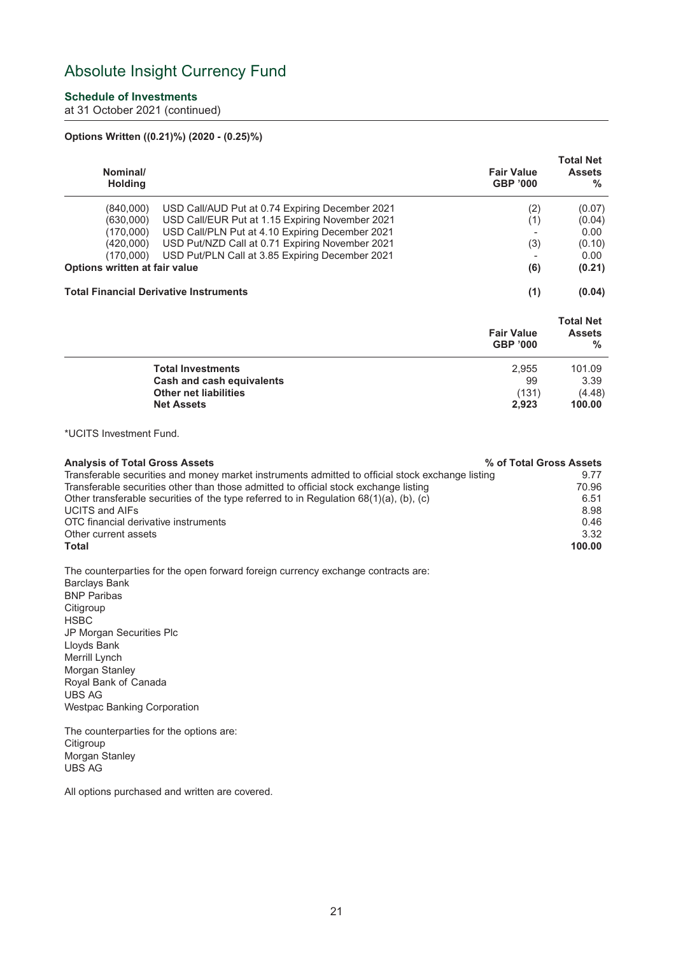### **Schedule of Investments**

at 31 October 2021 (continued)

### **Options Written ((0.21)%) (2020 - (0.25)%)**

| Nominal/<br><b>Holding</b>    |                                                 | <b>Fair Value</b><br><b>GBP '000</b> | <b>Total Net</b><br><b>Assets</b><br>% |
|-------------------------------|-------------------------------------------------|--------------------------------------|----------------------------------------|
| (840,000)                     | USD Call/AUD Put at 0.74 Expiring December 2021 | (2)                                  | (0.07)                                 |
| (630,000)                     | USD Call/EUR Put at 1.15 Expiring November 2021 | (1)                                  | (0.04)                                 |
| (170.000)                     | USD Call/PLN Put at 4.10 Expiring December 2021 |                                      | 0.00                                   |
| (420,000)                     | USD Put/NZD Call at 0.71 Expiring November 2021 | (3)                                  | (0.10)                                 |
| (170,000)                     | USD Put/PLN Call at 3.85 Expiring December 2021 |                                      | 0.00                                   |
| Options written at fair value |                                                 | (6)                                  | (0.21)                                 |
|                               | <b>Total Financial Derivative Instruments</b>   | (1)                                  | (0.04)                                 |

|                              | <b>Fair Value</b><br><b>GBP '000</b> | <b>Total Net</b><br><b>Assets</b><br>$\frac{0}{0}$ |
|------------------------------|--------------------------------------|----------------------------------------------------|
| <b>Total Investments</b>     | 2.955                                | 101.09                                             |
| Cash and cash equivalents    | 99                                   | 3.39                                               |
| <b>Other net liabilities</b> | (131)                                | (4.48)                                             |
| <b>Net Assets</b>            | 2.923                                | 100.00                                             |

\*UCITS Investment Fund.

| <b>Analysis of Total Gross Assets</b>                                                            | % of Total Gross Assets |
|--------------------------------------------------------------------------------------------------|-------------------------|
| Transferable securities and money market instruments admitted to official stock exchange listing | 9.77                    |
| Transferable securities other than those admitted to official stock exchange listing             | 70.96                   |
| Other transferable securities of the type referred to in Regulation $68(1)(a)$ , (b), (c)        | 6.51                    |
| <b>UCITS and AIFs</b>                                                                            | 8.98                    |
| OTC financial derivative instruments                                                             | 0.46                    |
| Other current assets                                                                             | 3.32                    |
| Total                                                                                            | 100.00                  |

The counterparties for the open forward foreign currency exchange contracts are: Barclays Bank BNP Paribas **Citigroup** HSBC JP Morgan Securities Plc Lloyds Bank Merrill Lynch Morgan Stanley Royal Bank of Canada UBS AG

Westpac Banking Corporation

The counterparties for the options are: **Citigroup** Morgan Stanley UBS AG

All options purchased and written are covered.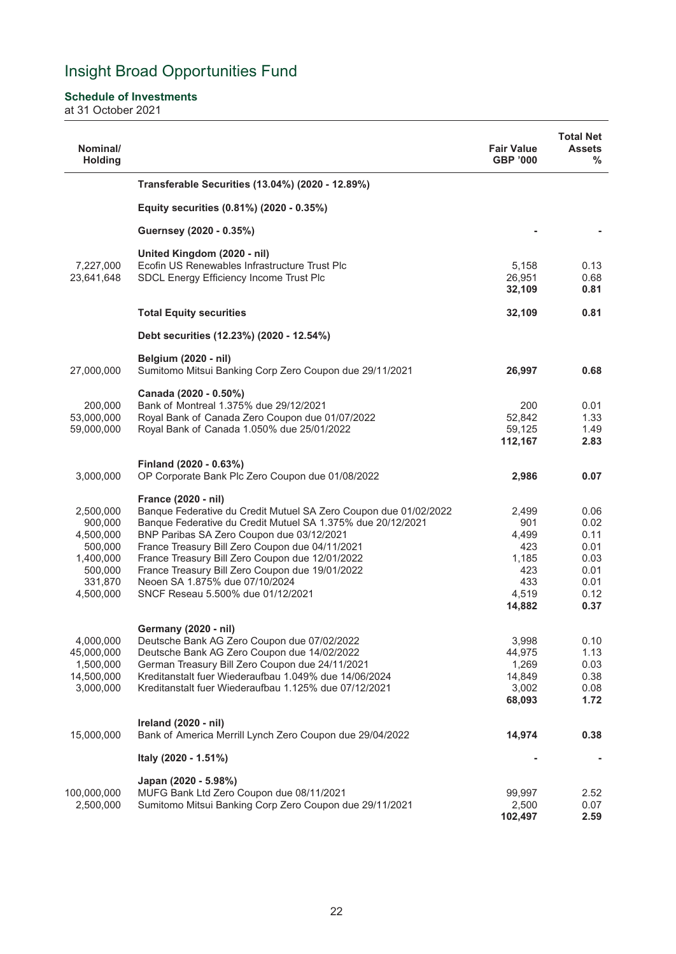### <span id="page-23-0"></span>**Schedule of Investments**

at 31 October 2021

| Nominal/<br><b>Holding</b>                                                                   |                                                                                                                                                                                                                                                                                                                                                                                                                                     | <b>Fair Value</b><br><b>GBP '000</b>                                   | <b>Total Net</b><br><b>Assets</b><br>%                               |
|----------------------------------------------------------------------------------------------|-------------------------------------------------------------------------------------------------------------------------------------------------------------------------------------------------------------------------------------------------------------------------------------------------------------------------------------------------------------------------------------------------------------------------------------|------------------------------------------------------------------------|----------------------------------------------------------------------|
|                                                                                              | Transferable Securities (13.04%) (2020 - 12.89%)                                                                                                                                                                                                                                                                                                                                                                                    |                                                                        |                                                                      |
|                                                                                              | Equity securities (0.81%) (2020 - 0.35%)                                                                                                                                                                                                                                                                                                                                                                                            |                                                                        |                                                                      |
|                                                                                              | Guernsey (2020 - 0.35%)                                                                                                                                                                                                                                                                                                                                                                                                             |                                                                        |                                                                      |
| 7,227,000<br>23,641,648                                                                      | United Kingdom (2020 - nil)<br>Ecofin US Renewables Infrastructure Trust Plc<br>SDCL Energy Efficiency Income Trust Plc                                                                                                                                                                                                                                                                                                             | 5,158<br>26,951<br>32,109                                              | 0.13<br>0.68<br>0.81                                                 |
|                                                                                              | <b>Total Equity securities</b>                                                                                                                                                                                                                                                                                                                                                                                                      | 32,109                                                                 | 0.81                                                                 |
|                                                                                              | Debt securities (12.23%) (2020 - 12.54%)                                                                                                                                                                                                                                                                                                                                                                                            |                                                                        |                                                                      |
| 27,000,000                                                                                   | <b>Belgium (2020 - nil)</b><br>Sumitomo Mitsui Banking Corp Zero Coupon due 29/11/2021                                                                                                                                                                                                                                                                                                                                              | 26,997                                                                 | 0.68                                                                 |
| 200,000<br>53,000,000<br>59,000,000                                                          | Canada (2020 - 0.50%)<br>Bank of Montreal 1.375% due 29/12/2021<br>Royal Bank of Canada Zero Coupon due 01/07/2022<br>Royal Bank of Canada 1.050% due 25/01/2022                                                                                                                                                                                                                                                                    | 200<br>52,842<br>59,125<br>112,167                                     | 0.01<br>1.33<br>1.49<br>2.83                                         |
| 3,000,000                                                                                    | Finland (2020 - 0.63%)<br>OP Corporate Bank Plc Zero Coupon due 01/08/2022                                                                                                                                                                                                                                                                                                                                                          | 2,986                                                                  | 0.07                                                                 |
| 2,500,000<br>900,000<br>4,500,000<br>500,000<br>1,400,000<br>500,000<br>331,870<br>4,500,000 | France (2020 - nil)<br>Banque Federative du Credit Mutuel SA Zero Coupon due 01/02/2022<br>Banque Federative du Credit Mutuel SA 1.375% due 20/12/2021<br>BNP Paribas SA Zero Coupon due 03/12/2021<br>France Treasury Bill Zero Coupon due 04/11/2021<br>France Treasury Bill Zero Coupon due 12/01/2022<br>France Treasury Bill Zero Coupon due 19/01/2022<br>Neoen SA 1.875% due 07/10/2024<br>SNCF Reseau 5.500% due 01/12/2021 | 2,499<br>901<br>4,499<br>423<br>1,185<br>423<br>433<br>4,519<br>14,882 | 0.06<br>0.02<br>0.11<br>0.01<br>0.03<br>0.01<br>0.01<br>0.12<br>0.37 |
| 4,000,000<br>45,000,000<br>1,500,000<br>14,500,000<br>3,000,000                              | <b>Germany (2020 - nil)</b><br>Deutsche Bank AG Zero Coupon due 07/02/2022<br>Deutsche Bank AG Zero Coupon due 14/02/2022<br>German Treasury Bill Zero Coupon due 24/11/2021<br>Kreditanstalt fuer Wiederaufbau 1.049% due 14/06/2024<br>Kreditanstalt fuer Wiederaufbau 1.125% due 07/12/2021                                                                                                                                      | 3,998<br>44,975<br>1,269<br>14,849<br>3,002<br>68,093                  | 0.10<br>1.13<br>0.03<br>0.38<br>0.08<br>1.72                         |
| 15,000,000                                                                                   | Ireland (2020 - nil)<br>Bank of America Merrill Lynch Zero Coupon due 29/04/2022                                                                                                                                                                                                                                                                                                                                                    | 14,974                                                                 | 0.38                                                                 |
|                                                                                              | Italy (2020 - 1.51%)                                                                                                                                                                                                                                                                                                                                                                                                                |                                                                        |                                                                      |
| 100,000,000<br>2,500,000                                                                     | Japan (2020 - 5.98%)<br>MUFG Bank Ltd Zero Coupon due 08/11/2021<br>Sumitomo Mitsui Banking Corp Zero Coupon due 29/11/2021                                                                                                                                                                                                                                                                                                         | 99,997<br>2,500<br>102,497                                             | 2.52<br>0.07<br>2.59                                                 |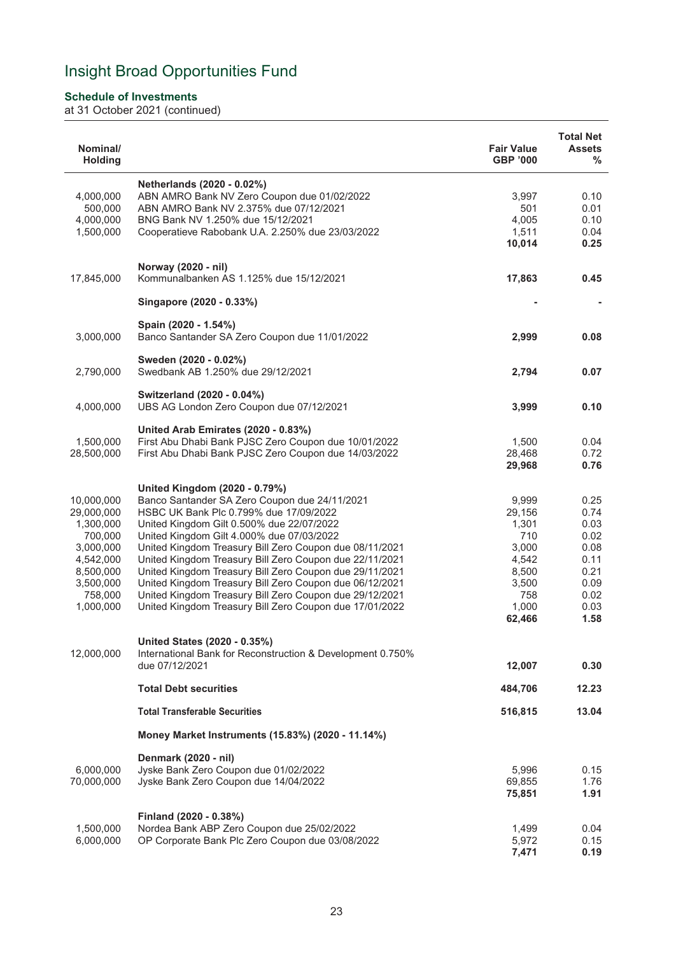### **Schedule of Investments**

| Nominal/<br><b>Holding</b> |                                                                                                                    | <b>Fair Value</b><br><b>GBP '000</b> | <b>Total Net</b><br><b>Assets</b><br>$\%$ |
|----------------------------|--------------------------------------------------------------------------------------------------------------------|--------------------------------------|-------------------------------------------|
|                            | Netherlands (2020 - 0.02%)                                                                                         |                                      |                                           |
| 4,000,000                  | ABN AMRO Bank NV Zero Coupon due 01/02/2022                                                                        | 3,997                                | 0.10                                      |
| 500,000                    | ABN AMRO Bank NV 2.375% due 07/12/2021                                                                             | 501                                  | 0.01                                      |
| 4,000,000                  | BNG Bank NV 1.250% due 15/12/2021                                                                                  | 4,005                                | 0.10                                      |
| 1,500,000                  | Cooperatieve Rabobank U.A. 2.250% due 23/03/2022                                                                   | 1,511                                | 0.04                                      |
|                            |                                                                                                                    | 10,014                               | 0.25                                      |
| 17,845,000                 | Norway (2020 - nil)<br>Kommunalbanken AS 1.125% due 15/12/2021                                                     | 17,863                               | 0.45                                      |
|                            | Singapore (2020 - 0.33%)                                                                                           |                                      |                                           |
| 3,000,000                  | Spain (2020 - 1.54%)<br>Banco Santander SA Zero Coupon due 11/01/2022                                              | 2,999                                | 0.08                                      |
|                            | Sweden (2020 - 0.02%)                                                                                              |                                      |                                           |
| 2,790,000                  | Swedbank AB 1.250% due 29/12/2021                                                                                  | 2,794                                | 0.07                                      |
|                            |                                                                                                                    |                                      |                                           |
| 4,000,000                  | Switzerland (2020 - 0.04%)<br>UBS AG London Zero Coupon due 07/12/2021                                             | 3,999                                | 0.10                                      |
|                            | United Arab Emirates (2020 - 0.83%)                                                                                |                                      |                                           |
| 1,500,000                  | First Abu Dhabi Bank PJSC Zero Coupon due 10/01/2022                                                               | 1,500                                | 0.04                                      |
| 28,500,000                 | First Abu Dhabi Bank PJSC Zero Coupon due 14/03/2022                                                               | 28,468                               | 0.72                                      |
|                            |                                                                                                                    | 29,968                               | 0.76                                      |
|                            | United Kingdom (2020 - 0.79%)                                                                                      |                                      |                                           |
| 10,000,000                 | Banco Santander SA Zero Coupon due 24/11/2021                                                                      | 9,999                                | 0.25                                      |
| 29,000,000                 | HSBC UK Bank Plc 0.799% due 17/09/2022                                                                             | 29,156                               | 0.74                                      |
| 1,300,000                  | United Kingdom Gilt 0.500% due 22/07/2022                                                                          | 1,301                                | 0.03                                      |
| 700,000                    | United Kingdom Gilt 4.000% due 07/03/2022                                                                          | 710                                  | 0.02                                      |
| 3,000,000                  | United Kingdom Treasury Bill Zero Coupon due 08/11/2021                                                            | 3,000                                | 0.08                                      |
| 4,542,000                  | United Kingdom Treasury Bill Zero Coupon due 22/11/2021                                                            | 4,542                                | 0.11                                      |
| 8,500,000                  | United Kingdom Treasury Bill Zero Coupon due 29/11/2021                                                            | 8,500                                | 0.21                                      |
| 3,500,000                  | United Kingdom Treasury Bill Zero Coupon due 06/12/2021                                                            | 3,500                                | 0.09<br>0.02                              |
| 758,000<br>1,000,000       | United Kingdom Treasury Bill Zero Coupon due 29/12/2021<br>United Kingdom Treasury Bill Zero Coupon due 17/01/2022 | 758<br>1,000                         | 0.03                                      |
|                            |                                                                                                                    | 62,466                               | 1.58                                      |
|                            |                                                                                                                    |                                      |                                           |
|                            | United States (2020 - 0.35%)                                                                                       |                                      |                                           |
| 12,000,000                 | International Bank for Reconstruction & Development 0.750%<br>due 07/12/2021                                       | 12,007                               | 0.30                                      |
|                            | <b>Total Debt securities</b>                                                                                       | 484,706                              | 12.23                                     |
|                            |                                                                                                                    |                                      |                                           |
|                            | <b>Total Transferable Securities</b>                                                                               | 516,815                              | 13.04                                     |
|                            | Money Market Instruments (15.83%) (2020 - 11.14%)                                                                  |                                      |                                           |
|                            | Denmark (2020 - nil)                                                                                               |                                      |                                           |
| 6,000,000                  | Jyske Bank Zero Coupon due 01/02/2022                                                                              | 5,996                                | 0.15                                      |
| 70,000,000                 | Jyske Bank Zero Coupon due 14/04/2022                                                                              | 69,855                               | 1.76                                      |
|                            |                                                                                                                    | 75,851                               | 1.91                                      |
|                            | Finland (2020 - 0.38%)                                                                                             |                                      |                                           |
| 1,500,000                  | Nordea Bank ABP Zero Coupon due 25/02/2022                                                                         | 1,499                                | 0.04                                      |
| 6,000,000                  | OP Corporate Bank Plc Zero Coupon due 03/08/2022                                                                   | 5,972                                | 0.15                                      |
|                            |                                                                                                                    | 7,471                                | 0.19                                      |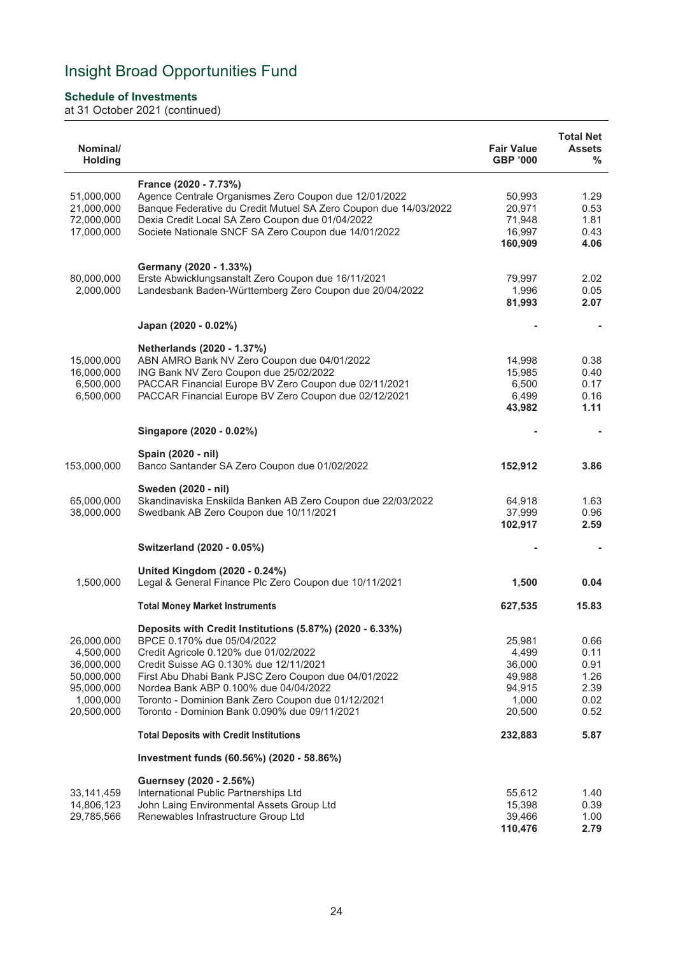### **Schedule of Investments**

| Nominal/<br><b>Holding</b>                                                                   |                                                                                                                                                                                                                                                                                                                                                                                   | <b>Fair Value</b><br><b>GBP '000</b>                             | <b>Total Net</b><br><b>Assets</b><br>%               |
|----------------------------------------------------------------------------------------------|-----------------------------------------------------------------------------------------------------------------------------------------------------------------------------------------------------------------------------------------------------------------------------------------------------------------------------------------------------------------------------------|------------------------------------------------------------------|------------------------------------------------------|
| 51,000,000<br>21,000,000<br>72,000,000<br>17,000,000                                         | France (2020 - 7.73%)<br>Agence Centrale Organismes Zero Coupon due 12/01/2022<br>Banque Federative du Credit Mutuel SA Zero Coupon due 14/03/2022<br>Dexia Credit Local SA Zero Coupon due 01/04/2022<br>Societe Nationale SNCF SA Zero Coupon due 14/01/2022                                                                                                                    | 50,993<br>20,971<br>71,948<br>16,997<br>160,909                  | 1.29<br>0.53<br>1.81<br>0.43<br>4.06                 |
| 80,000,000<br>2,000,000                                                                      | Germany (2020 - 1.33%)<br>Erste Abwicklungsanstalt Zero Coupon due 16/11/2021<br>Landesbank Baden-Württemberg Zero Coupon due 20/04/2022                                                                                                                                                                                                                                          | 79,997<br>1,996<br>81,993                                        | 2.02<br>0.05<br>2.07                                 |
|                                                                                              | Japan (2020 - 0.02%)                                                                                                                                                                                                                                                                                                                                                              |                                                                  |                                                      |
| 15,000,000<br>16,000,000<br>6,500,000<br>6,500,000                                           | Netherlands (2020 - 1.37%)<br>ABN AMRO Bank NV Zero Coupon due 04/01/2022<br>ING Bank NV Zero Coupon due 25/02/2022<br>PACCAR Financial Europe BV Zero Coupon due 02/11/2021<br>PACCAR Financial Europe BV Zero Coupon due 02/12/2021                                                                                                                                             | 14,998<br>15,985<br>6,500<br>6,499<br>43,982                     | 0.38<br>0.40<br>0.17<br>0.16<br>1.11                 |
|                                                                                              | Singapore (2020 - 0.02%)                                                                                                                                                                                                                                                                                                                                                          |                                                                  |                                                      |
| 153,000,000                                                                                  | Spain (2020 - nil)<br>Banco Santander SA Zero Coupon due 01/02/2022                                                                                                                                                                                                                                                                                                               | 152,912                                                          | 3.86                                                 |
| 65,000,000<br>38,000,000                                                                     | Sweden (2020 - nil)<br>Skandinaviska Enskilda Banken AB Zero Coupon due 22/03/2022<br>Swedbank AB Zero Coupon due 10/11/2021                                                                                                                                                                                                                                                      | 64,918<br>37,999<br>102,917                                      | 1.63<br>0.96<br>2.59                                 |
|                                                                                              | Switzerland (2020 - 0.05%)                                                                                                                                                                                                                                                                                                                                                        |                                                                  |                                                      |
| 1,500,000                                                                                    | United Kingdom (2020 - 0.24%)<br>Legal & General Finance Plc Zero Coupon due 10/11/2021                                                                                                                                                                                                                                                                                           | 1,500                                                            | 0.04                                                 |
|                                                                                              | <b>Total Money Market Instruments</b>                                                                                                                                                                                                                                                                                                                                             | 627,535                                                          | 15.83                                                |
| 26,000,000<br>4,500,000<br>36,000,000<br>50,000,000<br>95,000,000<br>1,000,000<br>20,500,000 | Deposits with Credit Institutions (5.87%) (2020 - 6.33%)<br>BPCE 0.170% due 05/04/2022<br>Credit Agricole 0.120% due 01/02/2022<br>Credit Suisse AG 0.130% due 12/11/2021<br>First Abu Dhabi Bank PJSC Zero Coupon due 04/01/2022<br>Nordea Bank ABP 0.100% due 04/04/2022<br>Toronto - Dominion Bank Zero Coupon due 01/12/2021<br>Toronto - Dominion Bank 0.090% due 09/11/2021 | 25,981<br>4,499<br>36,000<br>49,988<br>94,915<br>1,000<br>20,500 | 0.66<br>0.11<br>0.91<br>1.26<br>2.39<br>0.02<br>0.52 |
|                                                                                              | <b>Total Deposits with Credit Institutions</b>                                                                                                                                                                                                                                                                                                                                    | 232,883                                                          | 5.87                                                 |
|                                                                                              | Investment funds (60.56%) (2020 - 58.86%)                                                                                                                                                                                                                                                                                                                                         |                                                                  |                                                      |
| 33,141,459<br>14,806,123<br>29,785,566                                                       | Guernsey (2020 - 2.56%)<br>International Public Partnerships Ltd<br>John Laing Environmental Assets Group Ltd<br>Renewables Infrastructure Group Ltd                                                                                                                                                                                                                              | 55,612<br>15,398<br>39,466<br>110,476                            | 1.40<br>0.39<br>1.00<br>2.79                         |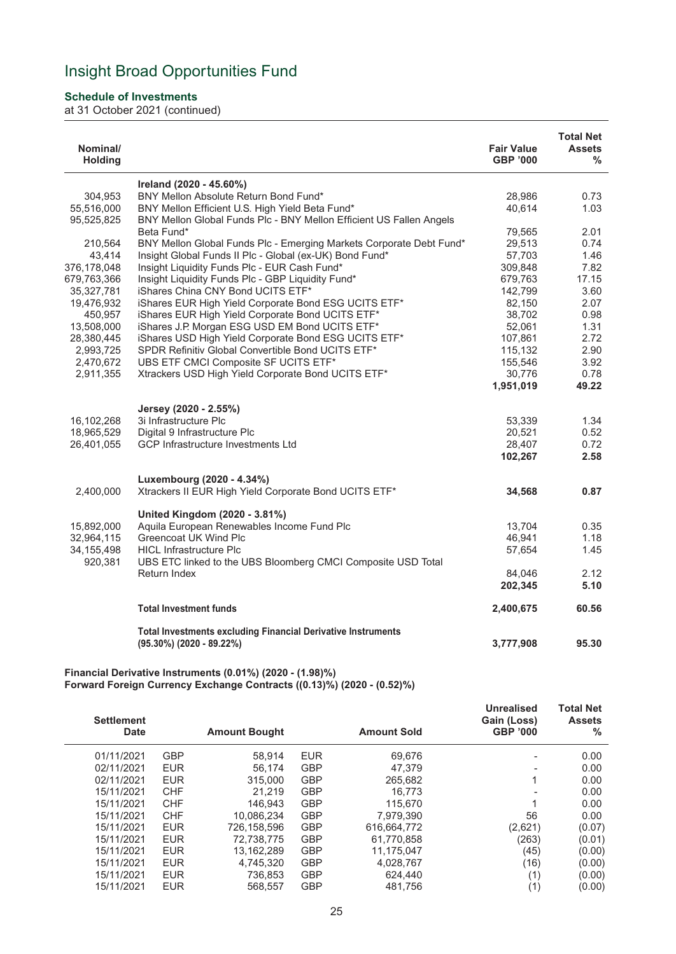### **Schedule of Investments**

at 31 October 2021 (continued)

| Nominal/<br><b>Holding</b> |                                                                                        | <b>Fair Value</b><br><b>GBP '000</b> | <b>Total Net</b><br><b>Assets</b><br>$\%$ |
|----------------------------|----------------------------------------------------------------------------------------|--------------------------------------|-------------------------------------------|
|                            | Ireland (2020 - 45.60%)                                                                |                                      |                                           |
| 304,953                    | BNY Mellon Absolute Return Bond Fund*                                                  | 28.986                               | 0.73                                      |
| 55,516,000                 | BNY Mellon Efficient U.S. High Yield Beta Fund*                                        | 40.614                               | 1.03                                      |
| 95,525,825                 | BNY Mellon Global Funds Plc - BNY Mellon Efficient US Fallen Angels                    |                                      |                                           |
|                            | Beta Fund*                                                                             | 79,565                               | 2.01                                      |
| 210,564                    | BNY Mellon Global Funds Plc - Emerging Markets Corporate Debt Fund*                    | 29,513                               | 0.74                                      |
| 43,414                     | Insight Global Funds II Plc - Global (ex-UK) Bond Fund*                                | 57,703                               | 1.46                                      |
| 376,178,048                | Insight Liquidity Funds Plc - EUR Cash Fund*                                           | 309,848                              | 7.82                                      |
| 679,763,366                | Insight Liquidity Funds Plc - GBP Liquidity Fund*<br>iShares China CNY Bond UCITS ETF* | 679,763                              | 17.15                                     |
| 35,327,781<br>19,476,932   | iShares EUR High Yield Corporate Bond ESG UCITS ETF*                                   | 142,799<br>82,150                    | 3.60<br>2.07                              |
| 450,957                    | iShares EUR High Yield Corporate Bond UCITS ETF*                                       | 38,702                               | 0.98                                      |
| 13,508,000                 | iShares J.P. Morgan ESG USD EM Bond UCITS ETF*                                         | 52,061                               | 1.31                                      |
| 28,380,445                 | iShares USD High Yield Corporate Bond ESG UCITS ETF*                                   | 107,861                              | 2.72                                      |
| 2,993,725                  | SPDR Refinitiv Global Convertible Bond UCITS ETF*                                      | 115,132                              | 2.90                                      |
| 2,470,672                  | UBS ETF CMCI Composite SF UCITS ETF*                                                   | 155,546                              | 3.92                                      |
| 2,911,355                  | Xtrackers USD High Yield Corporate Bond UCITS ETF*                                     | 30,776                               | 0.78                                      |
|                            |                                                                                        | 1,951,019                            | 49.22                                     |
|                            |                                                                                        |                                      |                                           |
| 16,102,268                 | Jersey (2020 - 2.55%)<br>3i Infrastructure Plc                                         |                                      | 1.34                                      |
| 18,965,529                 | Digital 9 Infrastructure Plc                                                           | 53,339<br>20,521                     | 0.52                                      |
| 26,401,055                 | <b>GCP Infrastructure Investments Ltd</b>                                              | 28,407                               | 0.72                                      |
|                            |                                                                                        | 102,267                              | 2.58                                      |
|                            |                                                                                        |                                      |                                           |
|                            | Luxembourg (2020 - 4.34%)                                                              |                                      |                                           |
| 2,400,000                  | Xtrackers II EUR High Yield Corporate Bond UCITS ETF*                                  | 34,568                               | 0.87                                      |
|                            | United Kingdom (2020 - 3.81%)                                                          |                                      |                                           |
| 15,892,000                 | Aquila European Renewables Income Fund Plc                                             | 13,704                               | 0.35                                      |
| 32,964,115                 | <b>Greencoat UK Wind Plc</b>                                                           | 46,941                               | 1.18                                      |
| 34, 155, 498               | <b>HICL Infrastructure Plc</b>                                                         | 57,654                               | 1.45                                      |
| 920,381                    | UBS ETC linked to the UBS Bloomberg CMCI Composite USD Total                           |                                      |                                           |
|                            | Return Index                                                                           | 84.046                               | 2.12                                      |
|                            |                                                                                        | 202,345                              | 5.10                                      |
|                            | <b>Total Investment funds</b>                                                          | 2,400,675                            | 60.56                                     |
|                            | <b>Total Investments excluding Financial Derivative Instruments</b>                    |                                      |                                           |
|                            | $(95.30\%)$ (2020 - 89.22%)                                                            | 3,777,908                            | 95.30                                     |
|                            |                                                                                        |                                      |                                           |

**Financial Derivative Instruments (0.01%) (2020 - (1.98)%) Forward Foreign Currency Exchange Contracts ((0.13)%) (2020 - (0.52)%)**

| <b>Settlement</b><br><b>Date</b> |            | <b>Amount Bought</b> |            | <b>Amount Sold</b> | <b>Unrealised</b><br>Gain (Loss)<br><b>GBP '000</b> | <b>Total Net</b><br><b>Assets</b><br>% |
|----------------------------------|------------|----------------------|------------|--------------------|-----------------------------------------------------|----------------------------------------|
| 01/11/2021                       | <b>GBP</b> | 58.914               | <b>EUR</b> | 69,676             |                                                     | 0.00                                   |
| 02/11/2021                       | <b>EUR</b> | 56.174               | <b>GBP</b> | 47.379             |                                                     | 0.00                                   |
| 02/11/2021                       | <b>EUR</b> | 315,000              | <b>GBP</b> | 265.682            |                                                     | 0.00                                   |
| 15/11/2021                       | <b>CHF</b> | 21.219               | <b>GBP</b> | 16.773             |                                                     | 0.00                                   |
| 15/11/2021                       | <b>CHF</b> | 146.943              | <b>GBP</b> | 115.670            |                                                     | 0.00                                   |
| 15/11/2021                       | <b>CHF</b> | 10.086.234           | <b>GBP</b> | 7,979,390          | 56                                                  | 0.00                                   |
| 15/11/2021                       | <b>EUR</b> | 726.158.596          | <b>GBP</b> | 616,664,772        | (2,621)                                             | (0.07)                                 |
| 15/11/2021                       | <b>EUR</b> | 72,738,775           | <b>GBP</b> | 61,770,858         | (263)                                               | (0.01)                                 |
| 15/11/2021                       | <b>EUR</b> | 13.162.289           | <b>GBP</b> | 11,175,047         | (45)                                                | (0.00)                                 |
| 15/11/2021                       | <b>EUR</b> | 4,745,320            | <b>GBP</b> | 4,028,767          | (16)                                                | (0.00)                                 |
| 15/11/2021                       | <b>EUR</b> | 736.853              | <b>GBP</b> | 624.440            | (1)                                                 | (0.00)                                 |
| 15/11/2021                       | <b>EUR</b> | 568.557              | <b>GBP</b> | 481.756            | (1)                                                 | (0.00)                                 |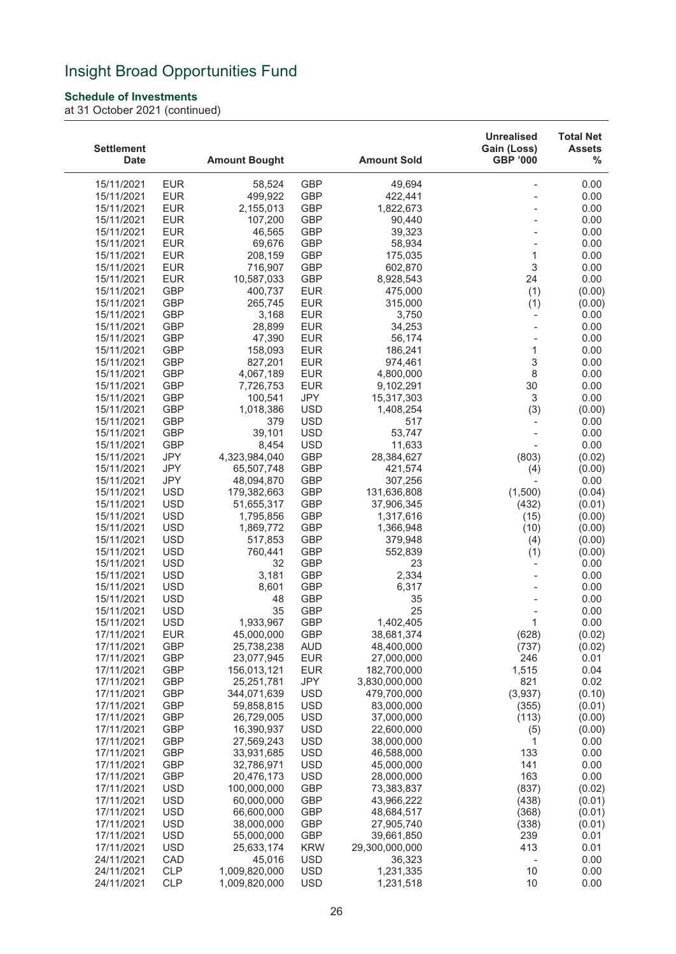### **Schedule of Investments**

| <b>Settlement</b><br><b>Date</b> |                          | <b>Amount Bought</b>      |                          | <b>Amount Sold</b>        | <b>Unrealised</b><br>Gain (Loss)<br><b>GBP '000</b> | <b>Total Net</b><br><b>Assets</b><br>% |
|----------------------------------|--------------------------|---------------------------|--------------------------|---------------------------|-----------------------------------------------------|----------------------------------------|
| 15/11/2021                       | <b>EUR</b>               | 58,524                    | <b>GBP</b>               | 49,694                    |                                                     | 0.00                                   |
| 15/11/2021                       | <b>EUR</b>               | 499,922                   | <b>GBP</b>               | 422,441                   |                                                     | 0.00                                   |
| 15/11/2021                       | <b>EUR</b>               | 2,155,013                 | <b>GBP</b>               | 1,822,673                 |                                                     | 0.00                                   |
| 15/11/2021                       | <b>EUR</b>               | 107,200                   | GBP                      | 90,440                    |                                                     | 0.00                                   |
| 15/11/2021                       | <b>EUR</b>               | 46,565                    | <b>GBP</b>               | 39,323                    |                                                     | 0.00                                   |
| 15/11/2021                       | <b>EUR</b>               | 69,676                    | <b>GBP</b>               | 58,934                    |                                                     | 0.00                                   |
| 15/11/2021                       | <b>EUR</b>               | 208,159                   | <b>GBP</b>               | 175,035                   | 1                                                   | 0.00                                   |
| 15/11/2021                       | <b>EUR</b>               | 716,907                   | <b>GBP</b>               | 602,870                   | 3                                                   | 0.00                                   |
| 15/11/2021                       | <b>EUR</b>               | 10,587,033                | <b>GBP</b>               | 8,928,543                 | 24                                                  | 0.00                                   |
| 15/11/2021                       | <b>GBP</b>               | 400,737                   | <b>EUR</b>               | 475,000                   | (1)                                                 | (0.00)                                 |
| 15/11/2021                       | <b>GBP</b>               | 265,745                   | <b>EUR</b>               | 315,000                   | (1)                                                 | (0.00)                                 |
| 15/11/2021                       | <b>GBP</b>               | 3,168                     | <b>EUR</b>               | 3,750                     | $\overline{\phantom{a}}$                            | 0.00                                   |
| 15/11/2021                       | <b>GBP</b>               | 28,899                    | <b>EUR</b>               | 34,253                    |                                                     | 0.00                                   |
| 15/11/2021                       | <b>GBP</b>               | 47,390                    | <b>EUR</b>               | 56,174                    |                                                     | 0.00                                   |
| 15/11/2021                       | <b>GBP</b><br><b>GBP</b> | 158,093<br>827,201        | <b>EUR</b><br><b>EUR</b> | 186,241<br>974,461        | 1<br>3                                              | 0.00<br>0.00                           |
| 15/11/2021<br>15/11/2021         | <b>GBP</b>               | 4,067,189                 | <b>EUR</b>               | 4,800,000                 | $\,8\,$                                             | 0.00                                   |
| 15/11/2021                       | <b>GBP</b>               | 7,726,753                 | <b>EUR</b>               | 9,102,291                 | 30                                                  | 0.00                                   |
| 15/11/2021                       | <b>GBP</b>               | 100,541                   | JPY                      | 15,317,303                | 3                                                   | 0.00                                   |
| 15/11/2021                       | <b>GBP</b>               | 1,018,386                 | <b>USD</b>               | 1,408,254                 | (3)                                                 | (0.00)                                 |
| 15/11/2021                       | <b>GBP</b>               | 379                       | <b>USD</b>               | 517                       | $\overline{\phantom{a}}$                            | 0.00                                   |
| 15/11/2021                       | <b>GBP</b>               | 39,101                    | <b>USD</b>               | 53,747                    |                                                     | 0.00                                   |
| 15/11/2021                       | <b>GBP</b>               | 8,454                     | <b>USD</b>               | 11,633                    |                                                     | 0.00                                   |
| 15/11/2021                       | <b>JPY</b>               | 4,323,984,040             | <b>GBP</b>               | 28,384,627                | (803)                                               | (0.02)                                 |
| 15/11/2021                       | <b>JPY</b>               | 65,507,748                | <b>GBP</b>               | 421,574                   | (4)                                                 | (0.00)                                 |
| 15/11/2021                       | <b>JPY</b>               | 48,094,870                | <b>GBP</b>               | 307,256                   |                                                     | 0.00                                   |
| 15/11/2021                       | <b>USD</b>               | 179,382,663               | <b>GBP</b>               | 131,636,808               | (1,500)                                             | (0.04)                                 |
| 15/11/2021                       | <b>USD</b>               | 51,655,317                | <b>GBP</b>               | 37,906,345                | (432)                                               | (0.01)                                 |
| 15/11/2021<br>15/11/2021         | <b>USD</b><br><b>USD</b> | 1,795,856<br>1,869,772    | <b>GBP</b><br><b>GBP</b> | 1,317,616<br>1,366,948    | (15)<br>(10)                                        | (0.00)<br>(0.00)                       |
| 15/11/2021                       | <b>USD</b>               | 517,853                   | <b>GBP</b>               | 379,948                   | (4)                                                 | (0.00)                                 |
| 15/11/2021                       | <b>USD</b>               | 760,441                   | <b>GBP</b>               | 552,839                   | (1)                                                 | (0.00)                                 |
| 15/11/2021                       | <b>USD</b>               | 32                        | <b>GBP</b>               | 23                        | $\overline{\phantom{a}}$                            | 0.00                                   |
| 15/11/2021                       | <b>USD</b>               | 3,181                     | <b>GBP</b>               | 2,334                     |                                                     | 0.00                                   |
| 15/11/2021                       | <b>USD</b>               | 8,601                     | <b>GBP</b>               | 6,317                     |                                                     | 0.00                                   |
| 15/11/2021                       | <b>USD</b>               | 48                        | GBP                      | 35                        |                                                     | 0.00                                   |
| 15/11/2021                       | <b>USD</b>               | 35                        | <b>GBP</b>               | 25                        |                                                     | 0.00                                   |
| 15/11/2021                       | <b>USD</b>               | 1,933,967                 | <b>GBP</b>               | 1,402,405                 | 1                                                   | 0.00                                   |
| 17/11/2021                       | <b>EUR</b>               | 45,000,000                | GBP                      | 38,681,374                | (628)                                               | (0.02)                                 |
| 17/11/2021                       | GBP                      | 25,738,238                | <b>AUD</b>               | 48,400,000                | (737)                                               | (0.02)                                 |
| 17/11/2021                       | GBP                      | 23,077,945                | <b>EUR</b>               | 27,000,000<br>182,700,000 | 246                                                 | 0.01                                   |
| 17/11/2021<br>17/11/2021         | GBP<br><b>GBP</b>        | 156,013,121<br>25,251,781 | <b>EUR</b><br>JPY        | 3,830,000,000             | 1,515<br>821                                        | 0.04<br>0.02                           |
| 17/11/2021                       | GBP                      | 344,071,639               | <b>USD</b>               | 479,700,000               | (3,937)                                             | (0.10)                                 |
| 17/11/2021                       | GBP                      | 59,858,815                | <b>USD</b>               | 83,000,000                | (355)                                               | (0.01)                                 |
| 17/11/2021                       | GBP                      | 26,729,005                | <b>USD</b>               | 37,000,000                | (113)                                               | (0.00)                                 |
| 17/11/2021                       | <b>GBP</b>               | 16,390,937                | <b>USD</b>               | 22,600,000                | (5)                                                 | (0.00)                                 |
| 17/11/2021                       | GBP                      | 27,569,243                | <b>USD</b>               | 38,000,000                | 1                                                   | 0.00                                   |
| 17/11/2021                       | GBP                      | 33,931,685                | <b>USD</b>               | 46,588,000                | 133                                                 | 0.00                                   |
| 17/11/2021                       | <b>GBP</b>               | 32,786,971                | <b>USD</b>               | 45,000,000                | 141                                                 | 0.00                                   |
| 17/11/2021                       | <b>GBP</b>               | 20,476,173                | <b>USD</b>               | 28,000,000                | 163                                                 | 0.00                                   |
| 17/11/2021                       | <b>USD</b>               | 100,000,000               | <b>GBP</b>               | 73,383,837                | (837)                                               | (0.02)                                 |
| 17/11/2021                       | <b>USD</b>               | 60,000,000                | <b>GBP</b>               | 43,966,222                | (438)                                               | (0.01)                                 |
| 17/11/2021                       | <b>USD</b>               | 66,600,000                | <b>GBP</b>               | 48,684,517                | (368)                                               | (0.01)                                 |
| 17/11/2021<br>17/11/2021         | <b>USD</b><br><b>USD</b> | 38,000,000<br>55,000,000  | <b>GBP</b><br>GBP        | 27,905,740<br>39,661,850  | (338)<br>239                                        | (0.01)<br>0.01                         |
| 17/11/2021                       | <b>USD</b>               | 25,633,174                | <b>KRW</b>               | 29,300,000,000            | 413                                                 | 0.01                                   |
| 24/11/2021                       | CAD                      | 45,016                    | <b>USD</b>               | 36,323                    |                                                     | 0.00                                   |
| 24/11/2021                       | CLP                      | 1,009,820,000             | <b>USD</b>               | 1,231,335                 | 10                                                  | 0.00                                   |
| 24/11/2021                       | <b>CLP</b>               | 1,009,820,000             | <b>USD</b>               | 1,231,518                 | 10                                                  | 0.00                                   |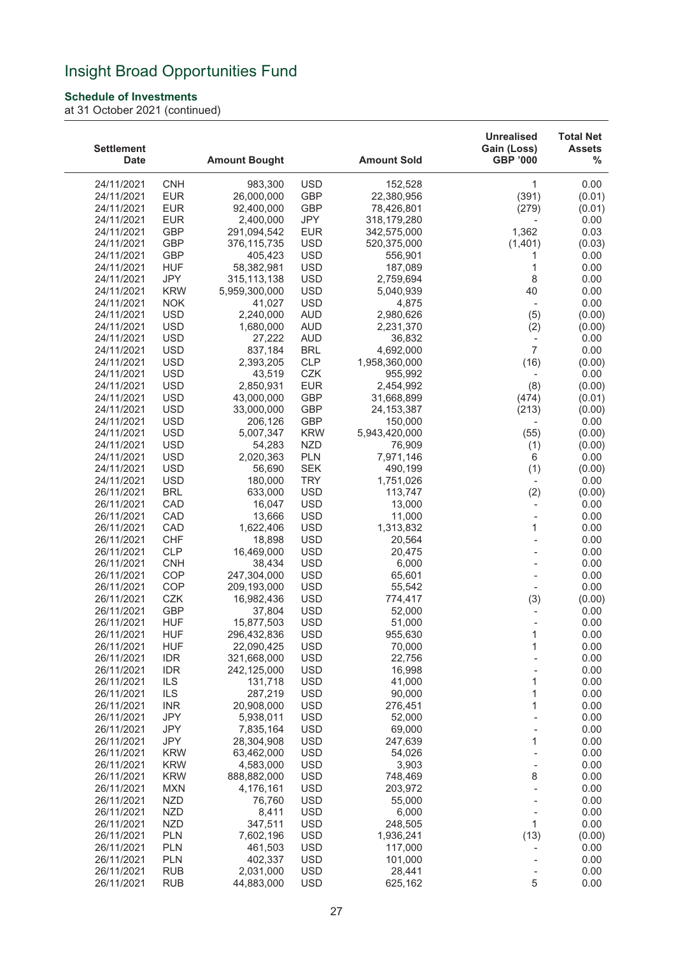### **Schedule of Investments**

| <b>Settlement</b><br><b>Date</b> |                   | <b>Amount Bought</b>   |                          | <b>Amount Sold</b> | <b>Unrealised</b><br>Gain (Loss)<br><b>GBP '000</b> | <b>Total Net</b><br><b>Assets</b><br>% |
|----------------------------------|-------------------|------------------------|--------------------------|--------------------|-----------------------------------------------------|----------------------------------------|
| 24/11/2021                       | <b>CNH</b>        | 983,300                | <b>USD</b>               | 152,528            | 1                                                   | 0.00                                   |
| 24/11/2021                       | <b>EUR</b>        | 26,000,000             | <b>GBP</b>               | 22,380,956         | (391)                                               | (0.01)                                 |
| 24/11/2021                       | <b>EUR</b>        | 92,400,000             | <b>GBP</b>               | 78,426,801         | (279)                                               | (0.01)                                 |
| 24/11/2021                       | <b>EUR</b>        | 2,400,000              | JPY                      | 318,179,280        |                                                     | 0.00                                   |
| 24/11/2021                       | <b>GBP</b>        | 291,094,542            | <b>EUR</b>               | 342,575,000        | 1,362                                               | 0.03                                   |
| 24/11/2021                       | <b>GBP</b>        | 376,115,735            | <b>USD</b>               | 520,375,000        | (1,401)                                             | (0.03)                                 |
| 24/11/2021                       | <b>GBP</b>        | 405,423                | <b>USD</b>               | 556,901            | 1                                                   | 0.00                                   |
| 24/11/2021                       | <b>HUF</b>        | 58,382,981             | <b>USD</b>               | 187,089            | 1                                                   | 0.00                                   |
| 24/11/2021                       | JPY               | 315, 113, 138          | <b>USD</b>               | 2,759,694          | 8                                                   | 0.00                                   |
| 24/11/2021                       | <b>KRW</b>        | 5,959,300,000          | <b>USD</b>               | 5,040,939          | 40                                                  | 0.00                                   |
| 24/11/2021                       | <b>NOK</b>        | 41,027                 | <b>USD</b>               | 4,875              | $\overline{\phantom{a}}$                            | 0.00                                   |
| 24/11/2021                       | <b>USD</b>        | 2,240,000              | <b>AUD</b>               | 2,980,626          | (5)                                                 | (0.00)                                 |
| 24/11/2021                       | <b>USD</b>        | 1,680,000              | <b>AUD</b>               | 2,231,370          | (2)                                                 | (0.00)                                 |
| 24/11/2021                       | <b>USD</b>        | 27,222                 | <b>AUD</b>               | 36,832             | $\overline{\phantom{a}}$                            | 0.00                                   |
| 24/11/2021                       | <b>USD</b>        | 837,184                | <b>BRL</b>               | 4,692,000          | $\overline{7}$                                      | 0.00                                   |
| 24/11/2021                       | <b>USD</b>        | 2,393,205              | <b>CLP</b>               | 1,958,360,000      | (16)                                                | (0.00)                                 |
| 24/11/2021                       | <b>USD</b>        | 43,519                 | CZK                      | 955,992            | $\overline{\phantom{a}}$                            | 0.00                                   |
| 24/11/2021                       | <b>USD</b>        | 2,850,931              | <b>EUR</b>               | 2,454,992          | (8)                                                 | (0.00)                                 |
| 24/11/2021                       | <b>USD</b>        | 43,000,000             | <b>GBP</b>               | 31,668,899         | (474)                                               | (0.01)                                 |
| 24/11/2021                       | <b>USD</b>        | 33,000,000             | <b>GBP</b>               | 24, 153, 387       | (213)                                               | (0.00)                                 |
| 24/11/2021                       | <b>USD</b>        | 206,126                | <b>GBP</b>               | 150,000            | $\overline{\phantom{a}}$                            | 0.00                                   |
| 24/11/2021                       | <b>USD</b>        | 5,007,347              | <b>KRW</b>               | 5,943,420,000      | (55)                                                | (0.00)                                 |
| 24/11/2021                       | <b>USD</b>        | 54,283                 | <b>NZD</b>               | 76,909             | (1)                                                 | (0.00)                                 |
| 24/11/2021                       | <b>USD</b>        | 2,020,363              | <b>PLN</b>               | 7,971,146          | 6                                                   | 0.00                                   |
| 24/11/2021                       | <b>USD</b>        | 56,690                 | <b>SEK</b>               | 490,199            | (1)                                                 | (0.00)                                 |
| 24/11/2021                       | <b>USD</b>        | 180,000                | <b>TRY</b>               | 1,751,026          | $\overline{\phantom{a}}$                            | 0.00                                   |
| 26/11/2021                       | <b>BRL</b>        | 633,000                | <b>USD</b>               | 113,747            | (2)                                                 | (0.00)                                 |
| 26/11/2021                       | CAD               | 16,047                 | <b>USD</b>               | 13,000             |                                                     | 0.00                                   |
| 26/11/2021                       | CAD               | 13,666                 | <b>USD</b>               | 11,000             | $\overline{a}$                                      | 0.00                                   |
| 26/11/2021                       | CAD               | 1,622,406              | <b>USD</b>               | 1,313,832          | 1                                                   | 0.00                                   |
| 26/11/2021                       | <b>CHF</b>        | 18,898                 | <b>USD</b>               | 20,564             |                                                     | 0.00                                   |
| 26/11/2021                       | <b>CLP</b>        | 16,469,000             | <b>USD</b>               | 20,475             |                                                     | 0.00                                   |
| 26/11/2021                       | <b>CNH</b>        | 38,434                 | <b>USD</b>               | 6,000              |                                                     | 0.00                                   |
| 26/11/2021                       | COP               | 247,304,000            | <b>USD</b>               | 65,601             |                                                     | 0.00                                   |
| 26/11/2021                       | COP               | 209,193,000            | <b>USD</b>               | 55,542             | $\overline{\phantom{a}}$                            | 0.00                                   |
| 26/11/2021                       | CZK               | 16,982,436             | <b>USD</b>               | 774,417            | (3)                                                 | (0.00)                                 |
| 26/11/2021                       | GBP               | 37,804                 | <b>USD</b>               | 52,000             |                                                     | 0.00                                   |
| 26/11/2021                       | <b>HUF</b>        | 15,877,503             | <b>USD</b>               | 51,000             |                                                     | 0.00                                   |
| 26/11/2021                       | <b>HUF</b>        | 296,432,836            | USD                      | 955,630            | 1                                                   | 0.00                                   |
| 26/11/2021                       | <b>HUF</b>        | 22,090,425             | <b>USD</b>               | 70,000             | 1                                                   | 0.00                                   |
| 26/11/2021                       | <b>IDR</b>        | 321,668,000            | <b>USD</b>               | 22,756             |                                                     | 0.00                                   |
| 26/11/2021                       | <b>IDR</b>        | 242,125,000            | <b>USD</b>               | 16,998             |                                                     | 0.00                                   |
| 26/11/2021                       | <b>ILS</b>        | 131,718                | <b>USD</b>               | 41,000             | 1                                                   | 0.00                                   |
| 26/11/2021                       | ILS               | 287,219                | <b>USD</b>               | 90,000             | 1                                                   | 0.00                                   |
| 26/11/2021                       | <b>INR</b>        | 20,908,000             | <b>USD</b>               | 276,451            | 1                                                   | 0.00                                   |
| 26/11/2021                       | <b>JPY</b><br>JPY | 5,938,011<br>7,835,164 | <b>USD</b><br><b>USD</b> | 52,000             |                                                     | 0.00<br>0.00                           |
| 26/11/2021<br>26/11/2021         | JPY               | 28,304,908             | <b>USD</b>               | 69,000<br>247,639  | 1                                                   | 0.00                                   |
| 26/11/2021                       | <b>KRW</b>        | 63,462,000             | <b>USD</b>               | 54,026             |                                                     | 0.00                                   |
| 26/11/2021                       | <b>KRW</b>        | 4,583,000              | <b>USD</b>               | 3,903              |                                                     | 0.00                                   |
| 26/11/2021                       | <b>KRW</b>        | 888,882,000            | <b>USD</b>               | 748,469            | 8                                                   | 0.00                                   |
| 26/11/2021                       | <b>MXN</b>        | 4,176,161              | <b>USD</b>               | 203,972            |                                                     | 0.00                                   |
| 26/11/2021                       | <b>NZD</b>        | 76,760                 | <b>USD</b>               | 55,000             |                                                     | 0.00                                   |
| 26/11/2021                       | <b>NZD</b>        | 8,411                  | <b>USD</b>               | 6,000              |                                                     | 0.00                                   |
| 26/11/2021                       | <b>NZD</b>        | 347,511                | <b>USD</b>               | 248,505            | 1                                                   | 0.00                                   |
| 26/11/2021                       | <b>PLN</b>        | 7,602,196              | <b>USD</b>               | 1,936,241          | (13)                                                | (0.00)                                 |
| 26/11/2021                       | <b>PLN</b>        | 461,503                | <b>USD</b>               | 117,000            |                                                     | 0.00                                   |
| 26/11/2021                       | <b>PLN</b>        | 402,337                | <b>USD</b>               | 101,000            |                                                     | 0.00                                   |
| 26/11/2021                       | <b>RUB</b>        | 2,031,000              | <b>USD</b>               | 28,441             |                                                     | 0.00                                   |
| 26/11/2021                       | <b>RUB</b>        | 44,883,000             | <b>USD</b>               | 625,162            | 5                                                   | 0.00                                   |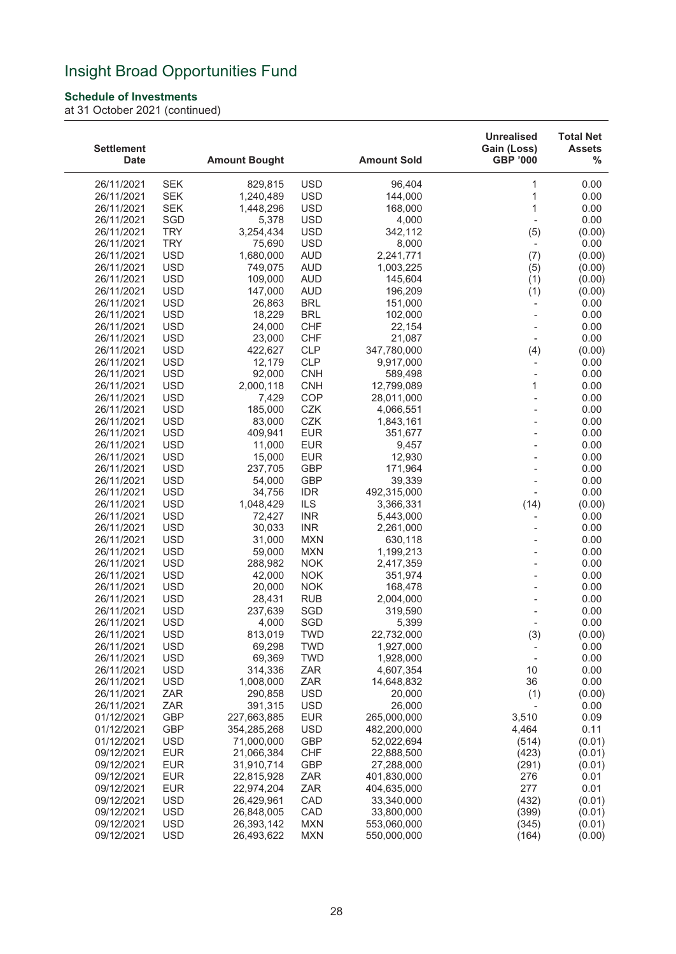### **Schedule of Investments**

| <b>Settlement</b><br><b>Date</b> |                          | <b>Amount Bought</b>     |                          | <b>Amount Sold</b>       | <b>Unrealised</b><br>Gain (Loss)<br><b>GBP '000</b> | <b>Total Net</b><br><b>Assets</b><br>% |
|----------------------------------|--------------------------|--------------------------|--------------------------|--------------------------|-----------------------------------------------------|----------------------------------------|
| 26/11/2021                       | <b>SEK</b>               | 829,815                  | <b>USD</b>               | 96,404                   | 1                                                   | 0.00                                   |
| 26/11/2021                       | <b>SEK</b>               | 1,240,489                | <b>USD</b>               | 144,000                  | 1                                                   | 0.00                                   |
| 26/11/2021                       | <b>SEK</b>               | 1,448,296                | <b>USD</b>               | 168,000                  | 1                                                   | 0.00                                   |
| 26/11/2021                       | SGD                      | 5,378                    | <b>USD</b>               | 4,000                    | $\overline{a}$                                      | 0.00                                   |
| 26/11/2021                       | <b>TRY</b>               | 3,254,434                | <b>USD</b>               | 342,112                  | (5)                                                 | (0.00)                                 |
| 26/11/2021                       | <b>TRY</b>               | 75,690                   | <b>USD</b>               | 8,000                    | $\overline{\phantom{a}}$                            | 0.00                                   |
| 26/11/2021                       | <b>USD</b>               | 1,680,000                | <b>AUD</b>               | 2,241,771                | (7)                                                 | (0.00)                                 |
| 26/11/2021                       | <b>USD</b>               | 749,075                  | <b>AUD</b>               | 1,003,225                | (5)                                                 | (0.00)                                 |
| 26/11/2021                       | <b>USD</b>               | 109,000                  | <b>AUD</b>               | 145,604                  | (1)                                                 | (0.00)                                 |
| 26/11/2021                       | <b>USD</b>               | 147,000                  | <b>AUD</b>               | 196,209                  | (1)                                                 | (0.00)                                 |
| 26/11/2021                       | <b>USD</b>               | 26,863                   | <b>BRL</b>               | 151,000                  |                                                     | 0.00                                   |
| 26/11/2021                       | <b>USD</b>               | 18,229                   | <b>BRL</b>               | 102,000                  | $\overline{\phantom{a}}$                            | 0.00                                   |
| 26/11/2021                       | <b>USD</b>               | 24,000                   | <b>CHF</b>               | 22,154                   |                                                     | 0.00                                   |
| 26/11/2021<br>26/11/2021         | <b>USD</b><br><b>USD</b> | 23,000<br>422,627        | <b>CHF</b><br><b>CLP</b> | 21,087<br>347,780,000    |                                                     | 0.00                                   |
| 26/11/2021                       | <b>USD</b>               | 12,179                   | <b>CLP</b>               | 9,917,000                | (4)<br>$\overline{\phantom{a}}$                     | (0.00)<br>0.00                         |
| 26/11/2021                       | <b>USD</b>               | 92,000                   | <b>CNH</b>               | 589,498                  | $\overline{\phantom{0}}$                            | 0.00                                   |
| 26/11/2021                       | <b>USD</b>               | 2,000,118                | <b>CNH</b>               | 12,799,089               | 1                                                   | 0.00                                   |
| 26/11/2021                       | <b>USD</b>               | 7,429                    | COP                      | 28,011,000               |                                                     | 0.00                                   |
| 26/11/2021                       | <b>USD</b>               | 185,000                  | <b>CZK</b>               | 4,066,551                |                                                     | 0.00                                   |
| 26/11/2021                       | <b>USD</b>               | 83,000                   | CZK                      | 1,843,161                |                                                     | 0.00                                   |
| 26/11/2021                       | <b>USD</b>               | 409,941                  | <b>EUR</b>               | 351,677                  |                                                     | 0.00                                   |
| 26/11/2021                       | <b>USD</b>               | 11,000                   | <b>EUR</b>               | 9,457                    |                                                     | 0.00                                   |
| 26/11/2021                       | <b>USD</b>               | 15,000                   | <b>EUR</b>               | 12,930                   |                                                     | 0.00                                   |
| 26/11/2021                       | <b>USD</b>               | 237,705                  | <b>GBP</b>               | 171,964                  |                                                     | 0.00                                   |
| 26/11/2021                       | <b>USD</b>               | 54,000                   | <b>GBP</b>               | 39,339                   |                                                     | 0.00                                   |
| 26/11/2021                       | <b>USD</b>               | 34,756                   | <b>IDR</b>               | 492,315,000              |                                                     | 0.00                                   |
| 26/11/2021                       | <b>USD</b>               | 1,048,429                | ILS                      | 3,366,331                | (14)                                                | (0.00)                                 |
| 26/11/2021                       | <b>USD</b>               | 72,427                   | <b>INR</b>               | 5,443,000                |                                                     | 0.00                                   |
| 26/11/2021                       | <b>USD</b>               | 30,033                   | <b>INR</b>               | 2,261,000                |                                                     | 0.00                                   |
| 26/11/2021                       | <b>USD</b><br><b>USD</b> | 31,000                   | <b>MXN</b>               | 630,118                  |                                                     | 0.00                                   |
| 26/11/2021<br>26/11/2021         | <b>USD</b>               | 59,000<br>288,982        | <b>MXN</b><br><b>NOK</b> | 1,199,213<br>2,417,359   |                                                     | 0.00<br>0.00                           |
| 26/11/2021                       | <b>USD</b>               | 42,000                   | <b>NOK</b>               | 351,974                  |                                                     | 0.00                                   |
| 26/11/2021                       | <b>USD</b>               | 20,000                   | <b>NOK</b>               | 168,478                  |                                                     | 0.00                                   |
| 26/11/2021                       | <b>USD</b>               | 28,431                   | <b>RUB</b>               | 2,004,000                |                                                     | 0.00                                   |
| 26/11/2021                       | <b>USD</b>               | 237,639                  | SGD                      | 319,590                  |                                                     | 0.00                                   |
| 26/11/2021                       | <b>USD</b>               | 4,000                    | SGD                      | 5,399                    |                                                     | 0.00                                   |
| 26/11/2021                       | <b>USD</b>               | 813,019                  | <b>TWD</b>               | 22,732,000               | (3)                                                 | (0.00)                                 |
| 26/11/2021                       | <b>USD</b>               | 69,298                   | <b>TWD</b>               | 1,927,000                | $\overline{\phantom{a}}$                            | 0.00                                   |
| 26/11/2021                       | <b>USD</b>               | 69,369                   | <b>TWD</b>               | 1,928,000                |                                                     | 0.00                                   |
| 26/11/2021                       | <b>USD</b>               | 314,336                  | ZAR                      | 4,607,354                | 10                                                  | 0.00                                   |
| 26/11/2021                       | <b>USD</b>               | 1,008,000                | ZAR                      | 14,648,832               | 36                                                  | 0.00                                   |
| 26/11/2021                       | ZAR                      | 290,858                  | <b>USD</b>               | 20,000                   | (1)                                                 | (0.00)                                 |
| 26/11/2021                       | ZAR                      | 391,315                  | <b>USD</b>               | 26,000                   |                                                     | 0.00                                   |
| 01/12/2021                       | <b>GBP</b>               | 227,663,885              | <b>EUR</b>               | 265,000,000              | 3,510                                               | 0.09                                   |
| 01/12/2021                       | <b>GBP</b>               | 354,285,268              | <b>USD</b>               | 482,200,000              | 4,464                                               | 0.11                                   |
| 01/12/2021                       | <b>USD</b>               | 71,000,000               | GBP                      | 52,022,694               | (514)                                               | (0.01)                                 |
| 09/12/2021<br>09/12/2021         | <b>EUR</b><br><b>EUR</b> | 21,066,384<br>31,910,714 | <b>CHF</b><br>GBP        | 22,888,500<br>27,288,000 | (423)<br>(291)                                      | (0.01)<br>(0.01)                       |
| 09/12/2021                       | <b>EUR</b>               | 22,815,928               | ZAR                      | 401,830,000              | 276                                                 | 0.01                                   |
| 09/12/2021                       | <b>EUR</b>               | 22,974,204               | ZAR                      | 404,635,000              | 277                                                 | 0.01                                   |
| 09/12/2021                       | <b>USD</b>               | 26,429,961               | CAD                      | 33,340,000               | (432)                                               | (0.01)                                 |
| 09/12/2021                       | <b>USD</b>               | 26,848,005               | CAD                      | 33,800,000               | (399)                                               | (0.01)                                 |
| 09/12/2021                       | <b>USD</b>               | 26,393,142               | <b>MXN</b>               | 553,060,000              | (345)                                               | (0.01)                                 |
| 09/12/2021                       | <b>USD</b>               | 26,493,622               | <b>MXN</b>               | 550,000,000              | (164)                                               | (0.00)                                 |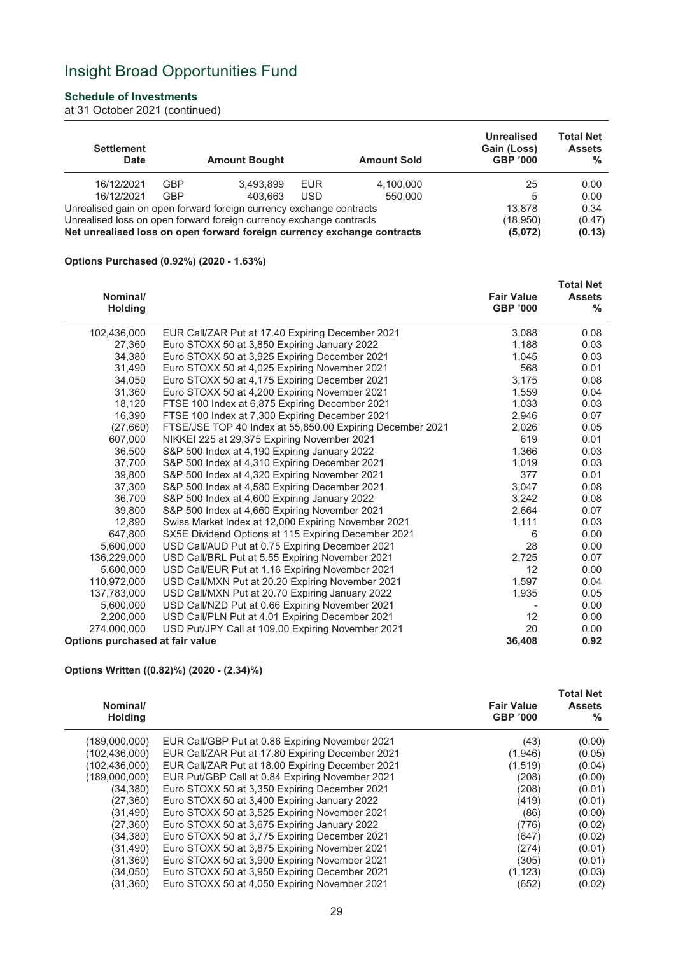### **Schedule of Investments**

at 31 October 2021 (continued)

| <b>Settlement</b><br><b>Date</b>                                                                                                               |            | <b>Amount Bought</b>                                                |            | <b>Amount Sold</b> | Unrealised<br>Gain (Loss)<br><b>GBP '000</b> | <b>Total Net</b><br><b>Assets</b><br>$\%$ |
|------------------------------------------------------------------------------------------------------------------------------------------------|------------|---------------------------------------------------------------------|------------|--------------------|----------------------------------------------|-------------------------------------------|
| 16/12/2021                                                                                                                                     | <b>GBP</b> | 3.493.899                                                           | <b>EUR</b> | 4,100,000          | 25                                           | 0.00                                      |
| 16/12/2021                                                                                                                                     | <b>GBP</b> | 403.663                                                             | <b>USD</b> | 550.000            | 5                                            | 0.00                                      |
|                                                                                                                                                |            | Unrealised gain on open forward foreign currency exchange contracts |            |                    | 13,878                                       | 0.34                                      |
| Unrealised loss on open forward foreign currency exchange contracts<br>Net unrealised loss on open forward foreign currency exchange contracts |            |                                                                     |            |                    | (18,950)<br>(5,072)                          | (0.47)<br>(0.13)                          |

#### **Options Purchased (0.92%) (2020 - 1.63%)**

| Nominal/<br><b>Holding</b>      |                                                           | <b>Fair Value</b><br><b>GBP '000</b> | <b>Total Net</b><br><b>Assets</b><br>% |
|---------------------------------|-----------------------------------------------------------|--------------------------------------|----------------------------------------|
| 102,436,000                     | EUR Call/ZAR Put at 17.40 Expiring December 2021          | 3,088                                | 0.08                                   |
| 27,360                          | Euro STOXX 50 at 3,850 Expiring January 2022              | 1,188                                | 0.03                                   |
| 34.380                          | Euro STOXX 50 at 3,925 Expiring December 2021             | 1,045                                | 0.03                                   |
| 31,490                          | Euro STOXX 50 at 4,025 Expiring November 2021             | 568                                  | 0.01                                   |
| 34,050                          | Euro STOXX 50 at 4,175 Expiring December 2021             | 3,175                                | 0.08                                   |
| 31,360                          | Euro STOXX 50 at 4,200 Expiring November 2021             | 1,559                                | 0.04                                   |
| 18,120                          | FTSE 100 Index at 6,875 Expiring December 2021            | 1,033                                | 0.03                                   |
| 16,390                          | FTSE 100 Index at 7,300 Expiring December 2021            | 2,946                                | 0.07                                   |
| (27,660)                        | FTSE/JSE TOP 40 Index at 55,850.00 Expiring December 2021 | 2,026                                | 0.05                                   |
| 607,000                         | NIKKEI 225 at 29,375 Expiring November 2021               | 619                                  | 0.01                                   |
| 36,500                          | S&P 500 Index at 4,190 Expiring January 2022              | 1,366                                | 0.03                                   |
| 37,700                          | S&P 500 Index at 4,310 Expiring December 2021             | 1,019                                | 0.03                                   |
| 39,800                          | S&P 500 Index at 4,320 Expiring November 2021             | 377                                  | 0.01                                   |
| 37,300                          | S&P 500 Index at 4,580 Expiring December 2021             | 3,047                                | 0.08                                   |
| 36,700                          | S&P 500 Index at 4,600 Expiring January 2022              | 3,242                                | 0.08                                   |
| 39,800                          | S&P 500 Index at 4,660 Expiring November 2021             | 2,664                                | 0.07                                   |
| 12,890                          | Swiss Market Index at 12,000 Expiring November 2021       | 1,111                                | 0.03                                   |
| 647,800                         | SX5E Dividend Options at 115 Expiring December 2021       | 6                                    | 0.00                                   |
| 5,600,000                       | USD Call/AUD Put at 0.75 Expiring December 2021           | 28                                   | 0.00                                   |
| 136,229,000                     | USD Call/BRL Put at 5.55 Expiring November 2021           | 2,725                                | 0.07                                   |
| 5,600,000                       | USD Call/EUR Put at 1.16 Expiring November 2021           | 12                                   | 0.00                                   |
| 110,972,000                     | USD Call/MXN Put at 20.20 Expiring November 2021          | 1,597                                | 0.04                                   |
| 137,783,000                     | USD Call/MXN Put at 20.70 Expiring January 2022           | 1,935                                | 0.05                                   |
| 5,600,000                       | USD Call/NZD Put at 0.66 Expiring November 2021           |                                      | 0.00                                   |
| 2,200,000                       | USD Call/PLN Put at 4.01 Expiring December 2021           | 12                                   | 0.00                                   |
| 274,000,000                     | USD Put/JPY Call at 109.00 Expiring November 2021         | 20                                   | 0.00                                   |
| Options purchased at fair value |                                                           | 36,408                               | 0.92                                   |

#### **Options Written ((0.82)%) (2020 - (2.34)%)**

| Nominal/<br><b>Holding</b> |                                                  | <b>Fair Value</b><br><b>GBP '000</b> | <b>Total Net</b><br><b>Assets</b><br>℅ |
|----------------------------|--------------------------------------------------|--------------------------------------|----------------------------------------|
| (189,000,000)              | EUR Call/GBP Put at 0.86 Expiring November 2021  | (43)                                 | (0.00)                                 |
| (102, 436, 000)            | EUR Call/ZAR Put at 17.80 Expiring December 2021 | (1,946)                              | (0.05)                                 |
| (102,436,000)              | EUR Call/ZAR Put at 18.00 Expiring December 2021 | (1,519)                              | (0.04)                                 |
| (189,000,000)              | EUR Put/GBP Call at 0.84 Expiring November 2021  | (208)                                | (0.00)                                 |
| (34, 380)                  | Euro STOXX 50 at 3,350 Expiring December 2021    | (208)                                | (0.01)                                 |
| (27, 360)                  | Euro STOXX 50 at 3,400 Expiring January 2022     | (419)                                | (0.01)                                 |
| (31, 490)                  | Euro STOXX 50 at 3,525 Expiring November 2021    | (86)                                 | (0.00)                                 |
| (27, 360)                  | Euro STOXX 50 at 3,675 Expiring January 2022     | (776)                                | (0.02)                                 |
| (34,380)                   | Euro STOXX 50 at 3,775 Expiring December 2021    | (647)                                | (0.02)                                 |
| (31, 490)                  | Euro STOXX 50 at 3,875 Expiring November 2021    | (274)                                | (0.01)                                 |
| (31, 360)                  | Euro STOXX 50 at 3,900 Expiring November 2021    | (305)                                | (0.01)                                 |
| (34,050)                   | Euro STOXX 50 at 3,950 Expiring December 2021    | (1, 123)                             | (0.03)                                 |
| (31, 360)                  | Euro STOXX 50 at 4,050 Expiring November 2021    | (652)                                | (0.02)                                 |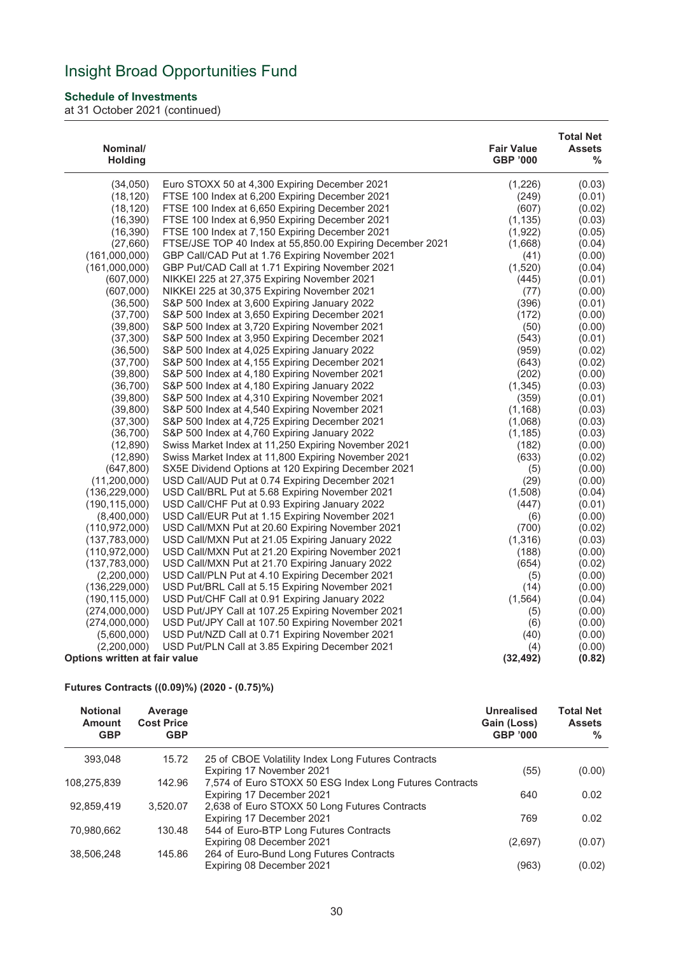### **Schedule of Investments**

at 31 October 2021 (continued)

| Nominal/<br><b>Holding</b>    |                                                           | <b>Fair Value</b><br><b>GBP '000</b> | <b>Total Net</b><br><b>Assets</b><br>% |
|-------------------------------|-----------------------------------------------------------|--------------------------------------|----------------------------------------|
| (34,050)                      | Euro STOXX 50 at 4,300 Expiring December 2021             | (1,226)                              | (0.03)                                 |
| (18, 120)                     | FTSE 100 Index at 6,200 Expiring December 2021            | (249)                                | (0.01)                                 |
| (18, 120)                     | FTSE 100 Index at 6,650 Expiring December 2021            | (607)                                | (0.02)                                 |
| (16, 390)                     | FTSE 100 Index at 6,950 Expiring December 2021            | (1, 135)                             | (0.03)                                 |
| (16, 390)                     | FTSE 100 Index at 7,150 Expiring December 2021            | (1,922)                              | (0.05)                                 |
| (27,660)                      | FTSE/JSE TOP 40 Index at 55,850.00 Expiring December 2021 | (1,668)                              | (0.04)                                 |
| (161,000,000)                 | GBP Call/CAD Put at 1.76 Expiring November 2021           | (41)                                 | (0.00)                                 |
| (161,000,000)                 | GBP Put/CAD Call at 1.71 Expiring November 2021           | (1,520)                              | (0.04)                                 |
| (607,000)                     | NIKKEI 225 at 27,375 Expiring November 2021               | (445)                                | (0.01)                                 |
| (607,000)                     | NIKKEI 225 at 30,375 Expiring November 2021               | (77)                                 | (0.00)                                 |
| (36,500)                      | S&P 500 Index at 3,600 Expiring January 2022              | (396)                                | (0.01)                                 |
| (37,700)                      | S&P 500 Index at 3,650 Expiring December 2021             | (172)                                | (0.00)                                 |
| (39, 800)                     | S&P 500 Index at 3,720 Expiring November 2021             | (50)                                 | (0.00)                                 |
| (37, 300)                     | S&P 500 Index at 3,950 Expiring December 2021             | (543)                                | (0.01)                                 |
| (36, 500)                     | S&P 500 Index at 4,025 Expiring January 2022              | (959)                                | (0.02)                                 |
| (37,700)                      | S&P 500 Index at 4,155 Expiring December 2021             | (643)                                | (0.02)                                 |
| (39, 800)                     | S&P 500 Index at 4,180 Expiring November 2021             | (202)                                | (0.00)                                 |
| (36, 700)                     | S&P 500 Index at 4,180 Expiring January 2022              | (1, 345)                             | (0.03)                                 |
| (39, 800)                     | S&P 500 Index at 4,310 Expiring November 2021             | (359)                                | (0.01)                                 |
| (39, 800)                     | S&P 500 Index at 4,540 Expiring November 2021             | (1, 168)                             | (0.03)                                 |
| (37, 300)                     | S&P 500 Index at 4,725 Expiring December 2021             | (1,068)                              | (0.03)                                 |
| (36, 700)                     | S&P 500 Index at 4,760 Expiring January 2022              | (1, 185)                             | (0.03)                                 |
| (12, 890)                     | Swiss Market Index at 11,250 Expiring November 2021       | (182)                                | (0.00)                                 |
| (12,890)                      | Swiss Market Index at 11,800 Expiring November 2021       | (633)                                | (0.02)                                 |
| (647, 800)                    | SX5E Dividend Options at 120 Expiring December 2021       | (5)                                  | (0.00)                                 |
| (11,200,000)                  | USD Call/AUD Put at 0.74 Expiring December 2021           | (29)                                 | (0.00)                                 |
| (136, 229, 000)               | USD Call/BRL Put at 5.68 Expiring November 2021           | (1,508)                              | (0.04)                                 |
| (190, 115, 000)               | USD Call/CHF Put at 0.93 Expiring January 2022            | (447)                                | (0.01)                                 |
| (8,400,000)                   | USD Call/EUR Put at 1.15 Expiring November 2021           | (6)                                  | (0.00)                                 |
| (110,972,000)                 | USD Call/MXN Put at 20.60 Expiring November 2021          | (700)                                | (0.02)                                 |
| (137, 783, 000)               | USD Call/MXN Put at 21.05 Expiring January 2022           | (1, 316)                             | (0.03)                                 |
| (110, 972, 000)               | USD Call/MXN Put at 21.20 Expiring November 2021          | (188)                                | (0.00)                                 |
| (137,783,000)                 | USD Call/MXN Put at 21.70 Expiring January 2022           | (654)                                | (0.02)                                 |
| (2,200,000)                   | USD Call/PLN Put at 4.10 Expiring December 2021           | (5)                                  | (0.00)                                 |
| (136, 229, 000)               | USD Put/BRL Call at 5.15 Expiring November 2021           | (14)                                 | (0.00)                                 |
| (190, 115, 000)               | USD Put/CHF Call at 0.91 Expiring January 2022            | (1, 564)                             | (0.04)                                 |
| (274,000,000)                 | USD Put/JPY Call at 107.25 Expiring November 2021         | (5)                                  | (0.00)                                 |
| (274,000,000)                 | USD Put/JPY Call at 107.50 Expiring November 2021         | (6)                                  | (0.00)                                 |
| (5,600,000)                   | USD Put/NZD Call at 0.71 Expiring November 2021           | (40)                                 | (0.00)                                 |
| (2,200,000)                   | USD Put/PLN Call at 3.85 Expiring December 2021           | (4)                                  | (0.00)                                 |
| Options written at fair value |                                                           | (32, 492)                            | (0.82)                                 |

#### **Futures Contracts ((0.09)%) (2020 - (0.75)%)**

| <b>Notional</b><br>Amount<br><b>GBP</b> | Average<br><b>Cost Price</b><br><b>GBP</b> |                                                         | <b>Unrealised</b><br>Gain (Loss)<br><b>GBP '000</b> | <b>Total Net</b><br><b>Assets</b><br>% |
|-----------------------------------------|--------------------------------------------|---------------------------------------------------------|-----------------------------------------------------|----------------------------------------|
| 393.048                                 | 15.72                                      | 25 of CBOE Volatility Index Long Futures Contracts      |                                                     |                                        |
|                                         |                                            | Expiring 17 November 2021                               | (55)                                                | (0.00)                                 |
| 108,275,839                             | 142.96                                     | 7,574 of Euro STOXX 50 ESG Index Long Futures Contracts |                                                     |                                        |
|                                         |                                            | Expiring 17 December 2021                               | 640                                                 | 0.02                                   |
| 92,859,419                              | 3,520.07                                   | 2,638 of Euro STOXX 50 Long Futures Contracts           |                                                     |                                        |
|                                         |                                            | Expiring 17 December 2021                               | 769                                                 | 0.02                                   |
| 70,980,662                              | 130.48                                     | 544 of Euro-BTP Long Futures Contracts                  |                                                     |                                        |
|                                         |                                            | Expiring 08 December 2021                               | (2,697)                                             | (0.07)                                 |
| 38,506,248                              | 145.86                                     | 264 of Euro-Bund Long Futures Contracts                 |                                                     |                                        |
|                                         |                                            | Expiring 08 December 2021                               | (963)                                               | (0.02)                                 |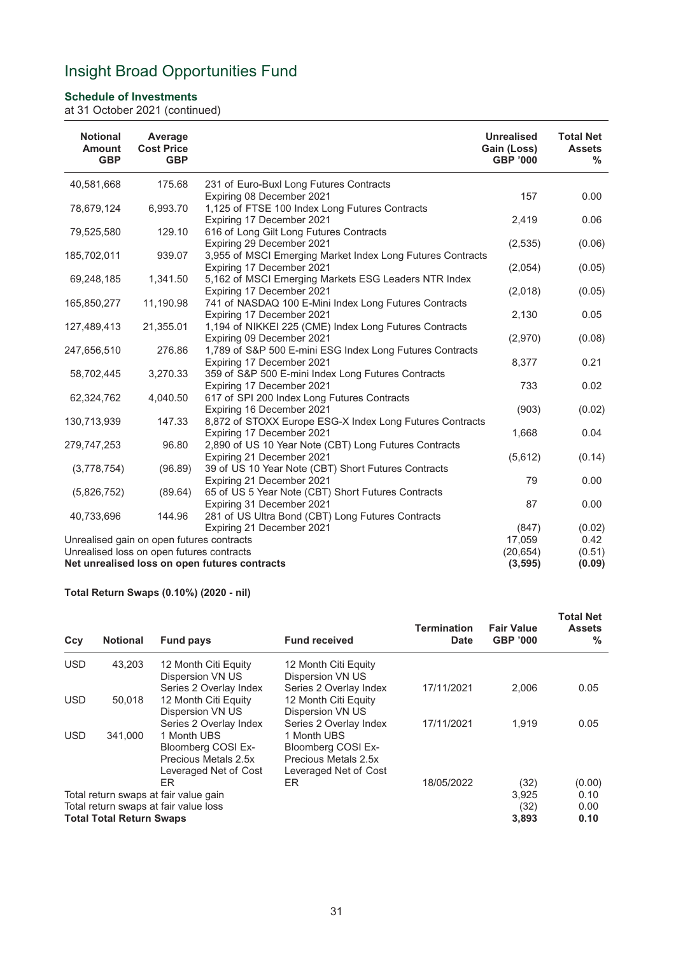### **Schedule of Investments**

at 31 October 2021 (continued)

| <b>Notional</b><br><b>Amount</b><br><b>GBP</b> | Average<br><b>Cost Price</b><br><b>GBP</b> |                                                                                    | <b>Unrealised</b><br>Gain (Loss)<br><b>GBP '000</b> | <b>Total Net</b><br><b>Assets</b><br>℅ |
|------------------------------------------------|--------------------------------------------|------------------------------------------------------------------------------------|-----------------------------------------------------|----------------------------------------|
| 40,581,668                                     | 175.68                                     | 231 of Euro-Buxl Long Futures Contracts                                            |                                                     |                                        |
|                                                |                                            | Expiring 08 December 2021                                                          | 157                                                 | 0.00                                   |
| 78,679,124                                     | 6,993.70                                   | 1,125 of FTSE 100 Index Long Futures Contracts                                     |                                                     |                                        |
|                                                |                                            | Expiring 17 December 2021                                                          | 2,419                                               | 0.06                                   |
| 79,525,580                                     | 129.10                                     | 616 of Long Gilt Long Futures Contracts                                            |                                                     |                                        |
|                                                |                                            | Expiring 29 December 2021                                                          | (2, 535)                                            | (0.06)                                 |
| 185,702,011                                    | 939.07                                     | 3,955 of MSCI Emerging Market Index Long Futures Contracts                         |                                                     |                                        |
|                                                |                                            | Expiring 17 December 2021                                                          | (2,054)                                             | (0.05)                                 |
| 69,248,185                                     | 1,341.50                                   | 5,162 of MSCI Emerging Markets ESG Leaders NTR Index                               |                                                     |                                        |
|                                                |                                            | Expiring 17 December 2021                                                          | (2,018)                                             | (0.05)                                 |
| 165,850,277                                    | 11,190.98                                  | 741 of NASDAQ 100 E-Mini Index Long Futures Contracts<br>Expiring 17 December 2021 | 2,130                                               | 0.05                                   |
| 127,489,413                                    | 21,355.01                                  | 1,194 of NIKKEI 225 (CME) Index Long Futures Contracts                             |                                                     |                                        |
|                                                |                                            | Expiring 09 December 2021                                                          | (2,970)                                             | (0.08)                                 |
| 247,656,510                                    | 276.86                                     | 1,789 of S&P 500 E-mini ESG Index Long Futures Contracts                           |                                                     |                                        |
|                                                |                                            | Expiring 17 December 2021                                                          | 8,377                                               | 0.21                                   |
| 58,702,445                                     | 3,270.33                                   | 359 of S&P 500 E-mini Index Long Futures Contracts                                 |                                                     |                                        |
|                                                |                                            | Expiring 17 December 2021                                                          | 733                                                 | 0.02                                   |
| 62,324,762                                     | 4,040.50                                   | 617 of SPI 200 Index Long Futures Contracts                                        |                                                     |                                        |
|                                                |                                            | Expiring 16 December 2021                                                          | (903)                                               | (0.02)                                 |
| 130,713,939                                    | 147.33                                     | 8,872 of STOXX Europe ESG-X Index Long Futures Contracts                           |                                                     |                                        |
|                                                |                                            | Expiring 17 December 2021                                                          | 1,668                                               | 0.04                                   |
| 279,747,253                                    | 96.80                                      | 2,890 of US 10 Year Note (CBT) Long Futures Contracts                              |                                                     |                                        |
|                                                |                                            | Expiring 21 December 2021                                                          | (5,612)                                             | (0.14)                                 |
| (3,778,754)                                    | (96.89)                                    | 39 of US 10 Year Note (CBT) Short Futures Contracts                                |                                                     |                                        |
|                                                |                                            | Expiring 21 December 2021                                                          | 79                                                  | 0.00                                   |
| (5,826,752)                                    | (89.64)                                    | 65 of US 5 Year Note (CBT) Short Futures Contracts                                 |                                                     |                                        |
|                                                |                                            | Expiring 31 December 2021                                                          | 87                                                  | 0.00                                   |
| 40,733,696                                     | 144.96                                     | 281 of US Ultra Bond (CBT) Long Futures Contracts                                  |                                                     |                                        |
|                                                |                                            | Expiring 21 December 2021                                                          | (847)                                               | (0.02)                                 |
| Unrealised gain on open futures contracts      |                                            |                                                                                    | 17.059                                              | 0.42                                   |
| Unrealised loss on open futures contracts      |                                            |                                                                                    | (20, 654)                                           | (0.51)                                 |
|                                                |                                            | Net unrealised loss on open futures contracts                                      | (3, 595)                                            | (0.09)                                 |

### **Total Return Swaps (0.10%) (2020 - nil)**

| Ccy                                                                                                                           | <b>Notional</b> | <b>Fund pays</b>                                                                                             | <b>Fund received</b>                                                                                                | Termination<br><b>Date</b>     | <b>Fair Value</b><br><b>GBP '000</b> | <b>Total Net</b><br><b>Assets</b><br>% |
|-------------------------------------------------------------------------------------------------------------------------------|-----------------|--------------------------------------------------------------------------------------------------------------|---------------------------------------------------------------------------------------------------------------------|--------------------------------|--------------------------------------|----------------------------------------|
| <b>USD</b>                                                                                                                    | 43.203          | 12 Month Citi Equity<br>Dispersion VN US                                                                     | 12 Month Citi Equity<br>Dispersion VN US                                                                            |                                |                                      |                                        |
| <b>USD</b>                                                                                                                    | 50,018          | Series 2 Overlay Index<br>12 Month Citi Equity<br>Dispersion VN US                                           | Series 2 Overlay Index<br>12 Month Citi Equity<br>Dispersion VN US                                                  | 17/11/2021                     | 2,006                                | 0.05                                   |
| <b>USD</b>                                                                                                                    | 341.000         | Series 2 Overlay Index<br>1 Month UBS<br>Bloomberg COSI Ex-<br>Precious Metals 2.5x<br>Leveraged Net of Cost | Series 2 Overlay Index<br>1 Month UBS<br><b>Bloomberg COSI Ex-</b><br>Precious Metals 2.5x<br>Leveraged Net of Cost | 17/11/2021                     | 1.919                                | 0.05                                   |
| ER<br>ER<br>Total return swaps at fair value gain<br>Total return swaps at fair value loss<br><b>Total Total Return Swaps</b> |                 | 18/05/2022                                                                                                   | (32)<br>3,925<br>(32)<br>3,893                                                                                      | (0.00)<br>0.10<br>0.00<br>0.10 |                                      |                                        |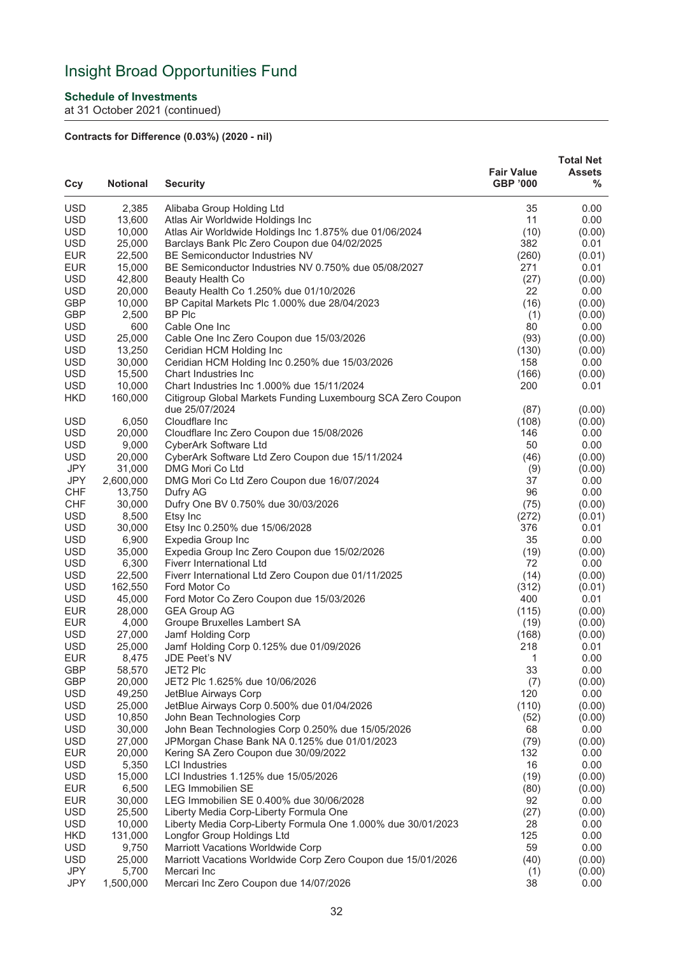### **Schedule of Investments**

at 31 October 2021 (continued)

## **Contracts for Difference (0.03%) (2020 - nil)**

| Ccy                      | <b>Notional</b>  | <b>Security</b>                                                               | <b>Fair Value</b><br><b>GBP '000</b> | <b>Total Net</b><br><b>Assets</b><br>% |
|--------------------------|------------------|-------------------------------------------------------------------------------|--------------------------------------|----------------------------------------|
| <b>USD</b>               | 2,385            | Alibaba Group Holding Ltd                                                     | 35                                   | 0.00                                   |
| <b>USD</b>               | 13,600           | Atlas Air Worldwide Holdings Inc                                              | 11                                   | 0.00                                   |
| <b>USD</b>               | 10,000           | Atlas Air Worldwide Holdings Inc 1.875% due 01/06/2024                        | (10)                                 | (0.00)                                 |
| <b>USD</b>               | 25,000           | Barclays Bank Plc Zero Coupon due 04/02/2025                                  | 382                                  | 0.01                                   |
| <b>EUR</b>               | 22,500           | BE Semiconductor Industries NV                                                | (260)                                | (0.01)                                 |
| <b>EUR</b>               | 15,000           | BE Semiconductor Industries NV 0.750% due 05/08/2027                          | 271                                  | 0.01                                   |
| <b>USD</b>               | 42,800           | Beauty Health Co                                                              | (27)                                 | (0.00)                                 |
| <b>USD</b>               | 20,000           | Beauty Health Co 1.250% due 01/10/2026                                        | 22                                   | 0.00                                   |
| <b>GBP</b>               | 10,000           | BP Capital Markets Plc 1.000% due 28/04/2023                                  | (16)                                 | (0.00)                                 |
| <b>GBP</b>               | 2,500            | BP Plc                                                                        | (1)                                  | (0.00)                                 |
| <b>USD</b>               | 600              | Cable One Inc                                                                 | 80                                   | 0.00                                   |
| <b>USD</b>               | 25,000           | Cable One Inc Zero Coupon due 15/03/2026                                      | (93)                                 | (0.00)                                 |
| <b>USD</b>               | 13,250           | Ceridian HCM Holding Inc                                                      | (130)                                | (0.00)                                 |
| <b>USD</b>               | 30,000           | Ceridian HCM Holding Inc 0.250% due 15/03/2026                                | 158                                  | 0.00                                   |
| <b>USD</b>               | 15,500           | Chart Industries Inc                                                          | (166)                                | (0.00)                                 |
| <b>USD</b>               | 10,000           | Chart Industries Inc 1.000% due 15/11/2024                                    | 200                                  | 0.01                                   |
| <b>HKD</b>               | 160,000          | Citigroup Global Markets Funding Luxembourg SCA Zero Coupon<br>due 25/07/2024 | (87)                                 | (0.00)                                 |
| <b>USD</b>               | 6,050            | Cloudflare Inc                                                                | (108)                                | (0.00)                                 |
| <b>USD</b>               | 20,000           | Cloudflare Inc Zero Coupon due 15/08/2026                                     | 146                                  | 0.00                                   |
| <b>USD</b>               | 9,000            | CyberArk Software Ltd                                                         | 50                                   | 0.00                                   |
| <b>USD</b>               | 20,000           | CyberArk Software Ltd Zero Coupon due 15/11/2024                              | (46)                                 | (0.00)                                 |
| JPY                      | 31,000           | DMG Mori Co Ltd                                                               | (9)                                  | (0.00)                                 |
| JPY                      | 2,600,000        | DMG Mori Co Ltd Zero Coupon due 16/07/2024                                    | 37                                   | 0.00                                   |
| <b>CHF</b>               | 13,750           | Dufry AG                                                                      | 96                                   | 0.00                                   |
| <b>CHF</b>               | 30,000           | Dufry One BV 0.750% due 30/03/2026                                            | (75)                                 | (0.00)                                 |
| <b>USD</b>               | 8,500            | Etsy Inc                                                                      | (272)                                | (0.01)                                 |
| <b>USD</b>               | 30,000           | Etsy Inc 0.250% due 15/06/2028                                                | 376                                  | 0.01                                   |
| <b>USD</b>               | 6,900            | Expedia Group Inc                                                             | 35                                   | 0.00                                   |
| <b>USD</b>               | 35,000           | Expedia Group Inc Zero Coupon due 15/02/2026                                  | (19)                                 | (0.00)                                 |
| <b>USD</b>               | 6,300            | Fiverr International Ltd                                                      | 72                                   | 0.00                                   |
| <b>USD</b>               | 22,500           | Fiverr International Ltd Zero Coupon due 01/11/2025                           | (14)                                 | (0.00)                                 |
| <b>USD</b>               | 162,550          | Ford Motor Co                                                                 | (312)                                | (0.01)                                 |
| <b>USD</b>               | 45,000           | Ford Motor Co Zero Coupon due 15/03/2026                                      | 400                                  | 0.01                                   |
| <b>EUR</b>               | 28,000           | <b>GEA Group AG</b>                                                           | (115)                                | (0.00)                                 |
| <b>EUR</b><br><b>USD</b> | 4,000<br>27,000  | Groupe Bruxelles Lambert SA<br>Jamf Holding Corp                              | (19)                                 | (0.00)                                 |
| <b>USD</b>               | 25,000           | Jamf Holding Corp 0.125% due 01/09/2026                                       | (168)<br>218                         | (0.00)<br>0.01                         |
| <b>EUR</b>               | 8,475            | JDE Peet's NV                                                                 | $\mathbf{1}$                         | 0.00                                   |
| GBP                      | 58,570           | JET2 Plc                                                                      | 33                                   | 0.00                                   |
| <b>GBP</b>               | 20,000           | JET2 Plc 1.625% due 10/06/2026                                                | (7)                                  | (0.00)                                 |
| <b>USD</b>               | 49,250           | JetBlue Airways Corp                                                          | 120                                  | 0.00                                   |
| <b>USD</b>               | 25,000           | JetBlue Airways Corp 0.500% due 01/04/2026                                    | (110)                                | (0.00)                                 |
| <b>USD</b>               | 10,850           | John Bean Technologies Corp                                                   | (52)                                 | (0.00)                                 |
| <b>USD</b>               | 30,000           | John Bean Technologies Corp 0.250% due 15/05/2026                             | 68                                   | 0.00                                   |
| <b>USD</b>               | 27,000           | JPMorgan Chase Bank NA 0.125% due 01/01/2023                                  | (79)                                 | (0.00)                                 |
| <b>EUR</b>               | 20,000           | Kering SA Zero Coupon due 30/09/2022                                          | 132                                  | 0.00                                   |
| <b>USD</b>               | 5,350            | <b>LCI Industries</b>                                                         | 16                                   | 0.00                                   |
| <b>USD</b>               | 15,000           | LCI Industries 1.125% due 15/05/2026                                          | (19)                                 | (0.00)                                 |
| <b>EUR</b>               | 6,500            | <b>LEG Immobilien SE</b>                                                      | (80)                                 | (0.00)                                 |
| <b>EUR</b>               | 30,000           | LEG Immobilien SE 0.400% due 30/06/2028                                       | 92                                   | 0.00                                   |
| <b>USD</b>               | 25,500           | Liberty Media Corp-Liberty Formula One                                        | (27)                                 | (0.00)                                 |
| <b>USD</b>               | 10,000           | Liberty Media Corp-Liberty Formula One 1.000% due 30/01/2023                  | 28                                   | 0.00                                   |
| <b>HKD</b><br><b>USD</b> | 131,000<br>9,750 | Longfor Group Holdings Ltd<br>Marriott Vacations Worldwide Corp               | 125<br>59                            | 0.00<br>0.00                           |
| <b>USD</b>               | 25,000           | Marriott Vacations Worldwide Corp Zero Coupon due 15/01/2026                  | (40)                                 | (0.00)                                 |
| JPY                      | 5,700            | Mercari Inc                                                                   | (1)                                  | (0.00)                                 |
| JPY                      | 1,500,000        | Mercari Inc Zero Coupon due 14/07/2026                                        | 38                                   | 0.00                                   |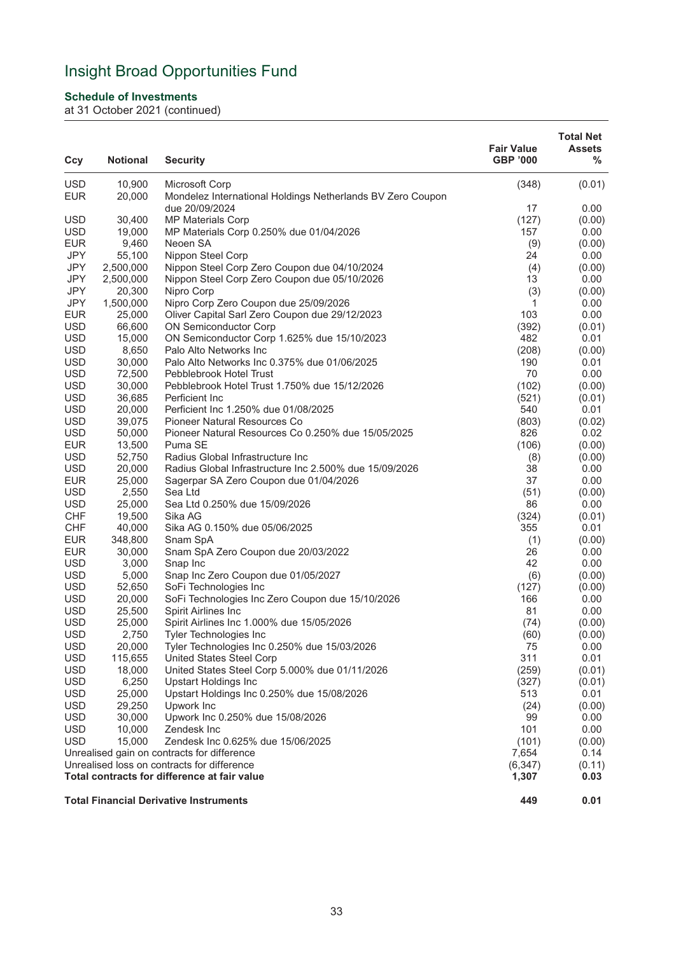### **Schedule of Investments**

| Ccy        | <b>Notional</b> | <b>Security</b>                                            | <b>Fair Value</b><br><b>GBP '000</b> | <b>Total Net</b><br><b>Assets</b><br>% |
|------------|-----------------|------------------------------------------------------------|--------------------------------------|----------------------------------------|
| <b>USD</b> | 10,900          | Microsoft Corp                                             | (348)                                | (0.01)                                 |
| <b>EUR</b> | 20,000          | Mondelez International Holdings Netherlands BV Zero Coupon |                                      |                                        |
|            |                 | due 20/09/2024                                             | 17                                   | 0.00                                   |
| <b>USD</b> | 30,400          | <b>MP Materials Corp</b>                                   | (127)                                | (0.00)                                 |
| <b>USD</b> | 19,000          | MP Materials Corp 0.250% due 01/04/2026                    | 157                                  | 0.00                                   |
| <b>EUR</b> | 9,460           | Neoen SA                                                   | (9)                                  | (0.00)                                 |
| <b>JPY</b> | 55,100          | Nippon Steel Corp                                          | 24                                   | 0.00                                   |
| JPY        | 2,500,000       | Nippon Steel Corp Zero Coupon due 04/10/2024               | (4)                                  | (0.00)                                 |
| <b>JPY</b> | 2,500,000       | Nippon Steel Corp Zero Coupon due 05/10/2026               | 13                                   | 0.00                                   |
| <b>JPY</b> | 20,300          | Nipro Corp                                                 | (3)                                  | (0.00)                                 |
| JPY        | 1,500,000       | Nipro Corp Zero Coupon due 25/09/2026                      | 1                                    | 0.00                                   |
| <b>EUR</b> | 25,000          | Oliver Capital Sarl Zero Coupon due 29/12/2023             | 103                                  | 0.00                                   |
| <b>USD</b> | 66,600          | <b>ON Semiconductor Corp</b>                               | (392)                                | (0.01)                                 |
| <b>USD</b> | 15,000          | ON Semiconductor Corp 1.625% due 15/10/2023                | 482                                  | 0.01                                   |
| <b>USD</b> | 8,650           | Palo Alto Networks Inc                                     | (208)                                | (0.00)                                 |
| <b>USD</b> | 30,000          | Palo Alto Networks Inc 0.375% due 01/06/2025               | 190                                  | 0.01                                   |
| <b>USD</b> | 72,500          | Pebblebrook Hotel Trust                                    | 70                                   | 0.00                                   |
| <b>USD</b> | 30,000          | Pebblebrook Hotel Trust 1.750% due 15/12/2026              | (102)                                | (0.00)                                 |
| <b>USD</b> | 36,685          | Perficient Inc                                             | (521)                                | (0.01)                                 |
| <b>USD</b> | 20,000          | Perficient Inc 1.250% due 01/08/2025                       | 540                                  | 0.01                                   |
| <b>USD</b> | 39,075          | Pioneer Natural Resources Co                               | (803)                                | (0.02)                                 |
| <b>USD</b> | 50,000          | Pioneer Natural Resources Co 0.250% due 15/05/2025         | 826                                  | 0.02                                   |
| <b>EUR</b> | 13,500          | Puma SE                                                    | (106)                                | (0.00)                                 |
| <b>USD</b> | 52,750          | Radius Global Infrastructure Inc                           | (8)                                  | (0.00)                                 |
| <b>USD</b> | 20,000          | Radius Global Infrastructure Inc 2.500% due 15/09/2026     | 38                                   | 0.00                                   |
| <b>EUR</b> | 25,000          | Sagerpar SA Zero Coupon due 01/04/2026                     | 37                                   | 0.00                                   |
| <b>USD</b> | 2,550           | Sea Ltd                                                    | (51)                                 | (0.00)                                 |
| <b>USD</b> | 25,000          | Sea Ltd 0.250% due 15/09/2026                              | 86                                   | 0.00                                   |
| <b>CHF</b> | 19,500          | Sika AG                                                    | (324)                                | (0.01)                                 |
| <b>CHF</b> | 40,000          | Sika AG 0.150% due 05/06/2025                              | 355                                  | 0.01                                   |
| <b>EUR</b> | 348,800         | Snam SpA                                                   | (1)                                  | (0.00)                                 |
| <b>EUR</b> | 30,000          | Snam SpA Zero Coupon due 20/03/2022                        | 26                                   | 0.00                                   |
| <b>USD</b> | 3,000           | Snap Inc                                                   | 42                                   | 0.00                                   |
| <b>USD</b> | 5,000           | Snap Inc Zero Coupon due 01/05/2027                        | (6)                                  | (0.00)                                 |
| <b>USD</b> | 52,650          | SoFi Technologies Inc                                      | (127)                                | (0.00)                                 |
| <b>USD</b> | 20,000          | SoFi Technologies Inc Zero Coupon due 15/10/2026           | 166                                  | 0.00                                   |
| <b>USD</b> | 25,500          | Spirit Airlines Inc                                        | 81                                   | 0.00                                   |
| <b>USD</b> | 25,000          | Spirit Airlines Inc 1.000% due 15/05/2026                  | (74)                                 | (0.00)                                 |
| USD        | 2,750           | Tyler Technologies Inc                                     | (60)                                 | (0.00)                                 |
| <b>USD</b> | 20,000          | Tyler Technologies Inc 0.250% due 15/03/2026               | 75                                   | 0.00                                   |
| <b>USD</b> | 115,655         | United States Steel Corp                                   | 311                                  | 0.01                                   |
| <b>USD</b> | 18,000          | United States Steel Corp 5.000% due 01/11/2026             | (259)                                | (0.01)                                 |
| <b>USD</b> | 6,250           | <b>Upstart Holdings Inc</b>                                | (327)                                | (0.01)                                 |
| <b>USD</b> | 25,000          | Upstart Holdings Inc 0.250% due 15/08/2026                 | 513                                  | 0.01                                   |
| <b>USD</b> | 29,250          | Upwork Inc                                                 | (24)                                 | (0.00)                                 |
| <b>USD</b> | 30,000          | Upwork Inc 0.250% due 15/08/2026                           | 99                                   | 0.00                                   |
| <b>USD</b> | 10,000          | Zendesk Inc                                                | 101                                  | 0.00                                   |
| <b>USD</b> | 15,000          | Zendesk Inc 0.625% due 15/06/2025                          | (101)                                | (0.00)                                 |
|            |                 | Unrealised gain on contracts for difference                | 7,654                                | 0.14                                   |
|            |                 | Unrealised loss on contracts for difference                | (6, 347)                             | (0.11)                                 |
|            |                 | Total contracts for difference at fair value               | 1,307                                | 0.03                                   |
|            |                 | <b>Total Financial Derivative Instruments</b>              | 449                                  | 0.01                                   |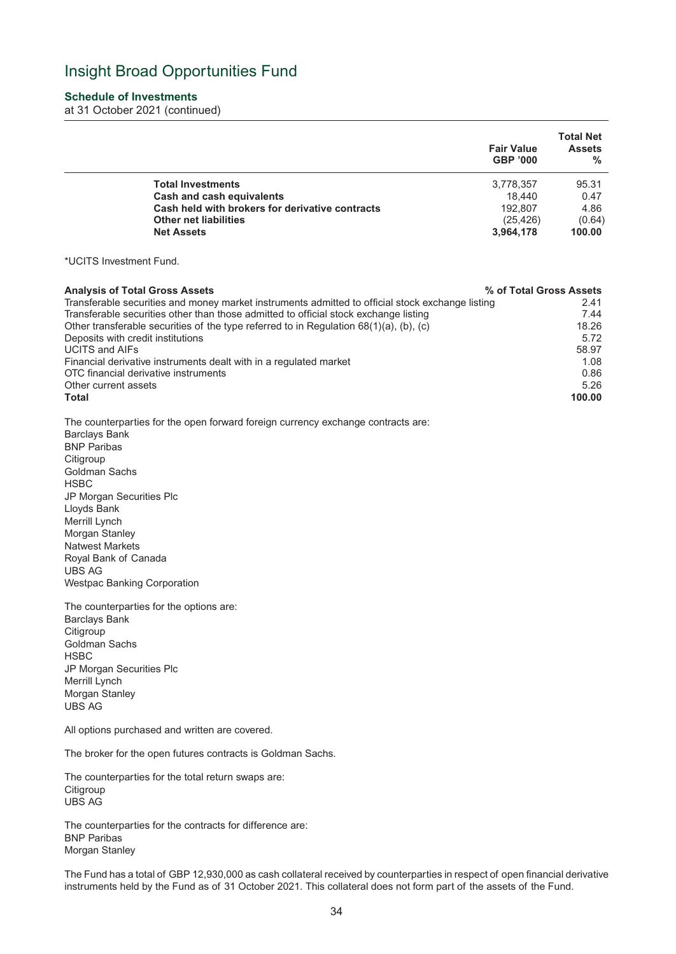#### **Schedule of Investments**

at 31 October 2021 (continued)

|                                                 | <b>Fair Value</b><br><b>GBP '000</b> | <b>Total Net</b><br><b>Assets</b><br>$\frac{9}{6}$ |
|-------------------------------------------------|--------------------------------------|----------------------------------------------------|
| <b>Total Investments</b>                        | 3,778,357                            | 95.31                                              |
| Cash and cash equivalents                       | 18.440                               | 0.47                                               |
| Cash held with brokers for derivative contracts | 192.807                              | 4.86                                               |
| <b>Other net liabilities</b>                    | (25, 426)                            | (0.64)                                             |
| <b>Net Assets</b>                               | 3,964,178                            | 100.00                                             |

\*UCITS Investment Fund.

| <b>Analysis of Total Gross Assets</b>                                                            | % of Total Gross Assets |
|--------------------------------------------------------------------------------------------------|-------------------------|
| Transferable securities and money market instruments admitted to official stock exchange listing | 2.41                    |
| Transferable securities other than those admitted to official stock exchange listing             | 7.44                    |
| Other transferable securities of the type referred to in Regulation $68(1)(a)$ , (b), (c)        | 18.26                   |
| Deposits with credit institutions                                                                | 5.72                    |
| <b>UCITS and AIFs</b>                                                                            | 58.97                   |
| Financial derivative instruments dealt with in a regulated market                                | 1.08                    |
| OTC financial derivative instruments                                                             | 0.86                    |
| Other current assets                                                                             | 5.26                    |
| Total                                                                                            | 100.00                  |

The counterparties for the open forward foreign currency exchange contracts are: Barclays Bank BNP Paribas **Citigroup** Goldman Sachs HSBC JP Morgan Securities Plc Lloyds Bank Merrill Lynch Morgan Stanley Natwest Markets Royal Bank of Canada UBS AG

Westpac Banking Corporation

The counterparties for the options are: Barclays Bank **Citigroup** Goldman Sachs **HSBC** JP Morgan Securities Plc Merrill Lynch Morgan Stanley UBS AG

All options purchased and written are covered.

The broker for the open futures contracts is Goldman Sachs.

The counterparties for the total return swaps are: **Citigroup** UBS AG

The counterparties for the contracts for difference are: BNP Paribas Morgan Stanley

The Fund has a total of GBP 12,930,000 as cash collateral received by counterparties in respect of open financial derivative instruments held by the Fund as of 31 October 2021. This collateral does not form part of the assets of the Fund.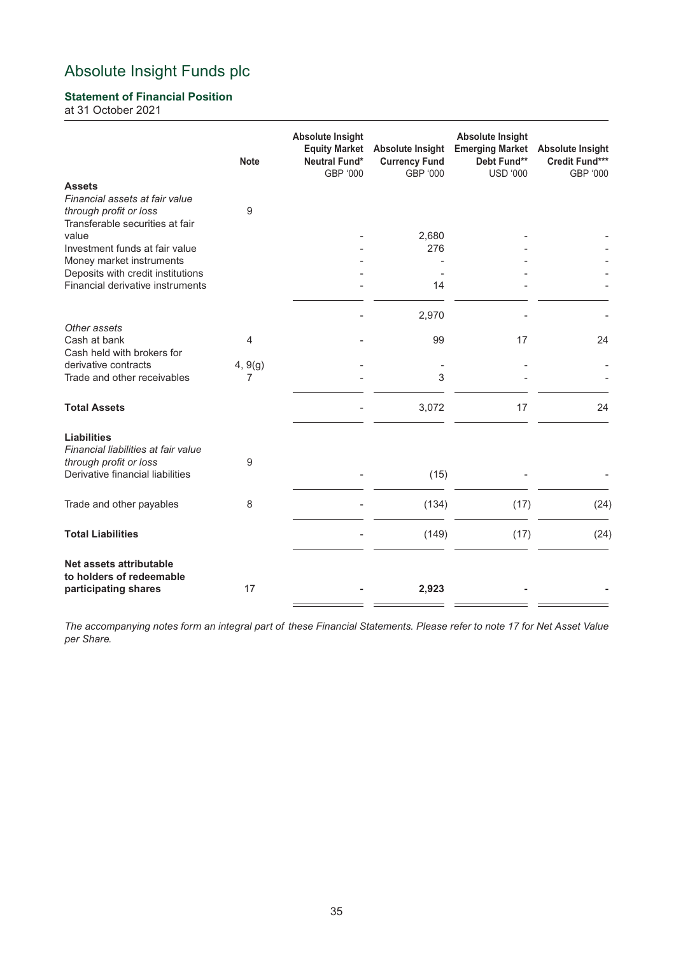## **Statement of Financial Position**

at 31 October 2021

|                                                                                                        | <b>Note</b>  | <b>Absolute Insight</b><br><b>Equity Market</b><br><b>Neutral Fund*</b><br>GBP '000 | <b>Absolute Insight</b><br><b>Currency Fund</b><br>GBP '000 | <b>Absolute Insight</b><br><b>Emerging Market</b><br>Debt Fund**<br><b>USD '000</b> | <b>Absolute Insight</b><br>Credit Fund***<br>GBP '000 |
|--------------------------------------------------------------------------------------------------------|--------------|-------------------------------------------------------------------------------------|-------------------------------------------------------------|-------------------------------------------------------------------------------------|-------------------------------------------------------|
| <b>Assets</b><br>Financial assets at fair value<br>through profit or loss                              | $9\,$        |                                                                                     |                                                             |                                                                                     |                                                       |
| Transferable securities at fair<br>value<br>Investment funds at fair value<br>Money market instruments |              |                                                                                     | 2,680<br>276                                                |                                                                                     |                                                       |
| Deposits with credit institutions<br>Financial derivative instruments                                  |              |                                                                                     | 14                                                          |                                                                                     |                                                       |
| Other assets                                                                                           |              |                                                                                     | 2,970                                                       |                                                                                     |                                                       |
| Cash at bank<br>Cash held with brokers for                                                             | 4            |                                                                                     | 99                                                          | 17                                                                                  | 24                                                    |
| derivative contracts<br>Trade and other receivables                                                    | 4, 9(g)<br>7 |                                                                                     | 3                                                           |                                                                                     |                                                       |
| <b>Total Assets</b>                                                                                    |              |                                                                                     | 3,072                                                       | 17                                                                                  | 24                                                    |
| <b>Liabilities</b><br>Financial liabilities at fair value<br>through profit or loss                    | 9            |                                                                                     |                                                             |                                                                                     |                                                       |
| Derivative financial liabilities                                                                       |              |                                                                                     | (15)                                                        |                                                                                     |                                                       |
| Trade and other payables                                                                               | 8            |                                                                                     | (134)                                                       | (17)                                                                                | (24)                                                  |
| <b>Total Liabilities</b>                                                                               |              |                                                                                     | (149)                                                       | (17)                                                                                | (24)                                                  |
| Net assets attributable<br>to holders of redeemable<br>participating shares                            | 17           |                                                                                     | 2,923                                                       |                                                                                     |                                                       |

*The accompanying notes form an integral part of these Financial Statements. Please refer to note 17 for Net Asset Value per Share.*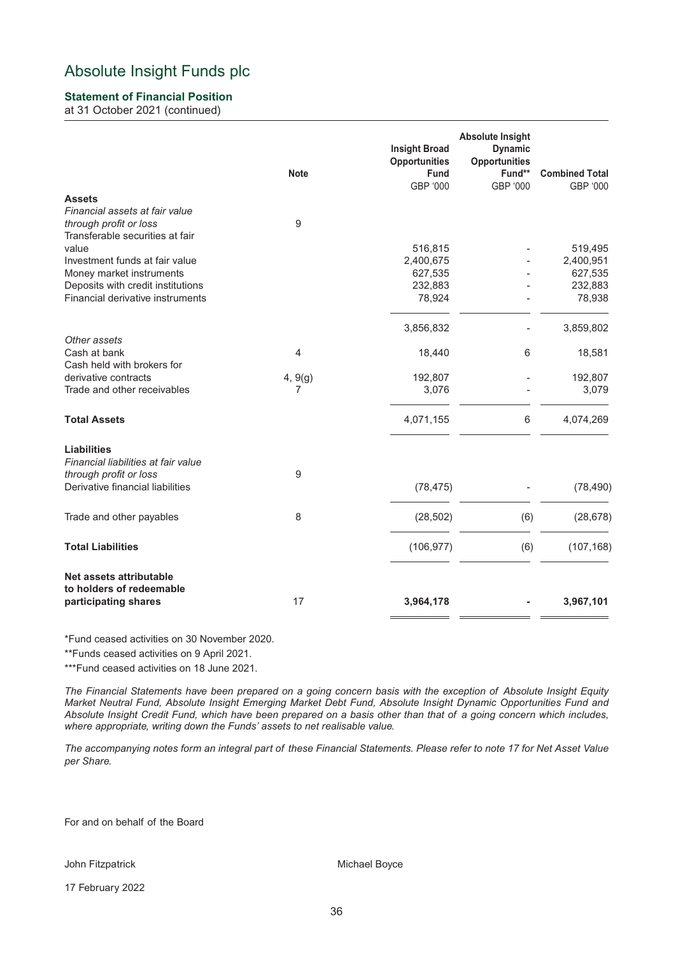## **Statement of Financial Position**

at 31 October 2021 (continued)

|                                                           | <b>Note</b> | <b>Insight Broad</b><br><b>Opportunities</b><br><b>Fund</b><br>GBP '000 | <b>Absolute Insight</b><br><b>Dynamic</b><br><b>Opportunities</b><br>Fund**<br>GBP '000 | <b>Combined Total</b><br>GBP '000 |
|-----------------------------------------------------------|-------------|-------------------------------------------------------------------------|-----------------------------------------------------------------------------------------|-----------------------------------|
| <b>Assets</b>                                             |             |                                                                         |                                                                                         |                                   |
| Financial assets at fair value                            |             |                                                                         |                                                                                         |                                   |
| through profit or loss<br>Transferable securities at fair | $9\,$       |                                                                         |                                                                                         |                                   |
| value                                                     |             | 516,815                                                                 |                                                                                         | 519,495                           |
| Investment funds at fair value                            |             | 2,400,675                                                               |                                                                                         | 2,400,951                         |
| Money market instruments                                  |             | 627,535                                                                 |                                                                                         | 627,535                           |
| Deposits with credit institutions                         |             | 232,883                                                                 |                                                                                         | 232,883                           |
| Financial derivative instruments                          |             | 78,924                                                                  |                                                                                         | 78,938                            |
|                                                           |             | 3,856,832                                                               |                                                                                         | 3,859,802                         |
| Other assets                                              |             |                                                                         |                                                                                         |                                   |
| Cash at bank                                              | 4           | 18,440                                                                  | 6                                                                                       | 18,581                            |
| Cash held with brokers for                                |             |                                                                         |                                                                                         |                                   |
| derivative contracts                                      | 4, 9(g)     | 192,807                                                                 |                                                                                         | 192,807                           |
| Trade and other receivables                               | 7           | 3,076                                                                   |                                                                                         | 3,079                             |
| <b>Total Assets</b>                                       |             | 4,071,155                                                               | 6                                                                                       | 4,074,269                         |
| <b>Liabilities</b>                                        |             |                                                                         |                                                                                         |                                   |
| Financial liabilities at fair value                       |             |                                                                         |                                                                                         |                                   |
| through profit or loss                                    | 9           |                                                                         |                                                                                         |                                   |
| Derivative financial liabilities                          |             | (78, 475)                                                               |                                                                                         | (78, 490)                         |
| Trade and other payables                                  | 8           | (28, 502)                                                               | (6)                                                                                     | (28, 678)                         |
| <b>Total Liabilities</b>                                  |             | (106, 977)                                                              | (6)                                                                                     | (107, 168)                        |
|                                                           |             |                                                                         |                                                                                         |                                   |
| Net assets attributable                                   |             |                                                                         |                                                                                         |                                   |
| to holders of redeemable<br>participating shares          | 17          | 3,964,178                                                               |                                                                                         | 3,967,101                         |
|                                                           |             |                                                                         |                                                                                         |                                   |

\*Fund ceased activities on 30 November 2020.

\*\*Funds ceased activities on 9 April 2021.

\*\*\*Fund ceased activities on 18 June 2021.

*The Financial Statements have been prepared on a going concern basis with the exception of Absolute Insight Equity Market Neutral Fund, Absolute Insight Emerging Market Debt Fund, Absolute Insight Dynamic Opportunities Fund and Absolute Insight Credit Fund, which have been prepared on a basis other than that of a going concern which includes, where appropriate, writing down the Funds' assets to net realisable value.*

*The accompanying notes form an integral part of these Financial Statements. Please refer to note 17 for Net Asset Value per Share.*

For and on behalf of the Board

John Fitzpatrick **Michael Boyce** Michael Boyce

17 February 2022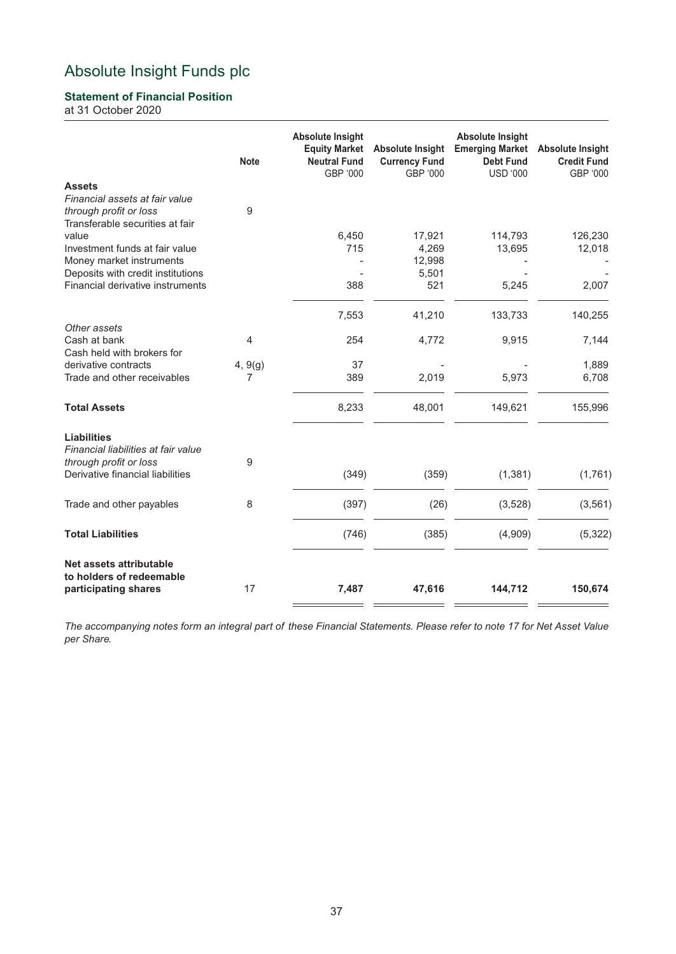## **Statement of Financial Position**

at 31 October 2020

|                                                                                             | <b>Note</b> | <b>Absolute Insight</b><br><b>Equity Market</b><br><b>Neutral Fund</b><br>GBP '000 | <b>Absolute Insight</b><br><b>Currency Fund</b><br>GBP '000 | <b>Absolute Insight</b><br><b>Emerging Market</b><br><b>Debt Fund</b><br><b>USD '000</b> | <b>Absolute Insight</b><br><b>Credit Fund</b><br>GBP '000 |
|---------------------------------------------------------------------------------------------|-------------|------------------------------------------------------------------------------------|-------------------------------------------------------------|------------------------------------------------------------------------------------------|-----------------------------------------------------------|
| <b>Assets</b>                                                                               |             |                                                                                    |                                                             |                                                                                          |                                                           |
| Financial assets at fair value<br>through profit or loss<br>Transferable securities at fair | 9           |                                                                                    |                                                             |                                                                                          |                                                           |
| value                                                                                       |             | 6,450                                                                              | 17,921                                                      | 114,793                                                                                  | 126,230                                                   |
| Investment funds at fair value                                                              |             | 715                                                                                | 4,269                                                       | 13,695                                                                                   | 12,018                                                    |
| Money market instruments                                                                    |             |                                                                                    | 12,998                                                      |                                                                                          |                                                           |
| Deposits with credit institutions                                                           |             |                                                                                    | 5,501                                                       |                                                                                          |                                                           |
| Financial derivative instruments                                                            |             | 388                                                                                | 521                                                         | 5,245                                                                                    | 2,007                                                     |
|                                                                                             |             | 7,553                                                                              | 41,210                                                      | 133,733                                                                                  | 140,255                                                   |
| Other assets                                                                                |             |                                                                                    |                                                             |                                                                                          |                                                           |
| Cash at bank<br>Cash held with brokers for                                                  | 4           | 254                                                                                | 4,772                                                       | 9,915                                                                                    | 7,144                                                     |
| derivative contracts                                                                        | 4, 9(g)     | 37                                                                                 |                                                             |                                                                                          | 1,889                                                     |
| Trade and other receivables                                                                 | 7           | 389                                                                                | 2,019                                                       | 5,973                                                                                    | 6,708                                                     |
| <b>Total Assets</b>                                                                         |             | 8,233                                                                              | 48,001                                                      | 149,621                                                                                  | 155,996                                                   |
| <b>Liabilities</b>                                                                          |             |                                                                                    |                                                             |                                                                                          |                                                           |
| Financial liabilities at fair value                                                         |             |                                                                                    |                                                             |                                                                                          |                                                           |
| through profit or loss<br>Derivative financial liabilities                                  | 9           | (349)                                                                              | (359)                                                       | (1, 381)                                                                                 | (1,761)                                                   |
| Trade and other payables                                                                    | 8           | (397)                                                                              | (26)                                                        | (3, 528)                                                                                 | (3, 561)                                                  |
|                                                                                             |             |                                                                                    |                                                             |                                                                                          |                                                           |
| <b>Total Liabilities</b>                                                                    |             | (746)                                                                              | (385)                                                       | (4,909)                                                                                  | (5, 322)                                                  |
| Net assets attributable<br>to holders of redeemable                                         |             |                                                                                    |                                                             |                                                                                          |                                                           |
| participating shares                                                                        | 17          | 7,487                                                                              | 47,616                                                      | 144,712                                                                                  | 150,674                                                   |

*The accompanying notes form an integral part of these Financial Statements. Please refer to note 17 for Net Asset Value per Share.*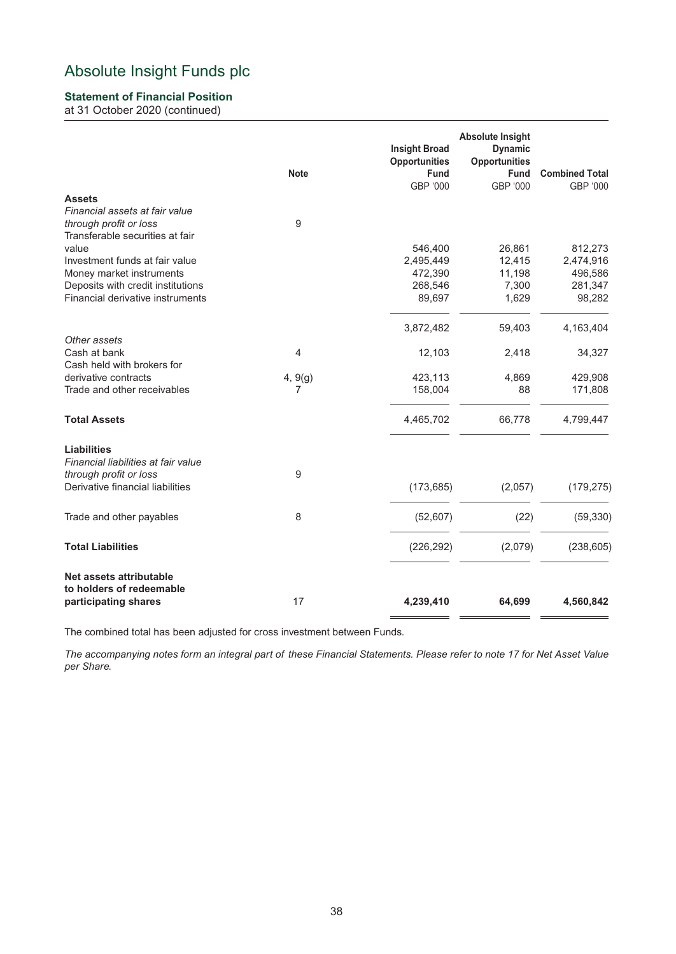## **Statement of Financial Position**

at 31 October 2020 (continued)

|                                     | <b>Note</b> | <b>Insight Broad</b><br><b>Opportunities</b><br><b>Fund</b><br>GBP '000 | <b>Absolute Insight</b><br><b>Dynamic</b><br><b>Opportunities</b><br><b>Fund</b><br>GBP '000 | <b>Combined Total</b><br>GBP '000 |
|-------------------------------------|-------------|-------------------------------------------------------------------------|----------------------------------------------------------------------------------------------|-----------------------------------|
| <b>Assets</b>                       |             |                                                                         |                                                                                              |                                   |
| Financial assets at fair value      |             |                                                                         |                                                                                              |                                   |
| through profit or loss              | 9           |                                                                         |                                                                                              |                                   |
| Transferable securities at fair     |             |                                                                         |                                                                                              |                                   |
| value                               |             | 546,400                                                                 | 26,861                                                                                       | 812,273                           |
| Investment funds at fair value      |             | 2,495,449                                                               | 12,415                                                                                       | 2,474,916                         |
| Money market instruments            |             | 472,390                                                                 | 11,198                                                                                       | 496,586                           |
| Deposits with credit institutions   |             | 268,546                                                                 | 7,300                                                                                        | 281,347                           |
| Financial derivative instruments    |             | 89,697                                                                  | 1,629                                                                                        | 98,282                            |
|                                     |             | 3,872,482                                                               | 59,403                                                                                       | 4,163,404                         |
| Other assets                        |             |                                                                         |                                                                                              |                                   |
| Cash at bank                        | 4           | 12,103                                                                  | 2,418                                                                                        | 34,327                            |
| Cash held with brokers for          |             |                                                                         |                                                                                              |                                   |
| derivative contracts                | 4, 9(g)     | 423,113                                                                 | 4,869                                                                                        | 429,908                           |
| Trade and other receivables         | 7           | 158,004                                                                 | 88                                                                                           | 171,808                           |
| <b>Total Assets</b>                 |             | 4,465,702                                                               | 66,778                                                                                       | 4,799,447                         |
| <b>Liabilities</b>                  |             |                                                                         |                                                                                              |                                   |
| Financial liabilities at fair value |             |                                                                         |                                                                                              |                                   |
| through profit or loss              | 9           |                                                                         |                                                                                              |                                   |
| Derivative financial liabilities    |             | (173, 685)                                                              | (2,057)                                                                                      | (179, 275)                        |
| Trade and other payables            | 8           | (52, 607)                                                               | (22)                                                                                         | (59, 330)                         |
|                                     |             |                                                                         |                                                                                              |                                   |
| <b>Total Liabilities</b>            |             | (226, 292)                                                              | (2,079)                                                                                      | (238, 605)                        |
| Net assets attributable             |             |                                                                         |                                                                                              |                                   |
| to holders of redeemable            |             |                                                                         |                                                                                              |                                   |
| participating shares                | 17          | 4,239,410                                                               | 64,699                                                                                       | 4,560,842                         |
|                                     |             |                                                                         |                                                                                              |                                   |

The combined total has been adjusted for cross investment between Funds.

*The accompanying notes form an integral part of these Financial Statements. Please refer to note 17 for Net Asset Value per Share.*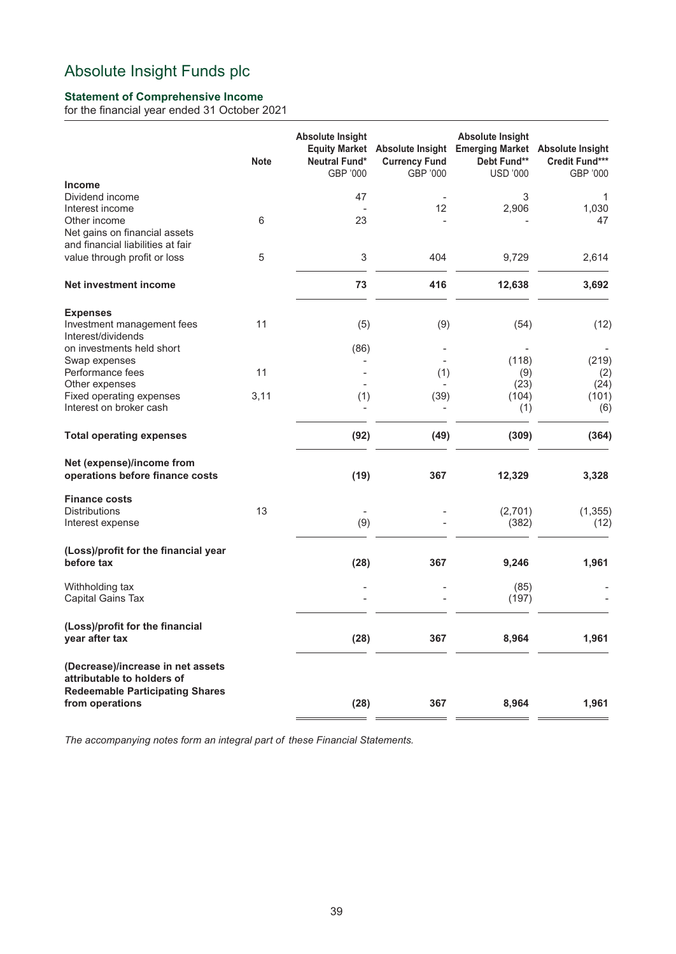## **Statement of Comprehensive Income**

for the financial year ended 31 October 2021

|                                                                                                           | <b>Note</b> | <b>Absolute Insight</b><br>Neutral Fund*<br>GBP '000 | <b>Equity Market</b> Absolute Insight<br><b>Currency Fund</b><br>GBP '000 | <b>Absolute Insight</b><br><b>Emerging Market</b><br>Debt Fund**<br><b>USD '000</b> | <b>Absolute Insight</b><br>Credit Fund***<br>GBP '000 |
|-----------------------------------------------------------------------------------------------------------|-------------|------------------------------------------------------|---------------------------------------------------------------------------|-------------------------------------------------------------------------------------|-------------------------------------------------------|
| <b>Income</b><br>Dividend income                                                                          |             | 47                                                   |                                                                           | 3                                                                                   | 1                                                     |
| Interest income                                                                                           |             |                                                      | 12                                                                        | 2,906                                                                               | 1,030                                                 |
| Other income                                                                                              | 6           | 23                                                   |                                                                           |                                                                                     | 47                                                    |
| Net gains on financial assets                                                                             |             |                                                      |                                                                           |                                                                                     |                                                       |
| and financial liabilities at fair                                                                         |             |                                                      |                                                                           |                                                                                     |                                                       |
| value through profit or loss                                                                              | 5           | 3                                                    | 404                                                                       | 9,729                                                                               | 2,614                                                 |
| <b>Net investment income</b>                                                                              |             | 73                                                   | 416                                                                       | 12,638                                                                              | 3,692                                                 |
| <b>Expenses</b>                                                                                           |             |                                                      |                                                                           |                                                                                     |                                                       |
| Investment management fees<br>Interest/dividends                                                          | 11          | (5)                                                  | (9)                                                                       | (54)                                                                                | (12)                                                  |
| on investments held short                                                                                 |             | (86)                                                 |                                                                           |                                                                                     |                                                       |
| Swap expenses                                                                                             |             |                                                      |                                                                           | (118)                                                                               | (219)                                                 |
| Performance fees                                                                                          | 11          |                                                      | (1)                                                                       | (9)                                                                                 | (2)                                                   |
| Other expenses                                                                                            |             |                                                      |                                                                           | (23)                                                                                | (24)                                                  |
| Fixed operating expenses                                                                                  | 3,11        | (1)                                                  | (39)                                                                      | (104)                                                                               | (101)                                                 |
| Interest on broker cash                                                                                   |             |                                                      |                                                                           | (1)                                                                                 | (6)                                                   |
| <b>Total operating expenses</b>                                                                           |             | (92)                                                 | (49)                                                                      | (309)                                                                               | (364)                                                 |
| Net (expense)/income from<br>operations before finance costs                                              |             | (19)                                                 | 367                                                                       | 12,329                                                                              | 3,328                                                 |
| <b>Finance costs</b>                                                                                      | 13          |                                                      |                                                                           |                                                                                     |                                                       |
| <b>Distributions</b><br>Interest expense                                                                  |             | (9)                                                  |                                                                           | (2,701)<br>(382)                                                                    | (1, 355)<br>(12)                                      |
|                                                                                                           |             |                                                      |                                                                           |                                                                                     |                                                       |
| (Loss)/profit for the financial year<br>before tax                                                        |             | (28)                                                 | 367                                                                       | 9,246                                                                               | 1,961                                                 |
| Withholding tax                                                                                           |             |                                                      |                                                                           | (85)                                                                                |                                                       |
| Capital Gains Tax                                                                                         |             |                                                      |                                                                           | (197)                                                                               |                                                       |
| (Loss)/profit for the financial<br>year after tax                                                         |             | (28)                                                 | 367                                                                       | 8,964                                                                               | 1,961                                                 |
| (Decrease)/increase in net assets<br>attributable to holders of<br><b>Redeemable Participating Shares</b> |             |                                                      |                                                                           |                                                                                     |                                                       |
| from operations                                                                                           |             | (28)                                                 | 367                                                                       | 8,964                                                                               | 1,961                                                 |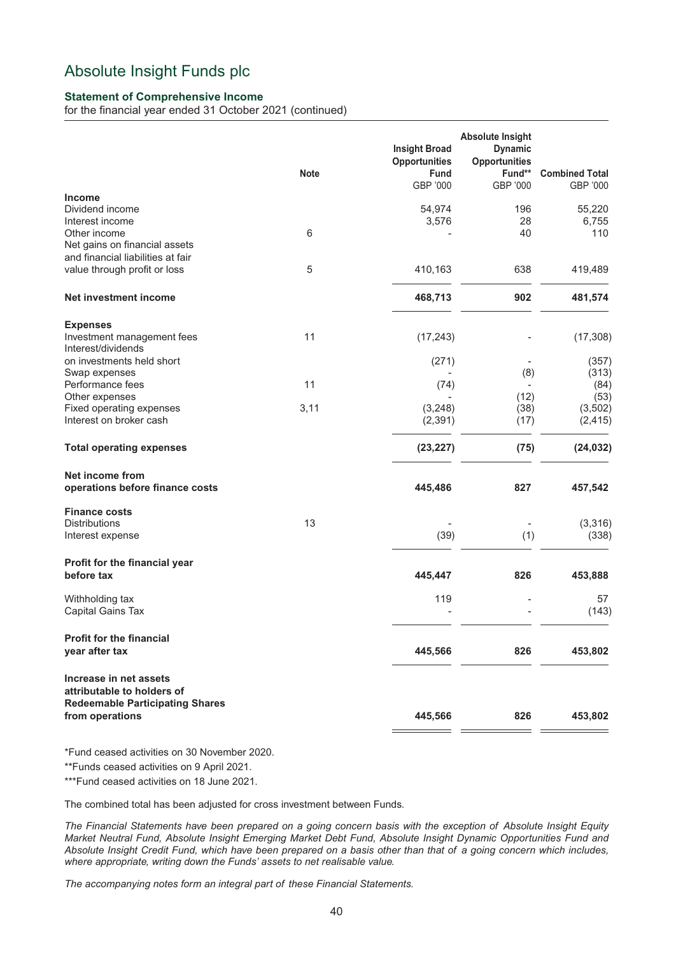## **Statement of Comprehensive Income**

for the financial year ended 31 October 2021 (continued)

|                                                                                                       | <b>Note</b> | <b>Insight Broad</b><br><b>Opportunities</b><br><b>Fund</b> | <b>Absolute Insight</b><br><b>Dynamic</b><br><b>Opportunities</b><br>Fund** | <b>Combined Total</b> |
|-------------------------------------------------------------------------------------------------------|-------------|-------------------------------------------------------------|-----------------------------------------------------------------------------|-----------------------|
|                                                                                                       |             | GBP '000                                                    | GBP '000                                                                    | GBP '000              |
| <b>Income</b><br>Dividend income                                                                      |             | 54,974                                                      | 196                                                                         | 55,220                |
| Interest income<br>Other income<br>Net gains on financial assets<br>and financial liabilities at fair | 6           | 3,576                                                       | 28<br>40                                                                    | 6,755<br>110          |
| value through profit or loss                                                                          | 5           | 410,163                                                     | 638                                                                         | 419,489               |
| Net investment income                                                                                 |             | 468,713                                                     | 902                                                                         | 481,574               |
| <b>Expenses</b>                                                                                       |             |                                                             |                                                                             |                       |
| Investment management fees<br>Interest/dividends                                                      | 11          | (17, 243)                                                   |                                                                             | (17, 308)             |
| on investments held short<br>Swap expenses                                                            |             | (271)                                                       | (8)                                                                         | (357)<br>(313)        |
| Performance fees                                                                                      | 11          | (74)                                                        | $\overline{\phantom{a}}$                                                    | (84)                  |
| Other expenses                                                                                        |             |                                                             | (12)                                                                        | (53)                  |
| Fixed operating expenses<br>Interest on broker cash                                                   | 3,11        | (3, 248)<br>(2, 391)                                        | (38)<br>(17)                                                                | (3, 502)<br>(2, 415)  |
| <b>Total operating expenses</b>                                                                       |             | (23, 227)                                                   | (75)                                                                        | (24, 032)             |
| Net income from<br>operations before finance costs                                                    |             | 445,486                                                     | 827                                                                         | 457,542               |
| <b>Finance costs</b>                                                                                  |             |                                                             |                                                                             |                       |
| <b>Distributions</b>                                                                                  | 13          |                                                             |                                                                             | (3, 316)              |
| Interest expense                                                                                      |             | (39)                                                        | (1)                                                                         | (338)                 |
| Profit for the financial year<br>before tax                                                           |             | 445,447                                                     | 826                                                                         | 453,888               |
| Withholding tax<br>Capital Gains Tax                                                                  |             | 119                                                         |                                                                             | 57<br>(143)           |
| <b>Profit for the financial</b><br>year after tax                                                     |             | 445,566                                                     | 826                                                                         | 453,802               |
| Increase in net assets                                                                                |             |                                                             |                                                                             |                       |
| attributable to holders of<br><b>Redeemable Participating Shares</b><br>from operations               |             | 445,566                                                     | 826                                                                         | 453,802               |

\*Fund ceased activities on 30 November 2020.

\*\*Funds ceased activities on 9 April 2021.

\*\*\*Fund ceased activities on 18 June 2021.

The combined total has been adjusted for cross investment between Funds.

*The Financial Statements have been prepared on a going concern basis with the exception of Absolute Insight Equity Market Neutral Fund, Absolute Insight Emerging Market Debt Fund, Absolute Insight Dynamic Opportunities Fund and Absolute Insight Credit Fund, which have been prepared on a basis other than that of a going concern which includes, where appropriate, writing down the Funds' assets to net realisable value.*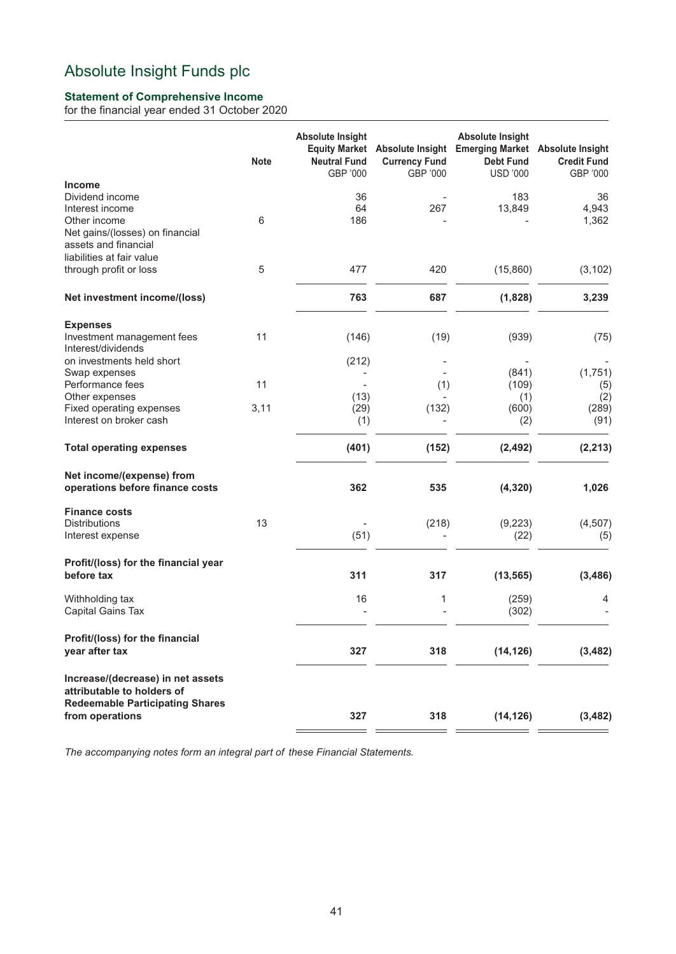## **Statement of Comprehensive Income**

for the financial year ended 31 October 2020

|                                                                                                                                | <b>Note</b> | <b>Absolute Insight</b><br><b>Neutral Fund</b><br>GBP '000 | <b>Currency Fund</b><br>GBP '000 | <b>Absolute Insight</b><br>Equity Market Absolute Insight Emerging Market<br><b>Debt Fund</b><br><b>USD '000</b> | <b>Absolute Insight</b><br><b>Credit Fund</b><br>GBP '000 |
|--------------------------------------------------------------------------------------------------------------------------------|-------------|------------------------------------------------------------|----------------------------------|------------------------------------------------------------------------------------------------------------------|-----------------------------------------------------------|
| <b>Income</b><br>Dividend income<br>Interest income<br>Other income<br>Net gains/(losses) on financial<br>assets and financial | 6           | 36<br>64<br>186                                            | 267                              | 183<br>13,849                                                                                                    | 36<br>4,943<br>1,362                                      |
| liabilities at fair value<br>through profit or loss                                                                            | 5           | 477                                                        | 420                              | (15,860)                                                                                                         | (3, 102)                                                  |
| Net investment income/(loss)                                                                                                   |             | 763                                                        | 687                              | (1,828)                                                                                                          | 3,239                                                     |
| <b>Expenses</b><br>Investment management fees<br>Interest/dividends                                                            | 11          | (146)                                                      | (19)                             | (939)                                                                                                            | (75)                                                      |
| on investments held short<br>Swap expenses<br>Performance fees                                                                 | 11          | (212)<br>(13)                                              | (1)                              | (841)<br>(109)                                                                                                   | (1,751)<br>(5)                                            |
| Other expenses<br>Fixed operating expenses<br>Interest on broker cash                                                          | 3,11        | (29)<br>(1)                                                | (132)                            | (1)<br>(600)<br>(2)                                                                                              | (2)<br>(289)<br>(91)                                      |
| <b>Total operating expenses</b>                                                                                                |             | (401)                                                      | (152)                            | (2, 492)                                                                                                         | (2, 213)                                                  |
| Net income/(expense) from<br>operations before finance costs                                                                   |             | 362                                                        | 535                              | (4, 320)                                                                                                         | 1,026                                                     |
| <b>Finance costs</b><br><b>Distributions</b><br>Interest expense                                                               | 13          | (51)                                                       | (218)                            | (9, 223)<br>(22)                                                                                                 | (4,507)<br>(5)                                            |
| Profit/(loss) for the financial year<br>before tax                                                                             |             | 311                                                        | 317                              | (13, 565)                                                                                                        | (3, 486)                                                  |
| Withholding tax<br>Capital Gains Tax                                                                                           |             | 16                                                         | 1                                | (259)<br>(302)                                                                                                   | 4                                                         |
| Profit/(loss) for the financial<br>year after tax                                                                              |             | 327                                                        | 318                              | (14, 126)                                                                                                        | (3, 482)                                                  |
| Increase/(decrease) in net assets<br>attributable to holders of<br><b>Redeemable Participating Shares</b><br>from operations   |             | 327                                                        | 318                              |                                                                                                                  | (3, 482)                                                  |
|                                                                                                                                |             |                                                            |                                  | (14, 126)                                                                                                        |                                                           |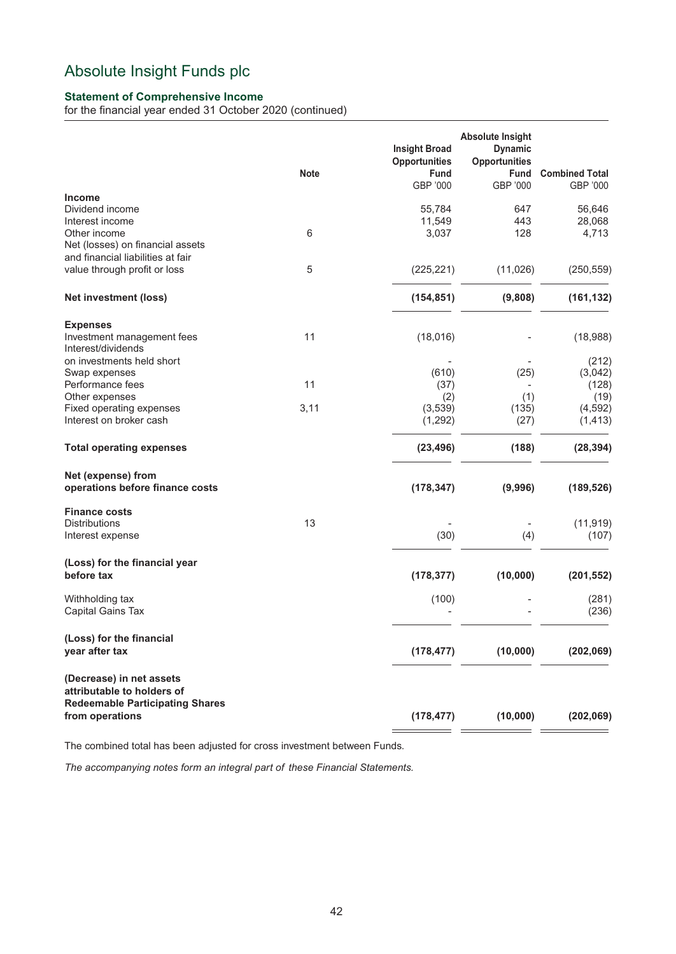## **Statement of Comprehensive Income**

for the financial year ended 31 October 2020 (continued)

|                                                           | <b>Note</b>     | <b>Insight Broad</b><br><b>Opportunities</b><br>Fund<br>GBP '000 | <b>Absolute Insight</b><br><b>Dynamic</b><br><b>Opportunities</b><br><b>Fund</b><br>GBP '000 | <b>Combined Total</b><br>GBP '000 |
|-----------------------------------------------------------|-----------------|------------------------------------------------------------------|----------------------------------------------------------------------------------------------|-----------------------------------|
| <b>Income</b>                                             |                 |                                                                  |                                                                                              |                                   |
| Dividend income                                           |                 | 55,784                                                           | 647                                                                                          | 56,646                            |
| Interest income                                           |                 | 11,549                                                           | 443                                                                                          | 28,068                            |
| Other income                                              | $6\phantom{1}6$ | 3,037                                                            | 128                                                                                          | 4,713                             |
| Net (losses) on financial assets                          |                 |                                                                  |                                                                                              |                                   |
| and financial liabilities at fair                         |                 |                                                                  |                                                                                              |                                   |
| value through profit or loss                              | 5               | (225, 221)                                                       | (11, 026)                                                                                    | (250, 559)                        |
| <b>Net investment (loss)</b>                              |                 | (154, 851)                                                       | (9,808)                                                                                      | (161, 132)                        |
|                                                           |                 |                                                                  |                                                                                              |                                   |
| <b>Expenses</b>                                           |                 |                                                                  |                                                                                              |                                   |
| Investment management fees                                | 11              | (18,016)                                                         |                                                                                              | (18,988)                          |
| Interest/dividends                                        |                 |                                                                  |                                                                                              |                                   |
| on investments held short                                 |                 |                                                                  |                                                                                              | (212)                             |
| Swap expenses                                             |                 | (610)                                                            | (25)                                                                                         | (3,042)                           |
| Performance fees                                          | 11              | (37)                                                             |                                                                                              | (128)                             |
| Other expenses                                            |                 | (2)                                                              | (1)                                                                                          | (19)                              |
| Fixed operating expenses                                  | 3,11            | (3,539)                                                          | (135)                                                                                        | (4, 592)                          |
| Interest on broker cash                                   |                 | (1, 292)                                                         | (27)                                                                                         | (1, 413)                          |
| <b>Total operating expenses</b>                           |                 | (23, 496)                                                        | (188)                                                                                        | (28, 394)                         |
| Net (expense) from                                        |                 |                                                                  |                                                                                              |                                   |
| operations before finance costs                           |                 | (178, 347)                                                       | (9,996)                                                                                      | (189, 526)                        |
| <b>Finance costs</b>                                      |                 |                                                                  |                                                                                              |                                   |
| <b>Distributions</b>                                      | 13              |                                                                  |                                                                                              | (11, 919)                         |
| Interest expense                                          |                 | (30)                                                             | (4)                                                                                          | (107)                             |
| (Loss) for the financial year                             |                 |                                                                  |                                                                                              |                                   |
| before tax                                                |                 | (178, 377)                                                       | (10,000)                                                                                     | (201, 552)                        |
| Withholding tax                                           |                 | (100)                                                            |                                                                                              | (281)                             |
| Capital Gains Tax                                         |                 |                                                                  |                                                                                              | (236)                             |
| (Loss) for the financial                                  |                 |                                                                  |                                                                                              |                                   |
| year after tax                                            |                 | (178, 477)                                                       | (10,000)                                                                                     | (202,069)                         |
| (Decrease) in net assets                                  |                 |                                                                  |                                                                                              |                                   |
| attributable to holders of                                |                 |                                                                  |                                                                                              |                                   |
| <b>Redeemable Participating Shares</b><br>from operations |                 | (178, 477)                                                       | (10,000)                                                                                     | (202,069)                         |
|                                                           |                 |                                                                  |                                                                                              |                                   |

The combined total has been adjusted for cross investment between Funds.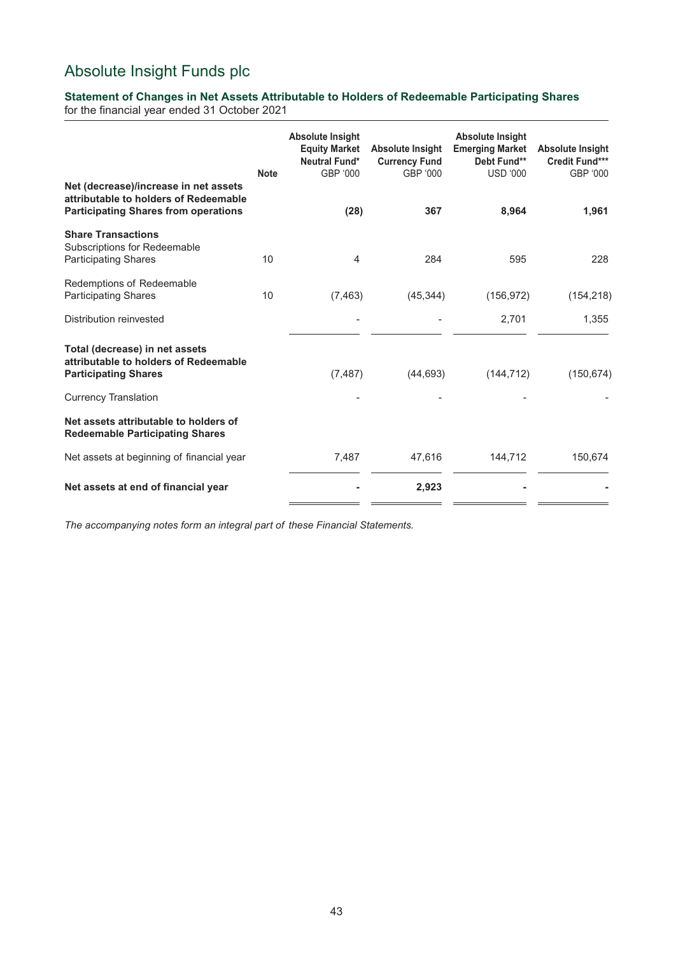## **Statement of Changes in Net Assets Attributable to Holders of Redeemable Participating Shares**

for the financial year ended 31 October 2021

| Net (decrease)/increase in net assets                                                                  | <b>Note</b> | <b>Absolute Insight</b><br><b>Equity Market</b><br>Neutral Fund*<br>GBP '000 | <b>Absolute Insight</b><br><b>Currency Fund</b><br>GBP '000 | <b>Absolute Insight</b><br><b>Emerging Market</b><br>Debt Fund**<br><b>USD '000</b> | <b>Absolute Insight</b><br><b>Credit Fund***</b><br>GBP '000 |
|--------------------------------------------------------------------------------------------------------|-------------|------------------------------------------------------------------------------|-------------------------------------------------------------|-------------------------------------------------------------------------------------|--------------------------------------------------------------|
| attributable to holders of Redeemable<br><b>Participating Shares from operations</b>                   |             | (28)                                                                         | 367                                                         | 8,964                                                                               | 1,961                                                        |
| <b>Share Transactions</b><br>Subscriptions for Redeemable<br><b>Participating Shares</b>               | 10          | 4                                                                            | 284                                                         | 595                                                                                 | 228                                                          |
| Redemptions of Redeemable<br><b>Participating Shares</b>                                               | 10          | (7, 463)                                                                     | (45, 344)                                                   | (156, 972)                                                                          | (154, 218)                                                   |
| Distribution reinvested                                                                                |             |                                                                              |                                                             | 2,701                                                                               | 1,355                                                        |
| Total (decrease) in net assets<br>attributable to holders of Redeemable<br><b>Participating Shares</b> |             | (7, 487)                                                                     | (44, 693)                                                   | (144, 712)                                                                          | (150, 674)                                                   |
| <b>Currency Translation</b>                                                                            |             |                                                                              |                                                             |                                                                                     |                                                              |
| Net assets attributable to holders of<br><b>Redeemable Participating Shares</b>                        |             |                                                                              |                                                             |                                                                                     |                                                              |
| Net assets at beginning of financial year                                                              |             | 7,487                                                                        | 47,616                                                      | 144,712                                                                             | 150,674                                                      |
| Net assets at end of financial year                                                                    |             |                                                                              | 2,923                                                       |                                                                                     |                                                              |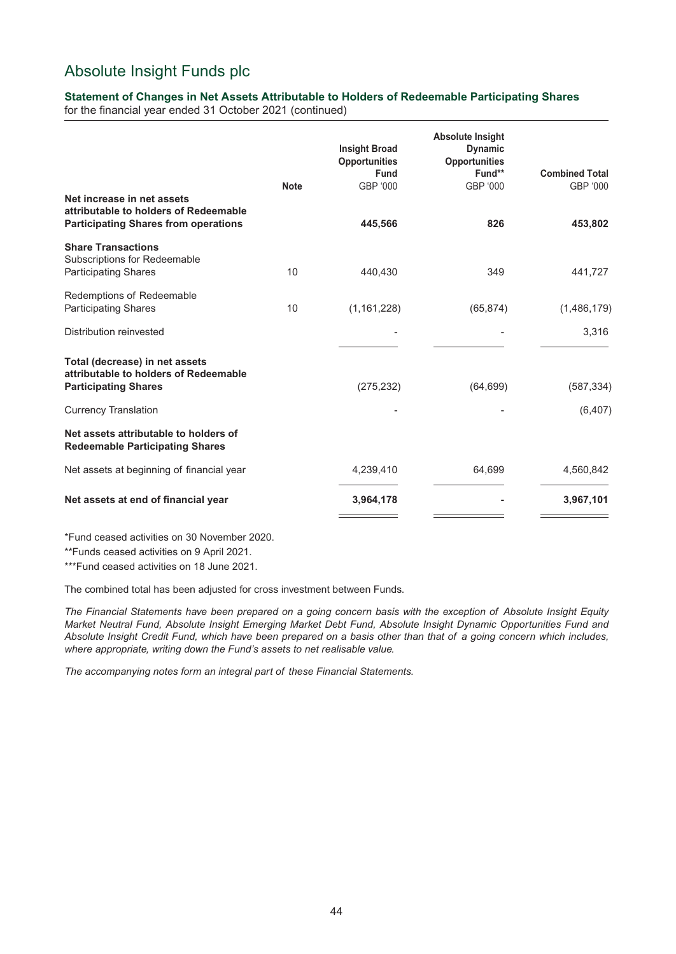## **Statement of Changes in Net Assets Attributable to Holders of Redeemable Participating Shares**

for the financial year ended 31 October 2021 (continued)

|                                                                                                                    | <b>Note</b> | <b>Insight Broad</b><br><b>Opportunities</b><br><b>Fund</b><br>GBP '000 | <b>Absolute Insight</b><br><b>Dynamic</b><br><b>Opportunities</b><br>Fund**<br>GBP '000 | <b>Combined Total</b><br>GBP '000 |
|--------------------------------------------------------------------------------------------------------------------|-------------|-------------------------------------------------------------------------|-----------------------------------------------------------------------------------------|-----------------------------------|
| Net increase in net assets<br>attributable to holders of Redeemable<br><b>Participating Shares from operations</b> |             | 445,566                                                                 | 826                                                                                     | 453,802                           |
| <b>Share Transactions</b><br>Subscriptions for Redeemable<br><b>Participating Shares</b>                           | 10          | 440.430                                                                 | 349                                                                                     | 441,727                           |
| Redemptions of Redeemable<br><b>Participating Shares</b>                                                           | 10          | (1, 161, 228)                                                           | (65, 874)                                                                               | (1,486,179)                       |
| Distribution reinvested                                                                                            |             |                                                                         |                                                                                         | 3,316                             |
| Total (decrease) in net assets<br>attributable to holders of Redeemable<br><b>Participating Shares</b>             |             | (275, 232)                                                              | (64, 699)                                                                               | (587, 334)                        |
| <b>Currency Translation</b>                                                                                        |             |                                                                         |                                                                                         | (6, 407)                          |
| Net assets attributable to holders of<br><b>Redeemable Participating Shares</b>                                    |             |                                                                         |                                                                                         |                                   |
| Net assets at beginning of financial year                                                                          |             | 4,239,410                                                               | 64,699                                                                                  | 4,560,842                         |
| Net assets at end of financial year                                                                                |             | 3,964,178                                                               |                                                                                         | 3,967,101                         |

\*Fund ceased activities on 30 November 2020.

\*\*Funds ceased activities on 9 April 2021.

\*\*\*Fund ceased activities on 18 June 2021.

The combined total has been adjusted for cross investment between Funds.

*The Financial Statements have been prepared on a going concern basis with the exception of Absolute Insight Equity Market Neutral Fund, Absolute Insight Emerging Market Debt Fund, Absolute Insight Dynamic Opportunities Fund and Absolute Insight Credit Fund, which have been prepared on a basis other than that of a going concern which includes, where appropriate, writing down the Fund's assets to net realisable value.*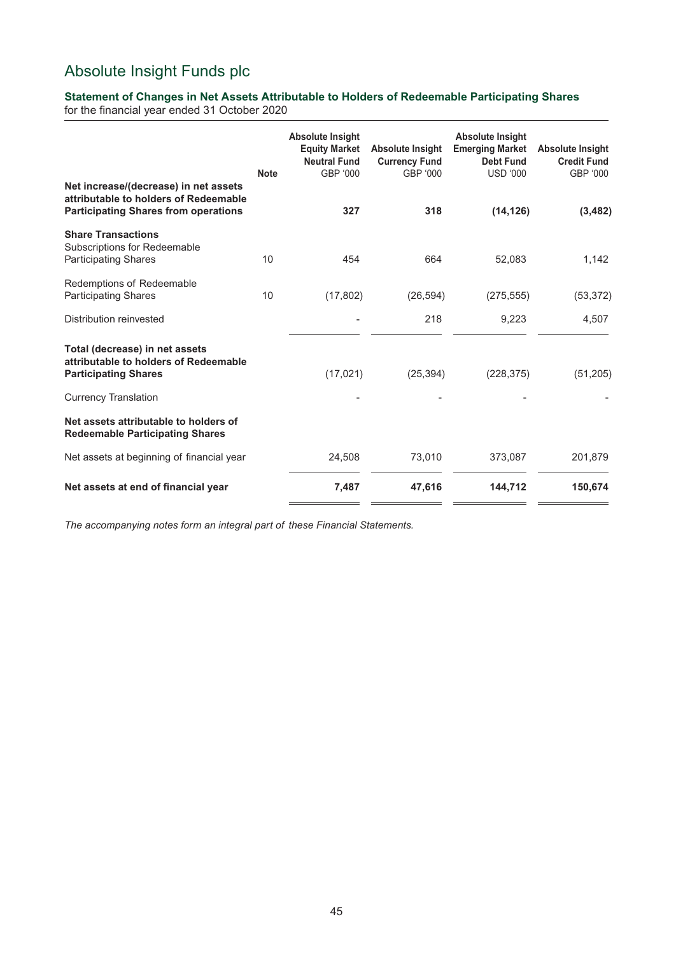## **Statement of Changes in Net Assets Attributable to Holders of Redeemable Participating Shares**

for the financial year ended 31 October 2020

| Net increase/(decrease) in net assets<br>attributable to holders of Redeemable                         | <b>Note</b> | <b>Absolute Insight</b><br><b>Equity Market</b><br><b>Neutral Fund</b><br>GBP '000 | <b>Absolute Insight</b><br><b>Currency Fund</b><br>GBP '000 | <b>Absolute Insight</b><br><b>Emerging Market</b><br><b>Debt Fund</b><br><b>USD '000</b> | <b>Absolute Insight</b><br><b>Credit Fund</b><br>GBP '000 |
|--------------------------------------------------------------------------------------------------------|-------------|------------------------------------------------------------------------------------|-------------------------------------------------------------|------------------------------------------------------------------------------------------|-----------------------------------------------------------|
| <b>Participating Shares from operations</b>                                                            |             | 327                                                                                | 318                                                         | (14, 126)                                                                                | (3, 482)                                                  |
| <b>Share Transactions</b><br>Subscriptions for Redeemable<br><b>Participating Shares</b>               | 10          | 454                                                                                | 664                                                         | 52,083                                                                                   | 1,142                                                     |
| Redemptions of Redeemable<br><b>Participating Shares</b>                                               | 10          | (17, 802)                                                                          | (26, 594)                                                   | (275, 555)                                                                               | (53, 372)                                                 |
| Distribution reinvested                                                                                |             |                                                                                    | 218                                                         | 9,223                                                                                    | 4,507                                                     |
| Total (decrease) in net assets<br>attributable to holders of Redeemable<br><b>Participating Shares</b> |             | (17, 021)                                                                          | (25, 394)                                                   | (228, 375)                                                                               | (51,205)                                                  |
| <b>Currency Translation</b>                                                                            |             |                                                                                    |                                                             |                                                                                          |                                                           |
| Net assets attributable to holders of<br><b>Redeemable Participating Shares</b>                        |             |                                                                                    |                                                             |                                                                                          |                                                           |
| Net assets at beginning of financial year                                                              |             | 24,508                                                                             | 73,010                                                      | 373,087                                                                                  | 201,879                                                   |
| Net assets at end of financial year                                                                    |             | 7,487                                                                              | 47,616                                                      | 144,712                                                                                  | 150,674                                                   |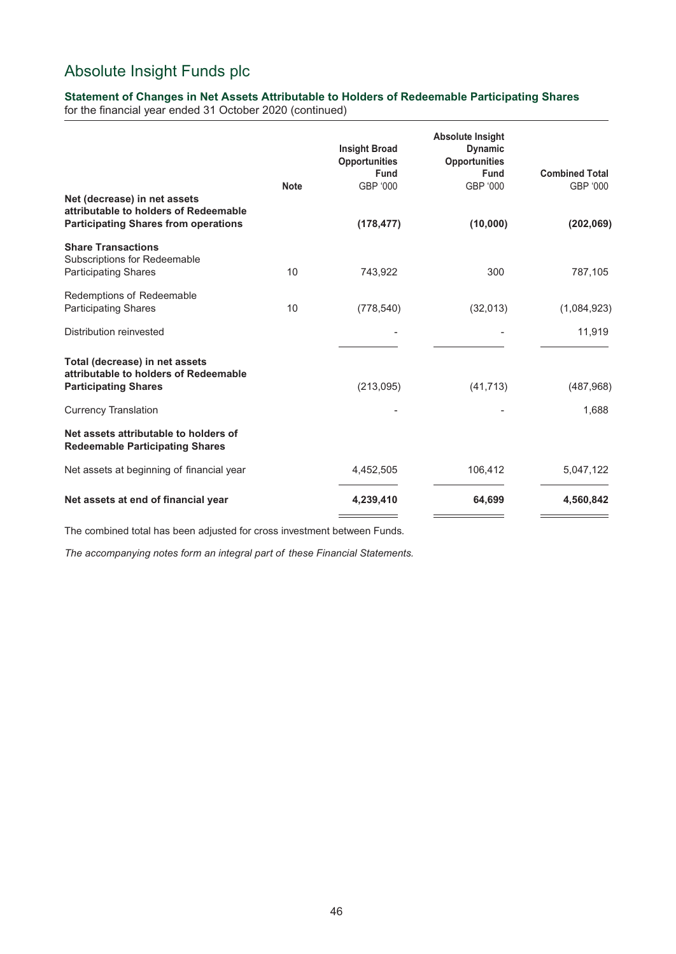## **Statement of Changes in Net Assets Attributable to Holders of Redeemable Participating Shares**

for the financial year ended 31 October 2020 (continued)

| Net (decrease) in net assets                                                                           | <b>Note</b> | <b>Insight Broad</b><br><b>Opportunities</b><br><b>Fund</b><br>GBP '000 | <b>Absolute Insight</b><br><b>Dynamic</b><br><b>Opportunities</b><br><b>Fund</b><br>GBP '000 | <b>Combined Total</b><br>GBP '000 |
|--------------------------------------------------------------------------------------------------------|-------------|-------------------------------------------------------------------------|----------------------------------------------------------------------------------------------|-----------------------------------|
| attributable to holders of Redeemable<br><b>Participating Shares from operations</b>                   |             | (178, 477)                                                              | (10,000)                                                                                     | (202,069)                         |
| <b>Share Transactions</b><br>Subscriptions for Redeemable<br><b>Participating Shares</b>               | 10          | 743,922                                                                 | 300                                                                                          | 787,105                           |
| Redemptions of Redeemable<br><b>Participating Shares</b>                                               | 10          | (778, 540)                                                              | (32,013)                                                                                     | (1,084,923)                       |
| Distribution reinvested                                                                                |             |                                                                         |                                                                                              | 11,919                            |
| Total (decrease) in net assets<br>attributable to holders of Redeemable<br><b>Participating Shares</b> |             | (213,095)                                                               | (41, 713)                                                                                    | (487,968)                         |
| <b>Currency Translation</b>                                                                            |             |                                                                         |                                                                                              | 1,688                             |
| Net assets attributable to holders of<br><b>Redeemable Participating Shares</b>                        |             |                                                                         |                                                                                              |                                   |
| Net assets at beginning of financial year                                                              |             | 4,452,505                                                               | 106,412                                                                                      | 5,047,122                         |
| Net assets at end of financial year                                                                    |             | 4,239,410                                                               | 64,699                                                                                       | 4,560,842                         |

The combined total has been adjusted for cross investment between Funds.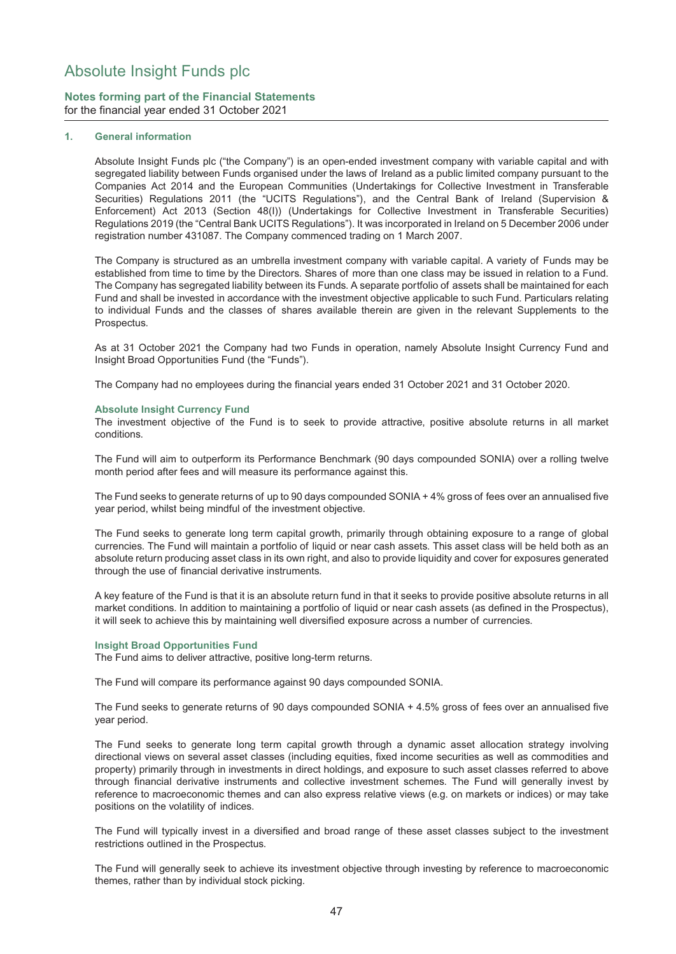## **Notes forming part of the Financial Statements** for the financial year ended 31 October 2021

### **1. General information**

Absolute Insight Funds plc ("the Company") is an open-ended investment company with variable capital and with segregated liability between Funds organised under the laws of Ireland as a public limited company pursuant to the Companies Act 2014 and the European Communities (Undertakings for Collective Investment in Transferable Securities) Regulations 2011 (the "UCITS Regulations"), and the Central Bank of Ireland (Supervision & Enforcement) Act 2013 (Section 48(I)) (Undertakings for Collective Investment in Transferable Securities) Regulations 2019 (the "Central Bank UCITS Regulations"). It was incorporated in Ireland on 5 December 2006 under registration number 431087. The Company commenced trading on 1 March 2007.

The Company is structured as an umbrella investment company with variable capital. A variety of Funds may be established from time to time by the Directors. Shares of more than one class may be issued in relation to a Fund. The Company has segregated liability between its Funds. A separate portfolio of assets shall be maintained for each Fund and shall be invested in accordance with the investment objective applicable to such Fund. Particulars relating to individual Funds and the classes of shares available therein are given in the relevant Supplements to the Prospectus.

As at 31 October 2021 the Company had two Funds in operation, namely Absolute Insight Currency Fund and Insight Broad Opportunities Fund (the "Funds").

The Company had no employees during the financial years ended 31 October 2021 and 31 October 2020.

#### **Absolute Insight Currency Fund**

The investment objective of the Fund is to seek to provide attractive, positive absolute returns in all market conditions.

The Fund will aim to outperform its Performance Benchmark (90 days compounded SONIA) over a rolling twelve month period after fees and will measure its performance against this.

The Fund seeks to generate returns of up to 90 days compounded SONIA + 4% gross of fees over an annualised five year period, whilst being mindful of the investment objective.

The Fund seeks to generate long term capital growth, primarily through obtaining exposure to a range of global currencies. The Fund will maintain a portfolio of liquid or near cash assets. This asset class will be held both as an absolute return producing asset class in its own right, and also to provide liquidity and cover for exposures generated through the use of financial derivative instruments.

A key feature of the Fund is that it is an absolute return fund in that it seeks to provide positive absolute returns in all market conditions. In addition to maintaining a portfolio of liquid or near cash assets (as defined in the Prospectus), it will seek to achieve this by maintaining well diversified exposure across a number of currencies.

#### **Insight Broad Opportunities Fund**

The Fund aims to deliver attractive, positive long-term returns.

The Fund will compare its performance against 90 days compounded SONIA.

The Fund seeks to generate returns of 90 days compounded SONIA + 4.5% gross of fees over an annualised five year period.

The Fund seeks to generate long term capital growth through a dynamic asset allocation strategy involving directional views on several asset classes (including equities, fixed income securities as well as commodities and property) primarily through in investments in direct holdings, and exposure to such asset classes referred to above through financial derivative instruments and collective investment schemes. The Fund will generally invest by reference to macroeconomic themes and can also express relative views (e.g. on markets or indices) or may take positions on the volatility of indices.

The Fund will typically invest in a diversified and broad range of these asset classes subject to the investment restrictions outlined in the Prospectus.

The Fund will generally seek to achieve its investment objective through investing by reference to macroeconomic themes, rather than by individual stock picking.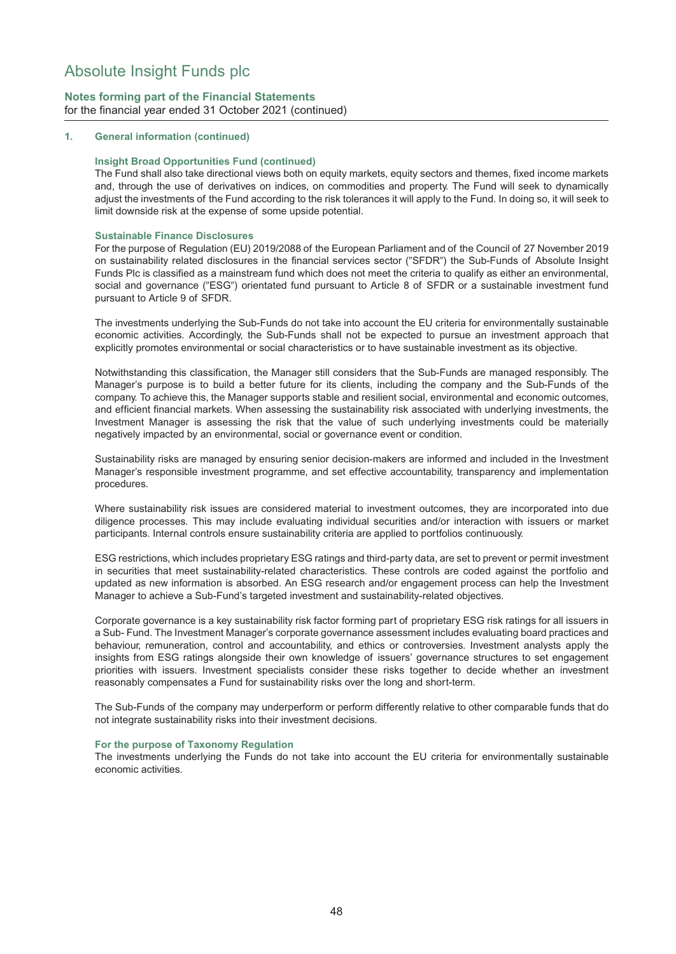## **Notes forming part of the Financial Statements** for the financial year ended 31 October 2021 (continued)

### **1. General information (continued)**

#### **Insight Broad Opportunities Fund (continued)**

The Fund shall also take directional views both on equity markets, equity sectors and themes, fixed income markets and, through the use of derivatives on indices, on commodities and property. The Fund will seek to dynamically adjust the investments of the Fund according to the risk tolerances it will apply to the Fund. In doing so, it will seek to limit downside risk at the expense of some upside potential.

#### **Sustainable Finance Disclosures**

For the purpose of Regulation (EU) 2019/2088 of the European Parliament and of the Council of 27 November 2019 on sustainability related disclosures in the financial services sector ("SFDR") the Sub-Funds of Absolute Insight Funds Plc is classified as a mainstream fund which does not meet the criteria to qualify as either an environmental, social and governance ("ESG") orientated fund pursuant to Article 8 of SFDR or a sustainable investment fund pursuant to Article 9 of SFDR.

The investments underlying the Sub-Funds do not take into account the EU criteria for environmentally sustainable economic activities. Accordingly, the Sub-Funds shall not be expected to pursue an investment approach that explicitly promotes environmental or social characteristics or to have sustainable investment as its objective.

Notwithstanding this classification, the Manager still considers that the Sub-Funds are managed responsibly. The Manager's purpose is to build a better future for its clients, including the company and the Sub-Funds of the company. To achieve this, the Manager supports stable and resilient social, environmental and economic outcomes, and efficient financial markets. When assessing the sustainability risk associated with underlying investments, the Investment Manager is assessing the risk that the value of such underlying investments could be materially negatively impacted by an environmental, social or governance event or condition.

Sustainability risks are managed by ensuring senior decision-makers are informed and included in the Investment Manager's responsible investment programme, and set effective accountability, transparency and implementation procedures.

Where sustainability risk issues are considered material to investment outcomes, they are incorporated into due diligence processes. This may include evaluating individual securities and/or interaction with issuers or market participants. Internal controls ensure sustainability criteria are applied to portfolios continuously.

ESG restrictions, which includes proprietary ESG ratings and third-party data, are set to prevent or permit investment in securities that meet sustainability-related characteristics. These controls are coded against the portfolio and updated as new information is absorbed. An ESG research and/or engagement process can help the Investment Manager to achieve a Sub-Fund's targeted investment and sustainability-related objectives.

Corporate governance is a key sustainability risk factor forming part of proprietary ESG risk ratings for all issuers in a Sub- Fund. The Investment Manager's corporate governance assessment includes evaluating board practices and behaviour, remuneration, control and accountability, and ethics or controversies. Investment analysts apply the insights from ESG ratings alongside their own knowledge of issuers' governance structures to set engagement priorities with issuers. Investment specialists consider these risks together to decide whether an investment reasonably compensates a Fund for sustainability risks over the long and short-term.

The Sub-Funds of the company may underperform or perform differently relative to other comparable funds that do not integrate sustainability risks into their investment decisions.

#### **For the purpose of Taxonomy Regulation**

The investments underlying the Funds do not take into account the EU criteria for environmentally sustainable economic activities.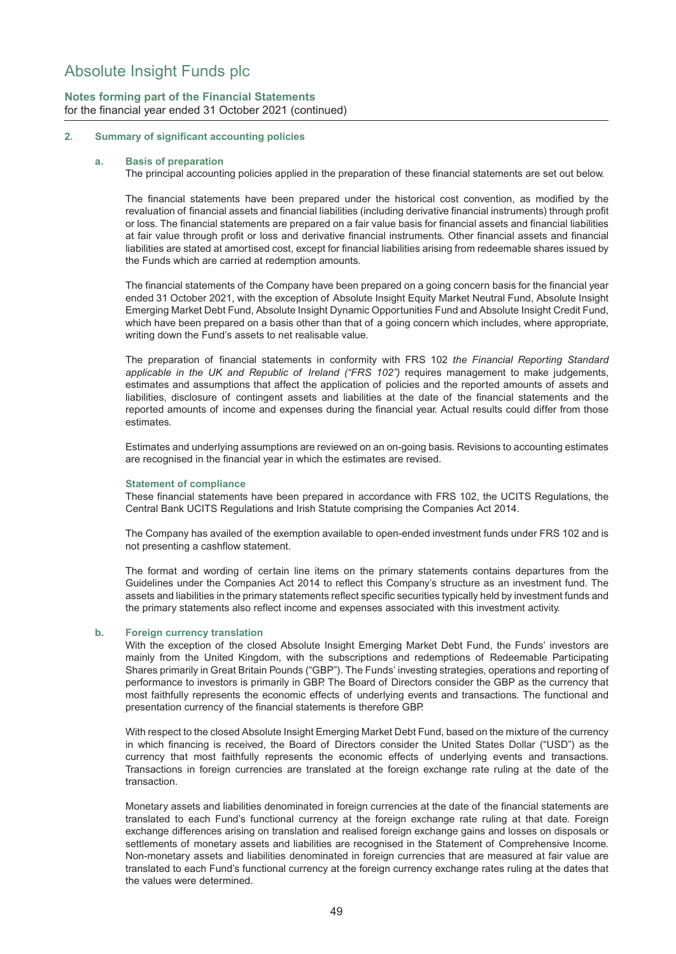## **Notes forming part of the Financial Statements** for the financial year ended 31 October 2021 (continued)

### **2. Summary of significant accounting policies**

#### **a. Basis of preparation**

The principal accounting policies applied in the preparation of these financial statements are set out below.

The financial statements have been prepared under the historical cost convention, as modified by the revaluation of financial assets and financial liabilities (including derivative financial instruments) through profit or loss. The financial statements are prepared on a fair value basis for financial assets and financial liabilities at fair value through profit or loss and derivative financial instruments. Other financial assets and financial liabilities are stated at amortised cost, except for financial liabilities arising from redeemable shares issued by the Funds which are carried at redemption amounts.

The financial statements of the Company have been prepared on a going concern basis for the financial year ended 31 October 2021, with the exception of Absolute Insight Equity Market Neutral Fund, Absolute Insight Emerging Market Debt Fund, Absolute Insight Dynamic Opportunities Fund and Absolute Insight Credit Fund, which have been prepared on a basis other than that of a going concern which includes, where appropriate, writing down the Fund's assets to net realisable value.

The preparation of financial statements in conformity with FRS 102 *the Financial Reporting Standard* applicable in the UK and Republic of Ireland ("FRS 102") requires management to make judgements, estimates and assumptions that affect the application of policies and the reported amounts of assets and liabilities, disclosure of contingent assets and liabilities at the date of the financial statements and the reported amounts of income and expenses during the financial year. Actual results could differ from those estimates.

Estimates and underlying assumptions are reviewed on an on-going basis. Revisions to accounting estimates are recognised in the financial year in which the estimates are revised.

#### **Statement of compliance**

These financial statements have been prepared in accordance with FRS 102, the UCITS Regulations, the Central Bank UCITS Regulations and Irish Statute comprising the Companies Act 2014.

The Company has availed of the exemption available to open-ended investment funds under FRS 102 and is not presenting a cashflow statement.

The format and wording of certain line items on the primary statements contains departures from the Guidelines under the Companies Act 2014 to reflect this Company's structure as an investment fund. The assets and liabilities in the primary statements reflect specific securities typically held by investment funds and the primary statements also reflect income and expenses associated with this investment activity.

#### **b. Foreign currency translation**

With the exception of the closed Absolute Insight Emerging Market Debt Fund, the Funds' investors are mainly from the United Kingdom, with the subscriptions and redemptions of Redeemable Participating Shares primarily in Great Britain Pounds ("GBP"). The Funds' investing strategies, operations and reporting of performance to investors is primarily in GBP. The Board of Directors consider the GBP as the currency that most faithfully represents the economic effects of underlying events and transactions. The functional and presentation currency of the financial statements is therefore GBP.

With respect to the closed Absolute Insight Emerging Market Debt Fund, based on the mixture of the currency in which financing is received, the Board of Directors consider the United States Dollar ("USD") as the currency that most faithfully represents the economic effects of underlying events and transactions. Transactions in foreign currencies are translated at the foreign exchange rate ruling at the date of the transaction.

Monetary assets and liabilities denominated in foreign currencies at the date of the financial statements are translated to each Fund's functional currency at the foreign exchange rate ruling at that date. Foreign exchange differences arising on translation and realised foreign exchange gains and losses on disposals or settlements of monetary assets and liabilities are recognised in the Statement of Comprehensive Income. Non-monetary assets and liabilities denominated in foreign currencies that are measured at fair value are translated to each Fund's functional currency at the foreign currency exchange rates ruling at the dates that the values were determined.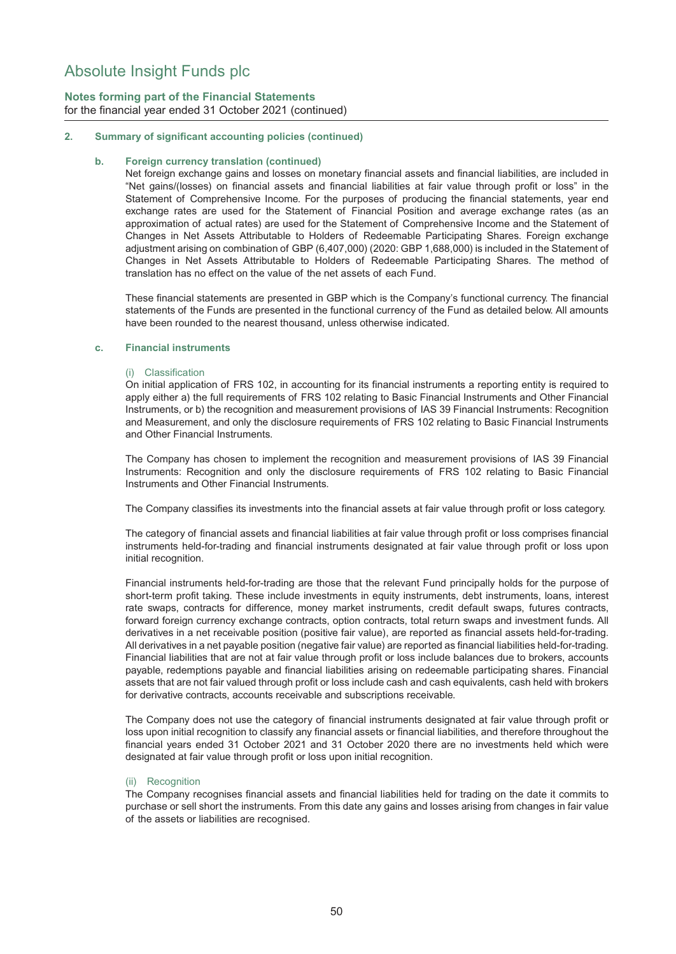## **Notes forming part of the Financial Statements** for the financial year ended 31 October 2021 (continued)

### **2. Summary of significant accounting policies (continued)**

### **b. Foreign currency translation (continued)**

Net foreign exchange gains and losses on monetary financial assets and financial liabilities, are included in "Net gains/(losses) on financial assets and financial liabilities at fair value through profit or loss" in the Statement of Comprehensive Income. For the purposes of producing the financial statements, year end exchange rates are used for the Statement of Financial Position and average exchange rates (as an approximation of actual rates) are used for the Statement of Comprehensive Income and the Statement of Changes in Net Assets Attributable to Holders of Redeemable Participating Shares. Foreign exchange adjustment arising on combination of GBP (6,407,000) (2020: GBP 1,688,000) is included in the Statement of Changes in Net Assets Attributable to Holders of Redeemable Participating Shares. The method of translation has no effect on the value of the net assets of each Fund.

These financial statements are presented in GBP which is the Company's functional currency. The financial statements of the Funds are presented in the functional currency of the Fund as detailed below. All amounts have been rounded to the nearest thousand, unless otherwise indicated.

### **c. Financial instruments**

### (i) Classification

On initial application of FRS 102, in accounting for its financial instruments a reporting entity is required to apply either a) the full requirements of FRS 102 relating to Basic Financial Instruments and Other Financial Instruments, or b) the recognition and measurement provisions of IAS 39 Financial Instruments: Recognition and Measurement, and only the disclosure requirements of FRS 102 relating to Basic Financial Instruments and Other Financial Instruments.

The Company has chosen to implement the recognition and measurement provisions of IAS 39 Financial Instruments: Recognition and only the disclosure requirements of FRS 102 relating to Basic Financial Instruments and Other Financial Instruments.

The Company classifies its investments into the financial assets at fair value through profit or loss category.

The category of financial assets and financial liabilities at fair value through profit or loss comprises financial instruments held-for-trading and financial instruments designated at fair value through profit or loss upon initial recognition.

Financial instruments held-for-trading are those that the relevant Fund principally holds for the purpose of short-term profit taking. These include investments in equity instruments, debt instruments, loans, interest rate swaps, contracts for difference, money market instruments, credit default swaps, futures contracts, forward foreign currency exchange contracts, option contracts, total return swaps and investment funds. All derivatives in a net receivable position (positive fair value), are reported as financial assets held-for-trading. All derivatives in a net payable position (negative fair value) are reported as financial liabilities held-for-trading. Financial liabilities that are not at fair value through profit or loss include balances due to brokers, accounts payable, redemptions payable and financial liabilities arising on redeemable participating shares. Financial assets that are not fair valued through profit or loss include cash and cash equivalents, cash held with brokers for derivative contracts, accounts receivable and subscriptions receivable.

The Company does not use the category of financial instruments designated at fair value through profit or loss upon initial recognition to classify any financial assets or financial liabilities, and therefore throughout the financial years ended 31 October 2021 and 31 October 2020 there are no investments held which were designated at fair value through profit or loss upon initial recognition.

### (ii) Recognition

The Company recognises financial assets and financial liabilities held for trading on the date it commits to purchase or sell short the instruments. From this date any gains and losses arising from changes in fair value of the assets or liabilities are recognised.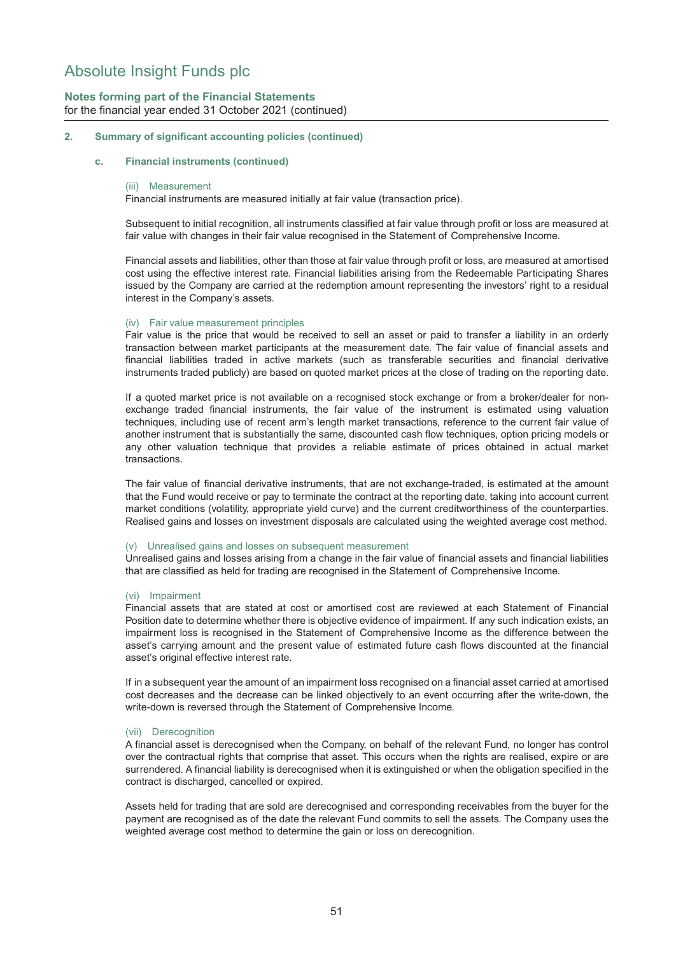## **Notes forming part of the Financial Statements** for the financial year ended 31 October 2021 (continued)

### **2. Summary of significant accounting policies (continued)**

#### **c. Financial instruments (continued)**

#### (iii) Measurement

Financial instruments are measured initially at fair value (transaction price).

Subsequent to initial recognition, all instruments classified at fair value through profit or loss are measured at fair value with changes in their fair value recognised in the Statement of Comprehensive Income.

Financial assets and liabilities, other than those at fair value through profit or loss, are measured at amortised cost using the effective interest rate. Financial liabilities arising from the Redeemable Participating Shares issued by the Company are carried at the redemption amount representing the investors' right to a residual interest in the Company's assets.

#### (iv) Fair value measurement principles

Fair value is the price that would be received to sell an asset or paid to transfer a liability in an orderly transaction between market participants at the measurement date. The fair value of financial assets and financial liabilities traded in active markets (such as transferable securities and financial derivative instruments traded publicly) are based on quoted market prices at the close of trading on the reporting date.

If a quoted market price is not available on a recognised stock exchange or from a broker/dealer for nonexchange traded financial instruments, the fair value of the instrument is estimated using valuation techniques, including use of recent arm's length market transactions, reference to the current fair value of another instrument that is substantially the same, discounted cash flow techniques, option pricing models or any other valuation technique that provides a reliable estimate of prices obtained in actual market transactions.

The fair value of financial derivative instruments, that are not exchange-traded, is estimated at the amount that the Fund would receive or pay to terminate the contract at the reporting date, taking into account current market conditions (volatility, appropriate yield curve) and the current creditworthiness of the counterparties. Realised gains and losses on investment disposals are calculated using the weighted average cost method.

#### (v) Unrealised gains and losses on subsequent measurement

Unrealised gains and losses arising from a change in the fair value of financial assets and financial liabilities that are classified as held for trading are recognised in the Statement of Comprehensive Income.

#### (vi) Impairment

Financial assets that are stated at cost or amortised cost are reviewed at each Statement of Financial Position date to determine whether there is objective evidence of impairment. If any such indication exists, an impairment loss is recognised in the Statement of Comprehensive Income as the difference between the asset's carrying amount and the present value of estimated future cash flows discounted at the financial asset's original effective interest rate.

If in a subsequent year the amount of an impairment loss recognised on a financial asset carried at amortised cost decreases and the decrease can be linked objectively to an event occurring after the write-down, the write-down is reversed through the Statement of Comprehensive Income.

#### (vii) Derecognition

A financial asset is derecognised when the Company, on behalf of the relevant Fund, no longer has control over the contractual rights that comprise that asset. This occurs when the rights are realised, expire or are surrendered. A financial liability is derecognised when it is extinguished or when the obligation specified in the contract is discharged, cancelled or expired.

Assets held for trading that are sold are derecognised and corresponding receivables from the buyer for the payment are recognised as of the date the relevant Fund commits to sell the assets. The Company uses the weighted average cost method to determine the gain or loss on derecognition.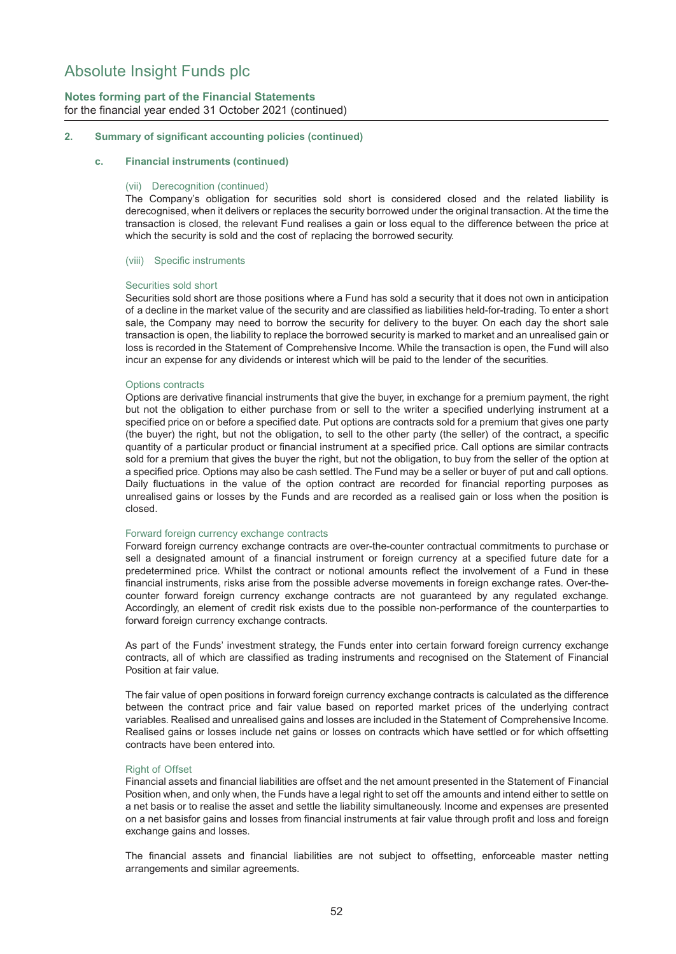## **Notes forming part of the Financial Statements** for the financial year ended 31 October 2021 (continued)

### **2. Summary of significant accounting policies (continued)**

#### **c. Financial instruments (continued)**

#### (vii) Derecognition (continued)

The Company's obligation for securities sold short is considered closed and the related liability is derecognised, when it delivers or replaces the security borrowed under the original transaction. At the time the transaction is closed, the relevant Fund realises a gain or loss equal to the difference between the price at which the security is sold and the cost of replacing the borrowed security.

#### (viii) Specific instruments

#### Securities sold short

Securities sold short are those positions where a Fund has sold a security that it does not own in anticipation of a decline in the market value of the security and are classified as liabilities held-for-trading. To enter a short sale, the Company may need to borrow the security for delivery to the buyer. On each day the short sale transaction is open, the liability to replace the borrowed security is marked to market and an unrealised gain or loss is recorded in the Statement of Comprehensive Income. While the transaction is open, the Fund will also incur an expense for any dividends or interest which will be paid to the lender of the securities.

#### Options contracts

Options are derivative financial instruments that give the buyer, in exchange for a premium payment, the right but not the obligation to either purchase from or sell to the writer a specified underlying instrument at a specified price on or before a specified date. Put options are contracts sold for a premium that gives one party (the buyer) the right, but not the obligation, to sell to the other party (the seller) of the contract, a specific quantity of a particular product or financial instrument at a specified price. Call options are similar contracts sold for a premium that gives the buyer the right, but not the obligation, to buy from the seller of the option at a specified price. Options may also be cash settled. The Fund may be a seller or buyer of put and call options. Daily fluctuations in the value of the option contract are recorded for financial reporting purposes as unrealised gains or losses by the Funds and are recorded as a realised gain or loss when the position is closed.

#### Forward foreign currency exchange contracts

Forward foreign currency exchange contracts are over-the-counter contractual commitments to purchase or sell a designated amount of a financial instrument or foreign currency at a specified future date for a predetermined price. Whilst the contract or notional amounts reflect the involvement of a Fund in these financial instruments, risks arise from the possible adverse movements in foreign exchange rates. Over-thecounter forward foreign currency exchange contracts are not guaranteed by any regulated exchange. Accordingly, an element of credit risk exists due to the possible non-performance of the counterparties to forward foreign currency exchange contracts.

As part of the Funds' investment strategy, the Funds enter into certain forward foreign currency exchange contracts, all of which are classified as trading instruments and recognised on the Statement of Financial Position at fair value.

The fair value of open positions in forward foreign currency exchange contracts is calculated as the difference between the contract price and fair value based on reported market prices of the underlying contract variables. Realised and unrealised gains and losses are included in the Statement of Comprehensive Income. Realised gains or losses include net gains or losses on contracts which have settled or for which offsetting contracts have been entered into.

#### Right of Offset

Financial assets and financial liabilities are offset and the net amount presented in the Statement of Financial Position when, and only when, the Funds have a legal right to set off the amounts and intend either to settle on a net basis or to realise the asset and settle the liability simultaneously. Income and expenses are presented on a net basisfor gains and losses from financial instruments at fair value through profit and loss and foreign exchange gains and losses.

The financial assets and financial liabilities are not subject to offsetting, enforceable master netting arrangements and similar agreements.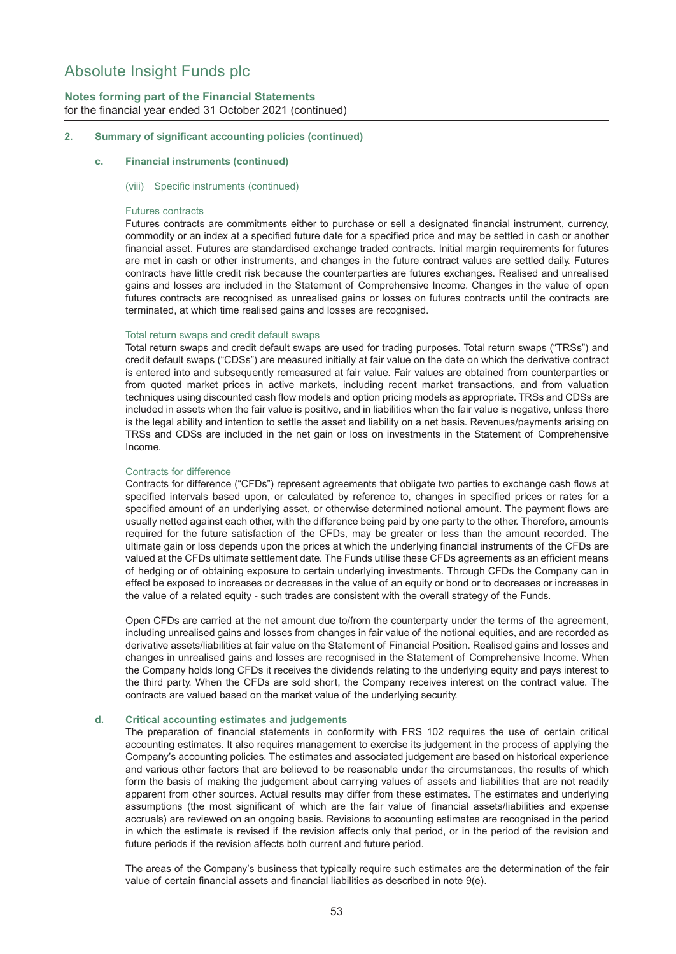## **Notes forming part of the Financial Statements** for the financial year ended 31 October 2021 (continued)

### **2. Summary of significant accounting policies (continued)**

#### **c. Financial instruments (continued)**

#### (viii) Specific instruments (continued)

#### Futures contracts

Futures contracts are commitments either to purchase or sell a designated financial instrument, currency, commodity or an index at a specified future date for a specified price and may be settled in cash or another financial asset. Futures are standardised exchange traded contracts. Initial margin requirements for futures are met in cash or other instruments, and changes in the future contract values are settled daily. Futures contracts have little credit risk because the counterparties are futures exchanges. Realised and unrealised gains and losses are included in the Statement of Comprehensive Income. Changes in the value of open futures contracts are recognised as unrealised gains or losses on futures contracts until the contracts are terminated, at which time realised gains and losses are recognised.

#### Total return swaps and credit default swaps

Total return swaps and credit default swaps are used for trading purposes. Total return swaps ("TRSs") and credit default swaps ("CDSs") are measured initially at fair value on the date on which the derivative contract is entered into and subsequently remeasured at fair value. Fair values are obtained from counterparties or from quoted market prices in active markets, including recent market transactions, and from valuation techniques using discounted cash flow models and option pricing models as appropriate. TRSs and CDSs are included in assets when the fair value is positive, and in liabilities when the fair value is negative, unless there is the legal ability and intention to settle the asset and liability on a net basis. Revenues/payments arising on TRSs and CDSs are included in the net gain or loss on investments in the Statement of Comprehensive Income.

#### Contracts for difference

Contracts for difference ("CFDs") represent agreements that obligate two parties to exchange cash flows at specified intervals based upon, or calculated by reference to, changes in specified prices or rates for a specified amount of an underlying asset, or otherwise determined notional amount. The payment flows are usually netted against each other, with the difference being paid by one party to the other. Therefore, amounts required for the future satisfaction of the CFDs, may be greater or less than the amount recorded. The ultimate gain or loss depends upon the prices at which the underlying financial instruments of the CFDs are valued at the CFDs ultimate settlement date. The Funds utilise these CFDs agreements as an efficient means of hedging or of obtaining exposure to certain underlying investments. Through CFDs the Company can in effect be exposed to increases or decreases in the value of an equity or bond or to decreases or increases in the value of a related equity - such trades are consistent with the overall strategy of the Funds.

Open CFDs are carried at the net amount due to/from the counterparty under the terms of the agreement, including unrealised gains and losses from changes in fair value of the notional equities, and are recorded as derivative assets/liabilities at fair value on the Statement of Financial Position. Realised gains and losses and changes in unrealised gains and losses are recognised in the Statement of Comprehensive Income. When the Company holds long CFDs it receives the dividends relating to the underlying equity and pays interest to the third party. When the CFDs are sold short, the Company receives interest on the contract value. The contracts are valued based on the market value of the underlying security.

#### **d. Critical accounting estimates and judgements**

The preparation of financial statements in conformity with FRS 102 requires the use of certain critical accounting estimates. It also requires management to exercise its judgement in the process of applying the Company's accounting policies. The estimates and associated judgement are based on historical experience and various other factors that are believed to be reasonable under the circumstances, the results of which form the basis of making the judgement about carrying values of assets and liabilities that are not readily apparent from other sources. Actual results may differ from these estimates. The estimates and underlying assumptions (the most significant of which are the fair value of financial assets/liabilities and expense accruals) are reviewed on an ongoing basis. Revisions to accounting estimates are recognised in the period in which the estimate is revised if the revision affects only that period, or in the period of the revision and future periods if the revision affects both current and future period.

The areas of the Company's business that typically require such estimates are the determination of the fair value of certain financial assets and financial liabilities as described in note 9(e).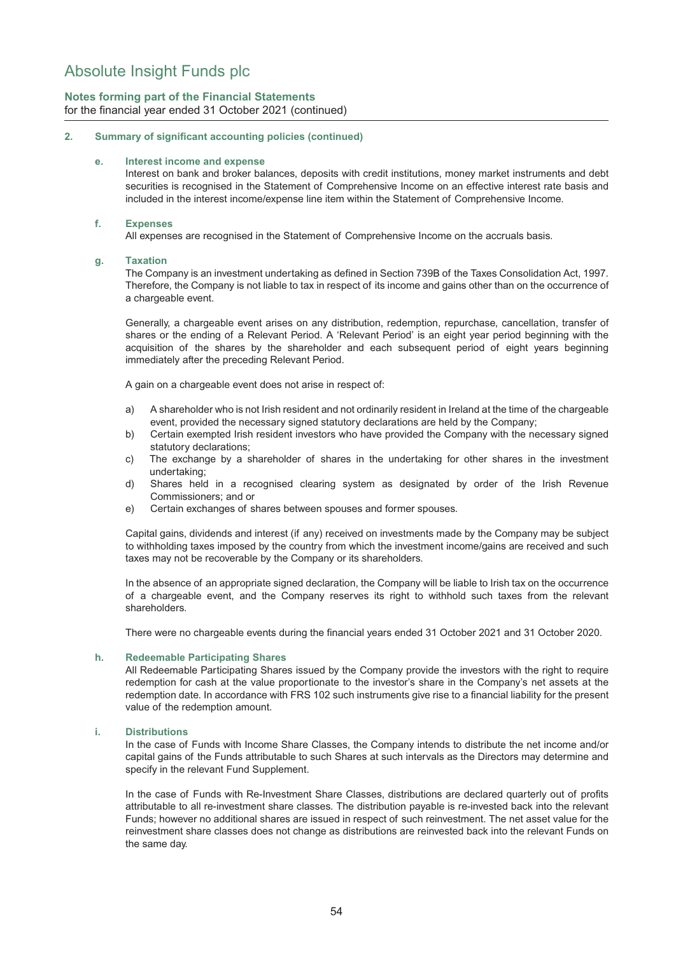## **Notes forming part of the Financial Statements** for the financial year ended 31 October 2021 (continued)

### **2. Summary of significant accounting policies (continued)**

### **e. Interest income and expense**

Interest on bank and broker balances, deposits with credit institutions, money market instruments and debt securities is recognised in the Statement of Comprehensive Income on an effective interest rate basis and included in the interest income/expense line item within the Statement of Comprehensive Income.

### **f. Expenses**

All expenses are recognised in the Statement of Comprehensive Income on the accruals basis.

### **g. Taxation**

The Company is an investment undertaking as defined in Section 739B of the Taxes Consolidation Act, 1997. Therefore, the Company is not liable to tax in respect of its income and gains other than on the occurrence of a chargeable event.

Generally, a chargeable event arises on any distribution, redemption, repurchase, cancellation, transfer of shares or the ending of a Relevant Period. A 'Relevant Period' is an eight year period beginning with the acquisition of the shares by the shareholder and each subsequent period of eight years beginning immediately after the preceding Relevant Period.

A gain on a chargeable event does not arise in respect of:

- a) A shareholder who is not Irish resident and not ordinarily resident in Ireland at the time of the chargeable event, provided the necessary signed statutory declarations are held by the Company;
- b) Certain exempted Irish resident investors who have provided the Company with the necessary signed statutory declarations;
- c) The exchange by a shareholder of shares in the undertaking for other shares in the investment undertaking;
- d) Shares held in a recognised clearing system as designated by order of the Irish Revenue Commissioners; and or
- e) Certain exchanges of shares between spouses and former spouses.

Capital gains, dividends and interest (if any) received on investments made by the Company may be subject to withholding taxes imposed by the country from which the investment income/gains are received and such taxes may not be recoverable by the Company or its shareholders.

In the absence of an appropriate signed declaration, the Company will be liable to Irish tax on the occurrence of a chargeable event, and the Company reserves its right to withhold such taxes from the relevant shareholders.

There were no chargeable events during the financial years ended 31 October 2021 and 31 October 2020.

### **h. Redeemable Participating Shares**

All Redeemable Participating Shares issued by the Company provide the investors with the right to require redemption for cash at the value proportionate to the investor's share in the Company's net assets at the redemption date. In accordance with FRS 102 such instruments give rise to a financial liability for the present value of the redemption amount.

#### **i. Distributions**

In the case of Funds with Income Share Classes, the Company intends to distribute the net income and/or capital gains of the Funds attributable to such Shares at such intervals as the Directors may determine and specify in the relevant Fund Supplement.

In the case of Funds with Re-Investment Share Classes, distributions are declared quarterly out of profits attributable to all re-investment share classes. The distribution payable is re-invested back into the relevant Funds; however no additional shares are issued in respect of such reinvestment. The net asset value for the reinvestment share classes does not change as distributions are reinvested back into the relevant Funds on the same day.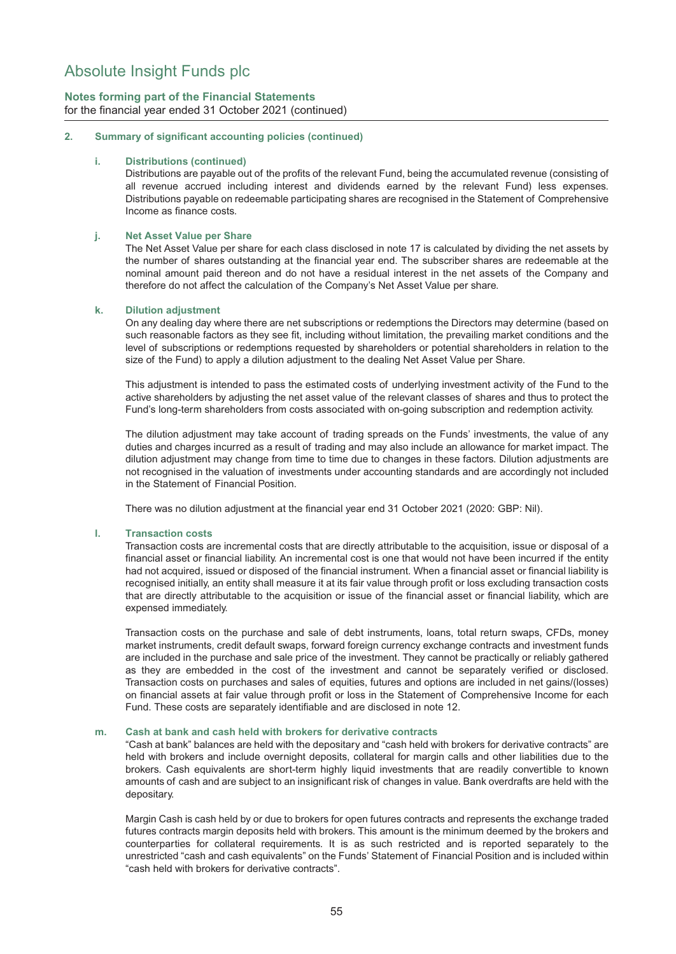**Notes forming part of the Financial Statements** for the financial year ended 31 October 2021 (continued)

### **2. Summary of significant accounting policies (continued)**

#### **i. Distributions (continued)**

Distributions are payable out of the profits of the relevant Fund, being the accumulated revenue (consisting of all revenue accrued including interest and dividends earned by the relevant Fund) less expenses. Distributions payable on redeemable participating shares are recognised in the Statement of Comprehensive Income as finance costs.

### **j. Net Asset Value per Share**

The Net Asset Value per share for each class disclosed in note 17 is calculated by dividing the net assets by the number of shares outstanding at the financial year end. The subscriber shares are redeemable at the nominal amount paid thereon and do not have a residual interest in the net assets of the Company and therefore do not affect the calculation of the Company's Net Asset Value per share.

### **k. Dilution adjustment**

On any dealing day where there are net subscriptions or redemptions the Directors may determine (based on such reasonable factors as they see fit, including without limitation, the prevailing market conditions and the level of subscriptions or redemptions requested by shareholders or potential shareholders in relation to the size of the Fund) to apply a dilution adjustment to the dealing Net Asset Value per Share.

This adjustment is intended to pass the estimated costs of underlying investment activity of the Fund to the active shareholders by adjusting the net asset value of the relevant classes of shares and thus to protect the Fund's long-term shareholders from costs associated with on-going subscription and redemption activity.

The dilution adjustment may take account of trading spreads on the Funds' investments, the value of any duties and charges incurred as a result of trading and may also include an allowance for market impact. The dilution adjustment may change from time to time due to changes in these factors. Dilution adjustments are not recognised in the valuation of investments under accounting standards and are accordingly not included in the Statement of Financial Position.

There was no dilution adjustment at the financial year end 31 October 2021 (2020: GBP: Nil).

#### **l. Transaction costs**

Transaction costs are incremental costs that are directly attributable to the acquisition, issue or disposal of a financial asset or financial liability. An incremental cost is one that would not have been incurred if the entity had not acquired, issued or disposed of the financial instrument. When a financial asset or financial liability is recognised initially, an entity shall measure it at its fair value through profit or loss excluding transaction costs that are directly attributable to the acquisition or issue of the financial asset or financial liability, which are expensed immediately.

Transaction costs on the purchase and sale of debt instruments, loans, total return swaps, CFDs, money market instruments, credit default swaps, forward foreign currency exchange contracts and investment funds are included in the purchase and sale price of the investment. They cannot be practically or reliably gathered as they are embedded in the cost of the investment and cannot be separately verified or disclosed. Transaction costs on purchases and sales of equities, futures and options are included in net gains/(losses) on financial assets at fair value through profit or loss in the Statement of Comprehensive Income for each Fund. These costs are separately identifiable and are disclosed in note 12.

#### **m. Cash at bank and cash held with brokers for derivative contracts**

"Cash at bank" balances are held with the depositary and "cash held with brokers for derivative contracts" are held with brokers and include overnight deposits, collateral for margin calls and other liabilities due to the brokers. Cash equivalents are short-term highly liquid investments that are readily convertible to known amounts of cash and are subject to an insignificant risk of changes in value. Bank overdrafts are held with the depositary.

Margin Cash is cash held by or due to brokers for open futures contracts and represents the exchange traded futures contracts margin deposits held with brokers. This amount is the minimum deemed by the brokers and counterparties for collateral requirements. It is as such restricted and is reported separately to the unrestricted "cash and cash equivalents" on the Funds' Statement of Financial Position and is included within "cash held with brokers for derivative contracts".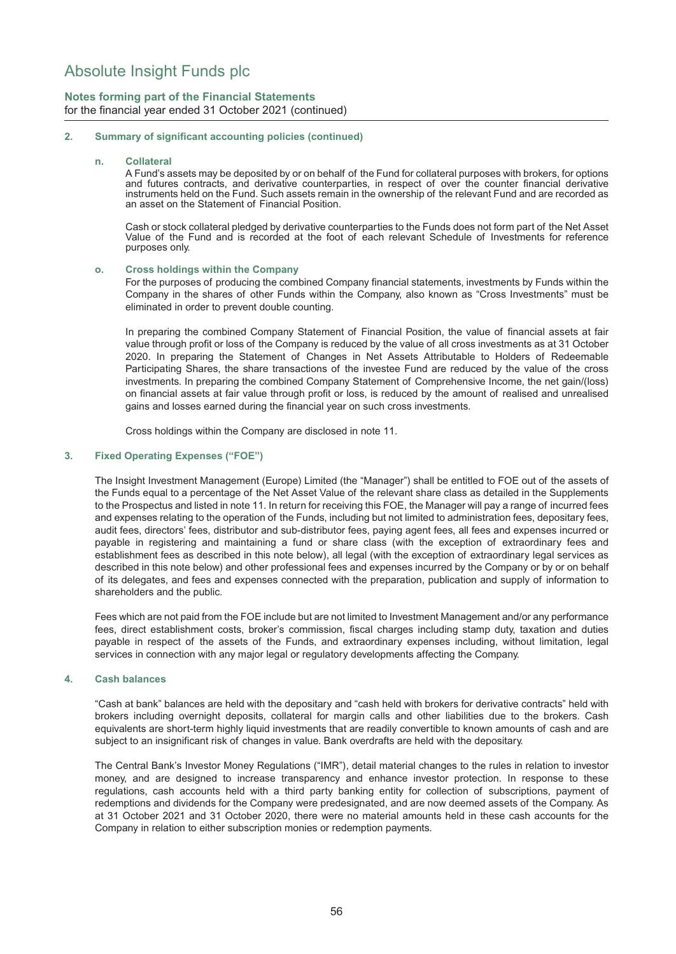## **Notes forming part of the Financial Statements** for the financial year ended 31 October 2021 (continued)

### **2. Summary of significant accounting policies (continued)**

#### **n. Collateral**

A Fund's assets may be deposited by or on behalf of the Fund for collateral purposes with brokers, for options and futures contracts, and derivative counterparties, in respect of over the counter financial derivative instruments held on the Fund. Such assets remain in the ownership of the relevant Fund and are recorded as an asset on the Statement of Financial Position.

Cash or stock collateral pledged by derivative counterparties to the Funds does not form part of the Net Asset Value of the Fund and is recorded at the foot of each relevant Schedule of Investments for reference purposes only.

#### **o. Cross holdings within the Company**

For the purposes of producing the combined Company financial statements, investments by Funds within the Company in the shares of other Funds within the Company, also known as "Cross Investments" must be eliminated in order to prevent double counting.

In preparing the combined Company Statement of Financial Position, the value of financial assets at fair value through profit or loss of the Company is reduced by the value of all cross investments as at 31 October 2020. In preparing the Statement of Changes in Net Assets Attributable to Holders of Redeemable Participating Shares, the share transactions of the investee Fund are reduced by the value of the cross investments. In preparing the combined Company Statement of Comprehensive Income, the net gain/(loss) on financial assets at fair value through profit or loss, is reduced by the amount of realised and unrealised gains and losses earned during the financial year on such cross investments.

Cross holdings within the Company are disclosed in note 11.

#### **3. Fixed Operating Expenses ("FOE")**

The Insight Investment Management (Europe) Limited (the "Manager") shall be entitled to FOE out of the assets of the Funds equal to a percentage of the Net Asset Value of the relevant share class as detailed in the Supplements to the Prospectus and listed in note 11. In return for receiving this FOE, the Manager will pay a range of incurred fees and expenses relating to the operation of the Funds, including but not limited to administration fees, depositary fees, audit fees, directors' fees, distributor and sub-distributor fees, paying agent fees, all fees and expenses incurred or payable in registering and maintaining a fund or share class (with the exception of extraordinary fees and establishment fees as described in this note below), all legal (with the exception of extraordinary legal services as described in this note below) and other professional fees and expenses incurred by the Company or by or on behalf of its delegates, and fees and expenses connected with the preparation, publication and supply of information to shareholders and the public.

Fees which are not paid from the FOE include but are not limited to Investment Management and/or any performance fees, direct establishment costs, broker's commission, fiscal charges including stamp duty, taxation and duties payable in respect of the assets of the Funds, and extraordinary expenses including, without limitation, legal services in connection with any major legal or regulatory developments affecting the Company.

### **4. Cash balances**

"Cash at bank" balances are held with the depositary and "cash held with brokers for derivative contracts" held with brokers including overnight deposits, collateral for margin calls and other liabilities due to the brokers. Cash equivalents are short-term highly liquid investments that are readily convertible to known amounts of cash and are subject to an insignificant risk of changes in value. Bank overdrafts are held with the depositary.

The Central Bank's Investor Money Regulations ("IMR"), detail material changes to the rules in relation to investor money, and are designed to increase transparency and enhance investor protection. In response to these regulations, cash accounts held with a third party banking entity for collection of subscriptions, payment of redemptions and dividends for the Company were predesignated, and are now deemed assets of the Company. As at 31 October 2021 and 31 October 2020, there were no material amounts held in these cash accounts for the Company in relation to either subscription monies or redemption payments.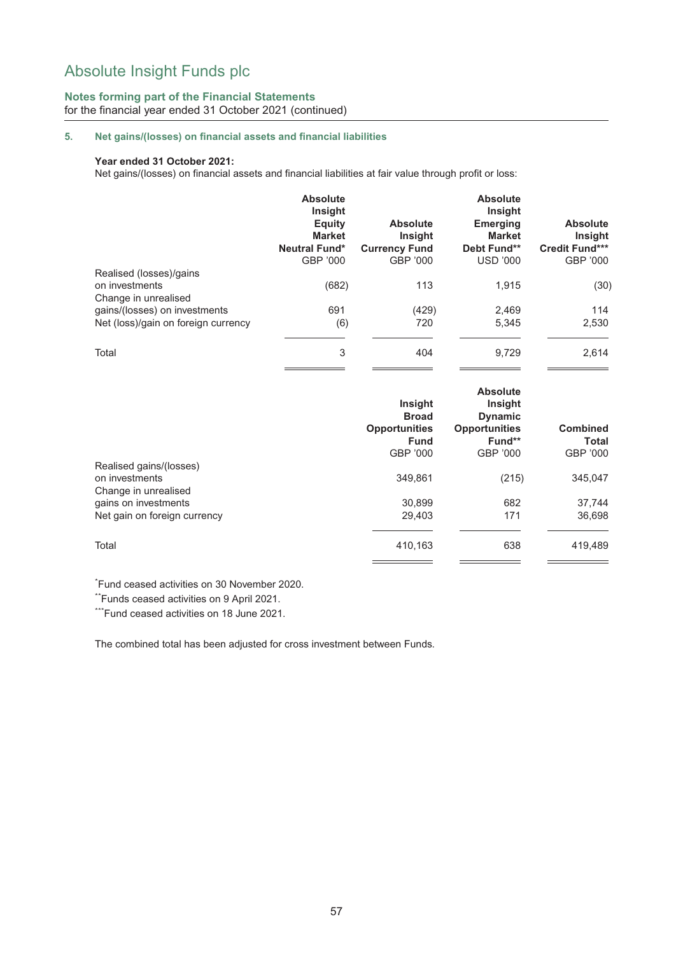## **Notes forming part of the Financial Statements** for the financial year ended 31 October 2021 (continued)

## **5. Net gains/(losses) on financial assets and financial liabilities**

### **Year ended 31 October 2021:**

Net gains/(losses) on financial assets and financial liabilities at fair value through profit or loss:

|                                                                      | <b>Absolute</b><br>Insight<br>Equity<br><b>Market</b><br><b>Neutral Fund*</b><br>GBP '000 | <b>Absolute</b><br>Insight<br><b>Currency Fund</b><br>GBP '000 | <b>Absolute</b><br><b>Insight</b><br><b>Emerging</b><br><b>Market</b><br>Debt Fund**<br><b>USD '000</b> | <b>Absolute</b><br>Insight<br><b>Credit Fund***</b><br>GBP '000 |
|----------------------------------------------------------------------|-------------------------------------------------------------------------------------------|----------------------------------------------------------------|---------------------------------------------------------------------------------------------------------|-----------------------------------------------------------------|
| Realised (losses)/gains<br>on investments<br>Change in unrealised    | (682)                                                                                     | 113                                                            | 1.915                                                                                                   | (30)                                                            |
| gains/(losses) on investments<br>Net (loss)/gain on foreign currency | 691<br>(6)                                                                                | (429)<br>720                                                   | 2,469<br>5,345                                                                                          | 114<br>2,530                                                    |
| Total                                                                | 3                                                                                         | 404                                                            | 9.729                                                                                                   | 2,614                                                           |

|                                        | Insight<br><b>Broad</b><br><b>Opportunities</b><br><b>Fund</b><br>GBP '000 | <b>Absolute</b><br>Insight<br><b>Dynamic</b><br><b>Opportunities</b><br>Fund**<br>GBP '000 | <b>Combined</b><br>Total<br>GBP '000 |
|----------------------------------------|----------------------------------------------------------------------------|--------------------------------------------------------------------------------------------|--------------------------------------|
| Realised gains/(losses)                |                                                                            |                                                                                            |                                      |
| on investments<br>Change in unrealised | 349.861                                                                    | (215)                                                                                      | 345,047                              |
| gains on investments                   | 30.899                                                                     | 682                                                                                        | 37,744                               |
| Net gain on foreign currency           | 29.403                                                                     | 171                                                                                        | 36,698                               |
| Total                                  | 410,163                                                                    | 638                                                                                        | 419,489                              |

\* Fund ceased activities on 30 November 2020.

\*\*Funds ceased activities on 9 April 2021.

\*\*\*Fund ceased activities on 18 June 2021.

The combined total has been adjusted for cross investment between Funds.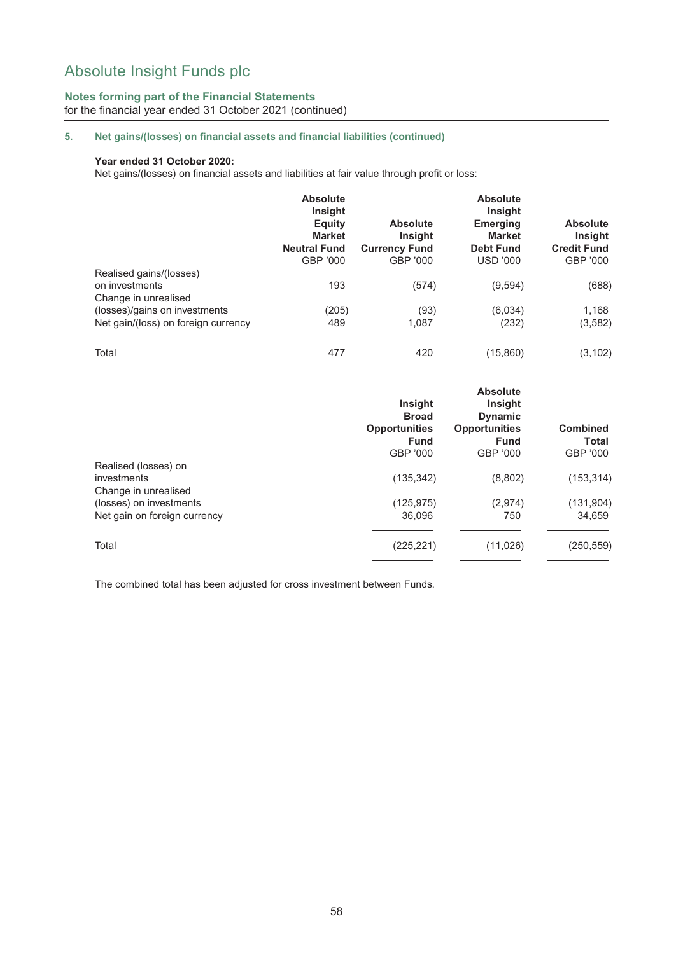## **Notes forming part of the Financial Statements** for the financial year ended 31 October 2021 (continued)

## **5. Net gains/(losses) on financial assets and financial liabilities (continued)**

### **Year ended 31 October 2020:**

Net gains/(losses) on financial assets and liabilities at fair value through profit or loss:

|                                        | <b>Absolute</b><br>Insight<br>Equity<br><b>Market</b><br><b>Neutral Fund</b><br>GBP '000 | <b>Absolute</b><br><b>Insight</b><br><b>Currency Fund</b><br>GBP '000 | <b>Absolute</b><br><b>Insight</b><br><b>Emerging</b><br><b>Market</b><br><b>Debt Fund</b><br><b>USD '000</b> | <b>Absolute</b><br>Insight<br><b>Credit Fund</b><br>GBP '000 |
|----------------------------------------|------------------------------------------------------------------------------------------|-----------------------------------------------------------------------|--------------------------------------------------------------------------------------------------------------|--------------------------------------------------------------|
| Realised gains/(losses)                |                                                                                          |                                                                       |                                                                                                              |                                                              |
| on investments<br>Change in unrealised | 193                                                                                      | (574)                                                                 | (9,594)                                                                                                      | (688)                                                        |
| (losses)/gains on investments          | (205)                                                                                    | (93)                                                                  | (6,034)                                                                                                      | 1,168                                                        |
| Net gain/(loss) on foreign currency    | 489                                                                                      | 1,087                                                                 | (232)                                                                                                        | (3, 582)                                                     |
| Total                                  | 477                                                                                      | 420                                                                   | (15,860)                                                                                                     | (3, 102)                                                     |

|                                                             | Insight<br><b>Broad</b><br><b>Opportunities</b><br><b>Fund</b><br>GBP '000 | <b>Absolute</b><br>Insight<br><b>Dynamic</b><br><b>Opportunities</b><br><b>Fund</b><br>GBP '000 | <b>Combined</b><br><b>Total</b><br>GBP '000 |
|-------------------------------------------------------------|----------------------------------------------------------------------------|-------------------------------------------------------------------------------------------------|---------------------------------------------|
| Realised (losses) on<br>investments<br>Change in unrealised | (135, 342)                                                                 | (8,802)                                                                                         | (153, 314)                                  |
| (losses) on investments<br>Net gain on foreign currency     | (125, 975)<br>36.096                                                       | (2,974)<br>750                                                                                  | (131, 904)<br>34,659                        |
| Total                                                       | (225, 221)                                                                 | (11,026)                                                                                        | (250, 559)                                  |

The combined total has been adjusted for cross investment between Funds.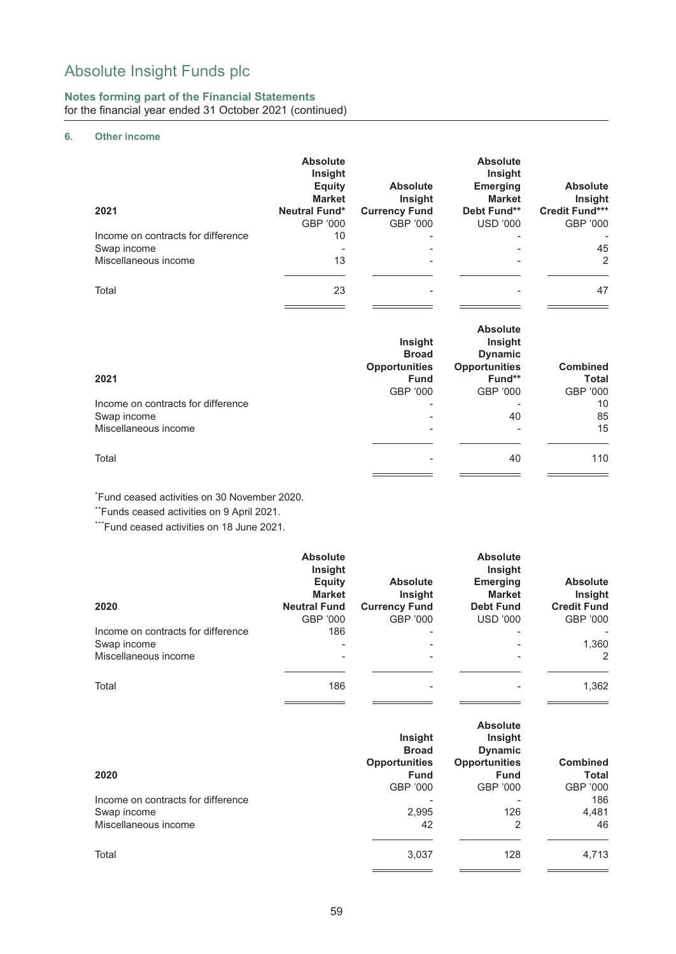### **Notes forming part of the Financial Statements** for the financial year ended 31 October 2021 (continued)

## **6. Other income**

|                                    | <b>Absolute</b><br>Insight<br><b>Equity</b><br><b>Market</b> | <b>Absolute</b><br><b>Insight</b> | <b>Absolute</b><br>Insight<br><b>Emerging</b><br><b>Market</b> | <b>Absolute</b><br>Insight |
|------------------------------------|--------------------------------------------------------------|-----------------------------------|----------------------------------------------------------------|----------------------------|
| 2021                               | <b>Neutral Fund*</b>                                         | <b>Currency Fund</b>              | Debt Fund**                                                    | <b>Credit Fund***</b>      |
|                                    | GBP '000                                                     | GBP '000                          | <b>USD '000</b>                                                | GBP '000                   |
| Income on contracts for difference | 10                                                           |                                   | $\overline{\phantom{0}}$                                       |                            |
| Swap income                        | ۰                                                            |                                   |                                                                | 45                         |
| Miscellaneous income               | 13                                                           |                                   |                                                                | 2                          |
| Total                              | 23                                                           |                                   |                                                                | 47                         |

| 2021                               | Insight<br><b>Broad</b><br><b>Opportunities</b><br><b>Fund</b><br>GBP '000 | <b>Absolute</b><br>Insight<br><b>Dynamic</b><br><b>Opportunities</b><br>Fund**<br>GBP '000 | <b>Combined</b><br><b>Total</b><br>GBP '000 |
|------------------------------------|----------------------------------------------------------------------------|--------------------------------------------------------------------------------------------|---------------------------------------------|
| Income on contracts for difference | $\overline{\phantom{0}}$                                                   |                                                                                            | 10                                          |
| Swap income                        |                                                                            | 40                                                                                         | 85                                          |
| Miscellaneous income               |                                                                            |                                                                                            | 15                                          |
| Total                              |                                                                            | 40                                                                                         | 110                                         |

\* Fund ceased activities on 30 November 2020.

\*\*Funds ceased activities on 9 April 2021.

\*\*\*Fund ceased activities on 18 June 2021.

|                                    | <b>Absolute</b><br><b>Insight</b><br>Equity<br><b>Market</b> | <b>Absolute</b><br><b>Insight</b> | <b>Absolute</b><br><b>Insight</b><br><b>Emerging</b><br><b>Market</b> | <b>Absolute</b><br>Insight |
|------------------------------------|--------------------------------------------------------------|-----------------------------------|-----------------------------------------------------------------------|----------------------------|
| 2020                               | <b>Neutral Fund</b>                                          | <b>Currency Fund</b>              | <b>Debt Fund</b>                                                      | <b>Credit Fund</b>         |
|                                    | GBP '000                                                     | GBP '000                          | USD '000                                                              | GBP '000                   |
| Income on contracts for difference | 186                                                          | $\blacksquare$                    |                                                                       |                            |
| Swap income                        |                                                              |                                   |                                                                       | 1,360                      |
| Miscellaneous income               | ۰.                                                           |                                   |                                                                       | $\overline{2}$             |
| Total                              | 186                                                          |                                   |                                                                       | 1,362                      |

|                                    | Insight<br><b>Broad</b><br><b>Opportunities</b> | <b>Absolute</b><br>Insight<br><b>Dynamic</b><br><b>Opportunities</b> | <b>Combined</b> |
|------------------------------------|-------------------------------------------------|----------------------------------------------------------------------|-----------------|
| 2020                               | <b>Fund</b>                                     | <b>Fund</b>                                                          | Total           |
|                                    | GBP '000                                        | GBP '000                                                             | GBP '000        |
| Income on contracts for difference |                                                 |                                                                      | 186             |
| Swap income                        | 2,995                                           | 126                                                                  | 4,481           |
| Miscellaneous income               | 42                                              | 2                                                                    | 46              |
| Total                              | 3,037                                           | 128                                                                  | 4,713           |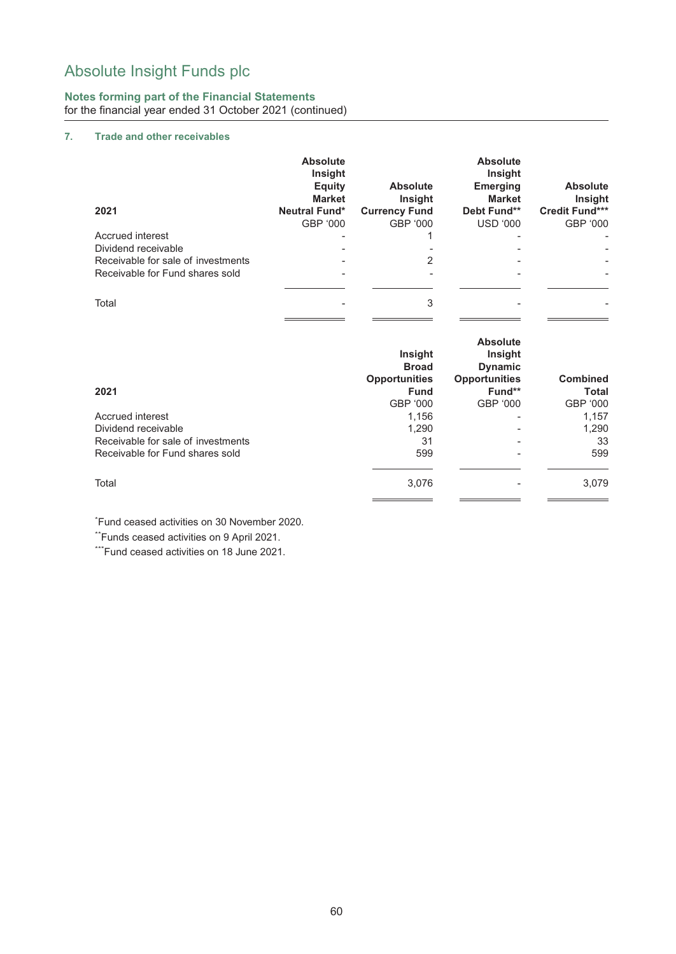## **Notes forming part of the Financial Statements** for the financial year ended 31 October 2021 (continued)

## **7. Trade and other receivables**

|                                    | <b>Absolute</b><br>Insight<br><b>Equity</b><br><b>Market</b> | <b>Absolute</b><br><b>Insight</b> | <b>Absolute</b><br>Insight<br><b>Emerging</b><br><b>Market</b> | <b>Absolute</b><br>Insight |
|------------------------------------|--------------------------------------------------------------|-----------------------------------|----------------------------------------------------------------|----------------------------|
| 2021                               | <b>Neutral Fund*</b>                                         | <b>Currency Fund</b>              | Debt Fund**                                                    | <b>Credit Fund***</b>      |
|                                    | GBP '000                                                     | GBP '000                          | <b>USD '000</b>                                                | GBP '000                   |
| Accrued interest                   |                                                              |                                   |                                                                |                            |
| Dividend receivable                |                                                              |                                   |                                                                |                            |
| Receivable for sale of investments |                                                              |                                   |                                                                |                            |
| Receivable for Fund shares sold    |                                                              |                                   |                                                                |                            |
|                                    |                                                              |                                   |                                                                |                            |
| Total                              |                                                              | 3                                 |                                                                |                            |
|                                    |                                                              |                                   |                                                                |                            |

| 2021                               | Insight<br><b>Broad</b><br><b>Opportunities</b><br><b>Fund</b><br>GBP '000 | <b>Absolute</b><br><b>Insight</b><br><b>Dynamic</b><br><b>Opportunities</b><br>Fund**<br>GBP '000 | <b>Combined</b><br><b>Total</b><br>GBP '000 |
|------------------------------------|----------------------------------------------------------------------------|---------------------------------------------------------------------------------------------------|---------------------------------------------|
| Accrued interest                   | 1,156                                                                      | $\overline{\phantom{a}}$                                                                          | 1,157                                       |
| Dividend receivable                | 1,290                                                                      | ۰                                                                                                 | 1,290                                       |
| Receivable for sale of investments | 31                                                                         | $\overline{\phantom{a}}$                                                                          | 33                                          |
| Receivable for Fund shares sold    | 599                                                                        |                                                                                                   | 599                                         |
| Total                              | 3.076                                                                      |                                                                                                   | 3,079                                       |

\* Fund ceased activities on 30 November 2020.

\*\*Funds ceased activities on 9 April 2021.

\*\*\*Fund ceased activities on 18 June 2021.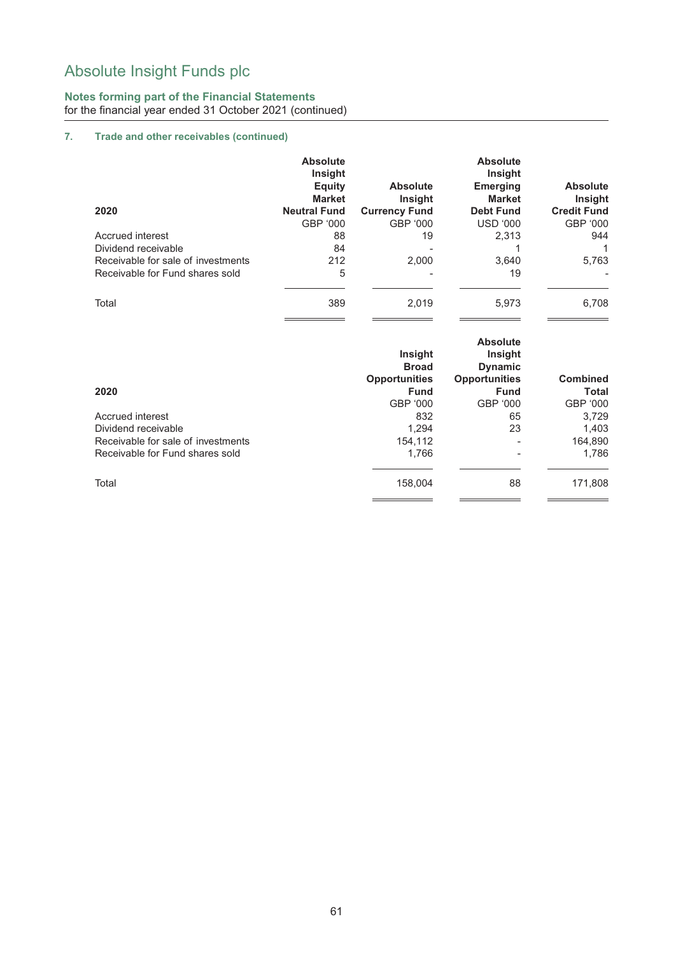## **Notes forming part of the Financial Statements** for the financial year ended 31 October 2021 (continued)

## **7. Trade and other receivables (continued)**

|                                    | <b>Absolute</b><br><b>Insight</b><br><b>Equity</b><br><b>Market</b> | <b>Absolute</b><br><b>Insight</b> | <b>Absolute</b><br><b>Insight</b><br><b>Emerging</b><br><b>Market</b> | <b>Absolute</b><br><b>Insight</b> |
|------------------------------------|---------------------------------------------------------------------|-----------------------------------|-----------------------------------------------------------------------|-----------------------------------|
| 2020                               | <b>Neutral Fund</b>                                                 | <b>Currency Fund</b>              | <b>Debt Fund</b>                                                      | <b>Credit Fund</b>                |
|                                    | GBP '000                                                            | GBP '000                          | <b>USD '000</b>                                                       | GBP '000                          |
| Accrued interest                   | 88                                                                  | 19                                | 2,313                                                                 | 944                               |
| Dividend receivable                | 84                                                                  |                                   |                                                                       |                                   |
| Receivable for sale of investments | 212                                                                 | 2.000                             | 3,640                                                                 | 5,763                             |
| Receivable for Fund shares sold    | 5                                                                   |                                   | 19                                                                    |                                   |
| Total                              | 389                                                                 | 2.019                             | 5,973                                                                 | 6,708                             |

| 2020                               | Insight<br><b>Broad</b><br><b>Opportunities</b><br><b>Fund</b><br>GBP '000 | <b>Absolute</b><br>Insight<br><b>Dynamic</b><br><b>Opportunities</b><br><b>Fund</b><br>GBP '000 | <b>Combined</b><br>Total<br>GBP '000 |
|------------------------------------|----------------------------------------------------------------------------|-------------------------------------------------------------------------------------------------|--------------------------------------|
| Accrued interest                   | 832                                                                        | 65                                                                                              | 3,729                                |
| Dividend receivable                | 1.294                                                                      | 23                                                                                              | 1,403                                |
| Receivable for sale of investments | 154,112                                                                    | $\overline{\phantom{0}}$                                                                        | 164,890                              |
| Receivable for Fund shares sold    | 1,766                                                                      |                                                                                                 | 1,786                                |
| Total                              | 158,004                                                                    | 88                                                                                              | 171,808                              |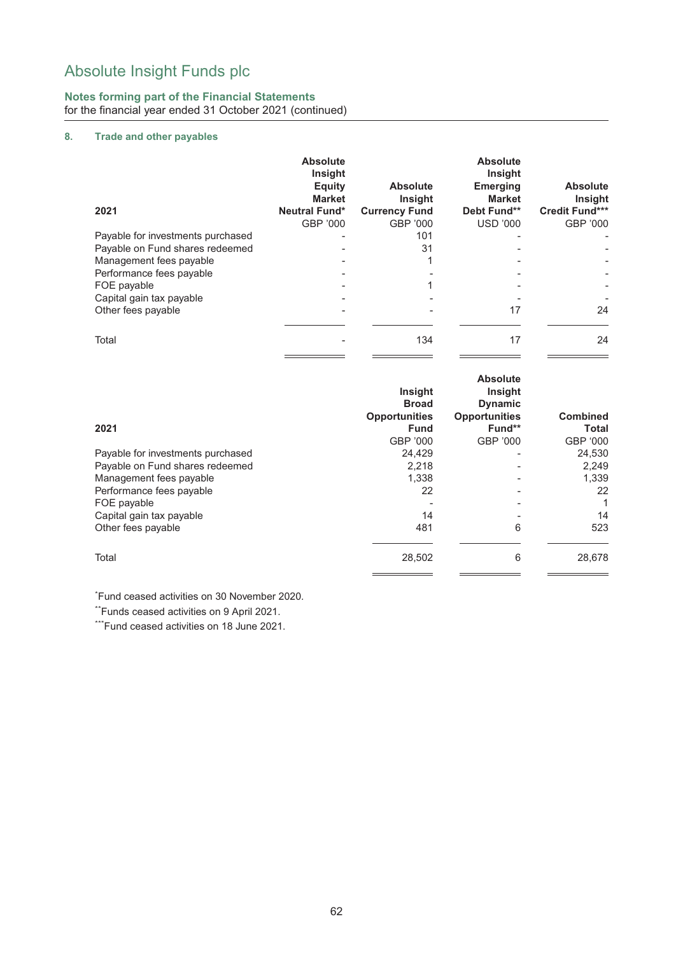## **Notes forming part of the Financial Statements** for the financial year ended 31 October 2021 (continued)

## **8. Trade and other payables**

|                                   | <b>Absolute</b><br><b>Insight</b><br><b>Equity</b><br><b>Market</b> | <b>Absolute</b><br><b>Insight</b> | <b>Absolute</b><br><b>Insight</b><br><b>Emerging</b><br><b>Market</b> | <b>Absolute</b><br>Insight |
|-----------------------------------|---------------------------------------------------------------------|-----------------------------------|-----------------------------------------------------------------------|----------------------------|
| 2021                              | <b>Neutral Fund*</b>                                                | <b>Currency Fund</b>              | Debt Fund**                                                           | <b>Credit Fund***</b>      |
|                                   | GBP '000                                                            | GBP '000                          | <b>USD '000</b>                                                       | GBP '000                   |
| Payable for investments purchased |                                                                     | 101                               |                                                                       |                            |
| Payable on Fund shares redeemed   |                                                                     | 31                                |                                                                       |                            |
| Management fees payable           |                                                                     |                                   |                                                                       |                            |
| Performance fees payable          |                                                                     |                                   |                                                                       |                            |
| FOE payable                       |                                                                     |                                   |                                                                       |                            |
| Capital gain tax payable          |                                                                     |                                   |                                                                       |                            |
| Other fees payable                |                                                                     |                                   | 17                                                                    | 24                         |
| Total                             |                                                                     | 134                               | 17                                                                    | 24                         |

| 2021                              | <b>Insight</b><br><b>Broad</b><br><b>Opportunities</b><br><b>Fund</b><br>GBP '000 | <b>Absolute</b><br>Insight<br><b>Dynamic</b><br><b>Opportunities</b><br>Fund**<br>GBP '000 | <b>Combined</b><br><b>Total</b><br>GBP '000 |
|-----------------------------------|-----------------------------------------------------------------------------------|--------------------------------------------------------------------------------------------|---------------------------------------------|
| Payable for investments purchased | 24,429                                                                            |                                                                                            | 24,530                                      |
| Payable on Fund shares redeemed   | 2,218                                                                             |                                                                                            | 2,249                                       |
| Management fees payable           | 1,338                                                                             |                                                                                            | 1,339                                       |
| Performance fees payable          | 22                                                                                |                                                                                            | 22                                          |
| FOE payable                       |                                                                                   |                                                                                            |                                             |
| Capital gain tax payable          | 14                                                                                |                                                                                            | 14                                          |
| Other fees payable                | 481                                                                               | 6                                                                                          | 523                                         |
| Total                             | 28,502                                                                            | 6                                                                                          | 28,678                                      |

\* Fund ceased activities on 30 November 2020.

\*\*Funds ceased activities on 9 April 2021.

\*\*\*Fund ceased activities on 18 June 2021.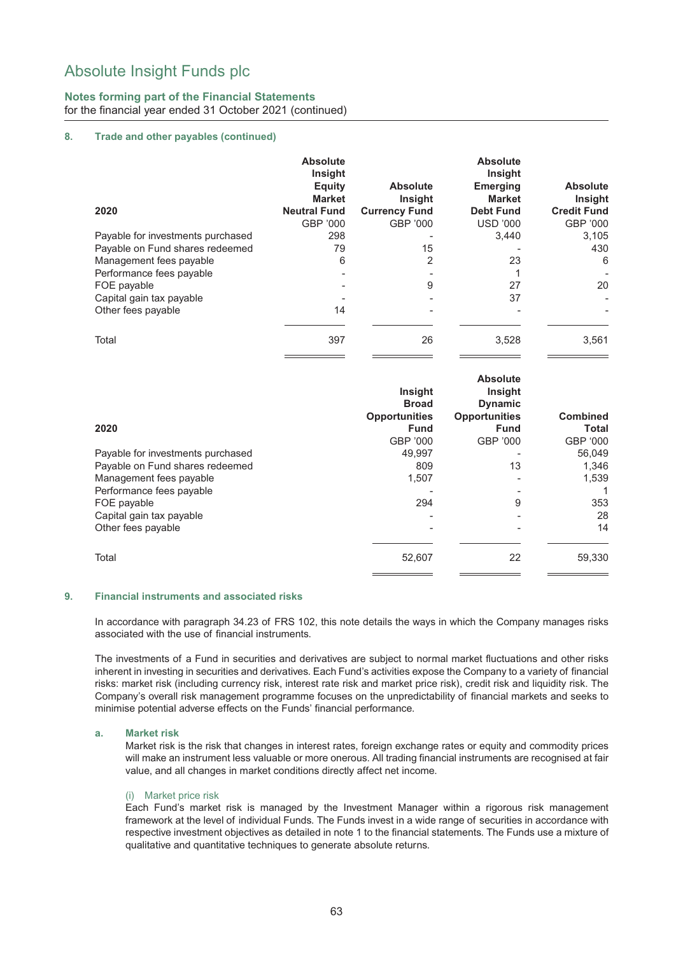## **Notes forming part of the Financial Statements** for the financial year ended 31 October 2021 (continued)

### **8. Trade and other payables (continued)**

| 2020                              | <b>Absolute</b><br><b>Insight</b><br><b>Equity</b><br><b>Market</b><br><b>Neutral Fund</b> | <b>Absolute</b><br><b>Insight</b><br><b>Currency Fund</b> | <b>Absolute</b><br><b>Insight</b><br><b>Emerging</b><br><b>Market</b><br><b>Debt Fund</b> | <b>Absolute</b><br><b>Insight</b><br><b>Credit Fund</b> |
|-----------------------------------|--------------------------------------------------------------------------------------------|-----------------------------------------------------------|-------------------------------------------------------------------------------------------|---------------------------------------------------------|
|                                   | GBP '000                                                                                   | GBP '000                                                  | <b>USD '000</b>                                                                           | GBP '000                                                |
| Payable for investments purchased | 298                                                                                        |                                                           | 3.440                                                                                     | 3.105                                                   |
| Payable on Fund shares redeemed   | 79                                                                                         | 15                                                        |                                                                                           | 430                                                     |
| Management fees payable           | 6                                                                                          | 2                                                         | 23                                                                                        | 6                                                       |
| Performance fees payable          |                                                                                            |                                                           |                                                                                           |                                                         |
| FOE payable                       | $\overline{a}$                                                                             | 9                                                         | 27                                                                                        | 20                                                      |
| Capital gain tax payable          |                                                                                            |                                                           | 37                                                                                        | $\overline{\phantom{a}}$                                |
| Other fees payable                | 14                                                                                         |                                                           |                                                                                           |                                                         |
| Total                             | 397                                                                                        | 26                                                        | 3,528                                                                                     | 3,561                                                   |

| 2020                              | <b>Insight</b><br><b>Broad</b><br><b>Opportunities</b><br><b>Fund</b> | <b>Absolute</b><br><b>Insight</b><br><b>Dynamic</b><br><b>Opportunities</b><br><b>Fund</b> | <b>Combined</b><br><b>Total</b> |
|-----------------------------------|-----------------------------------------------------------------------|--------------------------------------------------------------------------------------------|---------------------------------|
|                                   | GBP '000                                                              | GBP '000                                                                                   | GBP '000                        |
| Payable for investments purchased | 49.997                                                                |                                                                                            | 56.049                          |
| Payable on Fund shares redeemed   | 809                                                                   | 13                                                                                         | 1.346                           |
| Management fees payable           | 1,507                                                                 |                                                                                            | 1,539                           |
| Performance fees payable          |                                                                       |                                                                                            |                                 |
| FOE payable                       | 294                                                                   | 9                                                                                          | 353                             |
| Capital gain tax payable          |                                                                       |                                                                                            | 28                              |
| Other fees payable                |                                                                       |                                                                                            | 14                              |
| Total                             | 52,607                                                                | 22                                                                                         | 59,330                          |

#### **9. Financial instruments and associated risks**

In accordance with paragraph 34.23 of FRS 102, this note details the ways in which the Company manages risks associated with the use of financial instruments.

The investments of a Fund in securities and derivatives are subject to normal market fluctuations and other risks inherent in investing in securities and derivatives. Each Fund's activities expose the Company to a variety of financial risks: market risk (including currency risk, interest rate risk and market price risk), credit risk and liquidity risk. The Company's overall risk management programme focuses on the unpredictability of financial markets and seeks to minimise potential adverse effects on the Funds' financial performance.

#### **a. Market risk**

Market risk is the risk that changes in interest rates, foreign exchange rates or equity and commodity prices will make an instrument less valuable or more onerous. All trading financial instruments are recognised at fair value, and all changes in market conditions directly affect net income.

#### (i) Market price risk

Each Fund's market risk is managed by the Investment Manager within a rigorous risk management framework at the level of individual Funds. The Funds invest in a wide range of securities in accordance with respective investment objectives as detailed in note 1 to the financial statements. The Funds use a mixture of qualitative and quantitative techniques to generate absolute returns.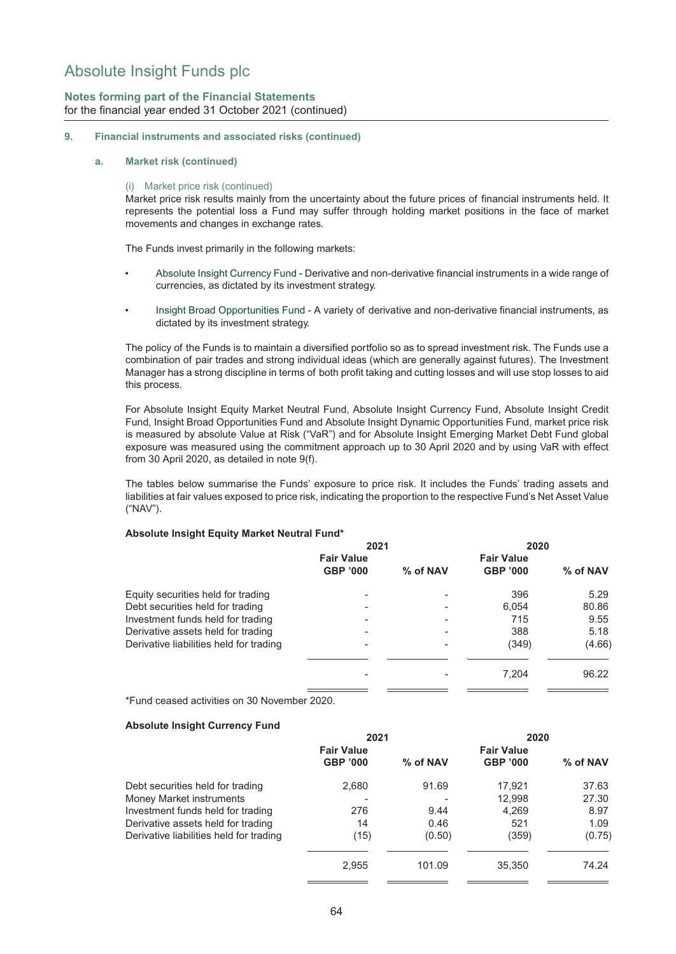## **Notes forming part of the Financial Statements** for the financial year ended 31 October 2021 (continued)

## **9. Financial instruments and associated risks (continued)**

#### **a. Market risk (continued)**

#### (i) Market price risk (continued)

Market price risk results mainly from the uncertainty about the future prices of financial instruments held. It represents the potential loss a Fund may suffer through holding market positions in the face of market movements and changes in exchange rates.

The Funds invest primarily in the following markets:

- Absolute Insight Currency Fund Derivative and non-derivative financial instruments in a wide range of currencies, as dictated by its investment strategy.
- Insight Broad Opportunities Fund A variety of derivative and non-derivative financial instruments, as dictated by its investment strategy.

The policy of the Funds is to maintain a diversified portfolio so as to spread investment risk. The Funds use a combination of pair trades and strong individual ideas (which are generally against futures). The Investment Manager has a strong discipline in terms of both profit taking and cutting losses and will use stop losses to aid this process.

For Absolute Insight Equity Market Neutral Fund, Absolute Insight Currency Fund, Absolute Insight Credit Fund, Insight Broad Opportunities Fund and Absolute Insight Dynamic Opportunities Fund, market price risk is measured by absolute Value at Risk ("VaR") and for Absolute Insight Emerging Market Debt Fund global exposure was measured using the commitment approach up to 30 April 2020 and by using VaR with effect from 30 April 2020, as detailed in note 9(f).

The tables below summarise the Funds' exposure to price risk. It includes the Funds' trading assets and liabilities at fair values exposed to price risk, indicating the proportion to the respective Fund's Net Asset Value ("NAV").

#### **Absolute Insight Equity Market Neutral Fund\***

|                                         | 2021              |          | 2020              |          |
|-----------------------------------------|-------------------|----------|-------------------|----------|
|                                         | <b>Fair Value</b> |          | <b>Fair Value</b> |          |
|                                         | <b>GBP '000</b>   | % of NAV | <b>GBP '000</b>   | % of NAV |
| Equity securities held for trading      |                   |          | 396               | 5.29     |
| Debt securities held for trading        |                   |          | 6,054             | 80.86    |
| Investment funds held for trading       |                   |          | 715               | 9.55     |
| Derivative assets held for trading      |                   |          | 388               | 5.18     |
| Derivative liabilities held for trading |                   |          | (349)             | (4.66)   |
|                                         |                   |          | 7,204             | 96.22    |
|                                         |                   |          |                   |          |

\*Fund ceased activities on 30 November 2020.

#### **Absolute Insight Currency Fund**

|                                         | 2021              |          | 2020              |          |
|-----------------------------------------|-------------------|----------|-------------------|----------|
|                                         | <b>Fair Value</b> |          | <b>Fair Value</b> |          |
|                                         | <b>GBP '000</b>   | % of NAV | <b>GBP '000</b>   | % of NAV |
| Debt securities held for trading        | 2,680             | 91.69    | 17.921            | 37.63    |
| Money Market instruments                |                   |          | 12,998            | 27.30    |
| Investment funds held for trading       | 276               | 9.44     | 4,269             | 8.97     |
| Derivative assets held for trading      | 14                | 0.46     | 521               | 1.09     |
| Derivative liabilities held for trading | (15)              | (0.50)   | (359)             | (0.75)   |
|                                         | 2.955             | 101.09   | 35,350            | 74.24    |
|                                         |                   |          |                   |          |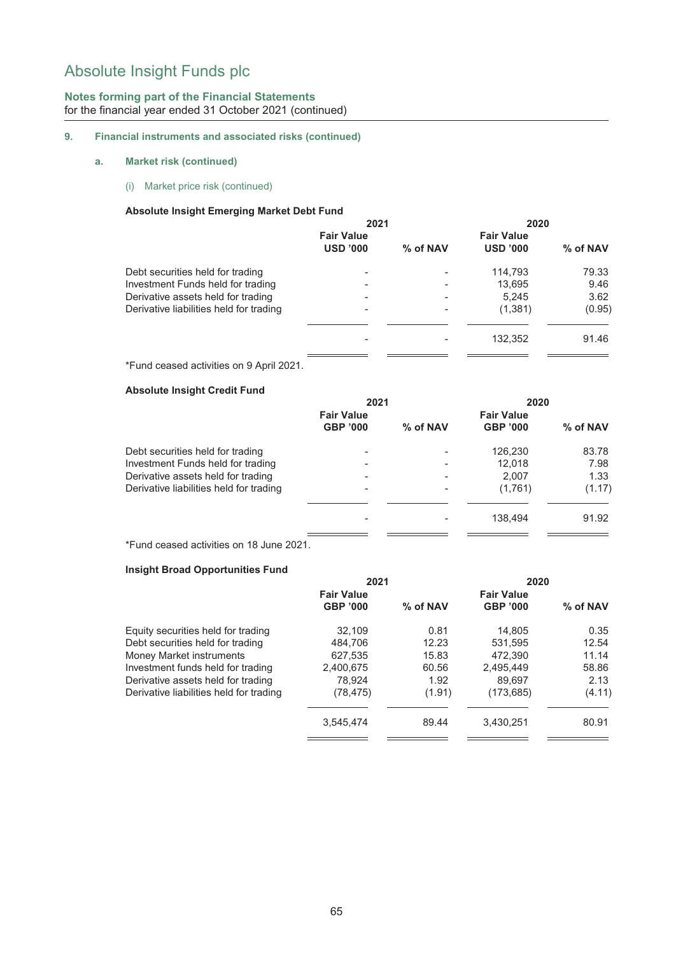## **Notes forming part of the Financial Statements** for the financial year ended 31 October 2021 (continued)

## **9. Financial instruments and associated risks (continued)**

### **a. Market risk (continued)**

(i) Market price risk (continued)

### **Absolute Insight Emerging Market Debt Fund**

| % of NAV |
|----------|
| 79.33    |
| 9.46     |
| 3.62     |
| (0.95)   |
| 91.46    |
|          |

\*Fund ceased activities on 9 April 2021.

### **Absolute Insight Credit Fund**

| 2021                     |                          | 2020              |          |
|--------------------------|--------------------------|-------------------|----------|
| <b>Fair Value</b>        |                          | <b>Fair Value</b> |          |
| <b>GBP '000</b>          | % of NAV                 | <b>GBP '000</b>   | % of NAV |
| $\blacksquare$           |                          | 126,230           | 83.78    |
| $\overline{\phantom{0}}$ | $\overline{\phantom{0}}$ | 12.018            | 7.98     |
| $\overline{\phantom{0}}$ | $\overline{\phantom{0}}$ | 2.007             | 1.33     |
|                          |                          | (1,761)           | (1.17)   |
|                          |                          |                   |          |
|                          |                          | 138.494           | 91.92    |
|                          |                          |                   |          |

\*Fund ceased activities on 18 June 2021.

### **Insight Broad Opportunities Fund**

|                                         | 2021              |          | 2020              |          |
|-----------------------------------------|-------------------|----------|-------------------|----------|
|                                         | <b>Fair Value</b> |          | <b>Fair Value</b> |          |
|                                         | <b>GBP '000</b>   | % of NAV | <b>GBP '000</b>   | % of NAV |
| Equity securities held for trading      | 32.109            | 0.81     | 14,805            | 0.35     |
| Debt securities held for trading        | 484.706           | 12.23    | 531.595           | 12.54    |
| Money Market instruments                | 627,535           | 15.83    | 472.390           | 11.14    |
| Investment funds held for trading       | 2,400,675         | 60.56    | 2,495,449         | 58.86    |
| Derivative assets held for trading      | 78.924            | 1.92     | 89.697            | 2.13     |
| Derivative liabilities held for trading | (78,475)          | (1.91)   | (173, 685)        | (4.11)   |
|                                         | 3,545,474         | 89.44    | 3,430,251         | 80.91    |
|                                         |                   |          |                   |          |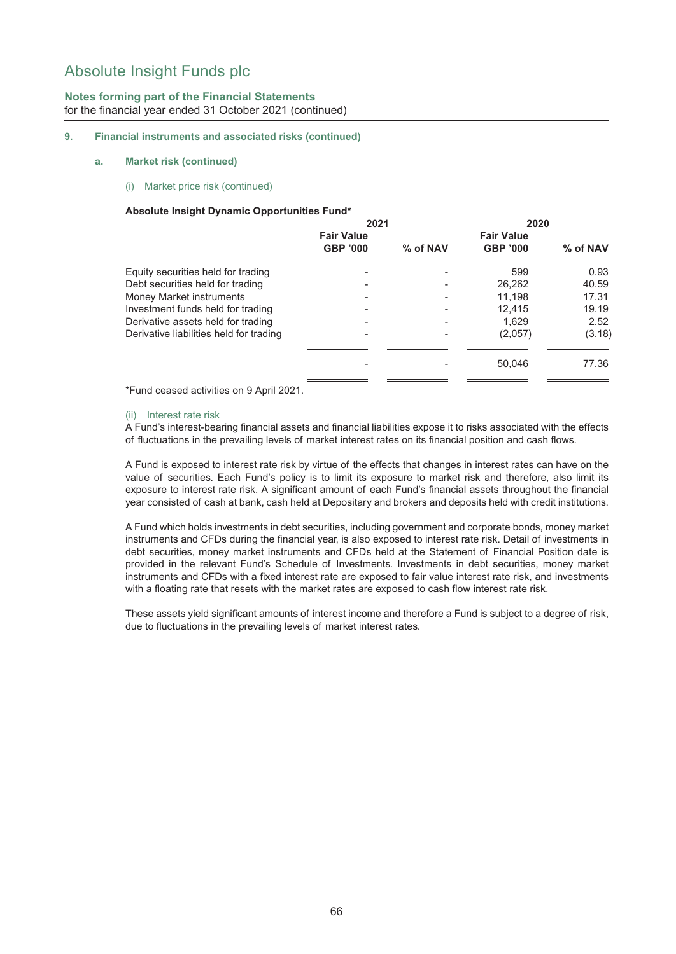## **Notes forming part of the Financial Statements** for the financial year ended 31 October 2021 (continued)

### **9. Financial instruments and associated risks (continued)**

#### **a. Market risk (continued)**

(i) Market price risk (continued)

### **Absolute Insight Dynamic Opportunities Fund\***

|                                         | 2021              |          | 2020              |            |
|-----------------------------------------|-------------------|----------|-------------------|------------|
|                                         | <b>Fair Value</b> |          | <b>Fair Value</b> |            |
|                                         | <b>GBP '000</b>   | % of NAV | <b>GBP '000</b>   | $%$ of NAV |
| Equity securities held for trading      |                   |          | 599               | 0.93       |
| Debt securities held for trading        |                   |          | 26,262            | 40.59      |
| Money Market instruments                |                   |          | 11.198            | 17.31      |
| Investment funds held for trading       |                   |          | 12.415            | 19.19      |
| Derivative assets held for trading      |                   |          | 1.629             | 2.52       |
| Derivative liabilities held for trading |                   |          | (2,057)           | (3.18)     |
|                                         |                   |          | 50,046            | 77.36      |
|                                         |                   |          |                   |            |

\*Fund ceased activities on 9 April 2021.

#### (ii) Interest rate risk

A Fund's interest-bearing financial assets and financial liabilities expose it to risks associated with the effects of fluctuations in the prevailing levels of market interest rates on its financial position and cash flows.

A Fund is exposed to interest rate risk by virtue of the effects that changes in interest rates can have on the value of securities. Each Fund's policy is to limit its exposure to market risk and therefore, also limit its exposure to interest rate risk. A significant amount of each Fund's financial assets throughout the financial year consisted of cash at bank, cash held at Depositary and brokers and deposits held with credit institutions.

A Fund which holds investments in debt securities, including government and corporate bonds, money market instruments and CFDs during the financial year, is also exposed to interest rate risk. Detail of investments in debt securities, money market instruments and CFDs held at the Statement of Financial Position date is provided in the relevant Fund's Schedule of Investments. Investments in debt securities, money market instruments and CFDs with a fixed interest rate are exposed to fair value interest rate risk, and investments with a floating rate that resets with the market rates are exposed to cash flow interest rate risk.

These assets yield significant amounts of interest income and therefore a Fund is subject to a degree of risk, due to fluctuations in the prevailing levels of market interest rates.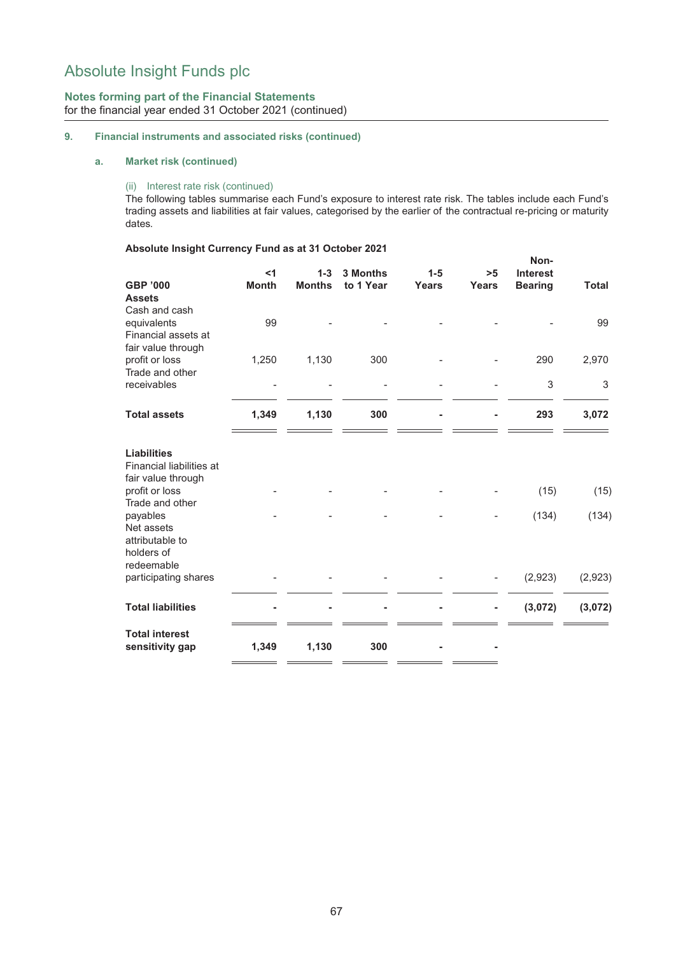## **Notes forming part of the Financial Statements** for the financial year ended 31 October 2021 (continued)

## **9. Financial instruments and associated risks (continued)**

### **a. Market risk (continued)**

### (ii) Interest rate risk (continued)

The following tables summarise each Fund's exposure to interest rate risk. The tables include each Fund's trading assets and liabilities at fair values, categorised by the earlier of the contractual re-pricing or maturity dates.

## **Absolute Insight Currency Fund as at 31 October 2021**

|                                                                                        | $<$ 1        | $1 - 3$       | <b>3 Months</b> | $1 - 5$ | >5           | Non-<br><b>Interest</b> |              |
|----------------------------------------------------------------------------------------|--------------|---------------|-----------------|---------|--------------|-------------------------|--------------|
| <b>GBP '000</b><br><b>Assets</b>                                                       | <b>Month</b> | <b>Months</b> | to 1 Year       | Years   | <b>Years</b> | <b>Bearing</b>          | <b>Total</b> |
| Cash and cash<br>equivalents<br>Financial assets at                                    | 99           |               |                 |         |              |                         | 99           |
| fair value through<br>profit or loss                                                   | 1,250        | 1,130         | 300             |         |              | 290                     | 2,970        |
| Trade and other<br>receivables                                                         |              |               |                 |         |              | 3                       | 3            |
| <b>Total assets</b>                                                                    | 1,349        | 1,130         | 300             |         |              | 293                     | 3,072        |
| <b>Liabilities</b><br>Financial liabilities at<br>fair value through<br>profit or loss |              |               |                 |         |              | (15)                    | (15)         |
| Trade and other<br>payables<br>Net assets<br>attributable to<br>holders of             |              |               |                 |         |              | (134)                   | (134)        |
| redeemable<br>participating shares                                                     |              |               |                 |         |              | (2,923)                 | (2,923)      |
| <b>Total liabilities</b>                                                               |              |               |                 |         | ۰            | (3,072)                 | (3,072)      |
| <b>Total interest</b><br>sensitivity gap                                               | 1,349        | 1,130         | 300             |         |              |                         |              |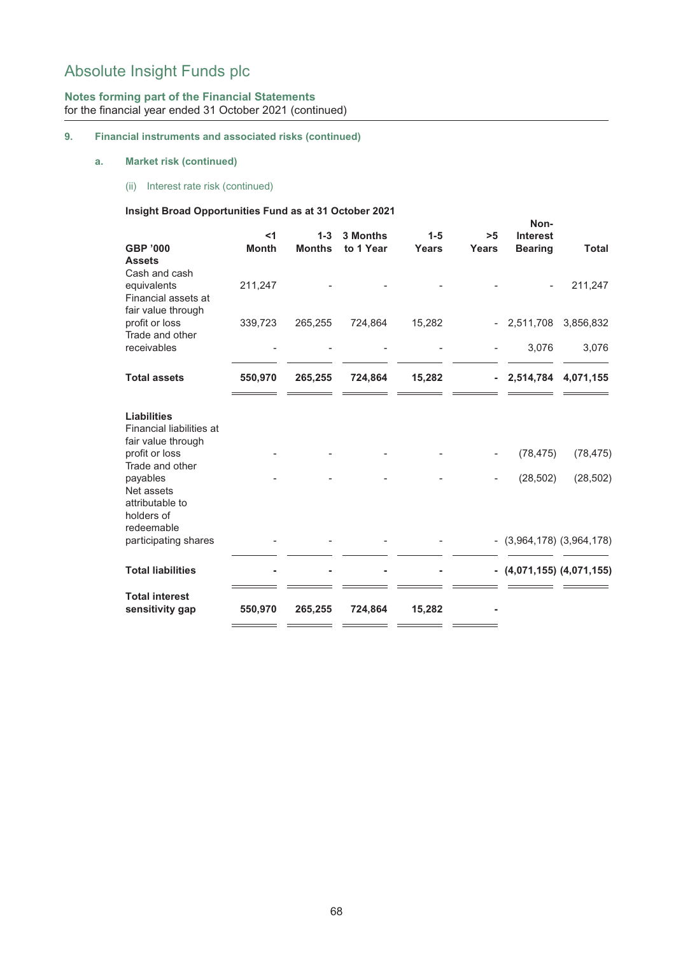## **Notes forming part of the Financial Statements** for the financial year ended 31 October 2021 (continued)

## **9. Financial instruments and associated risks (continued)**

## **a. Market risk (continued)**

(ii) Interest rate risk (continued)

### **Insight Broad Opportunities Fund as at 31 October 2021**

|                                                                                          |                       |                        |                              |                  |             | Non-                              |                     |
|------------------------------------------------------------------------------------------|-----------------------|------------------------|------------------------------|------------------|-------------|-----------------------------------|---------------------|
| <b>GBP '000</b>                                                                          | $<$ 1<br><b>Month</b> | $1-3$<br><b>Months</b> | <b>3 Months</b><br>to 1 Year | $1 - 5$<br>Years | >5<br>Years | <b>Interest</b><br><b>Bearing</b> | <b>Total</b>        |
| <b>Assets</b>                                                                            |                       |                        |                              |                  |             |                                   |                     |
| Cash and cash<br>equivalents<br>Financial assets at                                      | 211,247               |                        |                              |                  |             |                                   | 211,247             |
| fair value through<br>profit or loss<br>Trade and other                                  | 339,723               | 265,255                | 724,864                      | 15,282           |             | - 2,511,708 3,856,832             |                     |
| receivables                                                                              |                       |                        |                              |                  |             | 3,076                             | 3,076               |
| <b>Total assets</b>                                                                      | 550,970               | 265,255                | 724,864                      | 15,282           | $\sim$      |                                   | 2,514,784 4,071,155 |
| <b>Liabilities</b><br>Financial liabilities at<br>fair value through<br>profit or loss   |                       |                        |                              |                  |             | (78, 475)                         | (78, 475)           |
| Trade and other<br>payables<br>Net assets<br>attributable to<br>holders of<br>redeemable |                       |                        |                              |                  |             | (28, 502)                         | (28, 502)           |
| participating shares                                                                     |                       |                        |                              |                  |             | $-(3,964,178)$ $(3,964,178)$      |                     |
| <b>Total liabilities</b>                                                                 |                       |                        |                              |                  |             | $-$ (4,071,155) (4,071,155)       |                     |
| <b>Total interest</b><br>sensitivity gap                                                 | 550,970               | 265,255                | 724,864                      | 15,282           |             |                                   |                     |
|                                                                                          |                       |                        |                              |                  |             |                                   |                     |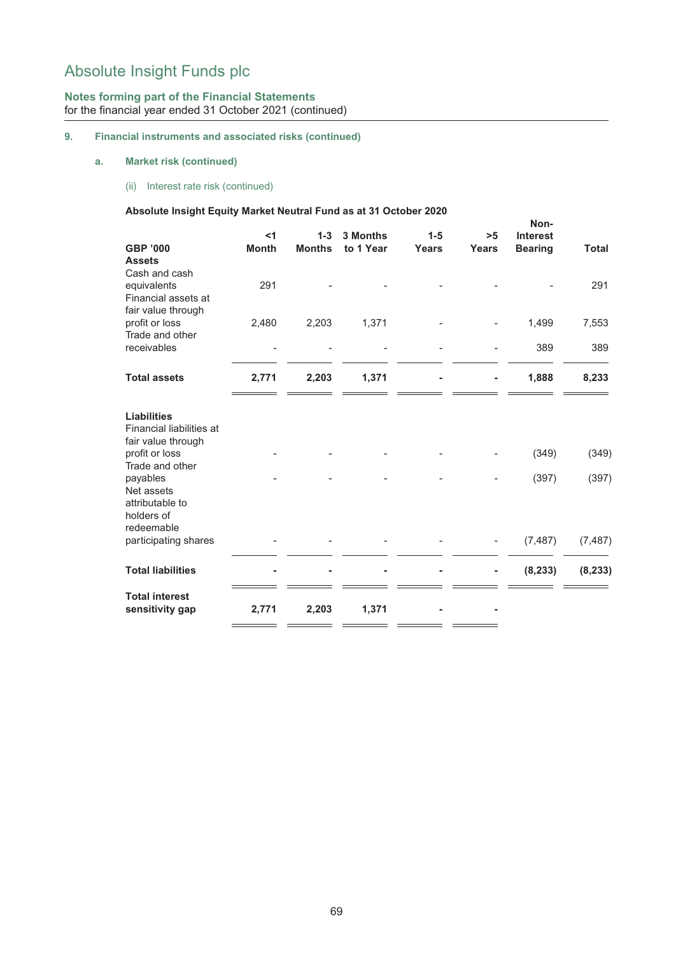## **Notes forming part of the Financial Statements** for the financial year ended 31 October 2021 (continued)

## **9. Financial instruments and associated risks (continued)**

## **a. Market risk (continued)**

(ii) Interest rate risk (continued)

## **Absolute Insight Equity Market Neutral Fund as at 31 October 2020**

|                                    |              |               |           |         |              | Non-            |              |  |
|------------------------------------|--------------|---------------|-----------|---------|--------------|-----------------|--------------|--|
|                                    | $<$ 1        | $1 - 3$       | 3 Months  | $1 - 5$ | >5           | <b>Interest</b> |              |  |
| <b>GBP '000</b>                    | <b>Month</b> | <b>Months</b> | to 1 Year | Years   | <b>Years</b> | <b>Bearing</b>  | <b>Total</b> |  |
| <b>Assets</b><br>Cash and cash     |              |               |           |         |              |                 |              |  |
| equivalents                        | 291          |               |           |         |              |                 | 291          |  |
| Financial assets at                |              |               |           |         |              |                 |              |  |
| fair value through                 |              |               |           |         |              |                 |              |  |
| profit or loss                     | 2,480        | 2,203         | 1,371     |         |              | 1,499           | 7,553        |  |
| Trade and other<br>receivables     |              |               |           |         |              | 389             | 389          |  |
|                                    |              |               |           |         |              |                 |              |  |
| <b>Total assets</b>                | 2,771        | 2,203         | 1,371     |         |              | 1,888           | 8,233        |  |
|                                    |              |               |           |         |              |                 |              |  |
| <b>Liabilities</b>                 |              |               |           |         |              |                 |              |  |
| Financial liabilities at           |              |               |           |         |              |                 |              |  |
| fair value through                 |              |               |           |         |              |                 |              |  |
| profit or loss                     |              |               |           |         |              | (349)           | (349)        |  |
| Trade and other<br>payables        |              |               |           |         |              | (397)           | (397)        |  |
| Net assets                         |              |               |           |         |              |                 |              |  |
| attributable to                    |              |               |           |         |              |                 |              |  |
| holders of                         |              |               |           |         |              |                 |              |  |
| redeemable<br>participating shares |              |               |           |         |              | (7, 487)        | (7, 487)     |  |
|                                    |              |               |           |         |              |                 |              |  |
| <b>Total liabilities</b>           |              |               |           |         |              | (8, 233)        | (8, 233)     |  |
| <b>Total interest</b>              |              |               |           |         |              |                 |              |  |
| sensitivity gap                    | 2,771        | 2,203         | 1,371     |         |              |                 |              |  |
|                                    |              |               |           |         |              |                 |              |  |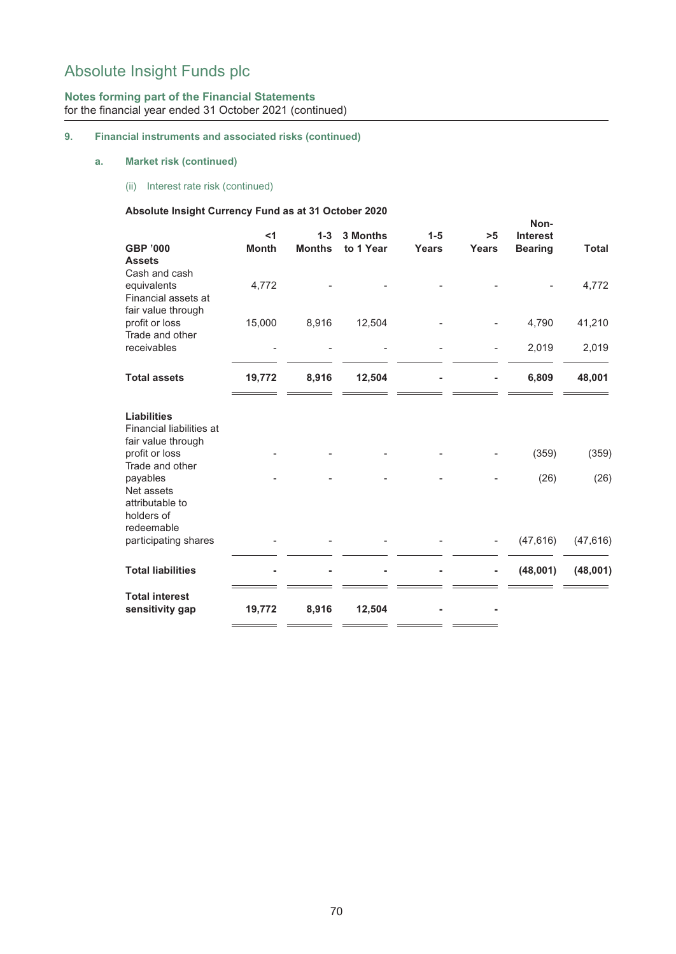## **Notes forming part of the Financial Statements** for the financial year ended 31 October 2021 (continued)

## **9. Financial instruments and associated risks (continued)**

## **a. Market risk (continued)**

(ii) Interest rate risk (continued)

## **Absolute Insight Currency Fund as at 31 October 2020**

|                                      |              |               |           |              |                          | Non-            |              |  |
|--------------------------------------|--------------|---------------|-----------|--------------|--------------------------|-----------------|--------------|--|
|                                      | $<$ 1        | $1 - 3$       | 3 Months  | $1 - 5$      | >5                       | <b>Interest</b> |              |  |
| <b>GBP '000</b><br><b>Assets</b>     | <b>Month</b> | <b>Months</b> | to 1 Year | <b>Years</b> | Years                    | <b>Bearing</b>  | <b>Total</b> |  |
| Cash and cash                        |              |               |           |              |                          |                 |              |  |
| equivalents                          | 4,772        |               |           |              |                          |                 | 4,772        |  |
| Financial assets at                  |              |               |           |              |                          |                 |              |  |
| fair value through                   |              |               |           |              |                          |                 |              |  |
| profit or loss<br>Trade and other    | 15,000       | 8,916         | 12,504    |              |                          | 4,790           | 41,210       |  |
| receivables                          |              |               |           |              | $\overline{\phantom{0}}$ | 2,019           | 2,019        |  |
|                                      |              |               |           |              |                          |                 |              |  |
| <b>Total assets</b>                  | 19,772       | 8,916         | 12,504    |              |                          | 6,809           | 48,001       |  |
| <b>Liabilities</b>                   |              |               |           |              |                          |                 |              |  |
| Financial liabilities at             |              |               |           |              |                          |                 |              |  |
| fair value through<br>profit or loss |              |               |           |              |                          | (359)           | (359)        |  |
| Trade and other                      |              |               |           |              |                          |                 |              |  |
| payables                             |              |               |           |              |                          | (26)            | (26)         |  |
| Net assets<br>attributable to        |              |               |           |              |                          |                 |              |  |
| holders of                           |              |               |           |              |                          |                 |              |  |
| redeemable                           |              |               |           |              |                          |                 |              |  |
| participating shares                 |              |               |           |              |                          | (47, 616)       | (47, 616)    |  |
| <b>Total liabilities</b>             |              |               |           |              | ۰                        | (48,001)        | (48,001)     |  |
| <b>Total interest</b>                |              |               |           |              |                          |                 |              |  |
| sensitivity gap                      | 19,772       | 8,916         | 12,504    |              |                          |                 |              |  |
|                                      |              |               |           |              |                          |                 |              |  |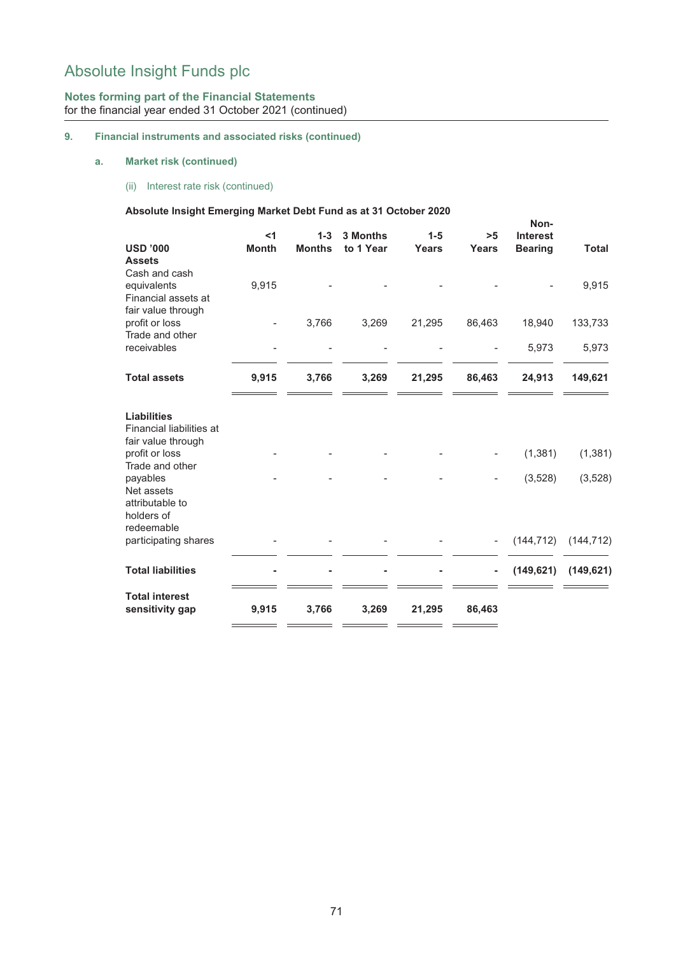## **Notes forming part of the Financial Statements** for the financial year ended 31 October 2021 (continued)

## **9. Financial instruments and associated risks (continued)**

## **a. Market risk (continued)**

(ii) Interest rate risk (continued)

## **Absolute Insight Emerging Market Debt Fund as at 31 October 2020**

|                                                           |              |               |           |         |              | Non-            |              |
|-----------------------------------------------------------|--------------|---------------|-----------|---------|--------------|-----------------|--------------|
|                                                           | $<$ 1        | $1-3$         | 3 Months  | $1 - 5$ | >5           | <b>Interest</b> |              |
| <b>USD '000</b>                                           | <b>Month</b> | <b>Months</b> | to 1 Year | Years   | <b>Years</b> | <b>Bearing</b>  | <b>Total</b> |
| <b>Assets</b><br>Cash and cash                            |              |               |           |         |              |                 |              |
| equivalents                                               | 9,915        |               |           |         |              |                 | 9,915        |
| Financial assets at                                       |              |               |           |         |              |                 |              |
| fair value through                                        |              |               |           |         |              |                 |              |
| profit or loss                                            |              | 3,766         | 3,269     | 21,295  | 86,463       | 18,940          | 133,733      |
| Trade and other                                           |              |               |           |         |              |                 |              |
| receivables                                               |              |               |           |         |              | 5,973           | 5,973        |
| <b>Total assets</b>                                       | 9,915        | 3,766         | 3,269     | 21,295  | 86,463       | 24,913          | 149,621      |
| <b>Liabilities</b><br>Financial liabilities at            |              |               |           |         |              |                 |              |
| fair value through<br>profit or loss                      |              |               |           |         |              | (1, 381)        | (1, 381)     |
| Trade and other                                           |              |               |           |         |              |                 |              |
| payables                                                  |              |               |           |         |              | (3, 528)        | (3, 528)     |
| Net assets<br>attributable to<br>holders of<br>redeemable |              |               |           |         |              |                 |              |
| participating shares                                      |              |               |           |         |              | (144, 712)      | (144, 712)   |
|                                                           |              |               |           |         |              |                 |              |
| <b>Total liabilities</b>                                  |              |               |           |         |              | (149, 621)      | (149, 621)   |
| <b>Total interest</b><br>sensitivity gap                  | 9,915        | 3,766         | 3,269     | 21,295  | 86,463       |                 |              |
|                                                           |              |               |           |         |              |                 |              |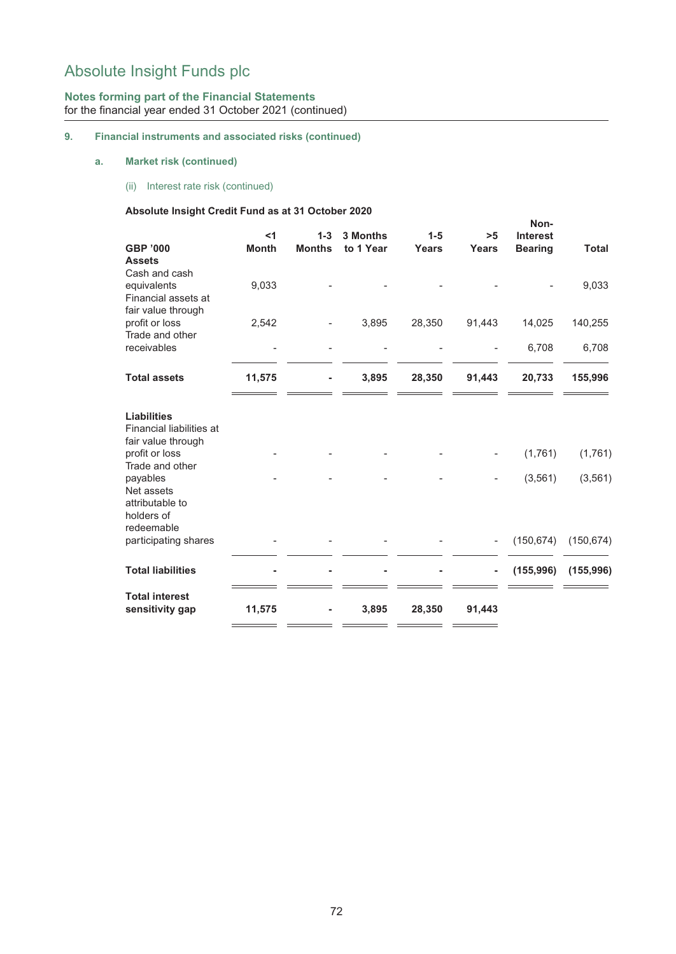## **Notes forming part of the Financial Statements** for the financial year ended 31 October 2021 (continued)

## **9. Financial instruments and associated risks (continued)**

## **a. Market risk (continued)**

(ii) Interest rate risk (continued)

## **Absolute Insight Credit Fund as at 31 October 2020**

|                                |              |               |           |              |              | Non-            |              |
|--------------------------------|--------------|---------------|-----------|--------------|--------------|-----------------|--------------|
|                                | $<$ 1        | $1 - 3$       | 3 Months  | $1 - 5$      | >5           | <b>Interest</b> |              |
| <b>GBP '000</b>                | <b>Month</b> | <b>Months</b> | to 1 Year | <b>Years</b> | <b>Years</b> | <b>Bearing</b>  | <b>Total</b> |
| <b>Assets</b><br>Cash and cash |              |               |           |              |              |                 |              |
| equivalents                    | 9,033        |               |           |              |              |                 | 9,033        |
| Financial assets at            |              |               |           |              |              |                 |              |
| fair value through             |              |               |           |              |              |                 |              |
| profit or loss                 | 2,542        |               | 3,895     | 28,350       | 91,443       | 14,025          | 140,255      |
| Trade and other                |              |               |           |              |              |                 |              |
| receivables                    |              |               |           |              |              | 6,708           | 6,708        |
| <b>Total assets</b>            | 11,575       |               | 3,895     | 28,350       | 91,443       | 20,733          | 155,996      |
|                                |              |               |           |              |              |                 |              |
| <b>Liabilities</b>             |              |               |           |              |              |                 |              |
| Financial liabilities at       |              |               |           |              |              |                 |              |
| fair value through             |              |               |           |              |              |                 |              |
| profit or loss                 |              |               |           |              |              | (1,761)         | (1,761)      |
| Trade and other                |              |               |           |              |              |                 |              |
| payables<br>Net assets         |              |               |           |              |              | (3, 561)        | (3, 561)     |
| attributable to                |              |               |           |              |              |                 |              |
| holders of                     |              |               |           |              |              |                 |              |
| redeemable                     |              |               |           |              |              |                 |              |
| participating shares           |              |               |           |              |              | (150, 674)      | (150, 674)   |
|                                |              |               |           |              |              |                 |              |
| <b>Total liabilities</b>       |              |               |           |              | ۰            | (155, 996)      | (155, 996)   |
| <b>Total interest</b>          |              |               |           |              |              |                 |              |
| sensitivity gap                | 11,575       |               | 3,895     | 28,350       | 91,443       |                 |              |
|                                |              |               |           |              |              |                 |              |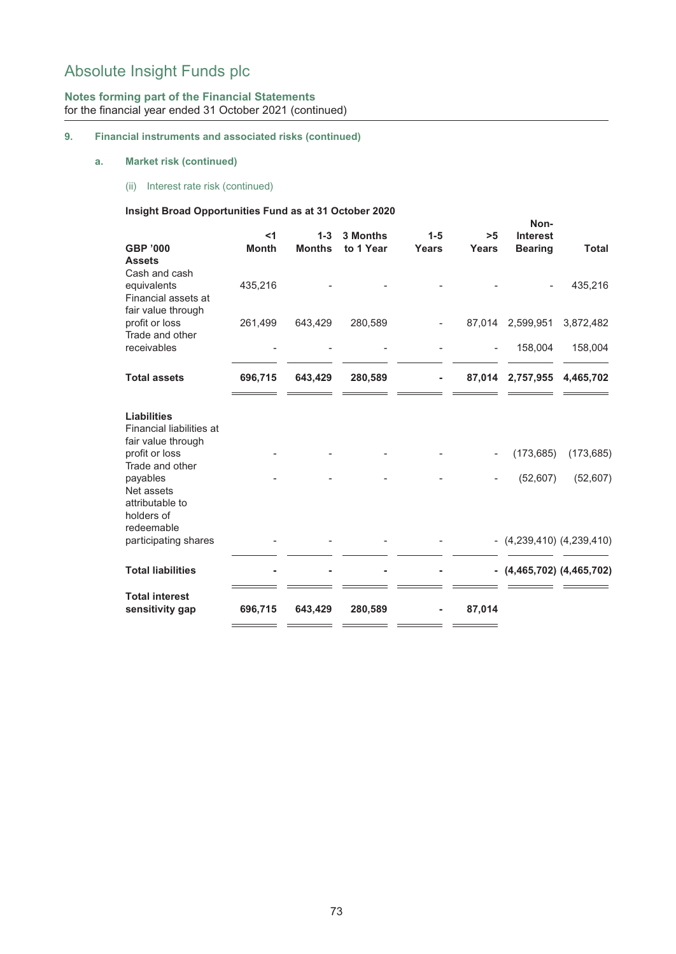## **Notes forming part of the Financial Statements** for the financial year ended 31 October 2021 (continued)

## **9. Financial instruments and associated risks (continued)**

## **a. Market risk (continued)**

(ii) Interest rate risk (continued)

#### **Insight Broad Opportunities Fund as at 31 October 2020**

|                                                                                        |                       |                        |                              |                  |                          | Non-                              |              |
|----------------------------------------------------------------------------------------|-----------------------|------------------------|------------------------------|------------------|--------------------------|-----------------------------------|--------------|
| <b>GBP '000</b>                                                                        | $<$ 1<br><b>Month</b> | $1-3$<br><b>Months</b> | <b>3 Months</b><br>to 1 Year | $1 - 5$<br>Years | >5<br>Years              | <b>Interest</b><br><b>Bearing</b> | <b>Total</b> |
| <b>Assets</b>                                                                          |                       |                        |                              |                  |                          |                                   |              |
| Cash and cash                                                                          |                       |                        |                              |                  |                          |                                   |              |
| equivalents<br>Financial assets at<br>fair value through                               | 435,216               |                        |                              |                  |                          |                                   | 435,216      |
| profit or loss                                                                         | 261,499               | 643,429                | 280,589                      |                  |                          | 87,014 2,599,951                  | 3,872,482    |
| Trade and other<br>receivables                                                         |                       |                        |                              |                  | $\overline{\phantom{a}}$ | 158,004                           | 158,004      |
|                                                                                        |                       |                        |                              |                  |                          |                                   |              |
| <b>Total assets</b>                                                                    | 696,715               | 643,429                | 280,589                      |                  |                          | 87,014 2,757,955                  | 4,465,702    |
| <b>Liabilities</b><br>Financial liabilities at<br>fair value through<br>profit or loss |                       |                        |                              |                  |                          | (173, 685)                        | (173, 685)   |
| Trade and other                                                                        |                       |                        |                              |                  |                          |                                   |              |
| payables<br>Net assets<br>attributable to<br>holders of<br>redeemable                  |                       |                        |                              |                  |                          | (52,607)                          | (52, 607)    |
| participating shares                                                                   |                       |                        |                              |                  |                          | $-(4,239,410)$ $(4,239,410)$      |              |
| <b>Total liabilities</b>                                                               |                       |                        |                              |                  |                          | $-$ (4,465,702) (4,465,702)       |              |
| <b>Total interest</b><br>sensitivity gap                                               | 696,715               | 643,429                | 280,589                      |                  | 87,014                   |                                   |              |
|                                                                                        |                       |                        |                              |                  |                          |                                   |              |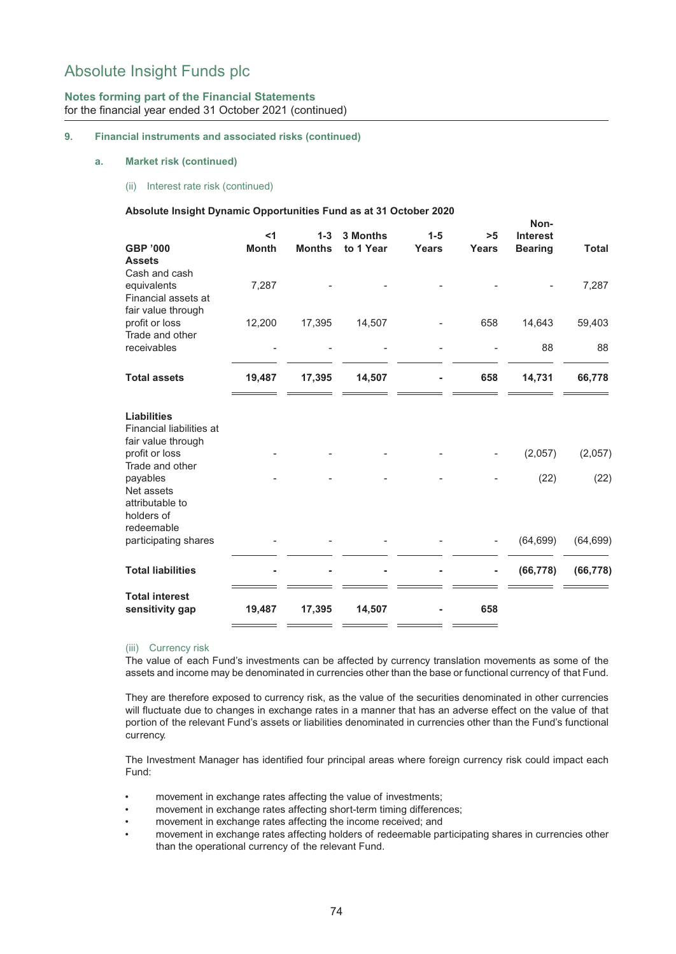## **Notes forming part of the Financial Statements** for the financial year ended 31 October 2021 (continued)

#### **9. Financial instruments and associated risks (continued)**

#### **a. Market risk (continued)**

(ii) Interest rate risk (continued)

#### **Absolute Insight Dynamic Opportunities Fund as at 31 October 2020**

| <b>GBP '000</b><br><b>Assets</b>                                                       | $<$ 1<br><b>Month</b> | $1 - 3$<br><b>Months</b> | 3 Months<br>to 1 Year | $1 - 5$<br>Years | >5<br><b>Years</b> | NON-<br><b>Interest</b><br><b>Bearing</b> | <b>Total</b> |
|----------------------------------------------------------------------------------------|-----------------------|--------------------------|-----------------------|------------------|--------------------|-------------------------------------------|--------------|
| Cash and cash<br>equivalents<br>Financial assets at                                    | 7,287                 |                          |                       |                  |                    |                                           | 7,287        |
| fair value through<br>profit or loss<br>Trade and other                                | 12,200                | 17,395                   | 14,507                |                  | 658                | 14,643                                    | 59,403       |
| receivables                                                                            |                       |                          |                       |                  |                    | 88                                        | 88           |
| <b>Total assets</b>                                                                    | 19,487                | 17,395                   | 14,507                | ۰                | 658                | 14,731                                    | 66,778       |
| <b>Liabilities</b><br>Financial liabilities at<br>fair value through<br>profit or loss |                       |                          |                       |                  |                    | (2,057)                                   | (2,057)      |
| Trade and other<br>payables<br>Net assets<br>attributable to<br>holders of             |                       |                          |                       |                  |                    | (22)                                      | (22)         |
| redeemable<br>participating shares                                                     |                       |                          |                       |                  |                    | (64, 699)                                 | (64, 699)    |
| <b>Total liabilities</b>                                                               |                       |                          |                       |                  | ۰                  | (66, 778)                                 | (66, 778)    |
| <b>Total interest</b><br>sensitivity gap                                               | 19,487                | 17,395                   | 14,507                |                  | 658                |                                           |              |

**Non-**

#### (iii) Currency risk

The value of each Fund's investments can be affected by currency translation movements as some of the assets and income may be denominated in currencies other than the base or functional currency of that Fund.

They are therefore exposed to currency risk, as the value of the securities denominated in other currencies will fluctuate due to changes in exchange rates in a manner that has an adverse effect on the value of that portion of the relevant Fund's assets or liabilities denominated in currencies other than the Fund's functional currency.

The Investment Manager has identified four principal areas where foreign currency risk could impact each Fund:

- movement in exchange rates affecting the value of investments;
- movement in exchange rates affecting short-term timing differences;
- movement in exchange rates affecting the income received; and
- movement in exchange rates affecting holders of redeemable participating shares in currencies other than the operational currency of the relevant Fund.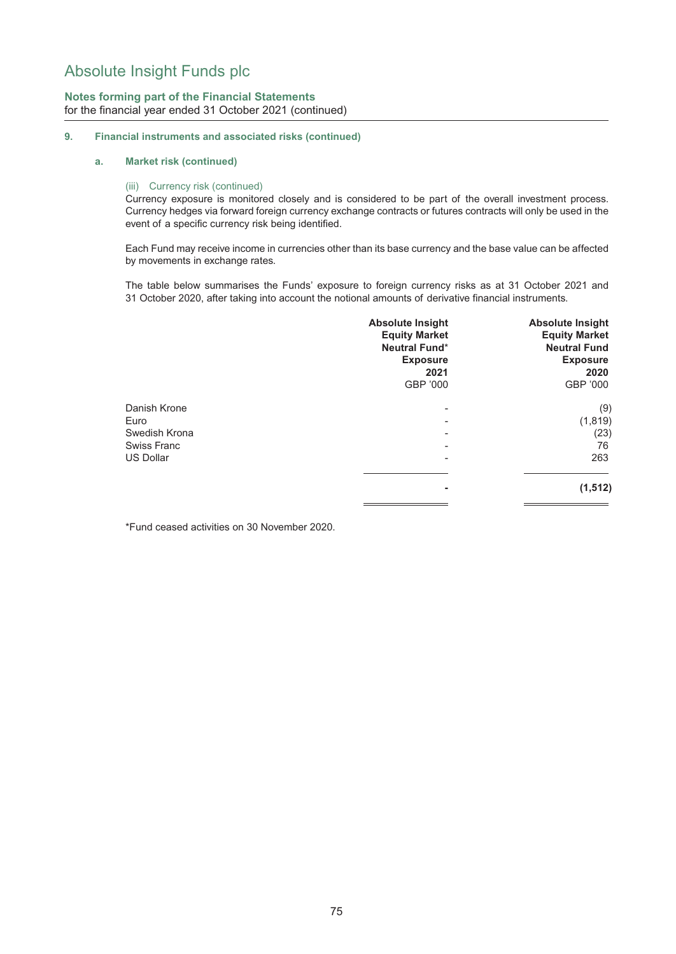## **Notes forming part of the Financial Statements** for the financial year ended 31 October 2021 (continued)

#### **9. Financial instruments and associated risks (continued)**

#### **a. Market risk (continued)**

#### (iii) Currency risk (continued)

Currency exposure is monitored closely and is considered to be part of the overall investment process. Currency hedges via forward foreign currency exchange contracts or futures contracts will only be used in the event of a specific currency risk being identified.

Each Fund may receive income in currencies other than its base currency and the base value can be affected by movements in exchange rates.

The table below summarises the Funds' exposure to foreign currency risks as at 31 October 2021 and 31 October 2020, after taking into account the notional amounts of derivative financial instruments.

|                  | <b>Absolute Insight</b><br><b>Equity Market</b><br><b>Neutral Fund*</b><br><b>Exposure</b><br>2021<br>GBP '000 | <b>Absolute Insight</b><br><b>Equity Market</b><br><b>Neutral Fund</b><br><b>Exposure</b><br>2020<br>GBP '000 |
|------------------|----------------------------------------------------------------------------------------------------------------|---------------------------------------------------------------------------------------------------------------|
| Danish Krone     | $\overline{\phantom{0}}$                                                                                       | (9)                                                                                                           |
| Euro             |                                                                                                                | (1, 819)                                                                                                      |
| Swedish Krona    |                                                                                                                | (23)                                                                                                          |
| Swiss Franc      | $\overline{\phantom{0}}$                                                                                       | 76                                                                                                            |
| <b>US Dollar</b> | ۰                                                                                                              | 263                                                                                                           |
|                  | ٠                                                                                                              | (1, 512)                                                                                                      |
|                  |                                                                                                                |                                                                                                               |

\*Fund ceased activities on 30 November 2020.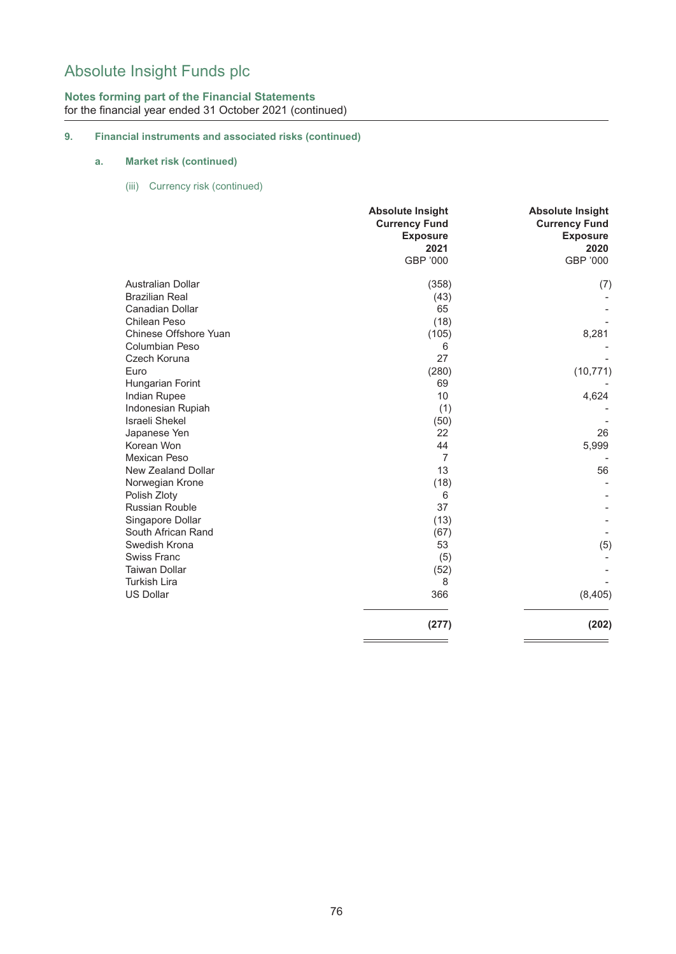## **Notes forming part of the Financial Statements** for the financial year ended 31 October 2021 (continued)

## **9. Financial instruments and associated risks (continued)**

## **a. Market risk (continued)**

(iii) Currency risk (continued)

|                          | <b>Absolute Insight</b><br><b>Currency Fund</b><br><b>Exposure</b> | <b>Absolute Insight</b><br><b>Currency Fund</b><br><b>Exposure</b> |
|--------------------------|--------------------------------------------------------------------|--------------------------------------------------------------------|
|                          | 2021                                                               | 2020                                                               |
|                          | GBP '000                                                           | GBP '000                                                           |
| <b>Australian Dollar</b> | (358)                                                              | (7)                                                                |
| <b>Brazilian Real</b>    | (43)                                                               |                                                                    |
| Canadian Dollar          | 65                                                                 |                                                                    |
| Chilean Peso             | (18)                                                               |                                                                    |
| Chinese Offshore Yuan    | (105)                                                              | 8,281                                                              |
| Columbian Peso           | 6                                                                  |                                                                    |
| Czech Koruna             | 27                                                                 |                                                                    |
| Euro                     | (280)                                                              | (10, 771)                                                          |
| Hungarian Forint         | 69                                                                 |                                                                    |
| Indian Rupee             | 10                                                                 | 4,624                                                              |
| Indonesian Rupiah        | (1)                                                                |                                                                    |
| <b>Israeli Shekel</b>    | (50)                                                               |                                                                    |
| Japanese Yen             | 22                                                                 | 26                                                                 |
| Korean Won               | 44                                                                 | 5,999                                                              |
| Mexican Peso             | $\overline{7}$                                                     |                                                                    |
| New Zealand Dollar       | 13                                                                 | 56                                                                 |
| Norwegian Krone          | (18)                                                               |                                                                    |
| Polish Zloty             | 6                                                                  |                                                                    |
| <b>Russian Rouble</b>    | 37                                                                 |                                                                    |
| Singapore Dollar         | (13)                                                               |                                                                    |
| South African Rand       | (67)                                                               |                                                                    |
| Swedish Krona            | 53                                                                 | (5)                                                                |
| <b>Swiss Franc</b>       | (5)                                                                |                                                                    |
| <b>Taiwan Dollar</b>     | (52)                                                               |                                                                    |
| <b>Turkish Lira</b>      | 8                                                                  |                                                                    |
| <b>US Dollar</b>         | 366                                                                | (8, 405)                                                           |
|                          | (277)                                                              | (202)                                                              |
|                          |                                                                    |                                                                    |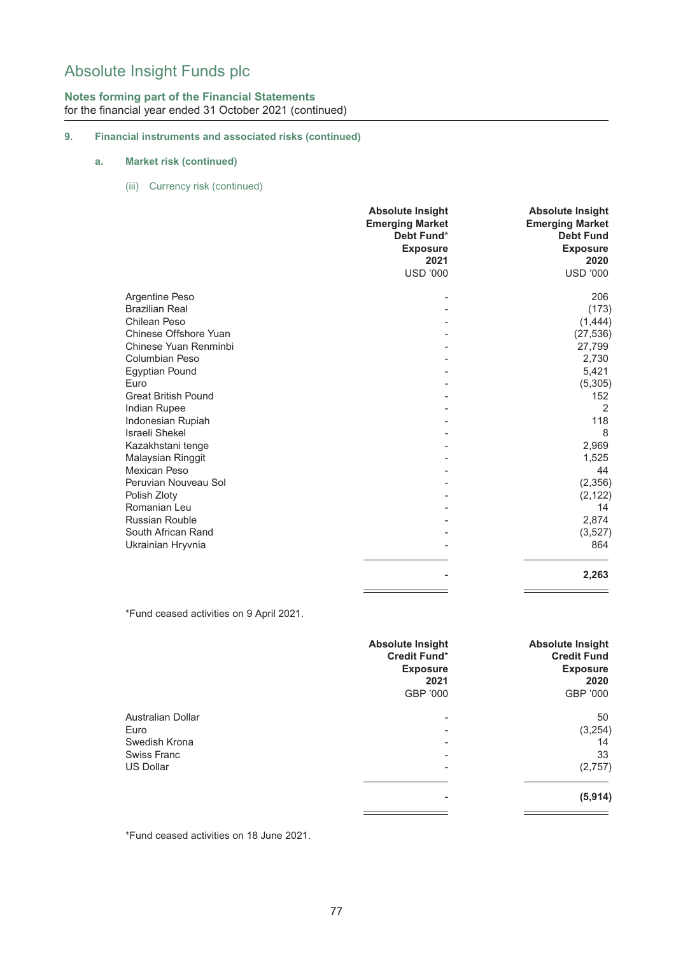## **Notes forming part of the Financial Statements** for the financial year ended 31 October 2021 (continued)

## **9. Financial instruments and associated risks (continued)**

## **a. Market risk (continued)**

(iii) Currency risk (continued)

|                            | <b>Absolute Insight</b><br><b>Emerging Market</b><br>Debt Fund*<br><b>Exposure</b><br>2021<br><b>USD '000</b> | <b>Absolute Insight</b><br><b>Emerging Market</b><br><b>Debt Fund</b><br><b>Exposure</b><br>2020<br><b>USD '000</b> |
|----------------------------|---------------------------------------------------------------------------------------------------------------|---------------------------------------------------------------------------------------------------------------------|
| Argentine Peso             |                                                                                                               | 206                                                                                                                 |
| <b>Brazilian Real</b>      |                                                                                                               | (173)                                                                                                               |
| Chilean Peso               |                                                                                                               | (1, 444)                                                                                                            |
| Chinese Offshore Yuan      |                                                                                                               | (27, 536)                                                                                                           |
| Chinese Yuan Renminbi      |                                                                                                               | 27,799                                                                                                              |
| <b>Columbian Peso</b>      |                                                                                                               | 2,730                                                                                                               |
| <b>Egyptian Pound</b>      |                                                                                                               | 5,421                                                                                                               |
| Euro                       |                                                                                                               | (5, 305)                                                                                                            |
| <b>Great British Pound</b> |                                                                                                               | 152                                                                                                                 |
| Indian Rupee               |                                                                                                               | 2                                                                                                                   |
| Indonesian Rupiah          |                                                                                                               | 118                                                                                                                 |
| Israeli Shekel             |                                                                                                               | 8                                                                                                                   |
| Kazakhstani tenge          |                                                                                                               | 2,969                                                                                                               |
| Malaysian Ringgit          |                                                                                                               | 1,525                                                                                                               |
| Mexican Peso               |                                                                                                               | 44                                                                                                                  |
| Peruvian Nouveau Sol       |                                                                                                               | (2,356)                                                                                                             |
| Polish Zloty               |                                                                                                               | (2, 122)                                                                                                            |
| Romanian Leu               |                                                                                                               | 14                                                                                                                  |
| <b>Russian Rouble</b>      |                                                                                                               | 2,874                                                                                                               |
| South African Rand         |                                                                                                               | (3, 527)                                                                                                            |
| Ukrainian Hryvnia          |                                                                                                               | 864                                                                                                                 |
|                            |                                                                                                               | 2,263                                                                                                               |
|                            |                                                                                                               |                                                                                                                     |

\*Fund ceased activities on 9 April 2021.

|                          | <b>Absolute Insight</b><br>Credit Fund*<br><b>Exposure</b><br>2021<br>GBP '000 | <b>Absolute Insight</b><br><b>Credit Fund</b><br><b>Exposure</b><br>2020<br>GBP '000 |
|--------------------------|--------------------------------------------------------------------------------|--------------------------------------------------------------------------------------|
|                          |                                                                                |                                                                                      |
| <b>Australian Dollar</b> | ۰                                                                              | 50                                                                                   |
| Euro                     | ۰                                                                              | (3,254)                                                                              |
| Swedish Krona            | ۰                                                                              | 14                                                                                   |
| Swiss Franc              | $\overline{\phantom{0}}$                                                       | 33                                                                                   |
| <b>US Dollar</b>         |                                                                                | (2,757)                                                                              |
|                          |                                                                                |                                                                                      |
|                          | ٠                                                                              | (5, 914)                                                                             |

\*Fund ceased activities on 18 June 2021.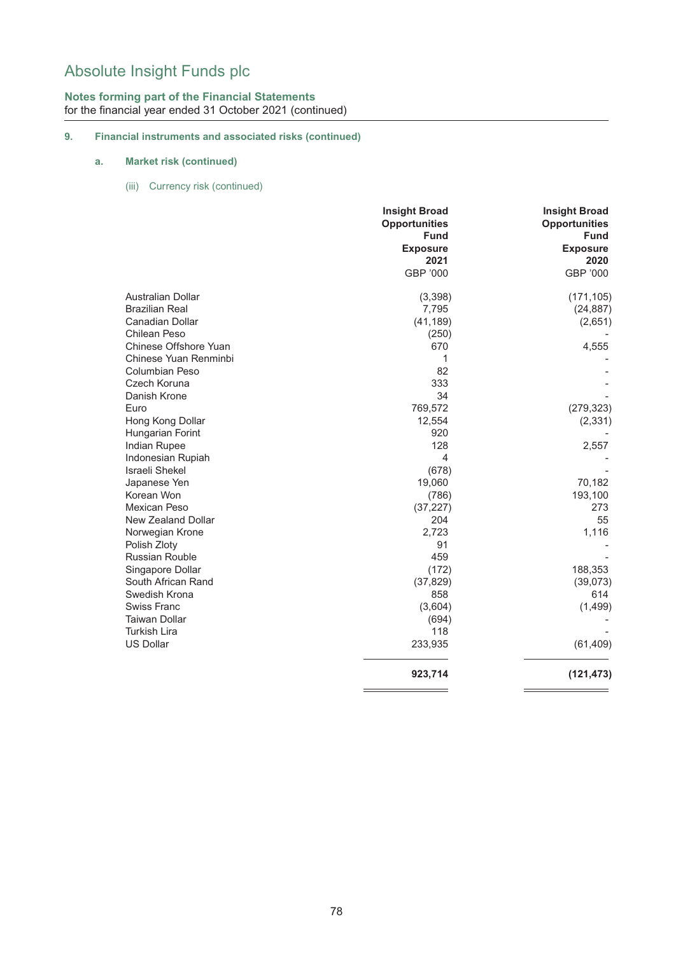## **Notes forming part of the Financial Statements** for the financial year ended 31 October 2021 (continued)

## **9. Financial instruments and associated risks (continued)**

## **a. Market risk (continued)**

(iii) Currency risk (continued)

|                            | <b>Insight Broad</b><br><b>Opportunities</b><br><b>Fund</b><br><b>Exposure</b> | <b>Insight Broad</b><br><b>Opportunities</b><br><b>Fund</b><br><b>Exposure</b> |
|----------------------------|--------------------------------------------------------------------------------|--------------------------------------------------------------------------------|
|                            | 2021                                                                           | 2020                                                                           |
|                            | GBP '000                                                                       | GBP '000                                                                       |
| <b>Australian Dollar</b>   | (3,398)                                                                        | (171, 105)                                                                     |
| <b>Brazilian Real</b>      | 7,795                                                                          | (24, 887)                                                                      |
| <b>Canadian Dollar</b>     | (41, 189)                                                                      | (2,651)                                                                        |
| <b>Chilean Peso</b>        | (250)                                                                          |                                                                                |
| Chinese Offshore Yuan      | 670                                                                            | 4,555                                                                          |
| Chinese Yuan Renminbi      | 1                                                                              |                                                                                |
| Columbian Peso             | 82                                                                             |                                                                                |
| Czech Koruna               | 333                                                                            |                                                                                |
| Danish Krone               | 34                                                                             |                                                                                |
| Euro                       | 769,572                                                                        | (279, 323)                                                                     |
| Hong Kong Dollar           | 12,554                                                                         | (2, 331)                                                                       |
| Hungarian Forint           | 920                                                                            |                                                                                |
| Indian Rupee               | 128                                                                            | 2,557                                                                          |
| Indonesian Rupiah          | $\overline{4}$                                                                 |                                                                                |
| Israeli Shekel             | (678)                                                                          |                                                                                |
| Japanese Yen               | 19,060                                                                         | 70,182                                                                         |
| Korean Won<br>Mexican Peso | (786)                                                                          | 193,100<br>273                                                                 |
| New Zealand Dollar         | (37, 227)<br>204                                                               | 55                                                                             |
| Norwegian Krone            | 2,723                                                                          | 1,116                                                                          |
| Polish Zloty               | 91                                                                             |                                                                                |
| <b>Russian Rouble</b>      | 459                                                                            |                                                                                |
| Singapore Dollar           | (172)                                                                          | 188,353                                                                        |
| South African Rand         | (37, 829)                                                                      | (39,073)                                                                       |
| Swedish Krona              | 858                                                                            | 614                                                                            |
| Swiss Franc                | (3,604)                                                                        | (1,499)                                                                        |
| <b>Taiwan Dollar</b>       | (694)                                                                          |                                                                                |
| <b>Turkish Lira</b>        | 118                                                                            |                                                                                |
| US Dollar                  | 233,935                                                                        | (61, 409)                                                                      |
|                            | 923,714                                                                        | (121, 473)                                                                     |
|                            |                                                                                |                                                                                |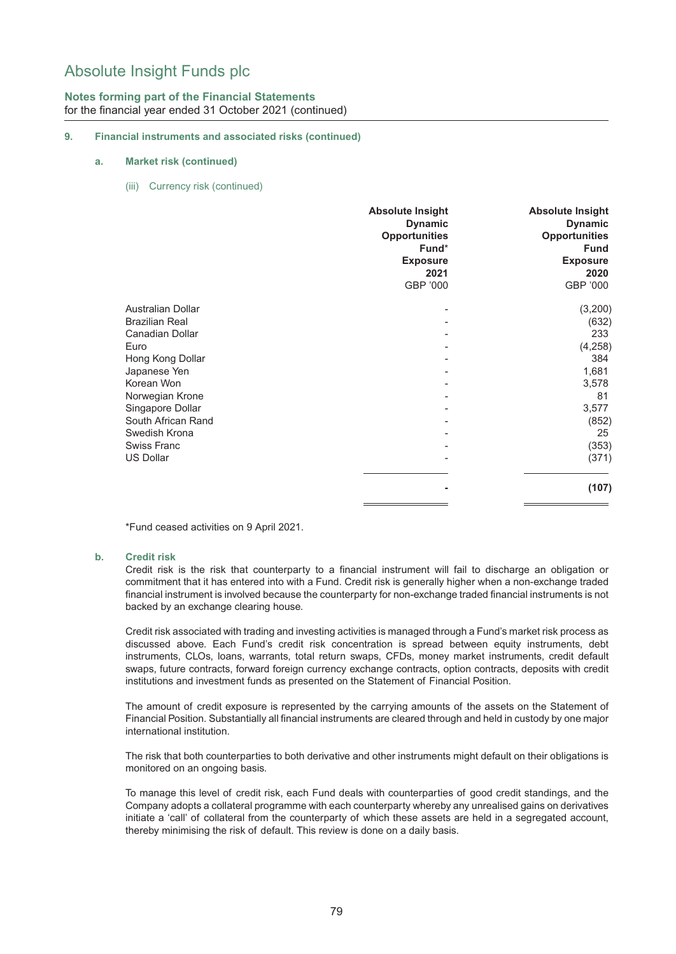## **Notes forming part of the Financial Statements** for the financial year ended 31 October 2021 (continued)

#### **9. Financial instruments and associated risks (continued)**

#### **a. Market risk (continued)**

(iii) Currency risk (continued)

|                                                   | <b>Absolute Insight</b><br><b>Dynamic</b><br><b>Opportunities</b><br>Fund*<br><b>Exposure</b><br>2021 | <b>Absolute Insight</b><br><b>Dynamic</b><br><b>Opportunities</b><br><b>Fund</b><br><b>Exposure</b><br>2020 |
|---------------------------------------------------|-------------------------------------------------------------------------------------------------------|-------------------------------------------------------------------------------------------------------------|
|                                                   | GBP '000                                                                                              | GBP '000                                                                                                    |
| <b>Australian Dollar</b><br><b>Brazilian Real</b> |                                                                                                       | (3,200)<br>(632)                                                                                            |
| Canadian Dollar                                   |                                                                                                       | 233                                                                                                         |
| Euro                                              |                                                                                                       | (4,258)                                                                                                     |
| Hong Kong Dollar                                  |                                                                                                       | 384                                                                                                         |
| Japanese Yen                                      |                                                                                                       | 1,681                                                                                                       |
| Korean Won                                        |                                                                                                       | 3,578                                                                                                       |
| Norwegian Krone                                   |                                                                                                       | 81                                                                                                          |
| Singapore Dollar                                  |                                                                                                       | 3,577                                                                                                       |
| South African Rand                                |                                                                                                       | (852)                                                                                                       |
| Swedish Krona                                     |                                                                                                       | 25                                                                                                          |
| <b>Swiss Franc</b>                                |                                                                                                       | (353)                                                                                                       |
| <b>US Dollar</b>                                  |                                                                                                       | (371)                                                                                                       |
|                                                   | ۰                                                                                                     | (107)                                                                                                       |
|                                                   |                                                                                                       |                                                                                                             |

\*Fund ceased activities on 9 April 2021.

#### **b. Credit risk**

Credit risk is the risk that counterparty to a financial instrument will fail to discharge an obligation or commitment that it has entered into with a Fund. Credit risk is generally higher when a non-exchange traded financial instrument is involved because the counterparty for non-exchange traded financial instruments is not backed by an exchange clearing house.

Credit risk associated with trading and investing activities is managed through a Fund's market risk process as discussed above. Each Fund's credit risk concentration is spread between equity instruments, debt instruments, CLOs, loans, warrants, total return swaps, CFDs, money market instruments, credit default swaps, future contracts, forward foreign currency exchange contracts, option contracts, deposits with credit institutions and investment funds as presented on the Statement of Financial Position.

The amount of credit exposure is represented by the carrying amounts of the assets on the Statement of Financial Position. Substantially all financial instruments are cleared through and held in custody by one major international institution.

The risk that both counterparties to both derivative and other instruments might default on their obligations is monitored on an ongoing basis.

To manage this level of credit risk, each Fund deals with counterparties of good credit standings, and the Company adopts a collateral programme with each counterparty whereby any unrealised gains on derivatives initiate a 'call' of collateral from the counterparty of which these assets are held in a segregated account, thereby minimising the risk of default. This review is done on a daily basis.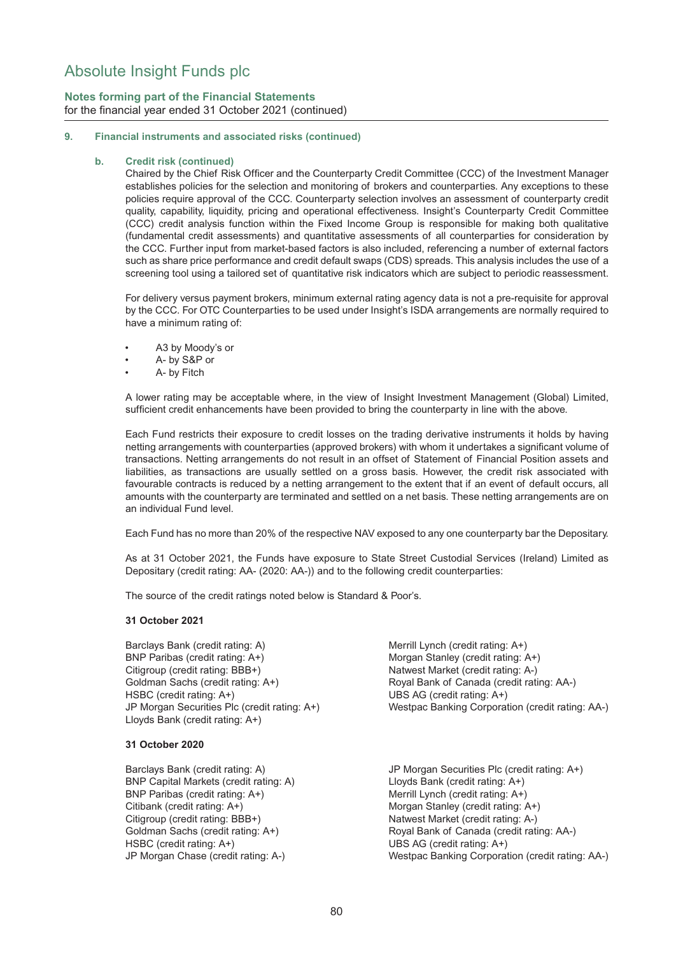## **Notes forming part of the Financial Statements** for the financial year ended 31 October 2021 (continued)

#### **9. Financial instruments and associated risks (continued)**

#### **b. Credit risk (continued)**

Chaired by the Chief Risk Officer and the Counterparty Credit Committee (CCC) of the Investment Manager establishes policies for the selection and monitoring of brokers and counterparties. Any exceptions to these policies require approval of the CCC. Counterparty selection involves an assessment of counterparty credit quality, capability, liquidity, pricing and operational effectiveness. Insight's Counterparty Credit Committee (CCC) credit analysis function within the Fixed Income Group is responsible for making both qualitative (fundamental credit assessments) and quantitative assessments of all counterparties for consideration by the CCC. Further input from market-based factors is also included, referencing a number of external factors such as share price performance and credit default swaps (CDS) spreads. This analysis includes the use of a screening tool using a tailored set of quantitative risk indicators which are subject to periodic reassessment.

For delivery versus payment brokers, minimum external rating agency data is not a pre-requisite for approval by the CCC. For OTC Counterparties to be used under Insight's ISDA arrangements are normally required to have a minimum rating of:

- A3 by Moody's or
- A- by S&P or
- A- by Fitch

A lower rating may be acceptable where, in the view of Insight Investment Management (Global) Limited, sufficient credit enhancements have been provided to bring the counterparty in line with the above.

Each Fund restricts their exposure to credit losses on the trading derivative instruments it holds by having netting arrangements with counterparties (approved brokers) with whom it undertakes a significant volume of transactions. Netting arrangements do not result in an offset of Statement of Financial Position assets and liabilities, as transactions are usually settled on a gross basis. However, the credit risk associated with favourable contracts is reduced by a netting arrangement to the extent that if an event of default occurs, all amounts with the counterparty are terminated and settled on a net basis. These netting arrangements are on an individual Fund level.

Each Fund has no more than 20% of the respective NAV exposed to any one counterparty bar the Depositary.

As at 31 October 2021, the Funds have exposure to State Street Custodial Services (Ireland) Limited as Depositary (credit rating: AA- (2020: AA-)) and to the following credit counterparties:

The source of the credit ratings noted below is Standard & Poor's.

#### **31 October 2021**

Barclays Bank (credit rating: A) Merrill Lynch (credit rating: A+) BNP Paribas (credit rating: A+) Morgan Stanley (credit rating: A+) Citigroup (credit rating: BBB+) Natwest Market (credit rating: A-) Goldman Sachs (credit rating: A+) Royal Bank of Canada (credit rating: AA-) HSBC (credit rating: A+) UBS AG (credit rating: A+) JP Morgan Securities Plc (credit rating: A+) Westpac Banking Corporation (credit rating: AA-) Lloyds Bank (credit rating: A+)

#### **31 October 2020**

BNP Capital Markets (credit rating: A) Lloyds Bank (credit rating: A+) BNP Paribas (credit rating: A+) Merrill Lynch (credit rating: A+) Citibank (credit rating: A+) Morgan Stanley (credit rating: A+) Citigroup (credit rating: BBB+) Natwest Market (credit rating: A-) HSBC (credit rating: A+) UBS AG (credit rating: A+)

Barclays Bank (credit rating: A) JP Morgan Securities Plc (credit rating: A+) Goldman Sachs (credit rating: A+) Royal Bank of Canada (credit rating: AA-) JP Morgan Chase (credit rating: A-) Westpac Banking Corporation (credit rating: AA-)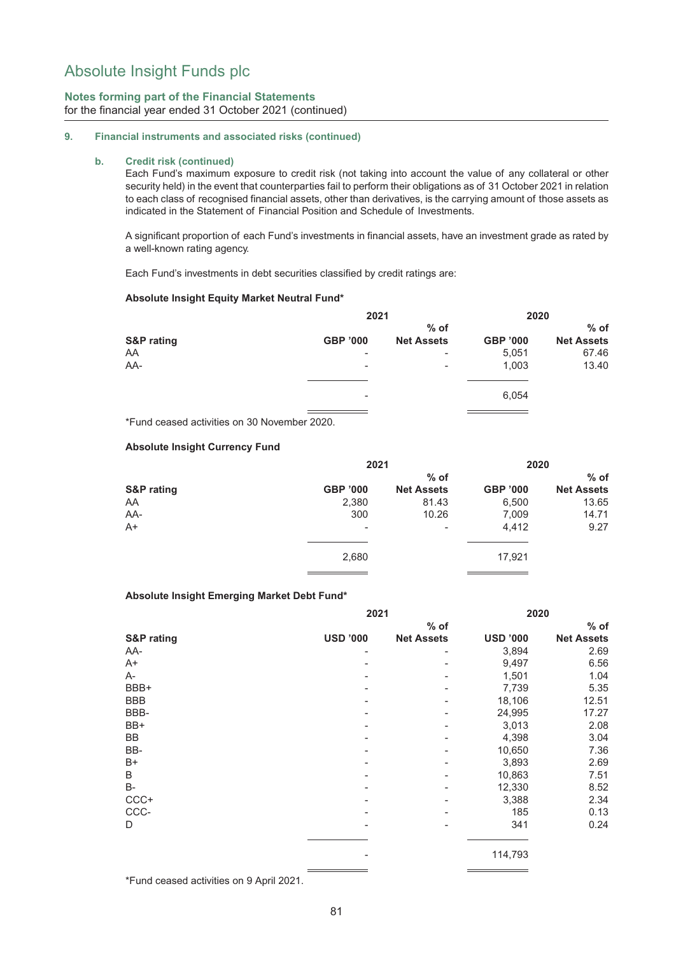## **Notes forming part of the Financial Statements** for the financial year ended 31 October 2021 (continued)

#### **9. Financial instruments and associated risks (continued)**

#### **b. Credit risk (continued)**

Each Fund's maximum exposure to credit risk (not taking into account the value of any collateral or other security held) in the event that counterparties fail to perform their obligations as of 31 October 2021 in relation to each class of recognised financial assets, other than derivatives, is the carrying amount of those assets as indicated in the Statement of Financial Position and Schedule of Investments.

A significant proportion of each Fund's investments in financial assets, have an investment grade as rated by a well-known rating agency.

Each Fund's investments in debt securities classified by credit ratings are:

#### **Absolute Insight Equity Market Neutral Fund\***

|                       | 2021                     |                          | 2020            |                   |
|-----------------------|--------------------------|--------------------------|-----------------|-------------------|
|                       |                          | $%$ of                   |                 | $%$ of            |
| <b>S&amp;P</b> rating | <b>GBP '000</b>          | <b>Net Assets</b>        | <b>GBP '000</b> | <b>Net Assets</b> |
| AA                    | $\overline{\phantom{a}}$ | $\overline{\phantom{a}}$ | 5,051           | 67.46             |
| AA-                   | $\overline{\phantom{a}}$ | $\overline{\phantom{a}}$ | 1,003           | 13.40             |
|                       |                          |                          |                 |                   |
|                       | $\overline{\phantom{a}}$ |                          | 6,054           |                   |

\*Fund ceased activities on 30 November 2020.

#### **Absolute Insight Currency Fund**

|                       | 2021            |                   | 2020            |                   |
|-----------------------|-----------------|-------------------|-----------------|-------------------|
|                       |                 | $%$ of            |                 | $%$ of            |
| <b>S&amp;P</b> rating | <b>GBP '000</b> | <b>Net Assets</b> | <b>GBP '000</b> | <b>Net Assets</b> |
| AA                    | 2,380           | 81.43             | 6,500           | 13.65             |
| AA-                   | 300             | 10.26             | 7,009           | 14.71             |
| $A+$                  | $\sim$          | $\overline{a}$    | 4,412           | 9.27              |
|                       |                 |                   |                 |                   |
|                       | 2,680           |                   | 17,921          |                   |

#### **Absolute Insight Emerging Market Debt Fund\***

|                       | 2021            |                   | 2020            |                   |  |
|-----------------------|-----------------|-------------------|-----------------|-------------------|--|
|                       |                 | $%$ of            |                 | $%$ of            |  |
| <b>S&amp;P</b> rating | <b>USD '000</b> | <b>Net Assets</b> | <b>USD '000</b> | <b>Net Assets</b> |  |
| AA-                   |                 |                   | 3,894           | 2.69              |  |
| $A+$                  |                 |                   | 9,497           | 6.56              |  |
| A-                    |                 |                   | 1,501           | 1.04              |  |
| BBB+                  |                 | ۰                 | 7,739           | 5.35              |  |
| <b>BBB</b>            |                 |                   | 18,106          | 12.51             |  |
| BBB-                  |                 |                   | 24,995          | 17.27             |  |
| BB+                   |                 |                   | 3,013           | 2.08              |  |
| BB                    |                 |                   | 4,398           | 3.04              |  |
| BB-                   |                 |                   | 10,650          | 7.36              |  |
| $B+$                  |                 |                   | 3,893           | 2.69              |  |
| B                     |                 |                   | 10,863          | 7.51              |  |
| B-                    |                 |                   | 12,330          | 8.52              |  |
| $CCC +$               |                 |                   | 3,388           | 2.34              |  |
| CCC-                  |                 |                   | 185             | 0.13              |  |
| D                     |                 |                   | 341             | 0.24              |  |
|                       |                 |                   | 114,793         |                   |  |

\*Fund ceased activities on 9 April 2021.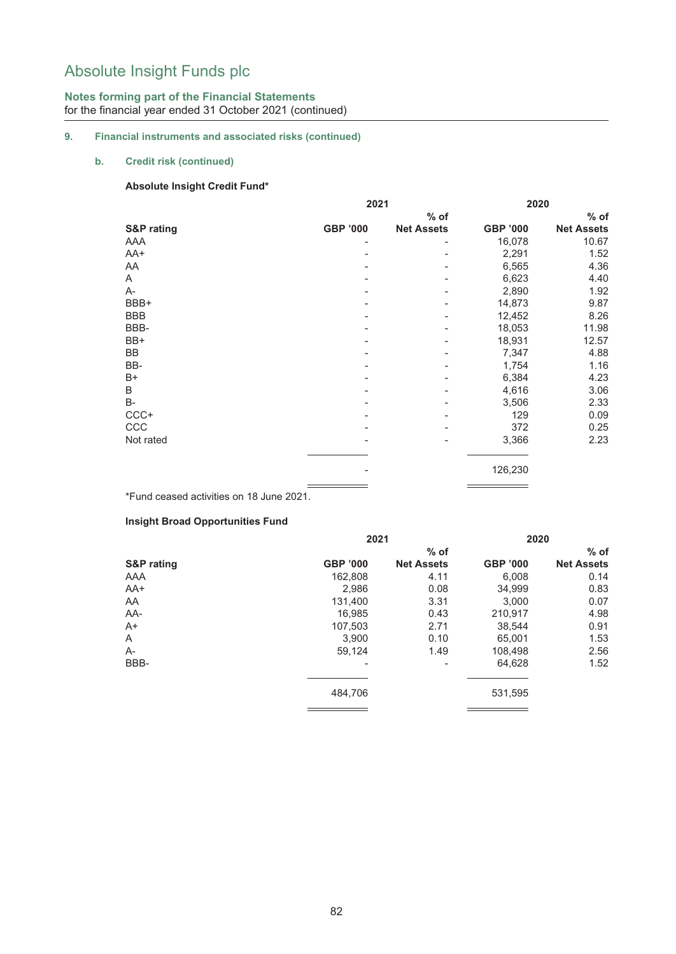## **Notes forming part of the Financial Statements** for the financial year ended 31 October 2021 (continued)

## **9. Financial instruments and associated risks (continued)**

## **b. Credit risk (continued)**

#### **Absolute Insight Credit Fund\***

|                       | 2021            | 2020              |                 |                   |
|-----------------------|-----------------|-------------------|-----------------|-------------------|
|                       |                 | $%$ of            |                 | $%$ of            |
| <b>S&amp;P</b> rating | <b>GBP '000</b> | <b>Net Assets</b> | <b>GBP '000</b> | <b>Net Assets</b> |
| AAA                   |                 |                   | 16,078          | 10.67             |
| AA+                   |                 |                   | 2,291           | 1.52              |
| AA                    |                 |                   | 6,565           | 4.36              |
| A                     |                 |                   | 6,623           | 4.40              |
| A-                    |                 |                   | 2,890           | 1.92              |
| BBB+                  |                 |                   | 14,873          | 9.87              |
| <b>BBB</b>            |                 |                   | 12,452          | 8.26              |
| BBB-                  |                 |                   | 18,053          | 11.98             |
| BB+                   |                 |                   | 18,931          | 12.57             |
| BB                    |                 |                   | 7,347           | 4.88              |
| BB-                   |                 |                   | 1,754           | 1.16              |
| $B+$                  |                 |                   | 6,384           | 4.23              |
| $\sf B$               |                 |                   | 4,616           | 3.06              |
| <b>B-</b>             |                 |                   | 3,506           | 2.33              |
| $CCC+$                |                 |                   | 129             | 0.09              |
| CCC                   |                 |                   | 372             | 0.25              |
| Not rated             |                 |                   | 3,366           | 2.23              |
|                       |                 |                   | 126,230         |                   |
|                       |                 |                   |                 |                   |

\*Fund ceased activities on 18 June 2021.

## **Insight Broad Opportunities Fund**

|                       | 2021            |                   | 2020            |                   |
|-----------------------|-----------------|-------------------|-----------------|-------------------|
|                       |                 | $%$ of            |                 | $%$ of            |
| <b>S&amp;P</b> rating | <b>GBP '000</b> | <b>Net Assets</b> | <b>GBP '000</b> | <b>Net Assets</b> |
| AAA                   | 162.808         | 4.11              | 6.008           | 0.14              |
| AA+                   | 2.986           | 0.08              | 34,999          | 0.83              |
| AA                    | 131,400         | 3.31              | 3.000           | 0.07              |
| AA-                   | 16,985          | 0.43              | 210,917         | 4.98              |
| $A+$                  | 107.503         | 2.71              | 38.544          | 0.91              |
| A                     | 3.900           | 0.10              | 65.001          | 1.53              |
| $A-$                  | 59,124          | 1.49              | 108,498         | 2.56              |
| BBB-                  |                 |                   | 64,628          | 1.52              |
|                       | 484,706         |                   | 531,595         |                   |
|                       |                 |                   |                 |                   |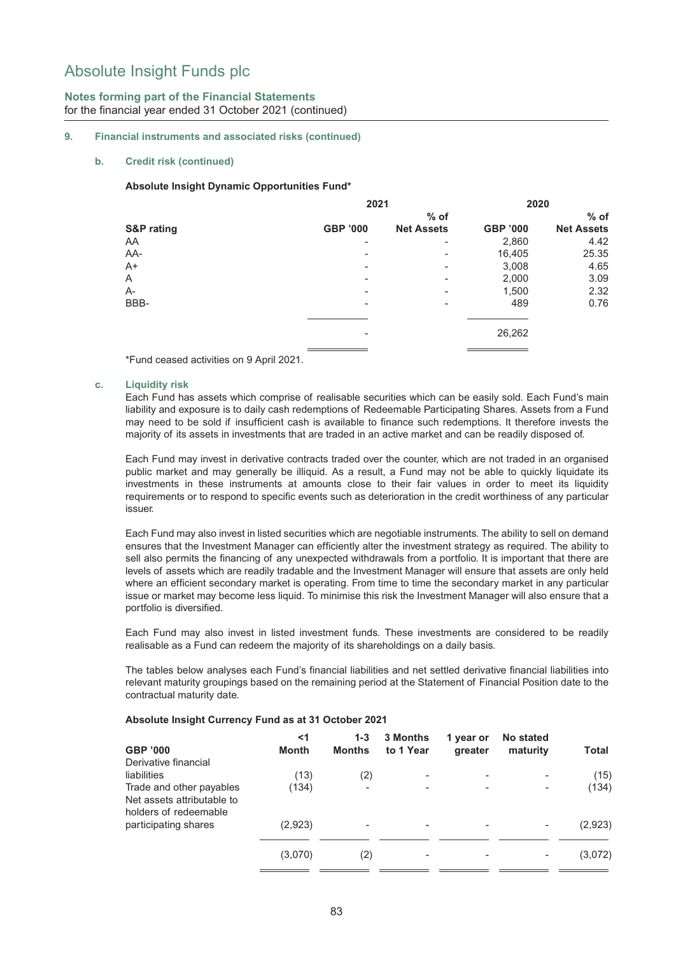## **Notes forming part of the Financial Statements** for the financial year ended 31 October 2021 (continued)

#### **9. Financial instruments and associated risks (continued)**

#### **b. Credit risk (continued)**

#### **Absolute Insight Dynamic Opportunities Fund\***

|                          | 2020                     |                 |                   |
|--------------------------|--------------------------|-----------------|-------------------|
|                          | $%$ of                   |                 | $%$ of            |
| <b>GBP '000</b>          | <b>Net Assets</b>        | <b>GBP '000</b> | <b>Net Assets</b> |
| $\overline{\phantom{a}}$ | $\overline{\phantom{a}}$ | 2,860           | 4.42              |
| $\overline{\phantom{0}}$ | ۰                        | 16,405          | 25.35             |
| ۰                        | ۰                        | 3,008           | 4.65              |
|                          | ۰                        | 2,000           | 3.09              |
| $\overline{\phantom{0}}$ | ۰                        | 1,500           | 2.32              |
| ۰                        | ۰                        | 489             | 0.76              |
| $\overline{\phantom{0}}$ |                          | 26,262          |                   |
|                          |                          | 2021            |                   |

\*Fund ceased activities on 9 April 2021.

#### **c. Liquidity risk**

Each Fund has assets which comprise of realisable securities which can be easily sold. Each Fund's main liability and exposure is to daily cash redemptions of Redeemable Participating Shares. Assets from a Fund may need to be sold if insufficient cash is available to finance such redemptions. It therefore invests the majority of its assets in investments that are traded in an active market and can be readily disposed of.

Each Fund may invest in derivative contracts traded over the counter, which are not traded in an organised public market and may generally be illiquid. As a result, a Fund may not be able to quickly liquidate its investments in these instruments at amounts close to their fair values in order to meet its liquidity requirements or to respond to specific events such as deterioration in the credit worthiness of any particular issuer.

Each Fund may also invest in listed securities which are negotiable instruments. The ability to sell on demand ensures that the Investment Manager can efficiently alter the investment strategy as required. The ability to sell also permits the financing of any unexpected withdrawals from a portfolio. It is important that there are levels of assets which are readily tradable and the Investment Manager will ensure that assets are only held where an efficient secondary market is operating. From time to time the secondary market in any particular issue or market may become less liquid. To minimise this risk the Investment Manager will also ensure that a portfolio is diversified.

Each Fund may also invest in listed investment funds. These investments are considered to be readily realisable as a Fund can redeem the majority of its shareholdings on a daily basis.

The tables below analyses each Fund's financial liabilities and net settled derivative financial liabilities into relevant maturity groupings based on the remaining period at the Statement of Financial Position date to the contractual maturity date.

| Absolute Insight Currency Fund as at 31 October 2021 |  |  |
|------------------------------------------------------|--|--|
|------------------------------------------------------|--|--|

| GBP '000                                                                        | <1<br>Month | $1 - 3$<br><b>Months</b> | <b>3 Months</b><br>to 1 Year | 1 year or<br>greater | No stated<br>maturity    | Total   |
|---------------------------------------------------------------------------------|-------------|--------------------------|------------------------------|----------------------|--------------------------|---------|
| Derivative financial                                                            |             |                          |                              |                      |                          |         |
| liabilities                                                                     | (13)        | (2)                      |                              |                      |                          | (15)    |
| Trade and other payables<br>Net assets attributable to<br>holders of redeemable | (134)       |                          |                              |                      | $\overline{\phantom{0}}$ | (134)   |
| participating shares                                                            | (2,923)     |                          |                              |                      |                          | (2,923) |
|                                                                                 | (3,070)     | (2)                      |                              |                      |                          | (3,072) |
|                                                                                 |             |                          |                              |                      |                          |         |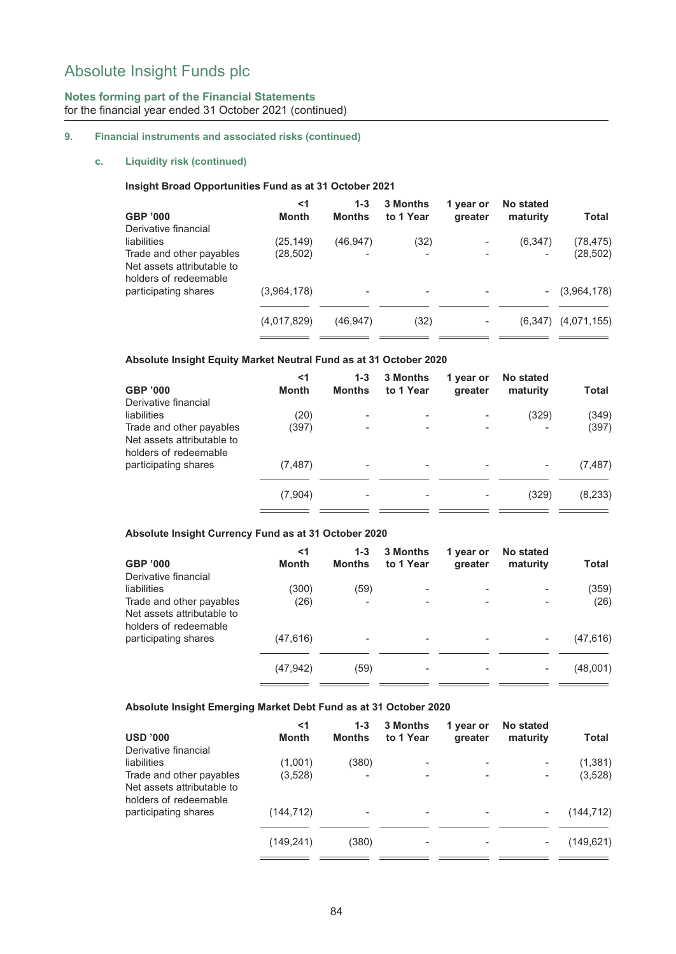## **Notes forming part of the Financial Statements** for the financial year ended 31 October 2021 (continued)

## **9. Financial instruments and associated risks (continued)**

#### **c. Liquidity risk (continued)**

#### **Insight Broad Opportunities Fund as at 31 October 2021**

| GBP '000                                                                        | <1<br><b>Month</b> | $1 - 3$<br><b>Months</b> | <b>3 Months</b><br>to 1 Year | 1 year or<br>greater | <b>No stated</b><br>maturity | Total       |
|---------------------------------------------------------------------------------|--------------------|--------------------------|------------------------------|----------------------|------------------------------|-------------|
| Derivative financial                                                            |                    |                          |                              |                      |                              |             |
| liabilities                                                                     | (25, 149)          | (46, 947)                | (32)                         |                      | (6,347)                      | (78, 475)   |
| Trade and other payables<br>Net assets attributable to<br>holders of redeemable | (28,502)           |                          | -                            |                      |                              | (28, 502)   |
| participating shares                                                            | (3,964,178)        |                          |                              |                      | $\overline{\phantom{a}}$     | (3,964,178) |
|                                                                                 | (4,017,829)        | (46,947)                 | (32)                         |                      | (6,347)                      | (4,071,155) |

#### **Absolute Insight Equity Market Neutral Fund as at 31 October 2020**

| <b>GBP '000</b>                                                                 | <1<br>Month | $1 - 3$<br><b>Months</b> | 3 Months<br>to 1 Year | 1 year or<br>greater | No stated<br>maturity | <b>Total</b> |
|---------------------------------------------------------------------------------|-------------|--------------------------|-----------------------|----------------------|-----------------------|--------------|
| Derivative financial                                                            |             |                          |                       |                      |                       |              |
| liabilities                                                                     | (20)        | $\overline{\phantom{0}}$ |                       |                      | (329)                 | (349)        |
| Trade and other payables<br>Net assets attributable to<br>holders of redeemable | (397)       |                          |                       |                      |                       | (397)        |
| participating shares                                                            | (7, 487)    | -                        |                       |                      |                       | (7, 487)     |
|                                                                                 | (7,904)     | $\overline{\phantom{0}}$ |                       |                      | (329)                 | (8, 233)     |
|                                                                                 |             |                          |                       |                      |                       |              |

## **Absolute Insight Currency Fund as at 31 October 2020**

|                            | <1        | $1 - 3$                  | 3 Months                 | 1 year or                | <b>No stated</b> |           |
|----------------------------|-----------|--------------------------|--------------------------|--------------------------|------------------|-----------|
| <b>GBP '000</b>            | Month     | <b>Months</b>            | to 1 Year                | greater                  | maturity         | Total     |
| Derivative financial       |           |                          |                          |                          |                  |           |
| liabilities                | (300)     | (59)                     |                          | $\overline{\phantom{0}}$ |                  | (359)     |
| Trade and other payables   | (26)      |                          | $\overline{\phantom{0}}$ | $\overline{\phantom{0}}$ | $\overline{a}$   | (26)      |
| Net assets attributable to |           |                          |                          |                          |                  |           |
| holders of redeemable      |           |                          |                          |                          |                  |           |
| participating shares       | (47, 616) | $\overline{\phantom{0}}$ |                          |                          | -                | (47, 616) |
|                            |           |                          |                          |                          |                  |           |
|                            | (47, 942) | (59)                     | $\overline{\phantom{0}}$ |                          |                  | (48,001)  |
|                            |           |                          |                          |                          |                  |           |

#### **Absolute Insight Emerging Market Debt Fund as at 31 October 2020**

|                                                                                 | $<$ 1        | $1 - 3$                  | <b>3 Months</b>          | 1 year or | No stated |            |
|---------------------------------------------------------------------------------|--------------|--------------------------|--------------------------|-----------|-----------|------------|
| <b>USD '000</b>                                                                 | <b>Month</b> | <b>Months</b>            | to 1 Year                | greater   | maturity  | Total      |
| Derivative financial                                                            |              |                          |                          |           |           |            |
| liabilities                                                                     | (1,001)      | (380)                    | -                        |           |           | (1,381)    |
| Trade and other payables<br>Net assets attributable to<br>holders of redeemable | (3,528)      | $\overline{\phantom{0}}$ | $\overline{\phantom{a}}$ |           |           | (3,528)    |
| participating shares                                                            | (144,712)    |                          |                          |           |           | (144, 712) |
|                                                                                 | (149, 241)   | (380)                    | $\overline{\phantom{a}}$ |           |           | (149,621)  |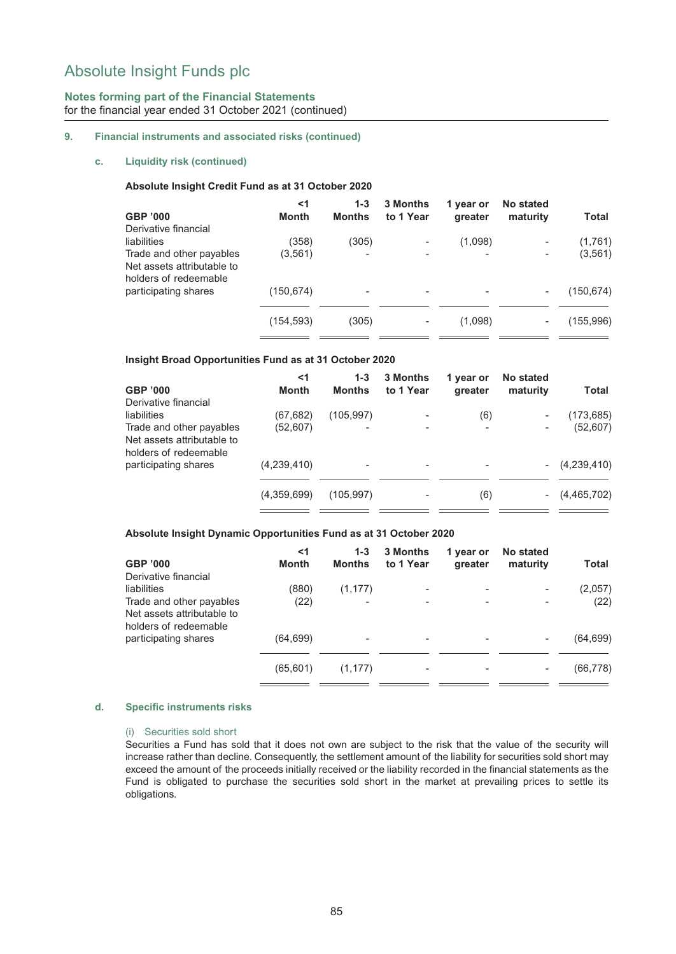## **Notes forming part of the Financial Statements** for the financial year ended 31 October 2021 (continued)

#### **9. Financial instruments and associated risks (continued)**

#### **c. Liquidity risk (continued)**

#### **Absolute Insight Credit Fund as at 31 October 2020**

| GBP '000                                                                        | <1<br>Month | $1 - 3$<br><b>Months</b> | 3 Months<br>to 1 Year | 1 year or<br>greater | No stated<br>maturity    | Total      |
|---------------------------------------------------------------------------------|-------------|--------------------------|-----------------------|----------------------|--------------------------|------------|
| Derivative financial                                                            |             |                          |                       |                      |                          |            |
| liabilities                                                                     | (358)       | (305)                    |                       | (1,098)              |                          | (1,761)    |
| Trade and other payables<br>Net assets attributable to<br>holders of redeemable | (3, 561)    |                          |                       |                      | $\overline{\phantom{0}}$ | (3, 561)   |
| participating shares                                                            | (150,674)   |                          |                       |                      |                          | (150, 674) |
|                                                                                 | (154, 593)  | (305)                    |                       | (1,098)              |                          | (155, 996) |

#### **Insight Broad Opportunities Fund as at 31 October 2020**

|                                                     | <1           | $1 - 3$       | <b>3 Months</b> | 1 year or | No stated                |             |
|-----------------------------------------------------|--------------|---------------|-----------------|-----------|--------------------------|-------------|
| GBP '000                                            | <b>Month</b> | <b>Months</b> | to 1 Year       | greater   | maturity                 | Total       |
| Derivative financial                                |              |               |                 |           |                          |             |
| liabilities                                         | (67,682)     | (105, 997)    |                 | (6)       |                          | (173,685)   |
| Trade and other payables                            | (52,607)     |               |                 |           |                          | (52,607)    |
| Net assets attributable to<br>holders of redeemable |              |               |                 |           |                          |             |
| participating shares                                | (4,239,410)  |               |                 |           | $\overline{\phantom{a}}$ | (4,239,410) |
|                                                     |              |               |                 |           |                          |             |
|                                                     | (4,359,699)  | (105.997)     |                 | (6)       | $\overline{\phantom{a}}$ | (4,465,702) |
|                                                     |              |               |                 |           |                          |             |

#### **Absolute Insight Dynamic Opportunities Fund as at 31 October 2020**

| <1           | $1 - 3$       | <b>3 Months</b> | 1 year or | No stated                |           |
|--------------|---------------|-----------------|-----------|--------------------------|-----------|
| <b>Month</b> | <b>Months</b> | to 1 Year       | greater   | maturity                 | Total     |
|              |               |                 |           |                          |           |
| (880)        | (1, 177)      |                 |           | $\overline{a}$           | (2,057)   |
| (22)         |               |                 |           | $\overline{\phantom{0}}$ | (22)      |
| (64, 699)    |               |                 |           |                          | (64, 699) |
| (65, 601)    | (1, 177)      |                 |           |                          | (66, 778) |
|              |               |                 |           |                          |           |

#### **d. Specific instruments risks**

#### (i) Securities sold short

Securities a Fund has sold that it does not own are subject to the risk that the value of the security will increase rather than decline. Consequently, the settlement amount of the liability for securities sold short may exceed the amount of the proceeds initially received or the liability recorded in the financial statements as the Fund is obligated to purchase the securities sold short in the market at prevailing prices to settle its obligations.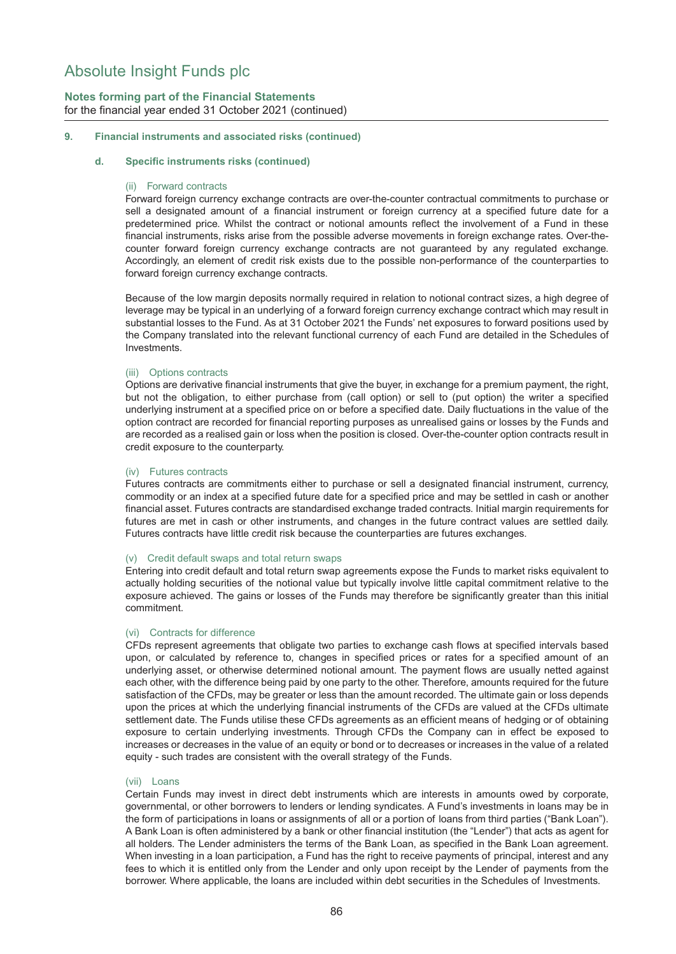## **Notes forming part of the Financial Statements** for the financial year ended 31 October 2021 (continued)

#### **9. Financial instruments and associated risks (continued)**

#### **d. Specific instruments risks (continued)**

#### (ii) Forward contracts

Forward foreign currency exchange contracts are over-the-counter contractual commitments to purchase or sell a designated amount of a financial instrument or foreign currency at a specified future date for a predetermined price. Whilst the contract or notional amounts reflect the involvement of a Fund in these financial instruments, risks arise from the possible adverse movements in foreign exchange rates. Over-thecounter forward foreign currency exchange contracts are not guaranteed by any regulated exchange. Accordingly, an element of credit risk exists due to the possible non-performance of the counterparties to forward foreign currency exchange contracts.

Because of the low margin deposits normally required in relation to notional contract sizes, a high degree of leverage may be typical in an underlying of a forward foreign currency exchange contract which may result in substantial losses to the Fund. As at 31 October 2021 the Funds' net exposures to forward positions used by the Company translated into the relevant functional currency of each Fund are detailed in the Schedules of Investments.

#### (iii) Options contracts

Options are derivative financial instruments that give the buyer, in exchange for a premium payment, the right, but not the obligation, to either purchase from (call option) or sell to (put option) the writer a specified underlying instrument at a specified price on or before a specified date. Daily fluctuations in the value of the option contract are recorded for financial reporting purposes as unrealised gains or losses by the Funds and are recorded as a realised gain or loss when the position is closed. Over-the-counter option contracts result in credit exposure to the counterparty.

#### (iv) Futures contracts

Futures contracts are commitments either to purchase or sell a designated financial instrument, currency, commodity or an index at a specified future date for a specified price and may be settled in cash or another financial asset. Futures contracts are standardised exchange traded contracts. Initial margin requirements for futures are met in cash or other instruments, and changes in the future contract values are settled daily. Futures contracts have little credit risk because the counterparties are futures exchanges.

#### (v) Credit default swaps and total return swaps

Entering into credit default and total return swap agreements expose the Funds to market risks equivalent to actually holding securities of the notional value but typically involve little capital commitment relative to the exposure achieved. The gains or losses of the Funds may therefore be significantly greater than this initial commitment.

#### (vi) Contracts for difference

CFDs represent agreements that obligate two parties to exchange cash flows at specified intervals based upon, or calculated by reference to, changes in specified prices or rates for a specified amount of an underlying asset, or otherwise determined notional amount. The payment flows are usually netted against each other, with the difference being paid by one party to the other. Therefore, amounts required for the future satisfaction of the CFDs, may be greater or less than the amount recorded. The ultimate gain or loss depends upon the prices at which the underlying financial instruments of the CFDs are valued at the CFDs ultimate settlement date. The Funds utilise these CFDs agreements as an efficient means of hedging or of obtaining exposure to certain underlying investments. Through CFDs the Company can in effect be exposed to increases or decreases in the value of an equity or bond or to decreases or increases in the value of a related equity - such trades are consistent with the overall strategy of the Funds.

#### (vii) Loans

Certain Funds may invest in direct debt instruments which are interests in amounts owed by corporate, governmental, or other borrowers to lenders or lending syndicates. A Fund's investments in loans may be in the form of participations in loans or assignments of all or a portion of loans from third parties ("Bank Loan"). A Bank Loan is often administered by a bank or other financial institution (the "Lender") that acts as agent for all holders. The Lender administers the terms of the Bank Loan, as specified in the Bank Loan agreement. When investing in a loan participation, a Fund has the right to receive payments of principal, interest and any fees to which it is entitled only from the Lender and only upon receipt by the Lender of payments from the borrower. Where applicable, the loans are included within debt securities in the Schedules of Investments.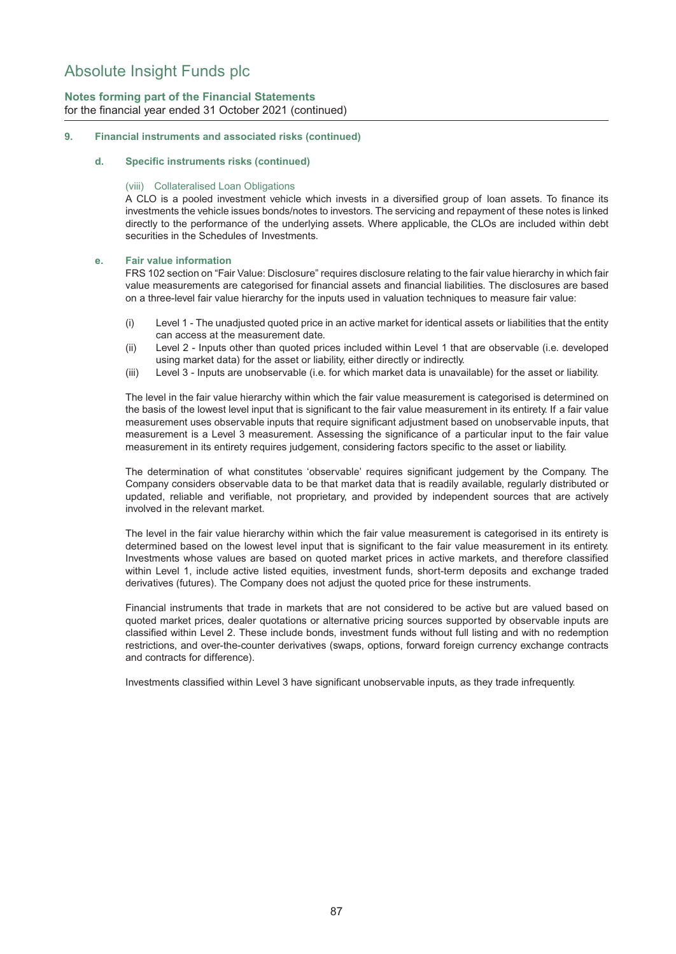## **Notes forming part of the Financial Statements** for the financial year ended 31 October 2021 (continued)

#### **9. Financial instruments and associated risks (continued)**

#### **d. Specific instruments risks (continued)**

#### (viii) Collateralised Loan Obligations

A CLO is a pooled investment vehicle which invests in a diversified group of loan assets. To finance its investments the vehicle issues bonds/notes to investors. The servicing and repayment of these notes is linked directly to the performance of the underlying assets. Where applicable, the CLOs are included within debt securities in the Schedules of Investments.

#### **e. Fair value information**

FRS 102 section on "Fair Value: Disclosure" requires disclosure relating to the fair value hierarchy in which fair value measurements are categorised for financial assets and financial liabilities. The disclosures are based on a three-level fair value hierarchy for the inputs used in valuation techniques to measure fair value:

- (i) Level 1 The unadjusted quoted price in an active market for identical assets or liabilities that the entity can access at the measurement date.
- (ii) Level 2 Inputs other than quoted prices included within Level 1 that are observable (i.e. developed using market data) for the asset or liability, either directly or indirectly.
- (iii) Level 3 Inputs are unobservable (i.e. for which market data is unavailable) for the asset or liability.

The level in the fair value hierarchy within which the fair value measurement is categorised is determined on the basis of the lowest level input that is significant to the fair value measurement in its entirety. If a fair value measurement uses observable inputs that require significant adjustment based on unobservable inputs, that measurement is a Level 3 measurement. Assessing the significance of a particular input to the fair value measurement in its entirety requires judgement, considering factors specific to the asset or liability.

The determination of what constitutes 'observable' requires significant judgement by the Company. The Company considers observable data to be that market data that is readily available, regularly distributed or updated, reliable and verifiable, not proprietary, and provided by independent sources that are actively involved in the relevant market.

The level in the fair value hierarchy within which the fair value measurement is categorised in its entirety is determined based on the lowest level input that is significant to the fair value measurement in its entirety. Investments whose values are based on quoted market prices in active markets, and therefore classified within Level 1, include active listed equities, investment funds, short-term deposits and exchange traded derivatives (futures). The Company does not adjust the quoted price for these instruments.

Financial instruments that trade in markets that are not considered to be active but are valued based on quoted market prices, dealer quotations or alternative pricing sources supported by observable inputs are classified within Level 2. These include bonds, investment funds without full listing and with no redemption restrictions, and over-the-counter derivatives (swaps, options, forward foreign currency exchange contracts and contracts for difference).

Investments classified within Level 3 have significant unobservable inputs, as they trade infrequently.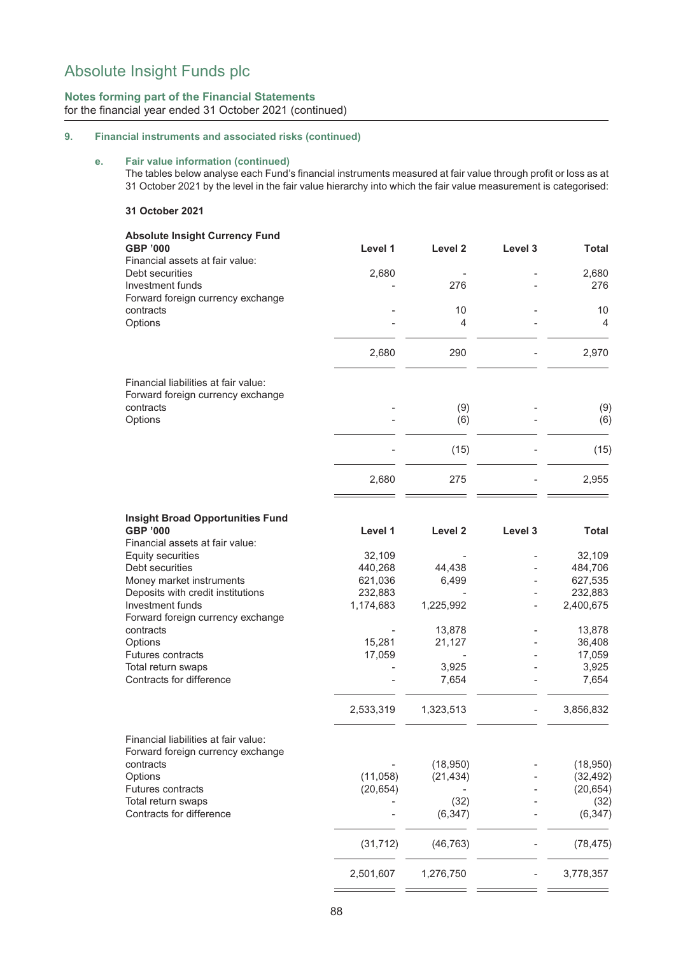## **Notes forming part of the Financial Statements** for the financial year ended 31 October 2021 (continued)

## **9. Financial instruments and associated risks (continued)**

## **e. Fair value information (continued)**

The tables below analyse each Fund's financial instruments measured at fair value through profit or loss as at 31 October 2021 by the level in the fair value hierarchy into which the fair value measurement is categorised:

#### **31 October 2021**

| Level 1   | Level <sub>2</sub>        | Level 3                                                                           | Total        |
|-----------|---------------------------|-----------------------------------------------------------------------------------|--------------|
|           |                           |                                                                                   |              |
|           |                           |                                                                                   | 2,680<br>276 |
|           |                           |                                                                                   |              |
|           |                           |                                                                                   | 10           |
|           | 4                         |                                                                                   | 4            |
|           |                           |                                                                                   |              |
| 2,680     | 290                       |                                                                                   | 2,970        |
|           |                           |                                                                                   |              |
|           |                           |                                                                                   |              |
|           |                           |                                                                                   | (9)          |
|           |                           |                                                                                   | (6)          |
|           | (15)                      |                                                                                   | (15)         |
| 2,680     | 275                       |                                                                                   | 2,955        |
|           |                           |                                                                                   |              |
| Level 1   | Level 2                   | Level 3                                                                           | <b>Total</b> |
|           |                           |                                                                                   |              |
| 32,109    |                           |                                                                                   | 32,109       |
| 440,268   | 44,438                    |                                                                                   | 484,706      |
| 621,036   | 6,499                     |                                                                                   | 627,535      |
| 232,883   |                           |                                                                                   | 232,883      |
| 1,174,683 | 1,225,992                 |                                                                                   | 2,400,675    |
|           |                           |                                                                                   |              |
|           |                           |                                                                                   | 13,878       |
|           |                           |                                                                                   | 36,408       |
|           |                           |                                                                                   | 17,059       |
|           |                           |                                                                                   | 3,925        |
|           |                           |                                                                                   | 7,654        |
| 2,533,319 | 1,323,513                 |                                                                                   | 3,856,832    |
|           |                           |                                                                                   |              |
|           |                           |                                                                                   |              |
|           | (18,950)                  |                                                                                   | (18,950)     |
| (11,058)  | (21, 434)                 |                                                                                   | (32, 492)    |
| (20, 654) |                           |                                                                                   | (20, 654)    |
|           |                           |                                                                                   | (32)         |
|           |                           |                                                                                   | (6, 347)     |
| (31, 712) | (46, 763)                 |                                                                                   | (78, 475)    |
| 2,501,607 | 1,276,750                 |                                                                                   | 3,778,357    |
|           | 2,680<br>15,281<br>17,059 | 276<br>10<br>(9)<br>(6)<br>13,878<br>21,127<br>3,925<br>7,654<br>(32)<br>(6, 347) |              |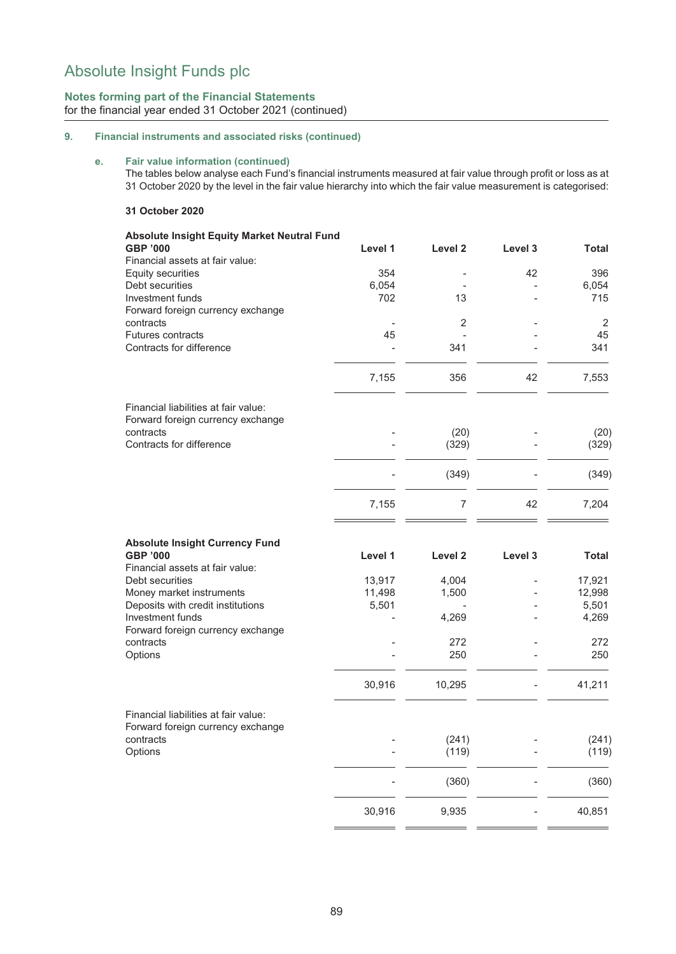## **Notes forming part of the Financial Statements** for the financial year ended 31 October 2021 (continued)

## **9. Financial instruments and associated risks (continued)**

#### **e. Fair value information (continued)**

The tables below analyse each Fund's financial instruments measured at fair value through profit or loss as at 31 October 2020 by the level in the fair value hierarchy into which the fair value measurement is categorised:

#### **31 October 2020**

| <b>Absolute Insight Equity Market Neutral Fund</b><br><b>GBP '000</b> | Level 1      | Level 2            | Level 3 | <b>Total</b>   |
|-----------------------------------------------------------------------|--------------|--------------------|---------|----------------|
| Financial assets at fair value:                                       |              |                    |         |                |
| Equity securities                                                     | 354          |                    | 42      | 396            |
| Debt securities<br>Investment funds                                   | 6,054<br>702 | 13                 |         | 6,054<br>715   |
| Forward foreign currency exchange                                     |              |                    |         |                |
| contracts                                                             |              | 2                  |         | 2              |
| Futures contracts                                                     | 45           | $\overline{a}$     |         | 45             |
| Contracts for difference                                              |              | 341                |         | 341            |
|                                                                       | 7,155        | 356                | 42      | 7,553          |
| Financial liabilities at fair value:                                  |              |                    |         |                |
| Forward foreign currency exchange<br>contracts                        |              | (20)               |         | (20)           |
| Contracts for difference                                              |              | (329)              |         | (329)          |
|                                                                       |              |                    |         |                |
|                                                                       |              | (349)              |         | (349)          |
|                                                                       | 7,155        | $\overline{7}$     | 42      | 7,204          |
| <b>Absolute Insight Currency Fund</b><br><b>GBP '000</b>              | Level 1      | Level <sub>2</sub> | Level 3 | <b>Total</b>   |
| Financial assets at fair value:                                       |              |                    |         |                |
| Debt securities                                                       | 13,917       | 4,004              |         | 17,921         |
| Money market instruments                                              | 11,498       | 1,500              |         | 12,998         |
| Deposits with credit institutions                                     | 5,501        |                    |         | 5,501          |
| Investment funds                                                      |              | 4,269              |         | 4,269          |
| Forward foreign currency exchange                                     |              |                    |         |                |
| contracts                                                             |              | 272                |         | 272            |
| Options                                                               |              | 250                |         | 250            |
|                                                                       | 30,916       | 10,295             |         | 41,211         |
| Financial liabilities at fair value:                                  |              |                    |         |                |
| Forward foreign currency exchange                                     |              |                    |         |                |
| contracts<br>Options                                                  |              | (241)<br>(119)     |         | (241)<br>(119) |
|                                                                       |              | (360)              |         | (360)          |
|                                                                       | 30,916       | 9,935              |         | 40,851         |
|                                                                       |              |                    |         |                |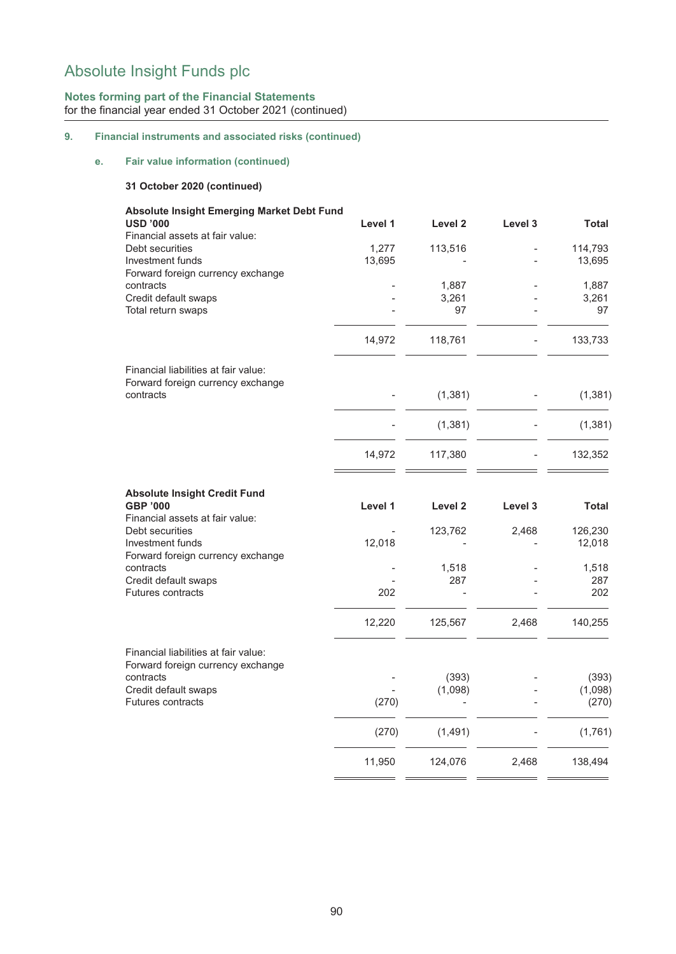## **Notes forming part of the Financial Statements** for the financial year ended 31 October 2021 (continued)

## **9. Financial instruments and associated risks (continued)**

## **e. Fair value information (continued)**

## **31 October 2020 (continued)**

| <b>Absolute Insight Emerging Market Debt Fund</b><br><b>USD '000</b>               | Level 1 | Level <sub>2</sub> | Level 3 | <b>Total</b>      |
|------------------------------------------------------------------------------------|---------|--------------------|---------|-------------------|
| Financial assets at fair value:                                                    |         |                    |         |                   |
| Debt securities                                                                    | 1,277   | 113,516            |         | 114,793           |
| Investment funds                                                                   | 13,695  |                    |         | 13,695            |
| Forward foreign currency exchange                                                  |         |                    |         |                   |
| contracts                                                                          |         | 1,887              |         | 1,887             |
| Credit default swaps                                                               |         | 3,261              |         | 3,261             |
| Total return swaps                                                                 |         | 97                 |         | 97                |
|                                                                                    | 14,972  | 118,761            |         | 133,733           |
| Financial liabilities at fair value:                                               |         |                    |         |                   |
| Forward foreign currency exchange                                                  |         |                    |         |                   |
| contracts                                                                          |         | (1, 381)           |         | (1, 381)          |
|                                                                                    |         | (1, 381)           |         | (1, 381)          |
|                                                                                    | 14,972  | 117,380            |         | 132,352           |
| <b>Absolute Insight Credit Fund</b><br>GBP '000<br>Financial assets at fair value: | Level 1 | Level <sub>2</sub> | Level 3 | <b>Total</b>      |
| Debt securities<br>Investment funds<br>Forward foreign currency exchange           | 12,018  | 123,762            | 2,468   | 126,230<br>12,018 |
| contracts                                                                          |         | 1,518              |         | 1,518             |
| Credit default swaps                                                               |         | 287                |         | 287               |
| <b>Futures contracts</b>                                                           | 202     |                    |         | 202               |
|                                                                                    | 12,220  | 125,567            | 2,468   | 140,255           |
| Financial liabilities at fair value:<br>Forward foreign currency exchange          |         |                    |         |                   |
| contracts                                                                          |         | (393)              |         | (393)             |
| Credit default swaps                                                               |         | (1,098)            |         | (1,098)           |
| <b>Futures contracts</b>                                                           | (270)   |                    |         | (270)             |
|                                                                                    | (270)   | (1,491)            |         | (1,761)           |
|                                                                                    | 11,950  | 124,076            | 2,468   | 138,494           |
|                                                                                    |         |                    |         |                   |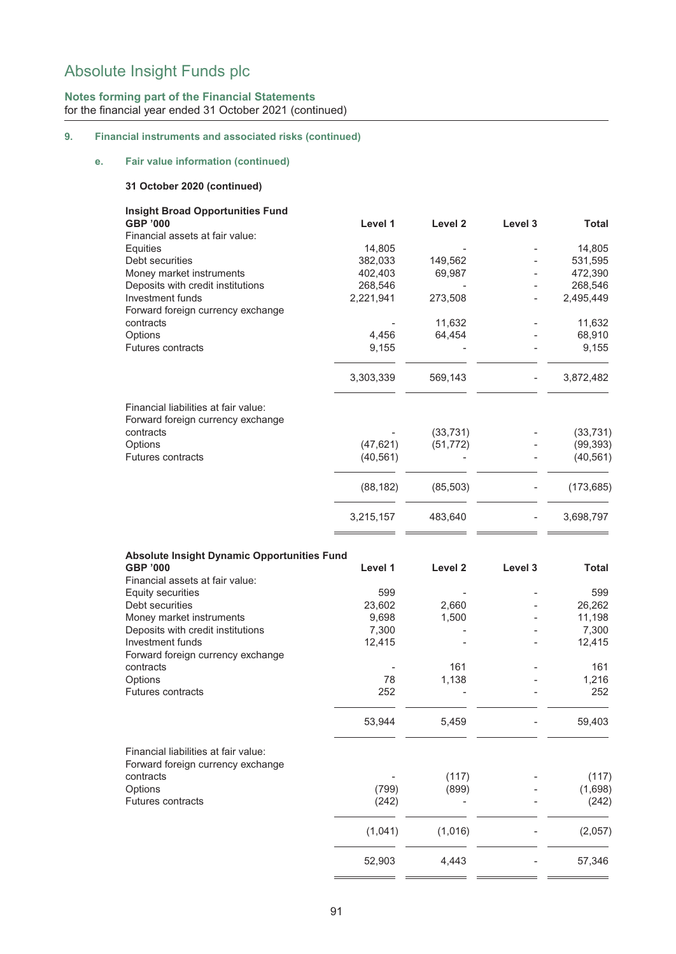## **Notes forming part of the Financial Statements** for the financial year ended 31 October 2021 (continued)

## **9. Financial instruments and associated risks (continued)**

## **e. Fair value information (continued)**

#### **31 October 2020 (continued)**

| <b>Insight Broad Opportunities Fund</b>                               |                   |           |                          |              |
|-----------------------------------------------------------------------|-------------------|-----------|--------------------------|--------------|
| <b>GBP '000</b>                                                       | Level 1           | Level 2   | Level 3                  | <b>Total</b> |
| Financial assets at fair value:                                       |                   |           |                          | 14,805       |
| Equities<br>Debt securities                                           | 14,805<br>382,033 | 149,562   |                          | 531,595      |
|                                                                       |                   |           | $\overline{\phantom{a}}$ |              |
| Money market instruments<br>Deposits with credit institutions         | 402,403           | 69,987    |                          | 472,390      |
| Investment funds                                                      | 268,546           |           |                          | 268,546      |
|                                                                       | 2,221,941         | 273,508   |                          | 2,495,449    |
| Forward foreign currency exchange<br>contracts                        |                   | 11,632    |                          | 11,632       |
| Options                                                               | 4,456             | 64,454    |                          | 68,910       |
| <b>Futures contracts</b>                                              | 9,155             |           |                          | 9,155        |
|                                                                       |                   |           |                          |              |
|                                                                       | 3,303,339         | 569,143   |                          | 3,872,482    |
| Financial liabilities at fair value:                                  |                   |           |                          |              |
| Forward foreign currency exchange                                     |                   |           |                          |              |
| contracts                                                             |                   | (33, 731) |                          | (33, 731)    |
| Options                                                               | (47, 621)         | (51, 772) |                          | (99, 393)    |
| Futures contracts                                                     | (40, 561)         |           |                          | (40, 561)    |
|                                                                       | (88, 182)         | (85, 503) |                          | (173, 685)   |
|                                                                       | 3,215,157         | 483,640   |                          | 3,698,797    |
| <b>Absolute Insight Dynamic Opportunities Fund</b><br><b>GBP '000</b> | Level 1           | Level 2   | Level 3                  | Total        |
| Financial assets at fair value:                                       |                   |           |                          |              |
| <b>Equity securities</b>                                              | 599               |           |                          | 599          |
| Debt securities                                                       | 23,602            | 2,660     |                          | 26,262       |
| Money market instruments                                              | 9,698             | 1,500     |                          | 11,198       |
| Deposits with credit institutions                                     | 7,300             |           |                          | 7,300        |
| Investment funds                                                      | 12,415            |           |                          | 12,415       |
| Forward foreign currency exchange                                     |                   |           |                          |              |
| contracts                                                             |                   | 161       |                          | 161          |
| Options                                                               | 78                | 1,138     |                          | 1,216<br>252 |
| <b>Futures contracts</b>                                              | 252               |           |                          |              |
|                                                                       | 53,944            | 5,459     |                          | 59,403       |
| Financial liabilities at fair value:                                  |                   |           |                          |              |
| Forward foreign currency exchange                                     |                   |           |                          |              |
| contracts                                                             |                   | (117)     |                          | (117)        |
| Options                                                               | (799)             | (899)     |                          | (1,698)      |
| Futures contracts                                                     | (242)             |           |                          | (242)        |
|                                                                       | (1,041)           | (1,016)   |                          | (2,057)      |
|                                                                       | 52,903            | 4,443     |                          | 57,346       |

 $\mathbb{R}^2$ 

i.

Ì.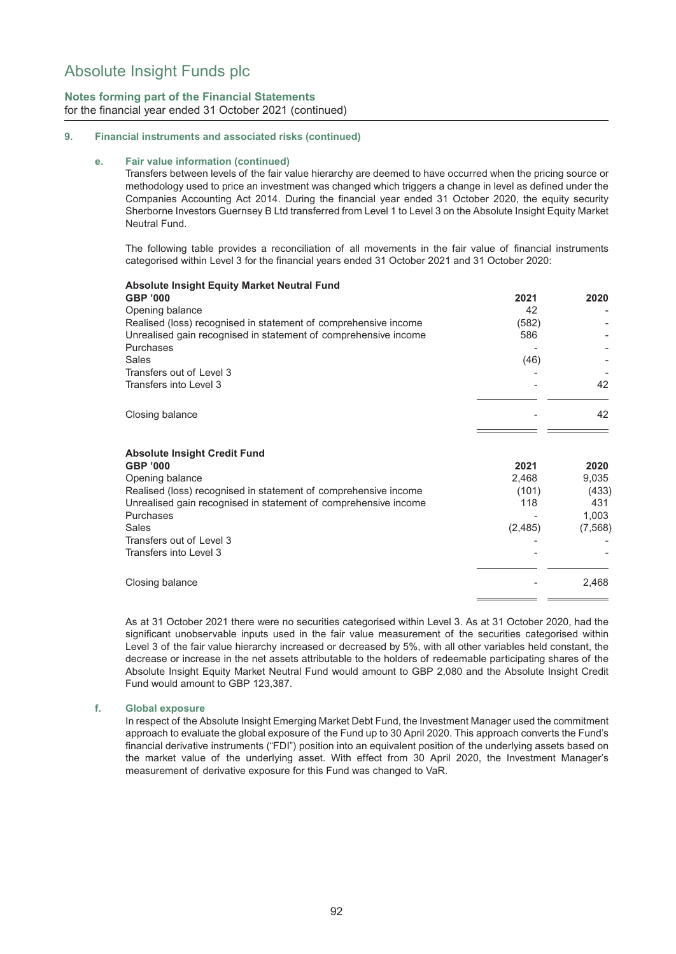## **Notes forming part of the Financial Statements** for the financial year ended 31 October 2021 (continued)

#### **9. Financial instruments and associated risks (continued)**

#### **e. Fair value information (continued)**

Transfers between levels of the fair value hierarchy are deemed to have occurred when the pricing source or methodology used to price an investment was changed which triggers a change in level as defined under the Companies Accounting Act 2014. During the financial year ended 31 October 2020, the equity security Sherborne Investors Guernsey B Ltd transferred from Level 1 to Level 3 on the Absolute Insight Equity Market Neutral Fund.

The following table provides a reconciliation of all movements in the fair value of financial instruments categorised within Level 3 for the financial years ended 31 October 2021 and 31 October 2020:

| <b>Absolute Insight Equity Market Neutral Fund</b>                                                                                                                                                                                                                |                                          |                                                    |
|-------------------------------------------------------------------------------------------------------------------------------------------------------------------------------------------------------------------------------------------------------------------|------------------------------------------|----------------------------------------------------|
| <b>GBP '000</b>                                                                                                                                                                                                                                                   | 2021                                     | 2020                                               |
| Opening balance                                                                                                                                                                                                                                                   | 42                                       |                                                    |
| Realised (loss) recognised in statement of comprehensive income                                                                                                                                                                                                   | (582)                                    |                                                    |
| Unrealised gain recognised in statement of comprehensive income                                                                                                                                                                                                   | 586                                      |                                                    |
| Purchases                                                                                                                                                                                                                                                         |                                          |                                                    |
| <b>Sales</b>                                                                                                                                                                                                                                                      | (46)                                     |                                                    |
| Transfers out of Level 3                                                                                                                                                                                                                                          |                                          |                                                    |
| Transfers into Level 3                                                                                                                                                                                                                                            |                                          | 42                                                 |
| Closing balance                                                                                                                                                                                                                                                   |                                          | 42                                                 |
| <b>Absolute Insight Credit Fund</b><br><b>GBP '000</b><br>Opening balance<br>Realised (loss) recognised in statement of comprehensive income<br>Unrealised gain recognised in statement of comprehensive income<br>Purchases<br>Sales<br>Transfers out of Level 3 | 2021<br>2,468<br>(101)<br>118<br>(2,485) | 2020<br>9,035<br>(433)<br>431<br>1,003<br>(7, 568) |
| Transfers into Level 3                                                                                                                                                                                                                                            |                                          |                                                    |
| Closing balance                                                                                                                                                                                                                                                   |                                          | 2,468                                              |

As at 31 October 2021 there were no securities categorised within Level 3. As at 31 October 2020, had the significant unobservable inputs used in the fair value measurement of the securities categorised within Level 3 of the fair value hierarchy increased or decreased by 5%, with all other variables held constant, the decrease or increase in the net assets attributable to the holders of redeemable participating shares of the Absolute Insight Equity Market Neutral Fund would amount to GBP 2,080 and the Absolute Insight Credit Fund would amount to GBP 123,387.

#### **f. Global exposure**

In respect of the Absolute Insight Emerging Market Debt Fund, the Investment Manager used the commitment approach to evaluate the global exposure of the Fund up to 30 April 2020. This approach converts the Fund's financial derivative instruments ("FDI") position into an equivalent position of the underlying assets based on the market value of the underlying asset. With effect from 30 April 2020, the Investment Manager's measurement of derivative exposure for this Fund was changed to VaR.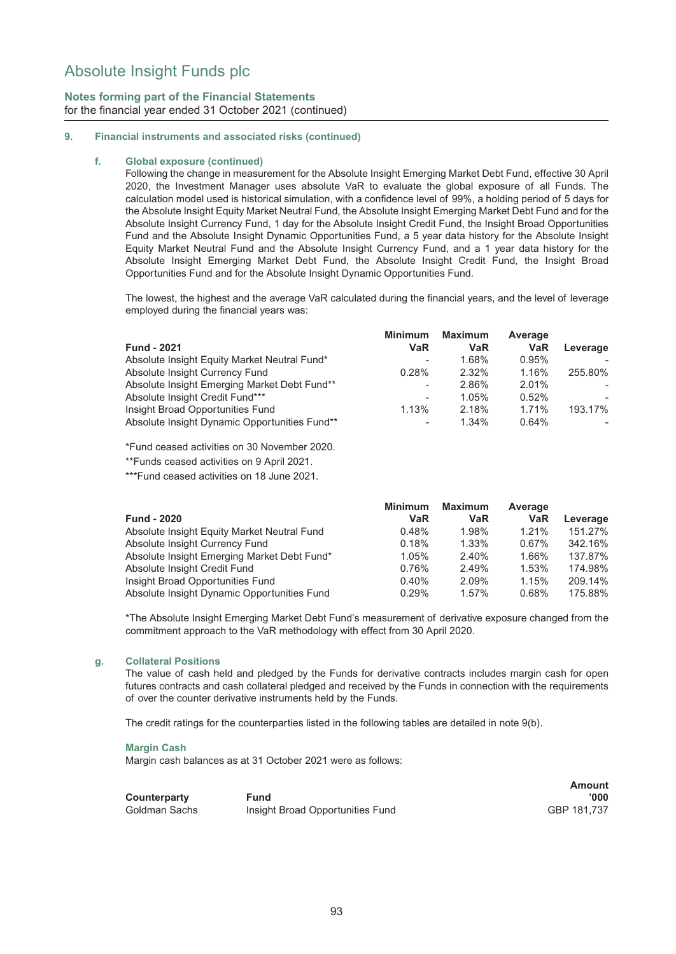## **Notes forming part of the Financial Statements** for the financial year ended 31 October 2021 (continued)

#### **9. Financial instruments and associated risks (continued)**

#### **f. Global exposure (continued)**

Following the change in measurement for the Absolute Insight Emerging Market Debt Fund, effective 30 April 2020, the Investment Manager uses absolute VaR to evaluate the global exposure of all Funds. The calculation model used is historical simulation, with a confidence level of 99%, a holding period of 5 days for the Absolute Insight Equity Market Neutral Fund, the Absolute Insight Emerging Market Debt Fund and for the Absolute Insight Currency Fund, 1 day for the Absolute Insight Credit Fund, the Insight Broad Opportunities Fund and the Absolute Insight Dynamic Opportunities Fund, a 5 year data history for the Absolute Insight Equity Market Neutral Fund and the Absolute Insight Currency Fund, and a 1 year data history for the Absolute Insight Emerging Market Debt Fund, the Absolute Insight Credit Fund, the Insight Broad Opportunities Fund and for the Absolute Insight Dynamic Opportunities Fund.

The lowest, the highest and the average VaR calculated during the financial years, and the level of leverage employed during the financial years was:

|                                               | <b>Minimum</b>           | <b>Maximum</b> | Average    |          |
|-----------------------------------------------|--------------------------|----------------|------------|----------|
| <b>Fund - 2021</b>                            | VaR                      | <b>VaR</b>     | <b>VaR</b> | Leverage |
| Absolute Insight Equity Market Neutral Fund*  | $\overline{\phantom{0}}$ | 1.68%          | 0.95%      |          |
| Absolute Insight Currency Fund                | 0.28%                    | 2.32%          | 1.16%      | 255.80%  |
| Absolute Insight Emerging Market Debt Fund**  | $\overline{\phantom{a}}$ | 2.86%          | $2.01\%$   |          |
| Absolute Insight Credit Fund***               | $\overline{\phantom{a}}$ | 1.05%          | 0.52%      | $\sim$   |
| Insight Broad Opportunities Fund              | 1.13%                    | 2.18%          | 1.71%      | 193.17%  |
| Absolute Insight Dynamic Opportunities Fund** | $\overline{\phantom{a}}$ | 1.34%          | 0.64%      | ۰.       |

\*Fund ceased activities on 30 November 2020.

\*\*Funds ceased activities on 9 April 2021.

\*\*\*Fund ceased activities on 18 June 2021.

|                                             | <b>Minimum</b> | <b>Maximum</b> | Average    |          |
|---------------------------------------------|----------------|----------------|------------|----------|
| <b>Fund - 2020</b>                          | <b>VaR</b>     | <b>VaR</b>     | <b>VaR</b> | Leverage |
| Absolute Insight Equity Market Neutral Fund | 0.48%          | 1.98%          | 1.21%      | 151.27%  |
| Absolute Insight Currency Fund              | 0.18%          | $1.33\%$       | 0.67%      | 342.16%  |
| Absolute Insight Emerging Market Debt Fund* | 1.05%          | 2.40%          | 1.66%      | 137.87%  |
| Absolute Insight Credit Fund                | 0.76%          | 2.49%          | 1.53%      | 174.98%  |
| Insight Broad Opportunities Fund            | 0.40%          | 2.09%          | 1.15%      | 209.14%  |
| Absolute Insight Dynamic Opportunities Fund | 0.29%          | 1.57%          | 0.68%      | 175.88%  |

\*The Absolute Insight Emerging Market Debt Fund's measurement of derivative exposure changed from the commitment approach to the VaR methodology with effect from 30 April 2020.

#### **g. Collateral Positions**

The value of cash held and pledged by the Funds for derivative contracts includes margin cash for open futures contracts and cash collateral pledged and received by the Funds in connection with the requirements of over the counter derivative instruments held by the Funds.

The credit ratings for the counterparties listed in the following tables are detailed in note 9(b).

#### **Margin Cash**

Margin cash balances as at 31 October 2021 were as follows:

**Counterparty Fund**

Goldman Sachs Insight Broad Opportunities Fund

**Amount '000**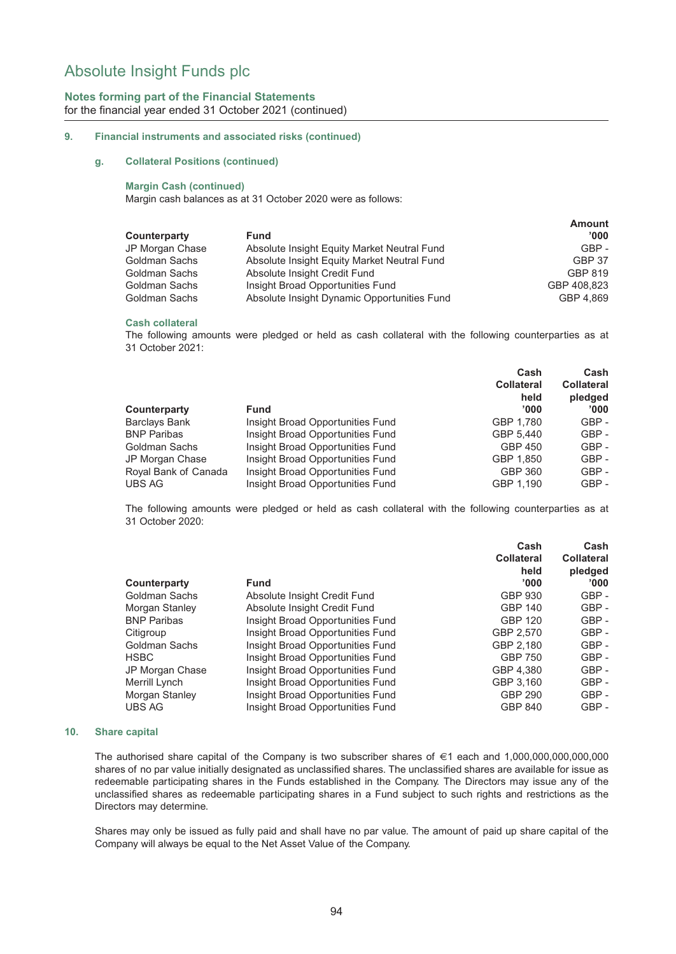## **Notes forming part of the Financial Statements** for the financial year ended 31 October 2021 (continued)

#### **9. Financial instruments and associated risks (continued)**

#### **g. Collateral Positions (continued)**

#### **Margin Cash (continued)**

Margin cash balances as at 31 October 2020 were as follows:

|                                             | <b>Amount</b> |
|---------------------------------------------|---------------|
| <b>Fund</b>                                 | '000'         |
| Absolute Insight Equity Market Neutral Fund | $GBP -$       |
| Absolute Insight Equity Market Neutral Fund | <b>GBP 37</b> |
| Absolute Insight Credit Fund                | GBP 819       |
| Insight Broad Opportunities Fund            | GBP 408.823   |
| Absolute Insight Dynamic Opportunities Fund | GBP 4.869     |
|                                             |               |

#### **Cash collateral**

The following amounts were pledged or held as cash collateral with the following counterparties as at 31 October 2021:

|                      |                                  | Cash              | Cash              |
|----------------------|----------------------------------|-------------------|-------------------|
|                      |                                  | <b>Collateral</b> | <b>Collateral</b> |
|                      |                                  | held              | pledged           |
| Counterparty         | <b>Fund</b>                      | '000'             | '000'             |
| Barclays Bank        | Insight Broad Opportunities Fund | GBP 1.780         | GBP-              |
| <b>BNP Paribas</b>   | Insight Broad Opportunities Fund | GBP 5.440         | $GBP -$           |
| Goldman Sachs        | Insight Broad Opportunities Fund | GBP 450           | $GBP -$           |
| JP Morgan Chase      | Insight Broad Opportunities Fund | GBP 1.850         | $GBP -$           |
| Royal Bank of Canada | Insight Broad Opportunities Fund | <b>GBP 360</b>    | GBP-              |
| UBS AG               | Insight Broad Opportunities Fund | GBP 1.190         | $GBP -$           |
|                      |                                  |                   |                   |

The following amounts were pledged or held as cash collateral with the following counterparties as at 31 October 2020:

|                                  | Cash              | Cash              |
|----------------------------------|-------------------|-------------------|
|                                  | <b>Collateral</b> | <b>Collateral</b> |
|                                  | held              | pledged           |
| Fund                             | '000'             | '000'             |
| Absolute Insight Credit Fund     | GBP 930           | $GBP -$           |
| Absolute Insight Credit Fund     | <b>GBP 140</b>    | $GBP -$           |
| Insight Broad Opportunities Fund | GBP 120           | $GBP -$           |
| Insight Broad Opportunities Fund | GBP 2,570         | $GBP -$           |
| Insight Broad Opportunities Fund | GBP 2.180         | GBP-              |
| Insight Broad Opportunities Fund | <b>GBP 750</b>    | $GBP -$           |
| Insight Broad Opportunities Fund | GBP 4.380         | $GBP -$           |
| Insight Broad Opportunities Fund | GBP 3.160         | $GBP -$           |
| Insight Broad Opportunities Fund | GBP 290           | $GBP -$           |
| Insight Broad Opportunities Fund | <b>GBP 840</b>    | $GBP -$           |
|                                  |                   |                   |

#### **10. Share capital**

The authorised share capital of the Company is two subscriber shares of  $\epsilon$ 1 each and 1,000,000,000,000,000 shares of no par value initially designated as unclassified shares. The unclassified shares are available for issue as redeemable participating shares in the Funds established in the Company. The Directors may issue any of the unclassified shares as redeemable participating shares in a Fund subject to such rights and restrictions as the Directors may determine.

Shares may only be issued as fully paid and shall have no par value. The amount of paid up share capital of the Company will always be equal to the Net Asset Value of the Company.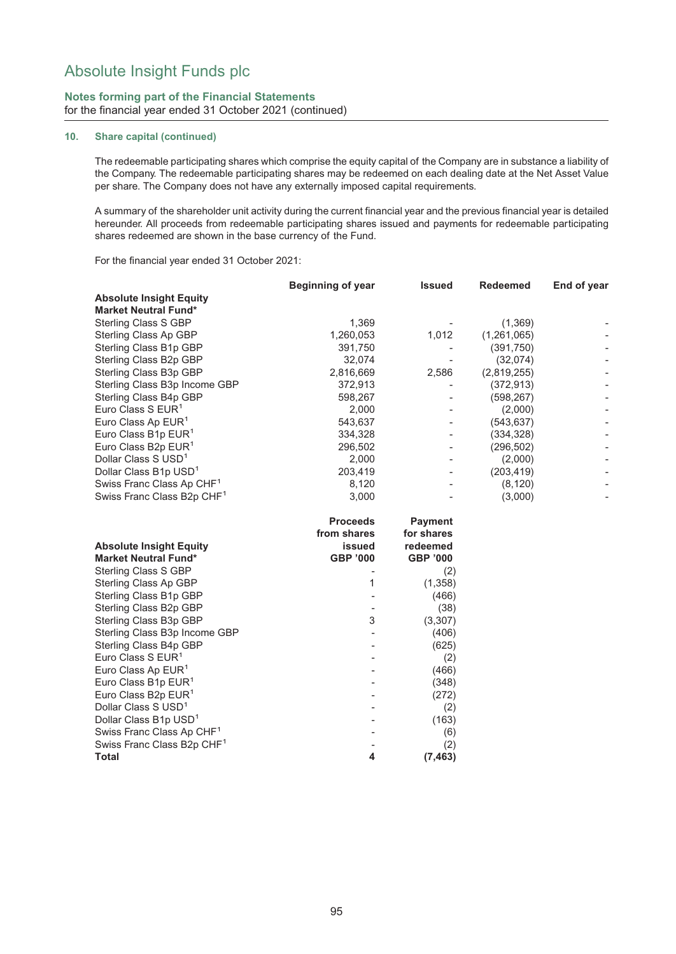#### **Notes forming part of the Financial Statements** for the financial year ended 31 October 2021 (continued)

#### **10. Share capital (continued)**

The redeemable participating shares which comprise the equity capital of the Company are in substance a liability of the Company. The redeemable participating shares may be redeemed on each dealing date at the Net Asset Value per share. The Company does not have any externally imposed capital requirements.

A summary of the shareholder unit activity during the current financial year and the previous financial year is detailed hereunder. All proceeds from redeemable participating shares issued and payments for redeemable participating shares redeemed are shown in the base currency of the Fund.

For the financial year ended 31 October 2021:

|                                        | <b>Beginning of year</b> | <b>Issued</b>   | <b>Redeemed</b> | End of year              |
|----------------------------------------|--------------------------|-----------------|-----------------|--------------------------|
| <b>Absolute Insight Equity</b>         |                          |                 |                 |                          |
| <b>Market Neutral Fund*</b>            |                          |                 |                 |                          |
| Sterling Class S GBP                   | 1,369                    |                 | (1,369)         |                          |
| Sterling Class Ap GBP                  | 1,260,053                | 1,012           | (1,261,065)     |                          |
| Sterling Class B1p GBP                 | 391,750                  |                 | (391, 750)      |                          |
| Sterling Class B2p GBP                 | 32,074                   |                 | (32,074)        |                          |
| Sterling Class B3p GBP                 | 2,816,669                | 2,586           | (2,819,255)     |                          |
| Sterling Class B3p Income GBP          | 372,913                  |                 | (372, 913)      |                          |
| Sterling Class B4p GBP                 | 598,267                  |                 | (598, 267)      |                          |
| Euro Class S EUR <sup>1</sup>          | 2,000                    |                 | (2,000)         |                          |
| Euro Class Ap EUR <sup>1</sup>         | 543,637                  |                 | (543, 637)      |                          |
| Euro Class B1p EUR <sup>1</sup>        | 334,328                  |                 | (334, 328)      |                          |
| Euro Class B2p EUR <sup>1</sup>        | 296,502                  |                 | (296, 502)      |                          |
| Dollar Class S USD <sup>1</sup>        | 2,000                    |                 | (2,000)         |                          |
| Dollar Class B1p USD <sup>1</sup>      | 203,419                  |                 | (203, 419)      |                          |
| Swiss Franc Class Ap CHF <sup>1</sup>  | 8,120                    |                 | (8, 120)        |                          |
| Swiss Franc Class B2p CHF <sup>1</sup> | 3,000                    |                 | (3,000)         | $\overline{\phantom{a}}$ |
|                                        | <b>Proceeds</b>          | <b>Payment</b>  |                 |                          |
|                                        | from shares              | for shares      |                 |                          |
| <b>Absolute Insight Equity</b>         | issued                   | redeemed        |                 |                          |
| <b>Market Neutral Fund*</b>            | <b>GBP '000</b>          | <b>GBP '000</b> |                 |                          |
| Sterling Class S GBP                   |                          | (2)             |                 |                          |
| Sterling Class Ap GBP                  | 1                        | (1, 358)        |                 |                          |
| Sterling Class B1p GBP                 |                          | (466)           |                 |                          |
| Sterling Class B2p GBP                 |                          | (38)            |                 |                          |
| Sterling Class B3p GBP                 | 3                        | (3, 307)        |                 |                          |
| Sterling Class B3p Income GBP          |                          | (406)           |                 |                          |
| Sterling Class B4p GBP                 |                          | (625)           |                 |                          |
| Euro Class S EUR <sup>1</sup>          |                          | (2)             |                 |                          |
| Euro Class Ap EUR <sup>1</sup>         |                          | (466)           |                 |                          |
| Euro Class B1p EUR <sup>1</sup>        |                          | (348)           |                 |                          |
| Euro Class B2p EUR <sup>1</sup>        |                          | (272)           |                 |                          |
| Dollar Class S USD <sup>1</sup>        |                          | (2)             |                 |                          |
| Dollar Class B1p USD <sup>1</sup>      |                          | (163)           |                 |                          |
| Swiss Franc Class Ap CHF <sup>1</sup>  |                          | (6)             |                 |                          |
| Swiss Franc Class B2p CHF <sup>1</sup> |                          | (2)             |                 |                          |
| <b>Total</b>                           | 4                        | (7, 463)        |                 |                          |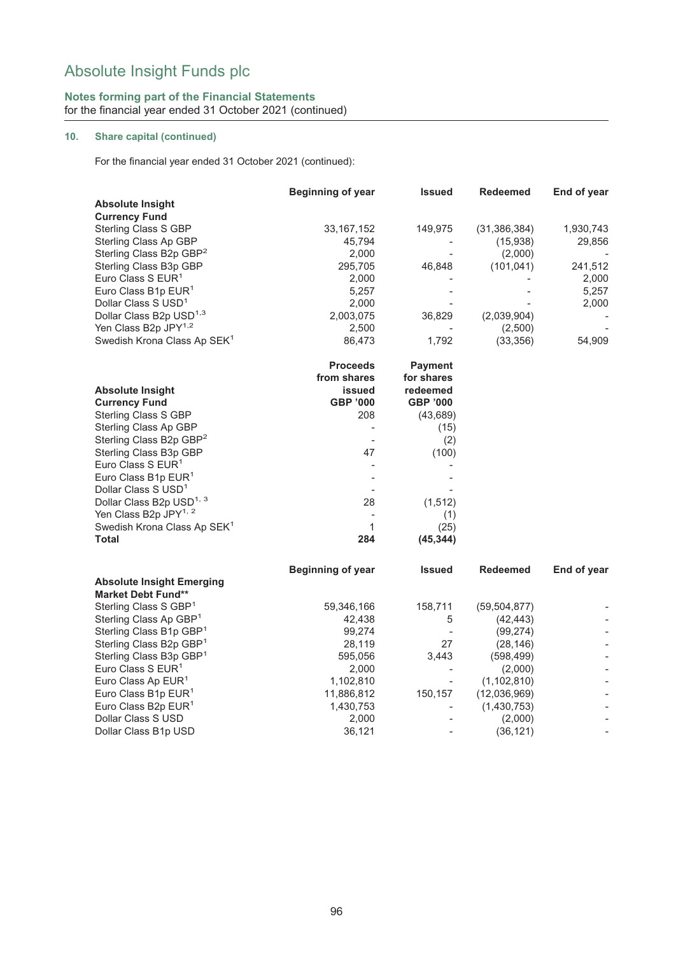## **Notes forming part of the Financial Statements** for the financial year ended 31 October 2021 (continued)

## **10. Share capital (continued)**

For the financial year ended 31 October 2021 (continued):

|                                                         | <b>Beginning of year</b> | <b>Issued</b>            | <b>Redeemed</b> | End of year              |
|---------------------------------------------------------|--------------------------|--------------------------|-----------------|--------------------------|
| <b>Absolute Insight</b>                                 |                          |                          |                 |                          |
| <b>Currency Fund</b>                                    |                          |                          |                 |                          |
| <b>Sterling Class S GBP</b>                             | 33, 167, 152             | 149,975                  | (31, 386, 384)  | 1,930,743                |
| Sterling Class Ap GBP                                   | 45,794                   |                          | (15,938)        | 29,856                   |
| Sterling Class B2p GBP <sup>2</sup>                     | 2,000                    |                          | (2,000)         |                          |
| Sterling Class B3p GBP                                  | 295,705                  | 46,848                   | (101, 041)      | 241,512                  |
| Euro Class S EUR <sup>1</sup>                           | 2,000                    |                          |                 | 2,000                    |
| Euro Class B1p EUR <sup>1</sup>                         | 5,257                    |                          |                 | 5,257                    |
| Dollar Class S USD <sup>1</sup>                         | 2,000                    |                          |                 | 2,000                    |
| Dollar Class B2p USD <sup>1,3</sup>                     | 2,003,075                | 36,829                   | (2,039,904)     |                          |
| Yen Class B2p JPY <sup>1,2</sup>                        | 2,500                    |                          | (2,500)         |                          |
| Swedish Krona Class Ap SEK <sup>1</sup>                 | 86,473                   | 1,792                    | (33, 356)       | 54,909                   |
|                                                         | <b>Proceeds</b>          | <b>Payment</b>           |                 |                          |
|                                                         | from shares              | for shares               |                 |                          |
| <b>Absolute Insight</b>                                 | issued                   | redeemed                 |                 |                          |
| <b>Currency Fund</b>                                    | <b>GBP '000</b>          | <b>GBP '000</b>          |                 |                          |
| <b>Sterling Class S GBP</b>                             | 208                      | (43, 689)                |                 |                          |
| Sterling Class Ap GBP                                   |                          | (15)                     |                 |                          |
| Sterling Class B2p GBP <sup>2</sup>                     |                          | (2)                      |                 |                          |
| Sterling Class B3p GBP                                  | 47                       | (100)                    |                 |                          |
| Euro Class S EUR <sup>1</sup>                           |                          |                          |                 |                          |
| Euro Class B1p EUR <sup>1</sup>                         |                          |                          |                 |                          |
| Dollar Class S USD <sup>1</sup>                         |                          |                          |                 |                          |
| Dollar Class B2p USD <sup>1, 3</sup>                    | 28                       | (1, 512)                 |                 |                          |
| Yen Class B2p JPY <sup>1, 2</sup>                       | $\overline{a}$           | (1)                      |                 |                          |
| Swedish Krona Class Ap SEK <sup>1</sup><br><b>Total</b> | 1<br>284                 | (25)<br>(45, 344)        |                 |                          |
|                                                         |                          |                          |                 |                          |
|                                                         | <b>Beginning of year</b> | <b>Issued</b>            | <b>Redeemed</b> | End of year              |
| <b>Absolute Insight Emerging</b>                        |                          |                          |                 |                          |
| <b>Market Debt Fund**</b>                               |                          |                          |                 |                          |
| Sterling Class S GBP <sup>1</sup>                       | 59,346,166               | 158,711                  | (59, 504, 877)  |                          |
| Sterling Class Ap GBP <sup>1</sup>                      | 42,438                   | 5                        | (42, 443)       |                          |
| Sterling Class B1p GBP <sup>1</sup>                     | 99,274                   | $\overline{\phantom{a}}$ | (99, 274)       |                          |
| Sterling Class B2p GBP <sup>1</sup>                     | 28,119                   | 27                       | (28, 146)       |                          |
| Sterling Class B3p GBP <sup>1</sup>                     | 595,056                  | 3,443                    | (598, 499)      |                          |
| Euro Class S EUR <sup>1</sup>                           | 2,000                    |                          | (2,000)         |                          |
| Euro Class Ap EUR <sup>1</sup>                          | 1,102,810                |                          | (1, 102, 810)   |                          |
| Euro Class B1p EUR <sup>1</sup>                         | 11,886,812               | 150,157                  | (12,036,969)    |                          |
| Euro Class B2p EUR <sup>1</sup>                         | 1,430,753                |                          | (1,430,753)     |                          |
| Dollar Class S USD                                      | 2,000                    |                          | (2,000)         | $\overline{\phantom{a}}$ |
| Dollar Class B1p USD                                    | 36,121                   | $\blacksquare$           | (36, 121)       | $\blacksquare$           |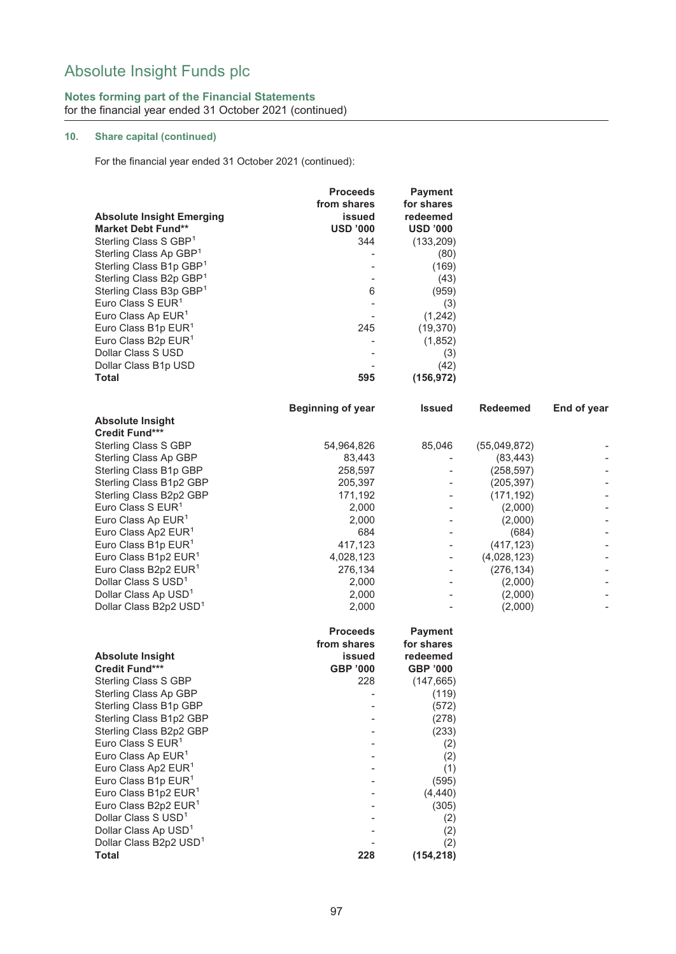### **Notes forming part of the Financial Statements** for the financial year ended 31 October 2021 (continued)

## **10. Share capital (continued)**

For the financial year ended 31 October 2021 (continued):

|                                                                     | <b>Proceeds</b><br>from shares | <b>Payment</b><br>for shares |                    |                          |
|---------------------------------------------------------------------|--------------------------------|------------------------------|--------------------|--------------------------|
| <b>Absolute Insight Emerging</b><br><b>Market Debt Fund**</b>       | issued<br><b>USD '000</b>      | redeemed<br><b>USD '000</b>  |                    |                          |
| Sterling Class S GBP <sup>1</sup>                                   | 344                            | (133, 209)                   |                    |                          |
| Sterling Class Ap GBP <sup>1</sup>                                  |                                | (80)                         |                    |                          |
| Sterling Class B1p GBP <sup>1</sup>                                 |                                | (169)                        |                    |                          |
| Sterling Class B2p GBP <sup>1</sup>                                 |                                | (43)                         |                    |                          |
| Sterling Class B3p GBP <sup>1</sup>                                 | 6                              | (959)                        |                    |                          |
| Euro Class S $EUR1$                                                 |                                | (3)                          |                    |                          |
| Euro Class Ap EUR <sup>1</sup>                                      |                                | (1, 242)                     |                    |                          |
| Euro Class B1p EUR <sup>1</sup>                                     | 245                            | (19, 370)                    |                    |                          |
| Euro Class B2p EUR <sup>1</sup>                                     |                                | (1,852)                      |                    |                          |
| Dollar Class S USD                                                  |                                | (3)                          |                    |                          |
| Dollar Class B1p USD                                                |                                | (42)                         |                    |                          |
| <b>Total</b>                                                        | 595                            | (156, 972)                   |                    |                          |
| <b>Absolute Insight</b>                                             | <b>Beginning of year</b>       | <b>Issued</b>                | <b>Redeemed</b>    | End of year              |
| <b>Credit Fund***</b>                                               |                                |                              |                    |                          |
| Sterling Class S GBP                                                | 54,964,826                     | 85,046                       | (55,049,872)       |                          |
| Sterling Class Ap GBP                                               | 83,443                         |                              | (83, 443)          |                          |
| Sterling Class B1p GBP                                              | 258,597                        |                              | (258, 597)         |                          |
| Sterling Class B1p2 GBP                                             | 205,397                        |                              | (205, 397)         |                          |
| Sterling Class B2p2 GBP                                             | 171,192                        |                              | (171, 192)         |                          |
| Euro Class S $EUR1$                                                 | 2,000                          |                              | (2,000)            |                          |
| Euro Class Ap EUR <sup>1</sup>                                      | 2,000                          |                              | (2,000)            |                          |
| Euro Class Ap2 EUR <sup>1</sup>                                     | 684                            |                              | (684)              |                          |
| Euro Class B1p EUR <sup>1</sup>                                     | 417,123                        |                              | (417, 123)         |                          |
| Euro Class B1p2 EUR <sup>1</sup>                                    | 4,028,123                      |                              | (4,028,123)        |                          |
| Euro Class B2p2 EUR <sup>1</sup>                                    | 276,134                        |                              | (276, 134)         |                          |
| Dollar Class S USD <sup>1</sup><br>Dollar Class Ap USD <sup>1</sup> | 2,000<br>2,000                 |                              | (2,000)<br>(2,000) |                          |
| Dollar Class B2p2 USD <sup>1</sup>                                  | 2,000                          |                              | (2,000)            | $\overline{\phantom{a}}$ |
|                                                                     |                                |                              |                    |                          |
|                                                                     | <b>Proceeds</b><br>from shares | <b>Payment</b><br>for shares |                    |                          |
| <b>Absolute Insight</b>                                             | issued                         | redeemed                     |                    |                          |
| <b>Credit Fund***</b>                                               | <b>GBP '000</b>                | <b>GBP '000</b>              |                    |                          |
| <b>Sterling Class S GBP</b>                                         | 228                            | (147, 665)                   |                    |                          |
| Sterling Class Ap GBP                                               |                                | (119)                        |                    |                          |
| Sterling Class B1p GBP                                              |                                | (572)                        |                    |                          |
| Sterling Class B1p2 GBP                                             |                                | (278)                        |                    |                          |
| Sterling Class B2p2 GBP                                             |                                | (233)                        |                    |                          |
| Euro Class S EUR <sup>1</sup>                                       |                                | (2)                          |                    |                          |
| Euro Class Ap EUR <sup>1</sup>                                      |                                | (2)                          |                    |                          |
| Euro Class Ap2 EUR <sup>1</sup>                                     |                                | (1)                          |                    |                          |
| Euro Class B1p EUR <sup>1</sup>                                     |                                | (595)                        |                    |                          |
| Euro Class B1p2 EUR <sup>1</sup>                                    |                                | (4, 440)                     |                    |                          |
| Euro Class B2p2 EUR <sup>1</sup><br>Dollar Class S USD <sup>1</sup> |                                | (305)                        |                    |                          |
| Dollar Class Ap USD <sup>1</sup>                                    |                                | (2)<br>(2)                   |                    |                          |
| Dollar Class B2p2 USD <sup>1</sup>                                  |                                | (2)                          |                    |                          |
| <b>Total</b>                                                        | 228                            | (154, 218)                   |                    |                          |
|                                                                     |                                |                              |                    |                          |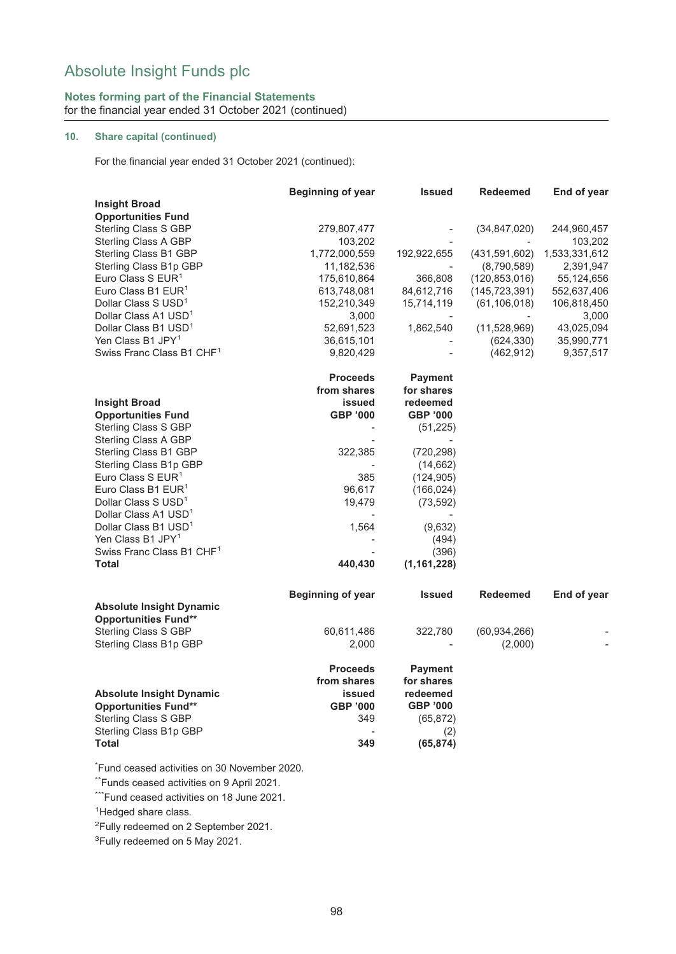## **Notes forming part of the Financial Statements** for the financial year ended 31 October 2021 (continued)

#### **10. Share capital (continued)**

For the financial year ended 31 October 2021 (continued):

|                                       | <b>Beginning of year</b> | <b>Issued</b>   | Redeemed        | End of year   |
|---------------------------------------|--------------------------|-----------------|-----------------|---------------|
| <b>Insight Broad</b>                  |                          |                 |                 |               |
| <b>Opportunities Fund</b>             |                          |                 |                 |               |
| <b>Sterling Class S GBP</b>           | 279,807,477              |                 | (34, 847, 020)  | 244,960,457   |
| <b>Sterling Class A GBP</b>           | 103,202                  |                 |                 | 103,202       |
| Sterling Class B1 GBP                 | 1,772,000,559            | 192,922,655     | (431, 591, 602) | 1,533,331,612 |
| Sterling Class B1p GBP                | 11,182,536               |                 | (8,790,589)     | 2,391,947     |
| Euro Class S EUR <sup>1</sup>         | 175,610,864              | 366,808         | (120, 853, 016) | 55,124,656    |
| Euro Class B1 EUR <sup>1</sup>        | 613,748,081              | 84,612,716      | (145, 723, 391) | 552,637,406   |
| Dollar Class S USD <sup>1</sup>       | 152,210,349              | 15,714,119      | (61, 106, 018)  | 106,818,450   |
| Dollar Class A1 USD <sup>1</sup>      | 3,000                    |                 |                 | 3,000         |
| Dollar Class B1 USD <sup>1</sup>      | 52,691,523               | 1,862,540       | (11,528,969)    | 43,025,094    |
| Yen Class B1 JPY <sup>1</sup>         | 36,615,101               |                 | (624, 330)      | 35,990,771    |
| Swiss Franc Class B1 CHF <sup>1</sup> | 9,820,429                |                 | (462, 912)      | 9,357,517     |
|                                       |                          |                 |                 |               |
|                                       | <b>Proceeds</b>          | <b>Payment</b>  |                 |               |
|                                       | from shares              | for shares      |                 |               |
| <b>Insight Broad</b>                  | issued                   | redeemed        |                 |               |
| <b>Opportunities Fund</b>             | <b>GBP '000</b>          | GBP '000        |                 |               |
| <b>Sterling Class S GBP</b>           |                          | (51, 225)       |                 |               |
| Sterling Class A GBP                  |                          |                 |                 |               |
| Sterling Class B1 GBP                 | 322,385                  | (720, 298)      |                 |               |
| Sterling Class B1p GBP                |                          | (14, 662)       |                 |               |
| Euro Class S EUR <sup>1</sup>         | 385                      | (124, 905)      |                 |               |
| Euro Class B1 EUR <sup>1</sup>        | 96,617                   | (166, 024)      |                 |               |
| Dollar Class S USD <sup>1</sup>       | 19,479                   | (73, 592)       |                 |               |
| Dollar Class A1 USD <sup>1</sup>      |                          |                 |                 |               |
| Dollar Class B1 USD <sup>1</sup>      | 1,564                    | (9,632)         |                 |               |
| Yen Class B1 JPY <sup>1</sup>         |                          | (494)           |                 |               |
| Swiss Franc Class B1 CHF <sup>1</sup> |                          | (396)           |                 |               |
| <b>Total</b>                          | 440,430                  | (1, 161, 228)   |                 |               |
|                                       |                          |                 |                 |               |
|                                       | <b>Beginning of year</b> | <b>Issued</b>   | <b>Redeemed</b> | End of year   |
| <b>Absolute Insight Dynamic</b>       |                          |                 |                 |               |
| <b>Opportunities Fund**</b>           |                          |                 |                 |               |
| <b>Sterling Class S GBP</b>           | 60,611,486               | 322,780         | (60, 934, 266)  |               |
| Sterling Class B1p GBP                | 2,000                    |                 | (2,000)         |               |
|                                       |                          |                 |                 |               |
|                                       | <b>Proceeds</b>          | <b>Payment</b>  |                 |               |
|                                       | from shares              | for shares      |                 |               |
| <b>Absolute Insight Dynamic</b>       | issued                   | redeemed        |                 |               |
| <b>Opportunities Fund**</b>           | <b>GBP '000</b>          | <b>GBP '000</b> |                 |               |
| Sterling Class S GBP                  | 349                      | (65, 872)       |                 |               |
| Sterling Class B1p GBP                |                          | (2)             |                 |               |
| <b>Total</b>                          | 349                      | (65, 874)       |                 |               |
|                                       |                          |                 |                 |               |

\* Fund ceased activities on 30 November 2020.

\*\*Funds ceased activities on 9 April 2021.

\*\*\*Fund ceased activities on 18 June 2021.

<sup>1</sup>Hedged share class.

2 Fully redeemed on 2 September 2021.

<sup>3</sup>Fully redeemed on 5 May 2021.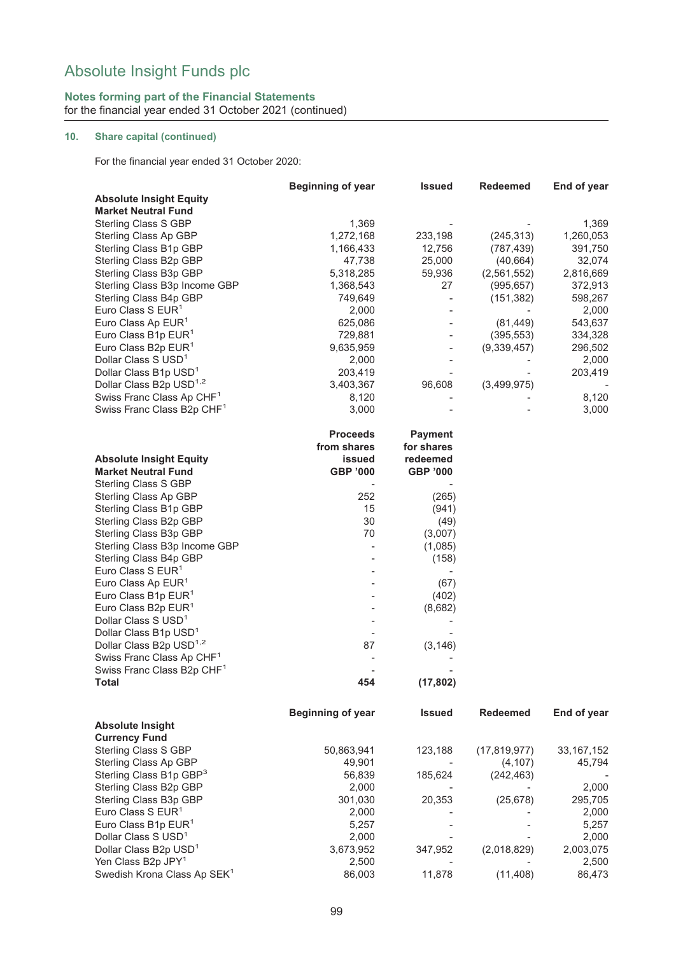### **Notes forming part of the Financial Statements** for the financial year ended 31 October 2021 (continued)

## **10. Share capital (continued)**

For the financial year ended 31 October 2020:

|                                         | <b>Beginning of year</b> | <b>Issued</b>            | <b>Redeemed</b> | End of year  |
|-----------------------------------------|--------------------------|--------------------------|-----------------|--------------|
| <b>Absolute Insight Equity</b>          |                          |                          |                 |              |
| <b>Market Neutral Fund</b>              |                          |                          |                 |              |
| Sterling Class S GBP                    | 1,369                    |                          |                 | 1,369        |
| Sterling Class Ap GBP                   | 1,272,168                | 233,198                  | (245, 313)      | 1,260,053    |
| Sterling Class B1p GBP                  | 1,166,433                | 12,756                   | (787, 439)      | 391,750      |
| Sterling Class B2p GBP                  | 47,738                   | 25,000                   | (40, 664)       | 32,074       |
| Sterling Class B3p GBP                  | 5,318,285                | 59,936                   | (2,561,552)     | 2,816,669    |
| Sterling Class B3p Income GBP           | 1,368,543                | 27                       | (995, 657)      | 372,913      |
| Sterling Class B4p GBP                  | 749,649                  | $\overline{\phantom{0}}$ | (151, 382)      | 598,267      |
| Euro Class S EUR <sup>1</sup>           | 2,000                    |                          |                 | 2,000        |
| Euro Class Ap EUR <sup>1</sup>          | 625,086                  |                          | (81, 449)       | 543,637      |
| Euro Class B1p EUR <sup>1</sup>         | 729,881                  |                          | (395, 553)      | 334,328      |
| Euro Class B2p EUR <sup>1</sup>         | 9,635,959                |                          | (9,339,457)     | 296,502      |
| Dollar Class S USD <sup>1</sup>         | 2,000                    |                          |                 | 2,000        |
| Dollar Class B1p USD <sup>1</sup>       | 203,419                  |                          |                 | 203,419      |
| Dollar Class B2p USD <sup>1,2</sup>     | 3,403,367                | 96,608                   | (3,499,975)     |              |
| Swiss Franc Class Ap CHF <sup>1</sup>   | 8,120                    |                          |                 | 8,120        |
|                                         |                          |                          |                 |              |
| Swiss Franc Class B2p CHF <sup>1</sup>  | 3,000                    |                          |                 | 3,000        |
|                                         | <b>Proceeds</b>          | <b>Payment</b>           |                 |              |
|                                         | from shares              | for shares               |                 |              |
| <b>Absolute Insight Equity</b>          | issued                   | redeemed                 |                 |              |
| <b>Market Neutral Fund</b>              | <b>GBP '000</b>          | <b>GBP '000</b>          |                 |              |
| Sterling Class S GBP                    |                          |                          |                 |              |
| Sterling Class Ap GBP                   | 252                      | (265)                    |                 |              |
| Sterling Class B1p GBP                  | 15                       | (941)                    |                 |              |
| Sterling Class B2p GBP                  | 30                       | (49)                     |                 |              |
| Sterling Class B3p GBP                  | 70                       | (3,007)                  |                 |              |
| Sterling Class B3p Income GBP           |                          | (1,085)                  |                 |              |
| Sterling Class B4p GBP                  |                          | (158)                    |                 |              |
| Euro Class S EUR <sup>1</sup>           |                          |                          |                 |              |
| Euro Class Ap EUR <sup>1</sup>          |                          | (67)                     |                 |              |
| Euro Class B1p EUR <sup>1</sup>         |                          | (402)                    |                 |              |
| Euro Class B2p EUR <sup>1</sup>         |                          | (8,682)                  |                 |              |
| Dollar Class S USD <sup>1</sup>         |                          |                          |                 |              |
| Dollar Class B1p USD <sup>1</sup>       |                          |                          |                 |              |
| Dollar Class B2p USD <sup>1,2</sup>     | 87                       | (3, 146)                 |                 |              |
| Swiss Franc Class Ap CHF <sup>1</sup>   |                          |                          |                 |              |
| Swiss Franc Class B2p CHF <sup>1</sup>  |                          |                          |                 |              |
| Total                                   | 454                      | (17, 802)                |                 |              |
|                                         |                          |                          |                 |              |
|                                         | <b>Beginning of year</b> | <b>Issued</b>            | <b>Redeemed</b> | End of year  |
| <b>Absolute Insight</b>                 |                          |                          |                 |              |
| <b>Currency Fund</b>                    |                          |                          |                 |              |
| Sterling Class S GBP                    | 50,863,941               | 123,188                  | (17, 819, 977)  | 33, 167, 152 |
| Sterling Class Ap GBP                   | 49,901                   |                          | (4, 107)        | 45,794       |
| Sterling Class B1p GBP <sup>3</sup>     | 56,839                   | 185,624                  | (242, 463)      |              |
| Sterling Class B2p GBP                  | 2,000                    |                          |                 | 2,000        |
| Sterling Class B3p GBP                  | 301,030                  | 20,353                   | (25, 678)       | 295,705      |
| Euro Class S EUR <sup>1</sup>           | 2,000                    |                          |                 | 2,000        |
| Euro Class B1p EUR <sup>1</sup>         | 5,257                    |                          |                 | 5,257        |
| Dollar Class S USD <sup>1</sup>         | 2,000                    |                          |                 | 2,000        |
| Dollar Class B2p USD <sup>1</sup>       | 3,673,952                | 347,952                  | (2,018,829)     | 2,003,075    |
| Yen Class B2p JPY <sup>1</sup>          | 2,500                    |                          |                 | 2,500        |
| Swedish Krona Class Ap SEK <sup>1</sup> | 86,003                   | 11,878                   | (11, 408)       | 86,473       |
|                                         |                          |                          |                 |              |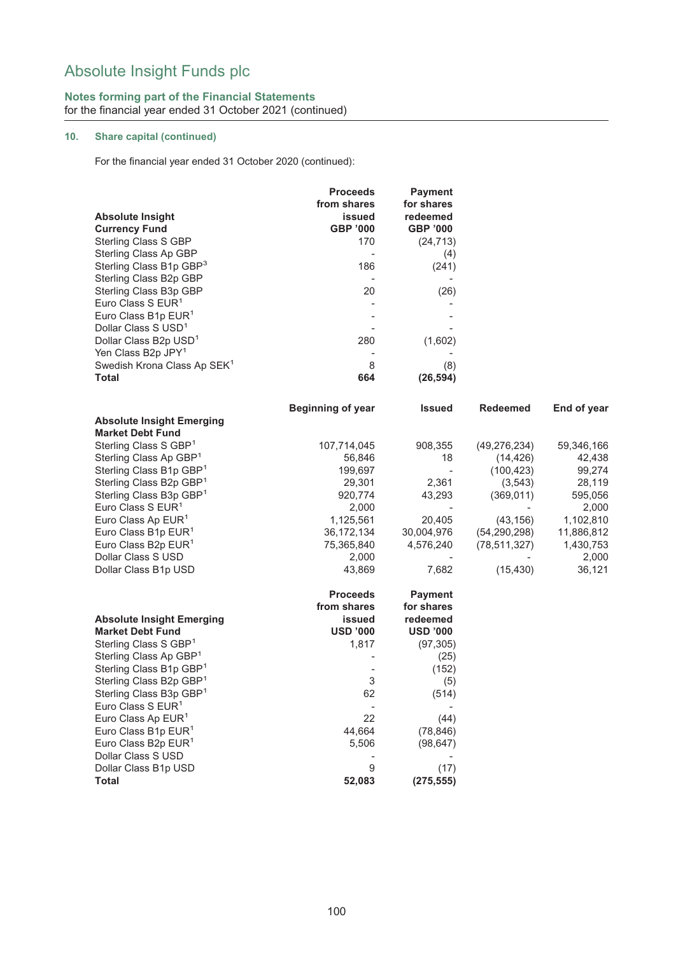## **Notes forming part of the Financial Statements** for the financial year ended 31 October 2021 (continued)

## **10. Share capital (continued)**

For the financial year ended 31 October 2020 (continued):

|                                                         | <b>Proceeds</b>          | <b>Payment</b>           |                 |             |
|---------------------------------------------------------|--------------------------|--------------------------|-----------------|-------------|
|                                                         | from shares              | for shares               |                 |             |
| <b>Absolute Insight</b>                                 | issued                   | redeemed                 |                 |             |
| <b>Currency Fund</b>                                    | <b>GBP '000</b>          | GBP '000                 |                 |             |
| Sterling Class S GBP                                    | 170                      | (24, 713)                |                 |             |
| Sterling Class Ap GBP                                   |                          | (4)                      |                 |             |
| Sterling Class B1p GBP <sup>3</sup>                     | 186                      | (241)                    |                 |             |
| Sterling Class B2p GBP                                  |                          |                          |                 |             |
| Sterling Class B3p GBP                                  | 20                       | (26)                     |                 |             |
| Euro Class S EUR <sup>1</sup>                           |                          |                          |                 |             |
| Euro Class B1p EUR <sup>1</sup>                         |                          |                          |                 |             |
| Dollar Class S USD <sup>1</sup>                         |                          |                          |                 |             |
| Dollar Class B2p USD <sup>1</sup>                       | 280                      | (1,602)                  |                 |             |
| Yen Class B2p JPY <sup>1</sup>                          |                          |                          |                 |             |
| Swedish Krona Class Ap SEK <sup>1</sup><br><b>Total</b> | 8<br>664                 | (8)                      |                 |             |
|                                                         |                          | (26, 594)                |                 |             |
|                                                         | <b>Beginning of year</b> | <b>Issued</b>            | <b>Redeemed</b> | End of year |
| <b>Absolute Insight Emerging</b>                        |                          |                          |                 |             |
| <b>Market Debt Fund</b>                                 |                          |                          |                 |             |
| Sterling Class S GBP <sup>1</sup>                       | 107,714,045              | 908,355                  | (49, 276, 234)  | 59,346,166  |
| Sterling Class Ap GBP <sup>1</sup>                      | 56,846                   | 18                       | (14, 426)       | 42,438      |
| Sterling Class B1p GBP <sup>1</sup>                     | 199,697                  | $\overline{\phantom{a}}$ | (100, 423)      | 99,274      |
| Sterling Class B2p GBP <sup>1</sup>                     | 29,301                   | 2,361                    | (3, 543)        | 28,119      |
| Sterling Class B3p GBP <sup>1</sup>                     | 920,774                  | 43,293                   | (369, 011)      | 595,056     |
| Euro Class S $EUR1$                                     | 2,000                    |                          |                 | 2,000       |
| Euro Class Ap EUR <sup>1</sup>                          | 1,125,561                | 20,405                   | (43, 156)       | 1,102,810   |
| Euro Class B1p EUR <sup>1</sup>                         | 36, 172, 134             | 30,004,976               | (54, 290, 298)  | 11,886,812  |
| Euro Class B2p EUR <sup>1</sup>                         | 75,365,840               | 4,576,240                | (78, 511, 327)  | 1,430,753   |
| Dollar Class S USD                                      | 2,000                    |                          |                 | 2,000       |
| Dollar Class B1p USD                                    | 43,869                   | 7,682                    | (15, 430)       | 36,121      |
|                                                         | <b>Proceeds</b>          | <b>Payment</b>           |                 |             |
|                                                         | from shares              | for shares               |                 |             |
| <b>Absolute Insight Emerging</b>                        | issued                   | redeemed                 |                 |             |
| <b>Market Debt Fund</b>                                 | <b>USD '000</b>          | <b>USD '000</b>          |                 |             |
| Sterling Class S GBP <sup>1</sup>                       | 1,817                    | (97, 305)                |                 |             |
| Sterling Class Ap GBP1                                  |                          | (25)                     |                 |             |
| Sterling Class B1p GBP <sup>1</sup>                     |                          | (152)                    |                 |             |
| Sterling Class B2p GBP <sup>1</sup>                     | 3                        | (5)                      |                 |             |
| Sterling Class B3p GBP <sup>1</sup>                     | 62                       | (514)                    |                 |             |
| Euro Class S EUR <sup>1</sup>                           |                          |                          |                 |             |
| Euro Class Ap EUR <sup>1</sup>                          | 22                       | (44)                     |                 |             |
| Euro Class B1p EUR <sup>1</sup>                         | 44,664                   | (78, 846)                |                 |             |
| Euro Class B2p EUR <sup>1</sup>                         | 5,506                    | (98, 647)                |                 |             |
| Dollar Class S USD                                      |                          |                          |                 |             |
| Dollar Class B1p USD                                    | $\overline{9}$           | (17)                     |                 |             |
| <b>Total</b>                                            | 52,083                   | (275, 555)               |                 |             |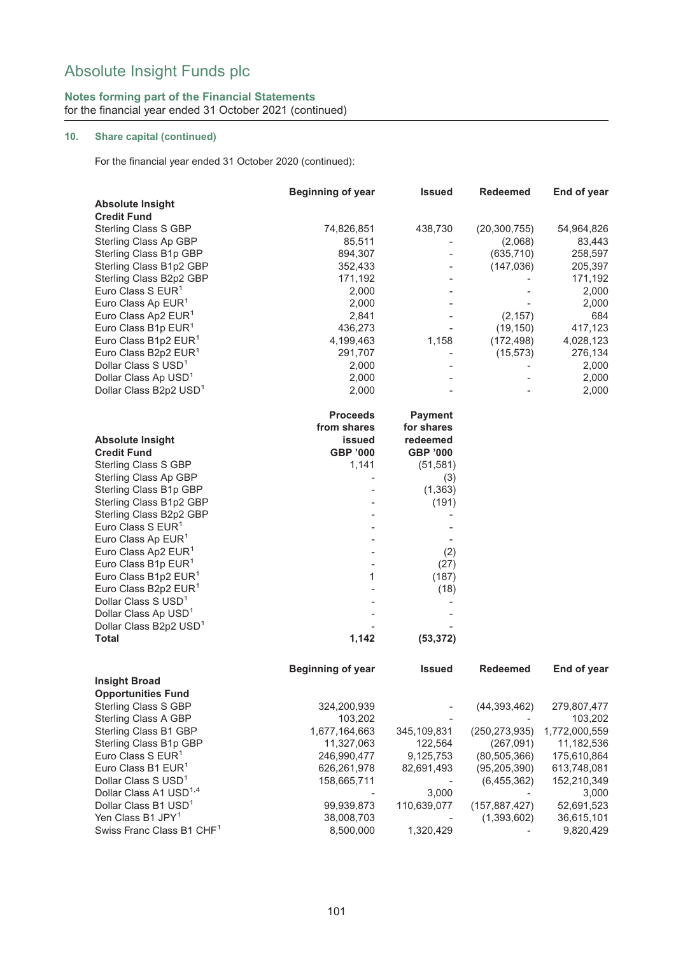### **Notes forming part of the Financial Statements** for the financial year ended 31 October 2021 (continued)

## **10. Share capital (continued)**

For the financial year ended 31 October 2020 (continued):

|                                       | <b>Beginning of year</b> | <b>Issued</b>   | <b>Redeemed</b> | End of year   |
|---------------------------------------|--------------------------|-----------------|-----------------|---------------|
| <b>Absolute Insight</b>               |                          |                 |                 |               |
| <b>Credit Fund</b>                    |                          |                 |                 |               |
| Sterling Class S GBP                  | 74,826,851               | 438,730         | (20, 300, 755)  | 54,964,826    |
| Sterling Class Ap GBP                 | 85,511                   |                 | (2,068)         | 83,443        |
| Sterling Class B1p GBP                | 894,307                  |                 | (635, 710)      | 258,597       |
| Sterling Class B1p2 GBP               | 352,433                  |                 | (147, 036)      | 205,397       |
| Sterling Class B2p2 GBP               | 171,192                  |                 |                 | 171,192       |
| Euro Class S EUR <sup>1</sup>         | 2,000                    |                 |                 | 2,000         |
| Euro Class Ap EUR <sup>1</sup>        | 2,000                    |                 |                 | 2,000         |
| Euro Class Ap2 EUR <sup>1</sup>       | 2,841                    |                 | (2, 157)        | 684           |
| Euro Class B1p EUR <sup>1</sup>       | 436,273                  |                 | (19, 150)       | 417,123       |
| Euro Class B1p2 EUR <sup>1</sup>      | 4,199,463                | 1,158           | (172, 498)      | 4,028,123     |
| Euro Class B2p2 EUR <sup>1</sup>      | 291,707                  |                 | (15, 573)       | 276,134       |
| Dollar Class S USD <sup>1</sup>       | 2,000                    |                 |                 | 2,000         |
| Dollar Class Ap USD <sup>1</sup>      | 2,000                    |                 |                 | 2,000         |
| Dollar Class B2p2 USD <sup>1</sup>    | 2,000                    |                 |                 | 2,000         |
|                                       | <b>Proceeds</b>          | <b>Payment</b>  |                 |               |
|                                       | from shares              | for shares      |                 |               |
| <b>Absolute Insight</b>               | issued                   | redeemed        |                 |               |
| <b>Credit Fund</b>                    | <b>GBP '000</b>          | <b>GBP '000</b> |                 |               |
| Sterling Class S GBP                  | 1,141                    | (51, 581)       |                 |               |
| Sterling Class Ap GBP                 |                          | (3)             |                 |               |
| Sterling Class B1p GBP                |                          | (1, 363)        |                 |               |
| Sterling Class B1p2 GBP               |                          | (191)           |                 |               |
| Sterling Class B2p2 GBP               |                          |                 |                 |               |
| Euro Class S EUR <sup>1</sup>         |                          |                 |                 |               |
| Euro Class Ap EUR <sup>1</sup>        |                          |                 |                 |               |
| Euro Class Ap2 EUR <sup>1</sup>       |                          | (2)             |                 |               |
| Euro Class B1p EUR <sup>1</sup>       |                          | (27)            |                 |               |
| Euro Class B1p2 EUR <sup>1</sup>      | 1                        | (187)           |                 |               |
| Euro Class B2p2 EUR <sup>1</sup>      |                          | (18)            |                 |               |
| Dollar Class S USD <sup>1</sup>       |                          |                 |                 |               |
| Dollar Class Ap USD <sup>1</sup>      |                          |                 |                 |               |
| Dollar Class B2p2 USD <sup>1</sup>    |                          |                 |                 |               |
| <b>Total</b>                          | 1,142                    | (53, 372)       |                 |               |
|                                       | <b>Beginning of year</b> | <b>Issued</b>   | <b>Redeemed</b> | End of year   |
| <b>Insight Broad</b>                  |                          |                 |                 |               |
| <b>Opportunities Fund</b>             |                          |                 |                 |               |
| Sterling Class S GBP                  | 324,200,939              |                 | (44, 393, 462)  | 279,807,477   |
| Sterling Class A GBP                  | 103,202                  |                 |                 | 103,202       |
| Sterling Class B1 GBP                 | 1,677,164,663            | 345,109,831     | (250, 273, 935) | 1,772,000,559 |
| Sterling Class B1p GBP                | 11,327,063               | 122,564         | (267,091)       | 11,182,536    |
| Euro Class S EUR <sup>1</sup>         | 246,990,477              | 9,125,753       | (80, 505, 366)  | 175,610,864   |
| Euro Class B1 EUR <sup>1</sup>        | 626,261,978              | 82,691,493      | (95, 205, 390)  | 613,748,081   |
| Dollar Class S USD <sup>1</sup>       | 158,665,711              |                 | (6,455,362)     | 152,210,349   |
| Dollar Class A1 USD <sup>1,4</sup>    |                          | 3,000           |                 | 3,000         |
| Dollar Class B1 USD <sup>1</sup>      | 99,939,873               | 110,639,077     | (157, 887, 427) | 52,691,523    |
| Yen Class B1 JPY <sup>1</sup>         | 38,008,703               |                 | (1,393,602)     | 36,615,101    |
| Swiss Franc Class B1 CHF <sup>1</sup> | 8,500,000                | 1,320,429       |                 | 9,820,429     |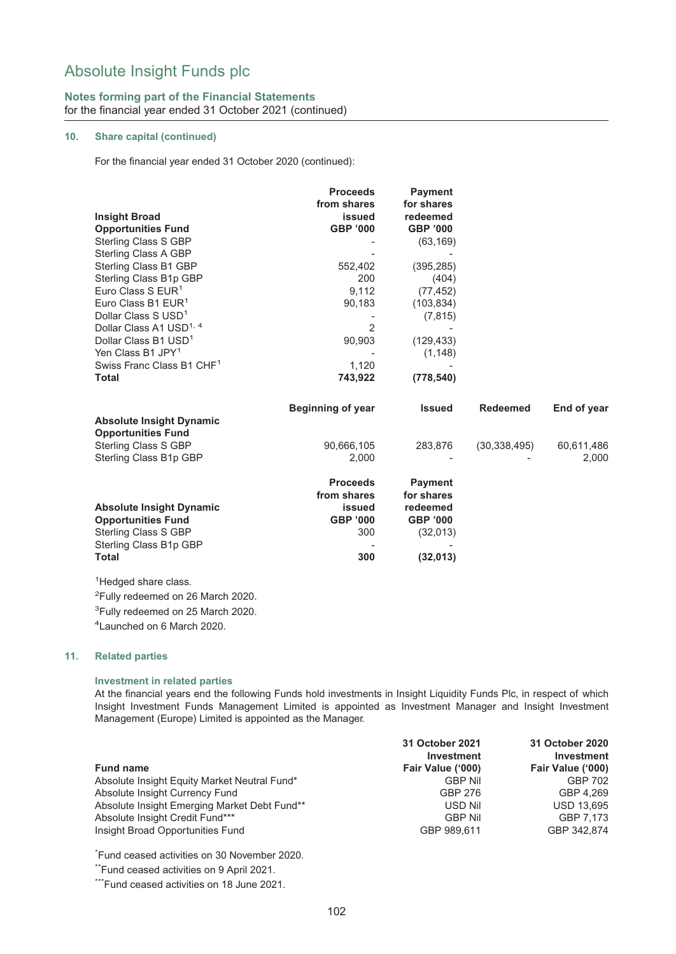#### **Notes forming part of the Financial Statements** for the financial year ended 31 October 2021 (continued)

#### **10. Share capital (continued)**

For the financial year ended 31 October 2020 (continued):

|                                                   | <b>Proceeds</b><br>from shares | <b>Payment</b><br>for shares |                 |             |
|---------------------------------------------------|--------------------------------|------------------------------|-----------------|-------------|
| <b>Insight Broad</b><br><b>Opportunities Fund</b> | issued<br><b>GBP '000</b>      | redeemed<br><b>GBP '000</b>  |                 |             |
| Sterling Class S GBP                              |                                | (63, 169)                    |                 |             |
| Sterling Class A GBP                              |                                |                              |                 |             |
| Sterling Class B1 GBP                             | 552,402                        | (395, 285)                   |                 |             |
| Sterling Class B1p GBP                            | 200                            | (404)                        |                 |             |
| Euro Class S $EUR1$                               | 9,112                          | (77, 452)                    |                 |             |
| Euro Class B1 EUR <sup>1</sup>                    | 90,183                         | (103, 834)                   |                 |             |
| Dollar Class S USD <sup>1</sup>                   |                                | (7, 815)                     |                 |             |
| Dollar Class A1 USD <sup>1, 4</sup>               | $\overline{2}$                 |                              |                 |             |
| Dollar Class B1 USD <sup>1</sup>                  | 90,903                         | (129, 433)                   |                 |             |
| Yen Class B1 JPY <sup>1</sup>                     |                                | (1, 148)                     |                 |             |
| Swiss Franc Class B1 CHF <sup>1</sup>             | 1,120                          |                              |                 |             |
| <b>Total</b>                                      | 743,922                        | (778, 540)                   |                 |             |
|                                                   |                                |                              |                 |             |
|                                                   | <b>Beginning of year</b>       | <b>Issued</b>                | <b>Redeemed</b> | End of year |
| <b>Absolute Insight Dynamic</b>                   |                                |                              |                 |             |
| <b>Opportunities Fund</b>                         |                                |                              |                 |             |
| <b>Sterling Class S GBP</b>                       | 90,666,105                     | 283,876                      | (30, 338, 495)  | 60,611,486  |
| Sterling Class B1p GBP                            | 2,000                          |                              |                 | 2,000       |
|                                                   |                                |                              |                 |             |
|                                                   | <b>Proceeds</b>                | <b>Payment</b>               |                 |             |
|                                                   | from shares                    | for shares                   |                 |             |
| <b>Absolute Insight Dynamic</b>                   | issued                         | redeemed                     |                 |             |
| <b>Opportunities Fund</b>                         | <b>GBP '000</b>                | <b>GBP '000</b>              |                 |             |
| Sterling Class S GBP                              | 300                            | (32,013)                     |                 |             |
| Sterling Class B1p GBP                            |                                |                              |                 |             |
| <b>Total</b>                                      | 300                            | (32, 013)                    |                 |             |
| <sup>1</sup> Hedged share class.                  |                                |                              |                 |             |
| $2\Gamma$ ully rodoomed on 36 Marsh 3030          |                                |                              |                 |             |

<sup>2</sup>Fully redeemed on 26 March 2020. <sup>3</sup>Fully redeemed on 25 March 2020. 4 Launched on 6 March 2020.

#### **11. Related parties**

#### **Investment in related parties**

At the financial years end the following Funds hold investments in Insight Liquidity Funds Plc, in respect of which Insight Investment Funds Management Limited is appointed as Investment Manager and Insight Investment Management (Europe) Limited is appointed as the Manager.

|                                              | 31 October 2021<br><b>Investment</b> | 31 October 2020<br><b>Investment</b> |
|----------------------------------------------|--------------------------------------|--------------------------------------|
| <b>Fund name</b>                             | Fair Value ('000)                    | Fair Value ('000)                    |
| Absolute Insight Equity Market Neutral Fund* | <b>GBP Nil</b>                       | GBP 702                              |
| Absolute Insight Currency Fund               | GBP 276                              | GBP 4.269                            |
| Absolute Insight Emerging Market Debt Fund** | USD Nil                              | <b>USD 13.695</b>                    |
| Absolute Insight Credit Fund***              | <b>GBP Nil</b>                       | GBP 7.173                            |
| Insight Broad Opportunities Fund             | GBP 989.611                          | GBP 342.874                          |

\* Fund ceased activities on 30 November 2020.

\*\*Fund ceased activities on 9 April 2021.

\*\*\*Fund ceased activities on 18 June 2021.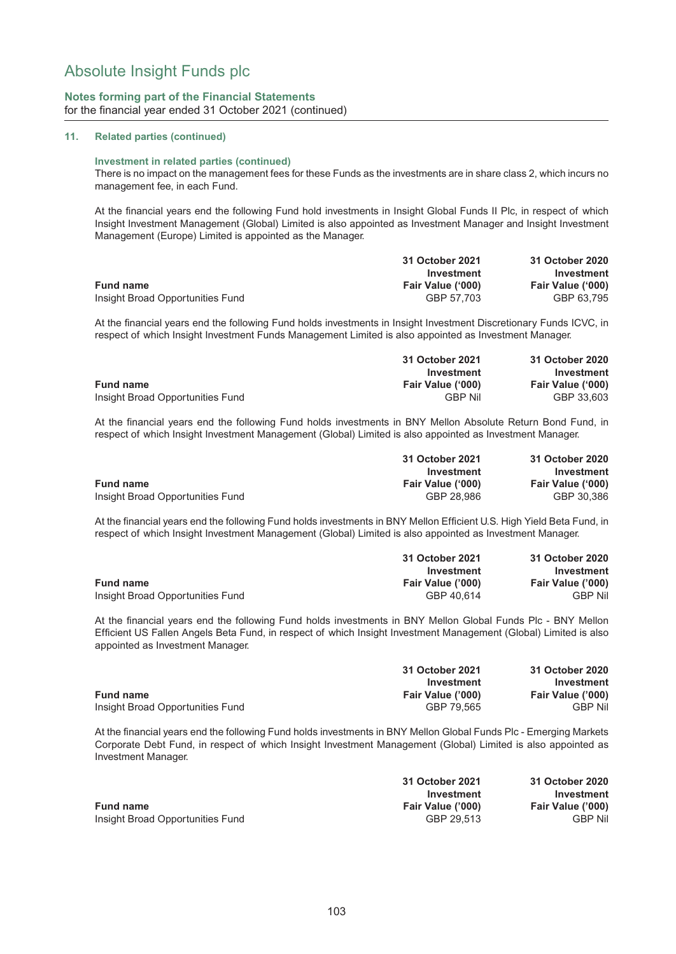#### **Notes forming part of the Financial Statements** for the financial year ended 31 October 2021 (continued)

#### **11. Related parties (continued)**

#### **Investment in related parties (continued)**

There is no impact on the management fees for these Funds as the investments are in share class 2, which incurs no management fee, in each Fund.

At the financial years end the following Fund hold investments in Insight Global Funds II Plc, in respect of which Insight Investment Management (Global) Limited is also appointed as Investment Manager and Insight Investment Management (Europe) Limited is appointed as the Manager.

|                                  | 31 October 2021   | 31 October 2020   |
|----------------------------------|-------------------|-------------------|
|                                  | Investment        | Investment        |
| <b>Fund name</b>                 | Fair Value ('000) | Fair Value ('000) |
| Insight Broad Opportunities Fund | GBP 57.703        | GBP 63.795        |

At the financial years end the following Fund holds investments in Insight Investment Discretionary Funds ICVC, in respect of which Insight Investment Funds Management Limited is also appointed as Investment Manager.

|                                  | 31 October 2021   | 31 October 2020   |
|----------------------------------|-------------------|-------------------|
|                                  | Investment        | Investment        |
| <b>Fund name</b>                 | Fair Value ('000) | Fair Value ('000) |
| Insight Broad Opportunities Fund | <b>GRP Nil</b>    | GBP 33.603        |

At the financial years end the following Fund holds investments in BNY Mellon Absolute Return Bond Fund, in respect of which Insight Investment Management (Global) Limited is also appointed as Investment Manager.

|                                  | 31 October 2021   | 31 October 2020   |
|----------------------------------|-------------------|-------------------|
|                                  | Investment        | Investment        |
| <b>Fund name</b>                 | Fair Value ('000) | Fair Value ('000) |
| Insight Broad Opportunities Fund | GBP 28.986        | GBP 30.386        |

At the financial years end the following Fund holds investments in BNY Mellon Efficient U.S. High Yield Beta Fund, in respect of which Insight Investment Management (Global) Limited is also appointed as Investment Manager.

|                                  | 31 October 2021   | 31 October 2020   |
|----------------------------------|-------------------|-------------------|
|                                  | Investment        | Investment        |
| <b>Fund name</b>                 | Fair Value ('000) | Fair Value ('000) |
| Insight Broad Opportunities Fund | GBP 40.614        | <b>GBP Nil</b>    |

At the financial years end the following Fund holds investments in BNY Mellon Global Funds Plc - BNY Mellon Efficient US Fallen Angels Beta Fund, in respect of which Insight Investment Management (Global) Limited is also appointed as Investment Manager.

|                                  | 31 October 2021   | 31 October 2020   |
|----------------------------------|-------------------|-------------------|
|                                  | Investment        | Investment        |
| <b>Fund name</b>                 | Fair Value ('000) | Fair Value ('000) |
| Insight Broad Opportunities Fund | GBP 79.565        | <b>GBP Nil</b>    |

At the financial years end the following Fund holds investments in BNY Mellon Global Funds Plc - Emerging Markets Corporate Debt Fund, in respect of which Insight Investment Management (Global) Limited is also appointed as Investment Manager.

|                                  | 31 October 2021   | 31 October 2020   |
|----------------------------------|-------------------|-------------------|
|                                  | Investment        | Investment        |
| <b>Fund name</b>                 | Fair Value ('000) | Fair Value ('000) |
| Insight Broad Opportunities Fund | GBP 29.513        | <b>GBP Nil</b>    |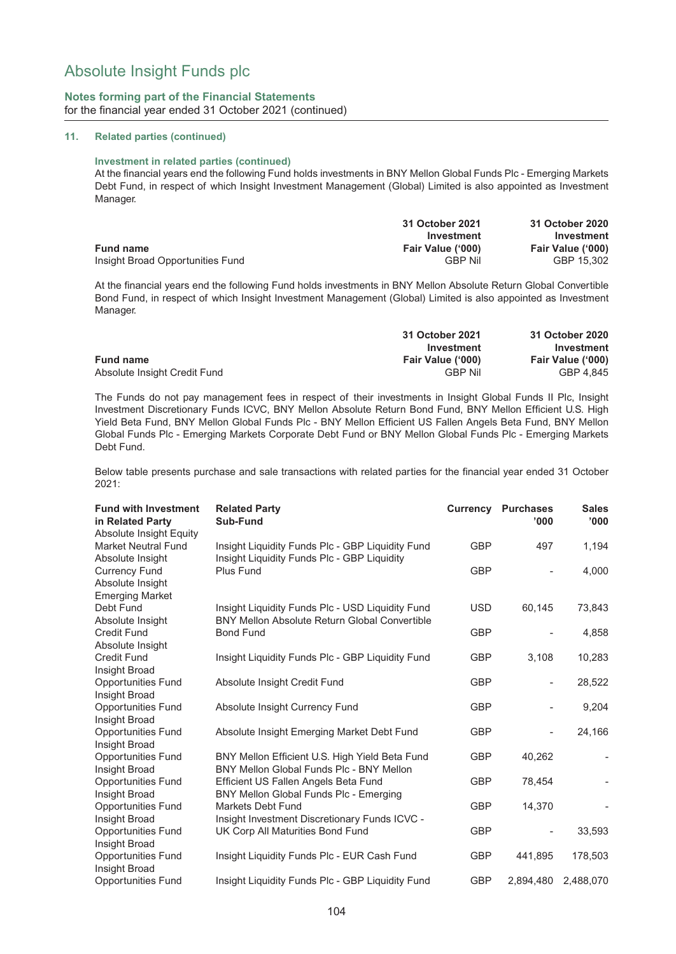#### **Notes forming part of the Financial Statements** for the financial year ended 31 October 2021 (continued)

#### **11. Related parties (continued)**

#### **Investment in related parties (continued)**

At the financial years end the following Fund holds investments in BNY Mellon Global Funds Plc - Emerging Markets Debt Fund, in respect of which Insight Investment Management (Global) Limited is also appointed as Investment Manager.

|                                  | 31 October 2021   | 31 October 2020   |
|----------------------------------|-------------------|-------------------|
|                                  | Investment        | Investment        |
| <b>Fund name</b>                 | Fair Value ('000) | Fair Value ('000) |
| Insight Broad Opportunities Fund | <b>GBP Nil</b>    | GBP 15.302        |

At the financial years end the following Fund holds investments in BNY Mellon Absolute Return Global Convertible Bond Fund, in respect of which Insight Investment Management (Global) Limited is also appointed as Investment Manager.

|                              | 31 October 2021   | 31 October 2020   |
|------------------------------|-------------------|-------------------|
|                              | Investment        | Investment        |
| <b>Fund name</b>             | Fair Value ('000) | Fair Value ('000) |
| Absolute Insight Credit Fund | <b>GBP Nil</b>    | GBP 4.845         |

The Funds do not pay management fees in respect of their investments in Insight Global Funds II Plc, Insight Investment Discretionary Funds ICVC, BNY Mellon Absolute Return Bond Fund, BNY Mellon Efficient U.S. High Yield Beta Fund, BNY Mellon Global Funds Plc - BNY Mellon Efficient US Fallen Angels Beta Fund, BNY Mellon Global Funds Plc - Emerging Markets Corporate Debt Fund or BNY Mellon Global Funds Plc - Emerging Markets Debt Fund.

Below table presents purchase and sale transactions with related parties for the financial year ended 31 October 2021:

| <b>Fund with Investment</b><br>in Related Party<br><b>Absolute Insight Equity</b> | <b>Related Party</b><br>Sub-Fund                                                                |            | <b>Currency Purchases</b><br>'000' | <b>Sales</b><br>'000'    |
|-----------------------------------------------------------------------------------|-------------------------------------------------------------------------------------------------|------------|------------------------------------|--------------------------|
| <b>Market Neutral Fund</b><br>Absolute Insight                                    | Insight Liquidity Funds Plc - GBP Liquidity Fund<br>Insight Liquidity Funds PIc - GBP Liquidity | <b>GBP</b> | 497                                | 1,194                    |
| <b>Currency Fund</b><br>Absolute Insight<br><b>Emerging Market</b>                | Plus Fund                                                                                       | <b>GBP</b> |                                    | 4,000                    |
| Debt Fund                                                                         | Insight Liquidity Funds Plc - USD Liquidity Fund                                                | <b>USD</b> | 60,145                             | 73,843                   |
| Absolute Insight<br><b>Credit Fund</b><br>Absolute Insight                        | <b>BNY Mellon Absolute Return Global Convertible</b><br><b>Bond Fund</b>                        | <b>GBP</b> | $\overline{\phantom{0}}$           | 4,858                    |
| <b>Credit Fund</b><br>Insight Broad                                               | Insight Liquidity Funds Plc - GBP Liquidity Fund                                                | <b>GBP</b> | 3,108                              | 10,283                   |
| <b>Opportunities Fund</b><br>Insight Broad                                        | Absolute Insight Credit Fund                                                                    | <b>GBP</b> | $\qquad \qquad \blacksquare$       | 28,522                   |
| <b>Opportunities Fund</b><br>Insight Broad                                        | Absolute Insight Currency Fund                                                                  | <b>GBP</b> |                                    | 9,204                    |
| <b>Opportunities Fund</b><br>Insight Broad                                        | Absolute Insight Emerging Market Debt Fund                                                      | <b>GBP</b> | $\overline{\phantom{a}}$           | 24,166                   |
| <b>Opportunities Fund</b><br>Insight Broad                                        | BNY Mellon Efficient U.S. High Yield Beta Fund<br>BNY Mellon Global Funds Plc - BNY Mellon      | <b>GBP</b> | 40.262                             | $\overline{\phantom{a}}$ |
| <b>Opportunities Fund</b><br>Insight Broad                                        | Efficient US Fallen Angels Beta Fund<br>BNY Mellon Global Funds Plc - Emerging                  | <b>GBP</b> | 78,454                             |                          |
| <b>Opportunities Fund</b><br>Insight Broad                                        | Markets Debt Fund<br>Insight Investment Discretionary Funds ICVC -                              | <b>GBP</b> | 14,370                             |                          |
| <b>Opportunities Fund</b><br>Insight Broad                                        | UK Corp All Maturities Bond Fund                                                                | <b>GBP</b> | $\overline{a}$                     | 33,593                   |
| <b>Opportunities Fund</b><br>Insight Broad                                        | Insight Liquidity Funds PIc - EUR Cash Fund                                                     | <b>GBP</b> | 441,895                            | 178,503                  |
| <b>Opportunities Fund</b>                                                         | Insight Liquidity Funds Plc - GBP Liquidity Fund                                                | <b>GBP</b> | 2,894,480                          | 2,488,070                |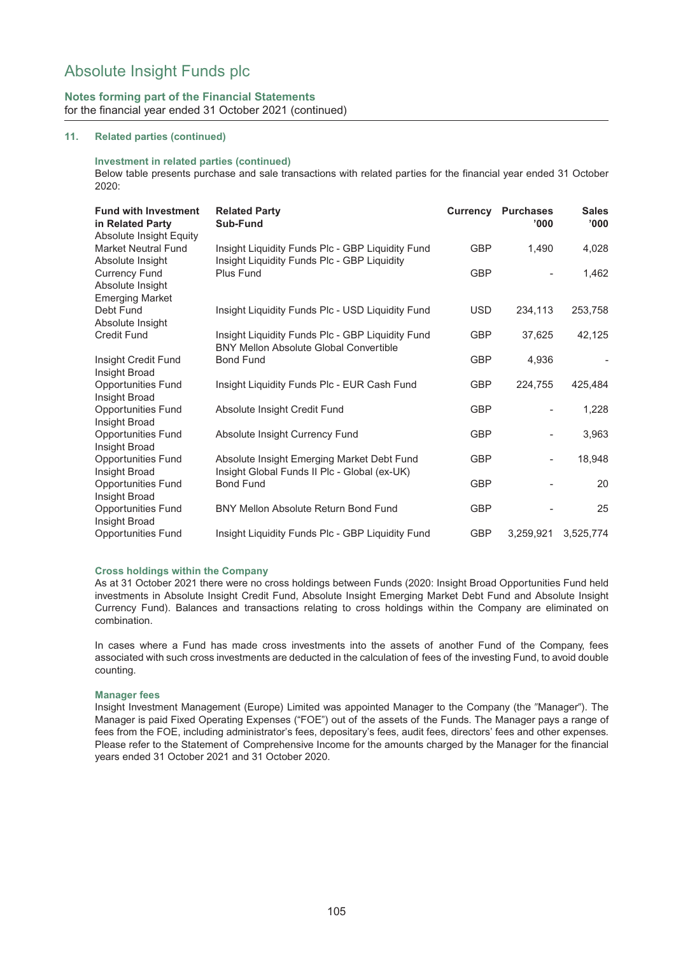## **Notes forming part of the Financial Statements** for the financial year ended 31 October 2021 (continued)

#### **11. Related parties (continued)**

#### **Investment in related parties (continued)**

Below table presents purchase and sale transactions with related parties for the financial year ended 31 October 2020:

| <b>Fund with Investment</b><br>in Related Party<br><b>Absolute Insight Equity</b> | <b>Related Party</b><br>Sub-Fund                                                                  |            | <b>Currency Purchases</b><br>'000' | <b>Sales</b><br>'000' |
|-----------------------------------------------------------------------------------|---------------------------------------------------------------------------------------------------|------------|------------------------------------|-----------------------|
| Market Neutral Fund<br>Absolute Insight                                           | Insight Liquidity Funds Plc - GBP Liquidity Fund<br>Insight Liquidity Funds Plc - GBP Liquidity   | <b>GBP</b> | 1,490                              | 4,028                 |
| <b>Currency Fund</b><br>Absolute Insight<br><b>Emerging Market</b>                | Plus Fund                                                                                         | <b>GBP</b> |                                    | 1,462                 |
| Debt Fund<br>Absolute Insight                                                     | Insight Liquidity Funds Plc - USD Liquidity Fund                                                  | <b>USD</b> | 234,113                            | 253,758               |
| <b>Credit Fund</b>                                                                | Insight Liquidity Funds Plc - GBP Liquidity Fund<br><b>BNY Mellon Absolute Global Convertible</b> | <b>GBP</b> | 37,625                             | 42,125                |
| Insight Credit Fund<br>Insight Broad                                              | <b>Bond Fund</b>                                                                                  | <b>GBP</b> | 4,936                              |                       |
| <b>Opportunities Fund</b><br>Insight Broad                                        | Insight Liquidity Funds Plc - EUR Cash Fund                                                       | <b>GBP</b> | 224,755                            | 425,484               |
| <b>Opportunities Fund</b><br>Insight Broad                                        | Absolute Insight Credit Fund                                                                      | <b>GBP</b> |                                    | 1,228                 |
| <b>Opportunities Fund</b><br>Insight Broad                                        | Absolute Insight Currency Fund                                                                    | <b>GBP</b> |                                    | 3,963                 |
| <b>Opportunities Fund</b><br>Insight Broad                                        | Absolute Insight Emerging Market Debt Fund<br>Insight Global Funds II Plc - Global (ex-UK)        | <b>GBP</b> |                                    | 18,948                |
| <b>Opportunities Fund</b><br>Insight Broad                                        | <b>Bond Fund</b>                                                                                  | <b>GBP</b> |                                    | 20                    |
| <b>Opportunities Fund</b><br>Insight Broad                                        | <b>BNY Mellon Absolute Return Bond Fund</b>                                                       | <b>GBP</b> |                                    | 25                    |
| <b>Opportunities Fund</b>                                                         | Insight Liquidity Funds Plc - GBP Liquidity Fund                                                  | <b>GBP</b> | 3,259,921                          | 3,525,774             |

#### **Cross holdings within the Company**

As at 31 October 2021 there were no cross holdings between Funds (2020: Insight Broad Opportunities Fund held investments in Absolute Insight Credit Fund, Absolute Insight Emerging Market Debt Fund and Absolute Insight Currency Fund). Balances and transactions relating to cross holdings within the Company are eliminated on combination.

In cases where a Fund has made cross investments into the assets of another Fund of the Company, fees associated with such cross investments are deducted in the calculation of fees of the investing Fund, to avoid double counting.

#### **Manager fees**

Insight Investment Management (Europe) Limited was appointed Manager to the Company (the "Manager"). The Manager is paid Fixed Operating Expenses ("FOE") out of the assets of the Funds. The Manager pays a range of fees from the FOE, including administrator's fees, depositary's fees, audit fees, directors' fees and other expenses. Please refer to the Statement of Comprehensive Income for the amounts charged by the Manager for the financial years ended 31 October 2021 and 31 October 2020.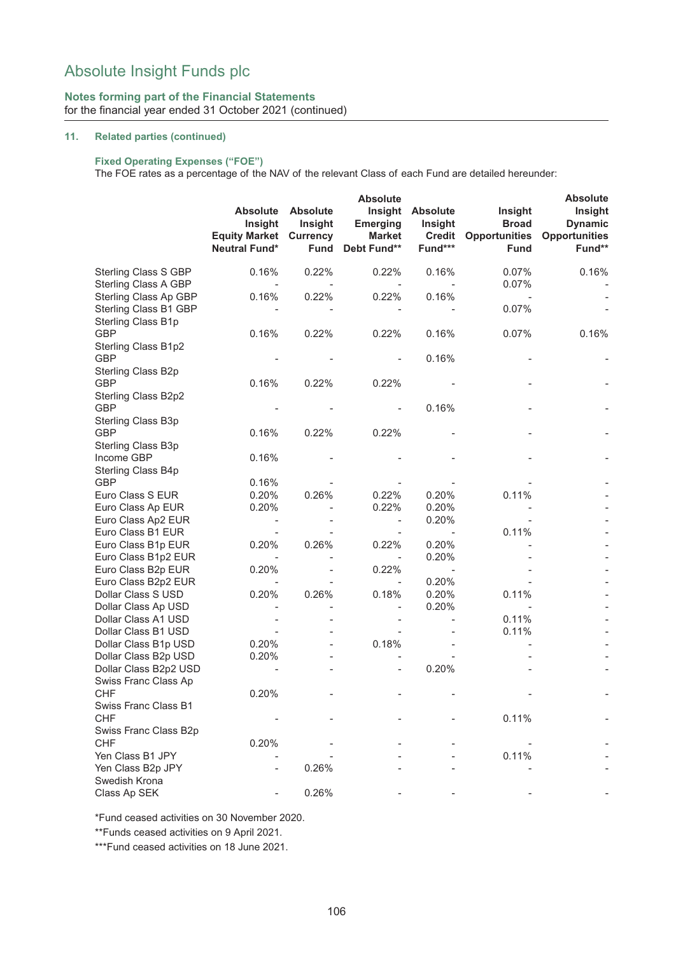## **Notes forming part of the Financial Statements** for the financial year ended 31 October 2021 (continued)

#### **11. Related parties (continued)**

## **Fixed Operating Expenses ("FOE")**

The FOE rates as a percentage of the NAV of the relevant Class of each Fund are detailed hereunder:

|                                              | <b>Absolute</b>                                                              |                                           |                                                            | <b>Absolute</b>                                        |                                                                |                                                             |  |
|----------------------------------------------|------------------------------------------------------------------------------|-------------------------------------------|------------------------------------------------------------|--------------------------------------------------------|----------------------------------------------------------------|-------------------------------------------------------------|--|
|                                              | <b>Absolute</b><br>Insight<br><b>Equity Market Currency</b><br>Neutral Fund* | <b>Absolute</b><br>Insight<br><b>Fund</b> | Insight<br><b>Emerging</b><br><b>Market</b><br>Debt Fund** | <b>Absolute</b><br>Insight<br><b>Credit</b><br>Fund*** | Insight<br><b>Broad</b><br><b>Opportunities</b><br><b>Fund</b> | Insight<br><b>Dynamic</b><br><b>Opportunities</b><br>Fund** |  |
|                                              |                                                                              |                                           |                                                            |                                                        |                                                                |                                                             |  |
| Sterling Class S GBP<br>Sterling Class A GBP | 0.16%                                                                        | 0.22%                                     | 0.22%                                                      | 0.16%                                                  | 0.07%<br>0.07%                                                 | 0.16%                                                       |  |
| Sterling Class Ap GBP                        | 0.16%                                                                        | 0.22%                                     | 0.22%                                                      | 0.16%                                                  |                                                                |                                                             |  |
| Sterling Class B1 GBP<br>Sterling Class B1p  |                                                                              |                                           |                                                            |                                                        | 0.07%                                                          |                                                             |  |
| <b>GBP</b>                                   | 0.16%                                                                        | 0.22%                                     | 0.22%                                                      | 0.16%                                                  | 0.07%                                                          | 0.16%                                                       |  |
| Sterling Class B1p2<br><b>GBP</b>            |                                                                              |                                           |                                                            | 0.16%                                                  |                                                                |                                                             |  |
| Sterling Class B2p                           |                                                                              |                                           |                                                            |                                                        |                                                                |                                                             |  |
| <b>GBP</b>                                   | 0.16%                                                                        | 0.22%                                     | 0.22%                                                      |                                                        |                                                                |                                                             |  |
| Sterling Class B2p2                          |                                                                              |                                           |                                                            |                                                        |                                                                |                                                             |  |
| <b>GBP</b><br>Sterling Class B3p             |                                                                              |                                           | $\overline{\phantom{a}}$                                   | 0.16%                                                  |                                                                |                                                             |  |
| <b>GBP</b>                                   | 0.16%                                                                        | 0.22%                                     | 0.22%                                                      |                                                        |                                                                |                                                             |  |
| Sterling Class B3p                           |                                                                              |                                           |                                                            |                                                        |                                                                |                                                             |  |
| Income GBP                                   | 0.16%                                                                        |                                           |                                                            |                                                        |                                                                |                                                             |  |
| Sterling Class B4p                           |                                                                              |                                           |                                                            |                                                        |                                                                |                                                             |  |
| <b>GBP</b>                                   | 0.16%                                                                        |                                           |                                                            |                                                        |                                                                |                                                             |  |
| Euro Class S EUR                             | 0.20%                                                                        | 0.26%                                     | 0.22%                                                      | 0.20%                                                  | 0.11%                                                          |                                                             |  |
| Euro Class Ap EUR                            | 0.20%                                                                        |                                           | 0.22%                                                      | 0.20%                                                  |                                                                |                                                             |  |
| Euro Class Ap2 EUR                           | $\overline{\phantom{a}}$                                                     |                                           | $\overline{\phantom{a}}$                                   | 0.20%                                                  |                                                                |                                                             |  |
| Euro Class B1 EUR                            |                                                                              |                                           | $\overline{\phantom{a}}$                                   | $\overline{\phantom{m}}$                               | 0.11%                                                          |                                                             |  |
| Euro Class B1p EUR                           | 0.20%                                                                        | 0.26%                                     | 0.22%                                                      | 0.20%                                                  |                                                                |                                                             |  |
| Euro Class B1p2 EUR                          | $\overline{\phantom{a}}$                                                     |                                           | $\overline{\phantom{a}}$                                   | 0.20%                                                  |                                                                |                                                             |  |
| Euro Class B2p EUR                           | 0.20%                                                                        |                                           | 0.22%                                                      |                                                        |                                                                |                                                             |  |
| Euro Class B2p2 EUR                          | $\overline{\phantom{a}}$                                                     |                                           | $\overline{\phantom{a}}$                                   | 0.20%                                                  |                                                                |                                                             |  |
| Dollar Class S USD                           | 0.20%                                                                        | 0.26%                                     | 0.18%                                                      | 0.20%                                                  | 0.11%                                                          |                                                             |  |
| Dollar Class Ap USD                          |                                                                              |                                           | $\overline{\phantom{a}}$                                   | 0.20%                                                  |                                                                |                                                             |  |
| Dollar Class A1 USD                          |                                                                              |                                           |                                                            |                                                        | 0.11%                                                          |                                                             |  |
| Dollar Class B1 USD                          |                                                                              |                                           |                                                            |                                                        | 0.11%                                                          |                                                             |  |
| Dollar Class B1p USD                         | 0.20%                                                                        |                                           | 0.18%                                                      |                                                        |                                                                |                                                             |  |
| Dollar Class B2p USD                         | 0.20%                                                                        |                                           |                                                            |                                                        |                                                                |                                                             |  |
| Dollar Class B2p2 USD                        |                                                                              |                                           | $\overline{\phantom{m}}$                                   | 0.20%                                                  |                                                                |                                                             |  |
| Swiss Franc Class Ap                         |                                                                              |                                           |                                                            |                                                        |                                                                |                                                             |  |
| <b>CHF</b>                                   | 0.20%                                                                        |                                           |                                                            |                                                        |                                                                |                                                             |  |
| Swiss Franc Class B1<br><b>CHF</b>           |                                                                              |                                           |                                                            |                                                        | 0.11%                                                          |                                                             |  |
| Swiss Franc Class B2p                        |                                                                              |                                           |                                                            |                                                        |                                                                |                                                             |  |
| <b>CHF</b>                                   | 0.20%                                                                        |                                           |                                                            |                                                        |                                                                |                                                             |  |
| Yen Class B1 JPY                             |                                                                              |                                           |                                                            |                                                        | 0.11%                                                          |                                                             |  |
| Yen Class B2p JPY                            |                                                                              | 0.26%                                     |                                                            |                                                        |                                                                |                                                             |  |
| Swedish Krona                                |                                                                              |                                           |                                                            |                                                        |                                                                |                                                             |  |
| Class Ap SEK                                 |                                                                              | 0.26%                                     |                                                            |                                                        |                                                                |                                                             |  |

\*Fund ceased activities on 30 November 2020.

\*\*Funds ceased activities on 9 April 2021.

\*\*\*Fund ceased activities on 18 June 2021.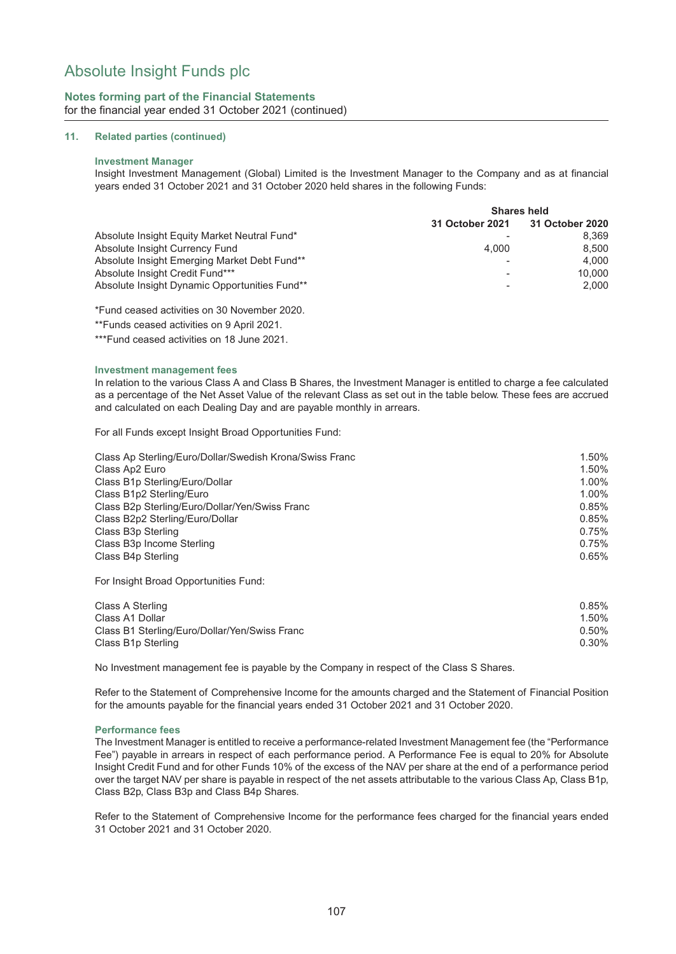### **Notes forming part of the Financial Statements** for the financial year ended 31 October 2021 (continued)

#### **11. Related parties (continued)**

#### **Investment Manager**

Insight Investment Management (Global) Limited is the Investment Manager to the Company and as at financial years ended 31 October 2021 and 31 October 2020 held shares in the following Funds:

|                                               | <b>Shares held</b> |                                 |  |  |
|-----------------------------------------------|--------------------|---------------------------------|--|--|
|                                               |                    | 31 October 2021 31 October 2020 |  |  |
| Absolute Insight Equity Market Neutral Fund*  |                    | 8.369                           |  |  |
| Absolute Insight Currency Fund                | 4.000              | 8.500                           |  |  |
| Absolute Insight Emerging Market Debt Fund**  |                    | 4.000                           |  |  |
| Absolute Insight Credit Fund***               |                    | 10.000                          |  |  |
| Absolute Insight Dynamic Opportunities Fund** |                    | 2.000                           |  |  |

\*Fund ceased activities on 30 November 2020.

\*\*Funds ceased activities on 9 April 2021.

\*\*\*Fund ceased activities on 18 June 2021.

#### **Investment management fees**

In relation to the various Class A and Class B Shares, the Investment Manager is entitled to charge a fee calculated as a percentage of the Net Asset Value of the relevant Class as set out in the table below. These fees are accrued and calculated on each Dealing Day and are payable monthly in arrears.

For all Funds except Insight Broad Opportunities Fund:

| Class Ap Sterling/Euro/Dollar/Swedish Krona/Swiss Franc | 1.50% |
|---------------------------------------------------------|-------|
| Class Ap2 Euro                                          | 1.50% |
| Class B1p Sterling/Euro/Dollar                          | 1.00% |
| Class B1p2 Sterling/Euro                                | 1.00% |
| Class B2p Sterling/Euro/Dollar/Yen/Swiss Franc          | 0.85% |
| Class B2p2 Sterling/Euro/Dollar                         | 0.85% |
| Class B <sub>3p</sub> Sterling                          | 0.75% |
| Class B <sub>3p</sub> Income Sterling                   | 0.75% |
| Class B4p Sterling                                      | 0.65% |
|                                                         |       |

For Insight Broad Opportunities Fund:

| Class A Sterling                              | $0.85\%$ |
|-----------------------------------------------|----------|
| Class A1 Dollar                               | 1.50%    |
| Class B1 Sterling/Euro/Dollar/Yen/Swiss Franc | 0.50%    |
| Class B1p Sterling                            | 0.30%    |
|                                               |          |

No Investment management fee is payable by the Company in respect of the Class S Shares.

Refer to the Statement of Comprehensive Income for the amounts charged and the Statement of Financial Position for the amounts payable for the financial years ended 31 October 2021 and 31 October 2020.

#### **Performance fees**

The Investment Manager is entitled to receive a performance-related Investment Management fee (the "Performance Fee") payable in arrears in respect of each performance period. A Performance Fee is equal to 20% for Absolute Insight Credit Fund and for other Funds 10% of the excess of the NAV per share at the end of a performance period over the target NAV per share is payable in respect of the net assets attributable to the various Class Ap, Class B1p, Class B2p, Class B3p and Class B4p Shares.

Refer to the Statement of Comprehensive Income for the performance fees charged for the financial years ended 31 October 2021 and 31 October 2020.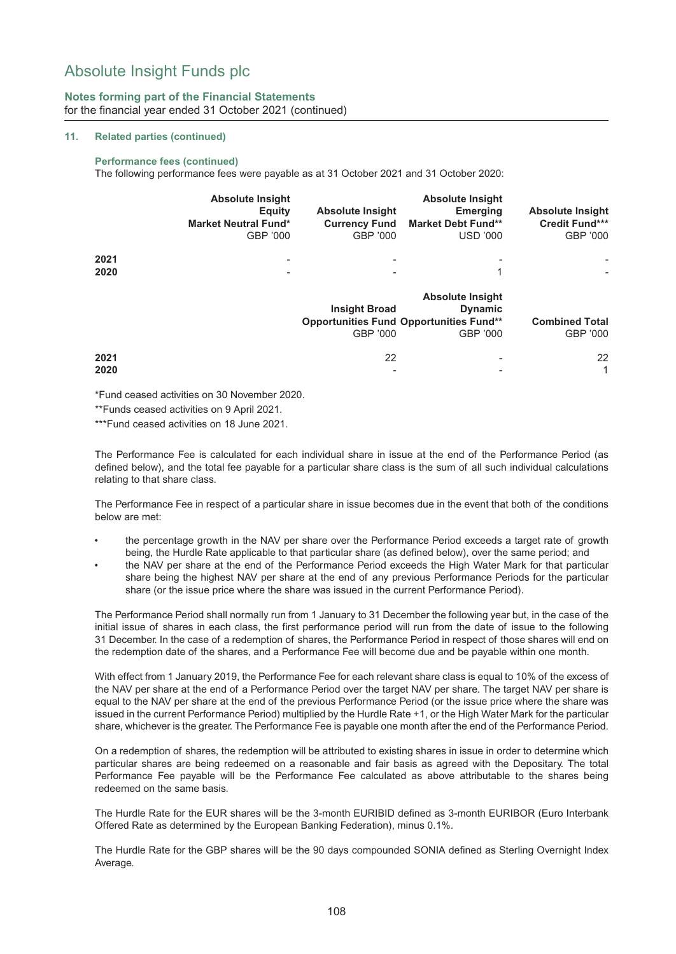### **Notes forming part of the Financial Statements** for the financial year ended 31 October 2021 (continued)

#### **11. Related parties (continued)**

#### **Performance fees (continued)**

The following performance fees were payable as at 31 October 2021 and 31 October 2020:

|              | <b>Absolute Insight</b><br>Equity<br><b>Market Neutral Fund*</b><br>GBP '000 | <b>Absolute Insight</b><br><b>Currency Fund</b><br>GBP '000 | <b>Absolute Insight</b><br><b>Emerging</b><br><b>Market Debt Fund**</b><br><b>USD '000</b> | <b>Absolute Insight</b><br><b>Credit Fund***</b><br>GBP '000 |
|--------------|------------------------------------------------------------------------------|-------------------------------------------------------------|--------------------------------------------------------------------------------------------|--------------------------------------------------------------|
| 2021<br>2020 | $\overline{\phantom{0}}$<br>$\overline{\phantom{a}}$                         | -<br>$\overline{\phantom{a}}$                               | $\overline{\phantom{0}}$                                                                   |                                                              |
|              |                                                                              |                                                             | <b>Absolute Insight</b>                                                                    |                                                              |

|      |                          | <b>ADSOILE INSIGNT</b>                         |          |  |  |  |  |
|------|--------------------------|------------------------------------------------|----------|--|--|--|--|
|      | <b>Insight Broad</b>     | <b>Dynamic</b>                                 |          |  |  |  |  |
|      |                          | <b>Opportunities Fund Opportunities Fund**</b> |          |  |  |  |  |
|      | GBP '000                 | GBP '000                                       | GBP '000 |  |  |  |  |
| 2021 | 22                       | -                                              | 22       |  |  |  |  |
| 2020 | $\overline{\phantom{0}}$ | $\overline{\phantom{0}}$                       |          |  |  |  |  |

\*Fund ceased activities on 30 November 2020.

\*\*Funds ceased activities on 9 April 2021.

\*\*\*Fund ceased activities on 18 June 2021.

The Performance Fee is calculated for each individual share in issue at the end of the Performance Period (as defined below), and the total fee payable for a particular share class is the sum of all such individual calculations relating to that share class.

The Performance Fee in respect of a particular share in issue becomes due in the event that both of the conditions below are met:

- the percentage growth in the NAV per share over the Performance Period exceeds a target rate of growth being, the Hurdle Rate applicable to that particular share (as defined below), over the same period; and
- the NAV per share at the end of the Performance Period exceeds the High Water Mark for that particular share being the highest NAV per share at the end of any previous Performance Periods for the particular share (or the issue price where the share was issued in the current Performance Period).

The Performance Period shall normally run from 1 January to 31 December the following year but, in the case of the initial issue of shares in each class, the first performance period will run from the date of issue to the following 31 December. In the case of a redemption of shares, the Performance Period in respect of those shares will end on the redemption date of the shares, and a Performance Fee will become due and be payable within one month.

With effect from 1 January 2019, the Performance Fee for each relevant share class is equal to 10% of the excess of the NAV per share at the end of a Performance Period over the target NAV per share. The target NAV per share is equal to the NAV per share at the end of the previous Performance Period (or the issue price where the share was issued in the current Performance Period) multiplied by the Hurdle Rate +1, or the High Water Mark for the particular share, whichever is the greater. The Performance Fee is payable one month after the end of the Performance Period.

On a redemption of shares, the redemption will be attributed to existing shares in issue in order to determine which particular shares are being redeemed on a reasonable and fair basis as agreed with the Depositary. The total Performance Fee payable will be the Performance Fee calculated as above attributable to the shares being redeemed on the same basis.

The Hurdle Rate for the EUR shares will be the 3-month EURIBID defined as 3-month EURIBOR (Euro Interbank Offered Rate as determined by the European Banking Federation), minus 0.1%.

The Hurdle Rate for the GBP shares will be the 90 days compounded SONIA defined as Sterling Overnight Index Average.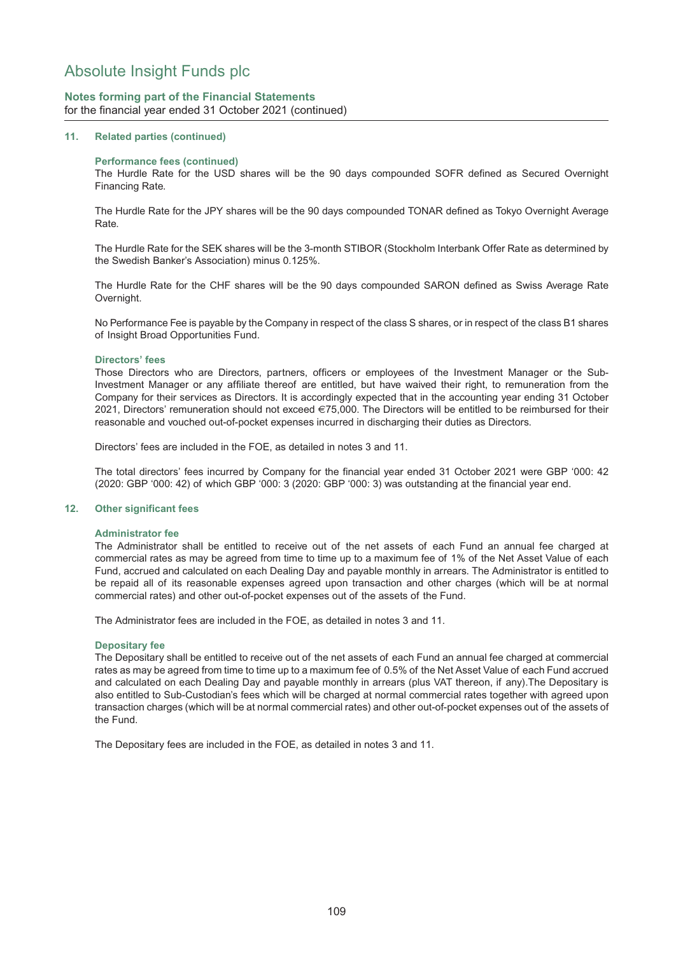### **Notes forming part of the Financial Statements** for the financial year ended 31 October 2021 (continued)

#### **11. Related parties (continued)**

#### **Performance fees (continued)**

The Hurdle Rate for the USD shares will be the 90 days compounded SOFR defined as Secured Overnight Financing Rate.

The Hurdle Rate for the JPY shares will be the 90 days compounded TONAR defined as Tokyo Overnight Average Rate.

The Hurdle Rate for the SEK shares will be the 3-month STIBOR (Stockholm Interbank Offer Rate as determined by the Swedish Banker's Association) minus 0.125%.

The Hurdle Rate for the CHF shares will be the 90 days compounded SARON defined as Swiss Average Rate Overnight.

No Performance Fee is payable by the Company in respect of the class S shares, or in respect of the class B1 shares of Insight Broad Opportunities Fund.

#### **Directors' fees**

Those Directors who are Directors, partners, officers or employees of the Investment Manager or the Sub-Investment Manager or any affiliate thereof are entitled, but have waived their right, to remuneration from the Company for their services as Directors. It is accordingly expected that in the accounting year ending 31 October 2021, Directors' remuneration should not exceed €75,000. The Directors will be entitled to be reimbursed for their reasonable and vouched out-of-pocket expenses incurred in discharging their duties as Directors.

Directors' fees are included in the FOE, as detailed in notes 3 and 11.

The total directors' fees incurred by Company for the financial year ended 31 October 2021 were GBP '000: 42 (2020: GBP '000: 42) of which GBP '000: 3 (2020: GBP '000: 3) was outstanding at the financial year end.

#### **12. Other significant fees**

#### **Administrator fee**

The Administrator shall be entitled to receive out of the net assets of each Fund an annual fee charged at commercial rates as may be agreed from time to time up to a maximum fee of 1% of the Net Asset Value of each Fund, accrued and calculated on each Dealing Day and payable monthly in arrears. The Administrator is entitled to be repaid all of its reasonable expenses agreed upon transaction and other charges (which will be at normal commercial rates) and other out-of-pocket expenses out of the assets of the Fund.

The Administrator fees are included in the FOE, as detailed in notes 3 and 11.

#### **Depositary fee**

The Depositary shall be entitled to receive out of the net assets of each Fund an annual fee charged at commercial rates as may be agreed from time to time up to a maximum fee of 0.5% of the Net Asset Value of each Fund accrued and calculated on each Dealing Day and payable monthly in arrears (plus VAT thereon, if any).The Depositary is also entitled to Sub-Custodian's fees which will be charged at normal commercial rates together with agreed upon transaction charges (which will be at normal commercial rates) and other out-of-pocket expenses out of the assets of the Fund.

The Depositary fees are included in the FOE, as detailed in notes 3 and 11.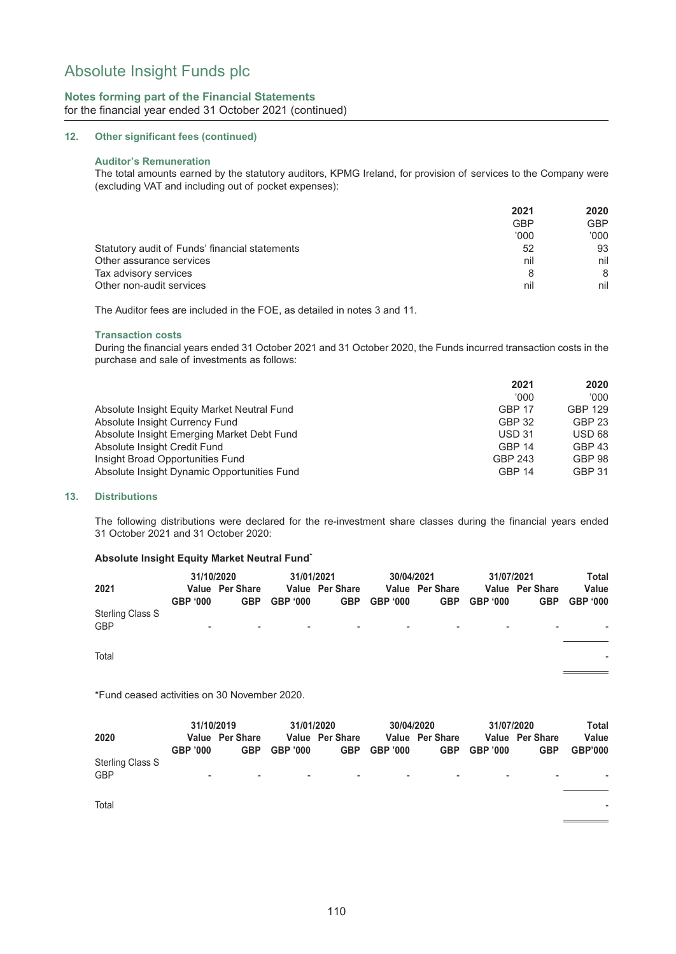### **Notes forming part of the Financial Statements** for the financial year ended 31 October 2021 (continued)

#### **12. Other significant fees (continued)**

#### **Auditor's Remuneration**

The total amounts earned by the statutory auditors, KPMG Ireland, for provision of services to the Company were (excluding VAT and including out of pocket expenses):

|                                                | 2021       | 2020       |
|------------------------------------------------|------------|------------|
|                                                | <b>GBP</b> | <b>GBP</b> |
|                                                | '000'      | '000       |
| Statutory audit of Funds' financial statements | 52         | 93         |
| Other assurance services                       | nil        | nil        |
| Tax advisory services                          | 8          | 8          |
| Other non-audit services                       | nil        | nil        |

The Auditor fees are included in the FOE, as detailed in notes 3 and 11.

#### **Transaction costs**

During the financial years ended 31 October 2021 and 31 October 2020, the Funds incurred transaction costs in the purchase and sale of investments as follows:

|                                             | 2021          | 2020           |
|---------------------------------------------|---------------|----------------|
|                                             | '000'         | 000'           |
| Absolute Insight Equity Market Neutral Fund | <b>GBP 17</b> | <b>GBP 129</b> |
| Absolute Insight Currency Fund              | <b>GBP 32</b> | <b>GBP 23</b>  |
| Absolute Insight Emerging Market Debt Fund  | <b>USD 31</b> | USD 68         |
| Absolute Insight Credit Fund                | <b>GBP 14</b> | <b>GBP 43</b>  |
| Insight Broad Opportunities Fund            | GBP 243       | <b>GBP 98</b>  |
| Absolute Insight Dynamic Opportunities Fund | <b>GBP 14</b> | <b>GBP 31</b>  |

#### **13. Distributions**

The following distributions were declared for the re-investment share classes during the financial years ended 31 October 2021 and 31 October 2020:

#### **Absolute Insight Equity Market Neutral Fund\***

|                                | 31/10/2020 |                 | 31/01/2021      |                 | 30/04/2021 |                 | 31/07/2021      |                          | Total    |
|--------------------------------|------------|-----------------|-----------------|-----------------|------------|-----------------|-----------------|--------------------------|----------|
| 2021                           |            | Value Per Share |                 | Value Per Share |            | Value Per Share |                 | Value Per Share          | Value    |
|                                | GBP '000   | <b>GBP</b>      | GBP <b>'000</b> | <b>GBP</b>      | GBP '000   | <b>GBP</b>      | GBP <b>'000</b> | <b>GBP</b>               | GBP '000 |
| Sterling Class S<br><b>GBP</b> | $\sim$     | $\sim$          | $\sim$          | $\sim$          | $\sim$     | $\sim$          | $\sim$          | $\overline{\phantom{0}}$ |          |
|                                |            |                 |                 |                 |            |                 |                 |                          |          |

Total -

\*Fund ceased activities on 30 November 2020.

|                                       | 31/10/2019               |                               | 31/01/2020               |                               | 30/04/2020     |                               | 31/07/2020 |                               | Total                   |  |
|---------------------------------------|--------------------------|-------------------------------|--------------------------|-------------------------------|----------------|-------------------------------|------------|-------------------------------|-------------------------|--|
| 2020                                  | GBP '000                 | Value Per Share<br><b>GBP</b> | GBP '000                 | Value Per Share<br><b>GBP</b> | GBP '000       | Value Per Share<br><b>GBP</b> | GBP '000   | Value Per Share<br><b>GBP</b> | Value<br><b>GBP'000</b> |  |
| <b>Sterling Class S</b><br><b>GBP</b> | $\overline{\phantom{a}}$ | $\overline{\phantom{a}}$      | $\overline{\phantom{a}}$ | $\overline{\phantom{a}}$      | $\blacksquare$ | $\overline{\phantom{0}}$      |            | $\overline{\phantom{a}}$      | ۰                       |  |
| Total                                 |                          |                               |                          |                               |                |                               |            |                               | ۰                       |  |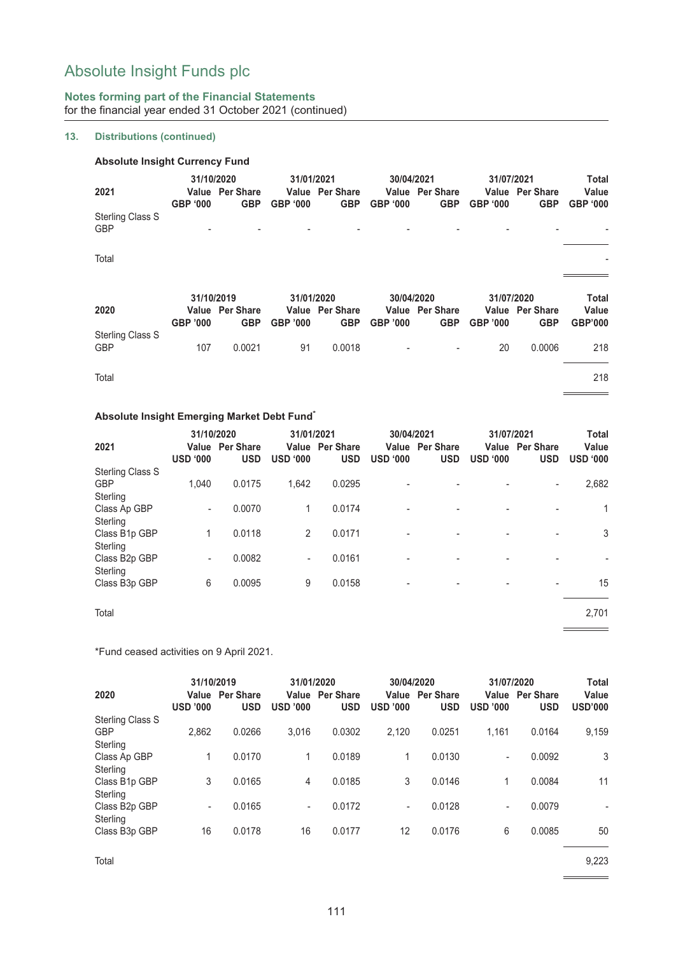## **Notes forming part of the Financial Statements** for the financial year ended 31 October 2021 (continued)

### **13. Distributions (continued)**

| <b>Absolute Insight Currency Fund</b> |                               |                                      |                               |                                      |                               |                                      |                               |                                      |                                   |
|---------------------------------------|-------------------------------|--------------------------------------|-------------------------------|--------------------------------------|-------------------------------|--------------------------------------|-------------------------------|--------------------------------------|-----------------------------------|
| 2021                                  | 31/10/2020<br><b>GBP '000</b> | <b>Value</b> Per Share<br><b>GBP</b> | 31/01/2021<br><b>GBP '000</b> | <b>Value</b> Per Share<br><b>GBP</b> | 30/04/2021<br><b>GBP '000</b> | <b>Value</b> Per Share<br><b>GBP</b> | 31/07/2021<br><b>GBP '000</b> | <b>Value</b> Per Share<br><b>GBP</b> | Total<br>Value<br><b>GBP '000</b> |
| <b>Sterling Class S</b><br><b>GBP</b> |                               |                                      |                               |                                      |                               |                                      |                               |                                      |                                   |
| Total                                 |                               |                                      |                               |                                      |                               |                                      |                               |                                      |                                   |
|                                       | 31/10/2019                    |                                      | 31/01/2020                    | 30/04/2020                           |                               |                                      | 31/07/2020                    |                                      | Total                             |
| 2020                                  | <b>GBP '000</b>               | <b>Value</b> Per Share<br><b>GBP</b> | <b>GBP '000</b>               | <b>Value</b> Per Share<br><b>GBP</b> | <b>GBP '000</b>               | <b>Value</b> Per Share<br><b>GBP</b> | <b>GBP '000</b>               | <b>Value</b> Per Share<br><b>GBP</b> | Value<br><b>GBP'000</b>           |
| <b>Sterling Class S</b><br><b>GBP</b> | 107                           | 0.0021                               | 91                            | 0.0018                               |                               |                                      | 20                            | 0.0006                               | 218                               |
| Total                                 |                               |                                      |                               |                                      |                               |                                      |                               |                                      | 218                               |

## **Absolute Insight Emerging Market Debt Fund\***

|                           | 31/10/2020      |                                      |                          | 31/01/2021                           |                 | 30/04/2021                           |                 | 31/07/2021                           |                          |  |
|---------------------------|-----------------|--------------------------------------|--------------------------|--------------------------------------|-----------------|--------------------------------------|-----------------|--------------------------------------|--------------------------|--|
| 2021                      | <b>USD '000</b> | <b>Value</b> Per Share<br><b>USD</b> | <b>USD '000</b>          | <b>Value</b> Per Share<br><b>USD</b> | <b>USD '000</b> | <b>Value</b> Per Share<br><b>USD</b> | <b>USD '000</b> | <b>Value</b> Per Share<br><b>USD</b> | Value<br><b>USD '000</b> |  |
| <b>Sterling Class S</b>   |                 |                                      |                          |                                      |                 |                                      |                 |                                      |                          |  |
| <b>GBP</b>                | 1,040           | 0.0175                               | 1,642                    | 0.0295                               |                 |                                      |                 | $\overline{\phantom{a}}$             | 2,682                    |  |
| Sterling                  |                 |                                      |                          |                                      |                 |                                      |                 |                                      |                          |  |
| Class Ap GBP              | -               | 0.0070                               | 1                        | 0.0174                               |                 | -                                    |                 |                                      | $\mathbf{1}$             |  |
| Sterling                  |                 |                                      |                          |                                      |                 |                                      |                 |                                      |                          |  |
| Class B1p GBP<br>Sterling | 1               | 0.0118                               | 2                        | 0.0171                               |                 | $\overline{a}$                       |                 | ۰                                    | 3                        |  |
| Class B <sub>2p</sub> GBP | -               | 0.0082                               | $\overline{\phantom{a}}$ | 0.0161                               |                 |                                      |                 |                                      |                          |  |
| Sterling                  |                 |                                      |                          |                                      |                 |                                      |                 |                                      |                          |  |
| Class B <sub>3p</sub> GBP | 6               | 0.0095                               | 9                        | 0.0158                               |                 |                                      |                 |                                      | 15                       |  |
| Total                     |                 |                                      |                          |                                      |                 |                                      |                 |                                      | 2,701                    |  |

\*Fund ceased activities on 9 April 2021.

| 2020                                       | 31/10/2019<br><b>USD '000</b> | Value Per Share<br><b>USD</b> | 31/01/2020<br>Value<br><b>USD '000</b> | <b>Per Share</b><br><b>USD</b> | 30/04/2020<br>Value<br><b>USD '000</b> | <b>Per Share</b><br><b>USD</b> | 31/07/2020<br>Value<br><b>USD '000</b> | <b>Per Share</b><br>USD | <b>Total</b><br>Value<br><b>USD'000</b> |
|--------------------------------------------|-------------------------------|-------------------------------|----------------------------------------|--------------------------------|----------------------------------------|--------------------------------|----------------------------------------|-------------------------|-----------------------------------------|
| Sterling Class S<br><b>GBP</b><br>Sterling | 2,862                         | 0.0266                        | 3,016                                  | 0.0302                         | 2,120                                  | 0.0251                         | 1.161                                  | 0.0164                  | 9,159                                   |
| Class Ap GBP<br>Sterling                   | 1                             | 0.0170                        |                                        | 0.0189                         | 1                                      | 0.0130                         | ٠.                                     | 0.0092                  | 3                                       |
| Class B1p GBP<br>Sterling                  | 3                             | 0.0165                        | 4                                      | 0.0185                         | 3                                      | 0.0146                         | 1                                      | 0.0084                  | 11                                      |
| Class B <sub>2p</sub> GBP<br>Sterling      | $\overline{\phantom{a}}$      | 0.0165                        | -                                      | 0.0172                         | $\overline{\phantom{a}}$               | 0.0128                         | ٠.                                     | 0.0079                  | $\overline{\phantom{a}}$                |
| Class B <sub>3p</sub> GBP                  | 16                            | 0.0178                        | 16                                     | 0.0177                         | 12                                     | 0.0176                         | 6                                      | 0.0085                  | 50                                      |

Total 9,223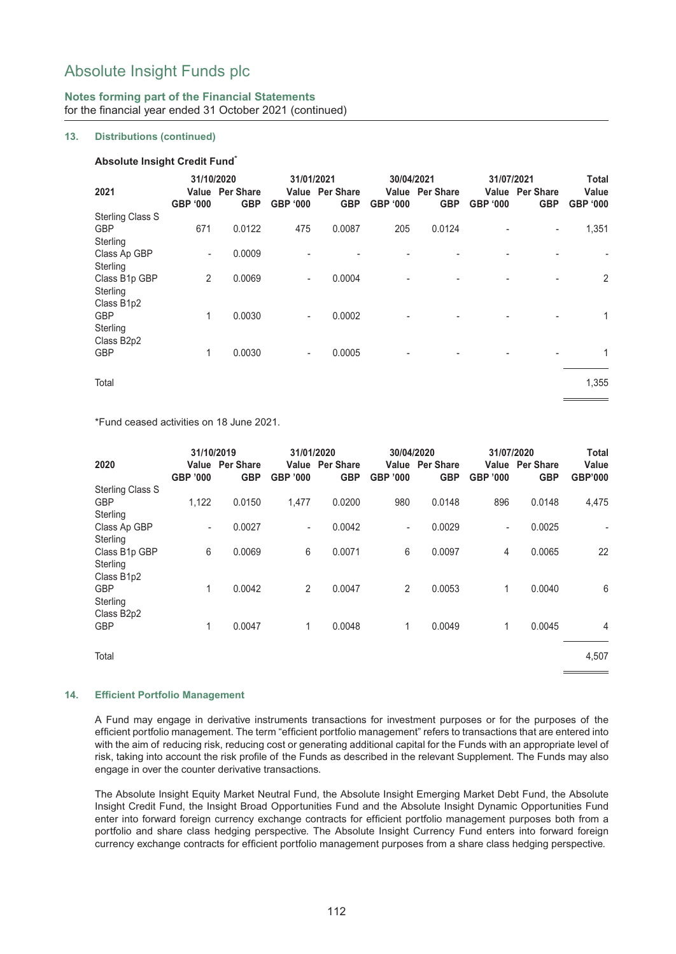## **Notes forming part of the Financial Statements** for the financial year ended 31 October 2021 (continued)

### **13. Distributions (continued)**

#### **Absolute Insight Credit Fund\***

|                         | 31/10/2020      |                                      | 31/01/2021               |                                      | 30/04/2021      |                               | 31/07/2021 |                                      | <b>Total</b>             |
|-------------------------|-----------------|--------------------------------------|--------------------------|--------------------------------------|-----------------|-------------------------------|------------|--------------------------------------|--------------------------|
| 2021                    | <b>GBP '000</b> | <b>Value</b> Per Share<br><b>GBP</b> | <b>GBP '000</b>          | <b>Value</b> Per Share<br><b>GBP</b> | <b>GBP '000</b> | Value Per Share<br><b>GBP</b> | GBP '000   | <b>Value</b> Per Share<br><b>GBP</b> | Value<br><b>GBP '000</b> |
| <b>Sterling Class S</b> |                 |                                      |                          |                                      |                 |                               |            |                                      |                          |
| <b>GBP</b>              | 671             | 0.0122                               | 475                      | 0.0087                               | 205             | 0.0124                        |            | $\overline{\phantom{a}}$             | 1,351                    |
| Sterling                |                 |                                      |                          |                                      |                 |                               |            |                                      |                          |
| Class Ap GBP            | ۰.              | 0.0009                               |                          |                                      |                 |                               |            |                                      |                          |
| Sterling                |                 |                                      |                          |                                      |                 |                               |            |                                      |                          |
| Class B1p GBP           | $\overline{2}$  | 0.0069                               | $\overline{\phantom{0}}$ | 0.0004                               |                 |                               |            | $\blacksquare$                       | 2                        |
| Sterling                |                 |                                      |                          |                                      |                 |                               |            |                                      |                          |
| Class B1p2              |                 |                                      |                          |                                      |                 |                               |            |                                      |                          |
| GBP                     | 1               | 0.0030                               | $\overline{\phantom{0}}$ | 0.0002                               |                 |                               |            |                                      | 1                        |
| Sterling                |                 |                                      |                          |                                      |                 |                               |            |                                      |                          |
| Class B <sub>2p2</sub>  |                 |                                      |                          |                                      |                 |                               |            |                                      |                          |
| <b>GBP</b>              | 1               | 0.0030                               | -                        | 0.0005                               |                 |                               |            |                                      | $\mathbf{1}$             |
| Total                   |                 |                                      |                          |                                      |                 |                               |            |                                      | 1,355                    |
|                         |                 |                                      |                          |                                      |                 |                               |            |                                      |                          |

\*Fund ceased activities on 18 June 2021.

| 2020                   | 31/10/2019<br><b>GBP '000</b> | <b>Value</b> Per Share<br><b>GBP</b> | 31/01/2020<br><b>GBP '000</b> | <b>Value</b> Per Share<br><b>GBP</b> | 30/04/2020<br><b>GBP '000</b> | <b>Value</b> Per Share<br><b>GBP</b> | 31/07/2020<br>Value<br><b>GBP '000</b> | <b>Per Share</b><br><b>GBP</b> | Total<br>Value<br><b>GBP'000</b> |
|------------------------|-------------------------------|--------------------------------------|-------------------------------|--------------------------------------|-------------------------------|--------------------------------------|----------------------------------------|--------------------------------|----------------------------------|
| Sterling Class S       |                               |                                      |                               |                                      |                               |                                      |                                        |                                |                                  |
| <b>GBP</b>             | 1,122                         | 0.0150                               | 1,477                         | 0.0200                               | 980                           | 0.0148                               | 896                                    | 0.0148                         | 4,475                            |
| Sterling               |                               |                                      |                               |                                      |                               |                                      |                                        |                                |                                  |
| Class Ap GBP           | $\overline{\phantom{0}}$      | 0.0027                               | $\overline{\phantom{a}}$      | 0.0042                               | $\overline{\phantom{a}}$      | 0.0029                               | $\overline{\phantom{a}}$               | 0.0025                         |                                  |
| Sterling               |                               |                                      |                               |                                      |                               |                                      |                                        |                                |                                  |
| Class B1p GBP          | 6                             | 0.0069                               | 6                             | 0.0071                               | 6                             | 0.0097                               | 4                                      | 0.0065                         | 22                               |
| Sterling               |                               |                                      |                               |                                      |                               |                                      |                                        |                                |                                  |
| Class B1p2             |                               |                                      |                               |                                      |                               |                                      |                                        |                                |                                  |
| <b>GBP</b>             | 1                             | 0.0042                               | $\overline{2}$                | 0.0047                               | 2                             | 0.0053                               | 1                                      | 0.0040                         | 6                                |
| Sterling               |                               |                                      |                               |                                      |                               |                                      |                                        |                                |                                  |
| Class B <sub>2p2</sub> |                               |                                      |                               |                                      |                               |                                      |                                        |                                |                                  |
| <b>GBP</b>             | 1                             | 0.0047                               | 1                             | 0.0048                               | 1                             | 0.0049                               | 1                                      | 0.0045                         | 4                                |
| Total                  |                               |                                      |                               |                                      |                               |                                      |                                        |                                | 4,507                            |

#### **14. Efficient Portfolio Management**

A Fund may engage in derivative instruments transactions for investment purposes or for the purposes of the efficient portfolio management. The term "efficient portfolio management" refers to transactions that are entered into with the aim of reducing risk, reducing cost or generating additional capital for the Funds with an appropriate level of risk, taking into account the risk profile of the Funds as described in the relevant Supplement. The Funds may also engage in over the counter derivative transactions.

The Absolute Insight Equity Market Neutral Fund, the Absolute Insight Emerging Market Debt Fund, the Absolute Insight Credit Fund, the Insight Broad Opportunities Fund and the Absolute Insight Dynamic Opportunities Fund enter into forward foreign currency exchange contracts for efficient portfolio management purposes both from a portfolio and share class hedging perspective. The Absolute Insight Currency Fund enters into forward foreign currency exchange contracts for efficient portfolio management purposes from a share class hedging perspective.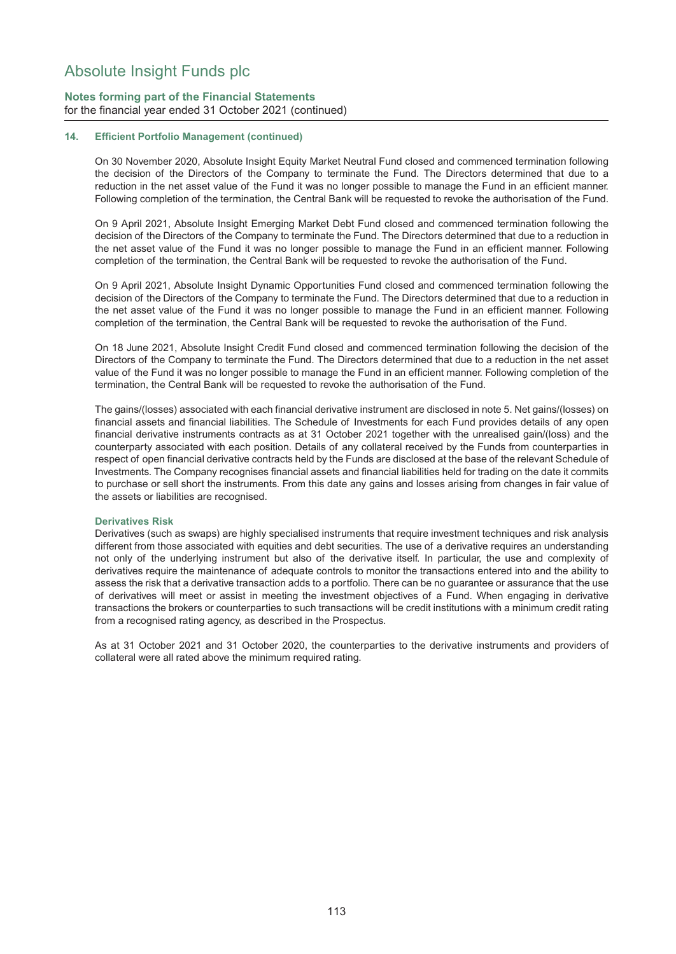## **Notes forming part of the Financial Statements** for the financial year ended 31 October 2021 (continued)

#### **14. Efficient Portfolio Management (continued)**

On 30 November 2020, Absolute Insight Equity Market Neutral Fund closed and commenced termination following the decision of the Directors of the Company to terminate the Fund. The Directors determined that due to a reduction in the net asset value of the Fund it was no longer possible to manage the Fund in an efficient manner. Following completion of the termination, the Central Bank will be requested to revoke the authorisation of the Fund.

On 9 April 2021, Absolute Insight Emerging Market Debt Fund closed and commenced termination following the decision of the Directors of the Company to terminate the Fund. The Directors determined that due to a reduction in the net asset value of the Fund it was no longer possible to manage the Fund in an efficient manner. Following completion of the termination, the Central Bank will be requested to revoke the authorisation of the Fund.

On 9 April 2021, Absolute Insight Dynamic Opportunities Fund closed and commenced termination following the decision of the Directors of the Company to terminate the Fund. The Directors determined that due to a reduction in the net asset value of the Fund it was no longer possible to manage the Fund in an efficient manner. Following completion of the termination, the Central Bank will be requested to revoke the authorisation of the Fund.

On 18 June 2021, Absolute Insight Credit Fund closed and commenced termination following the decision of the Directors of the Company to terminate the Fund. The Directors determined that due to a reduction in the net asset value of the Fund it was no longer possible to manage the Fund in an efficient manner. Following completion of the termination, the Central Bank will be requested to revoke the authorisation of the Fund.

The gains/(losses) associated with each financial derivative instrument are disclosed in note 5. Net gains/(losses) on financial assets and financial liabilities. The Schedule of Investments for each Fund provides details of any open financial derivative instruments contracts as at 31 October 2021 together with the unrealised gain/(loss) and the counterparty associated with each position. Details of any collateral received by the Funds from counterparties in respect of open financial derivative contracts held by the Funds are disclosed at the base of the relevant Schedule of Investments. The Company recognises financial assets and financial liabilities held for trading on the date it commits to purchase or sell short the instruments. From this date any gains and losses arising from changes in fair value of the assets or liabilities are recognised.

#### **Derivatives Risk**

Derivatives (such as swaps) are highly specialised instruments that require investment techniques and risk analysis different from those associated with equities and debt securities. The use of a derivative requires an understanding not only of the underlying instrument but also of the derivative itself. In particular, the use and complexity of derivatives require the maintenance of adequate controls to monitor the transactions entered into and the ability to assess the risk that a derivative transaction adds to a portfolio. There can be no guarantee or assurance that the use of derivatives will meet or assist in meeting the investment objectives of a Fund. When engaging in derivative transactions the brokers or counterparties to such transactions will be credit institutions with a minimum credit rating from a recognised rating agency, as described in the Prospectus.

As at 31 October 2021 and 31 October 2020, the counterparties to the derivative instruments and providers of collateral were all rated above the minimum required rating.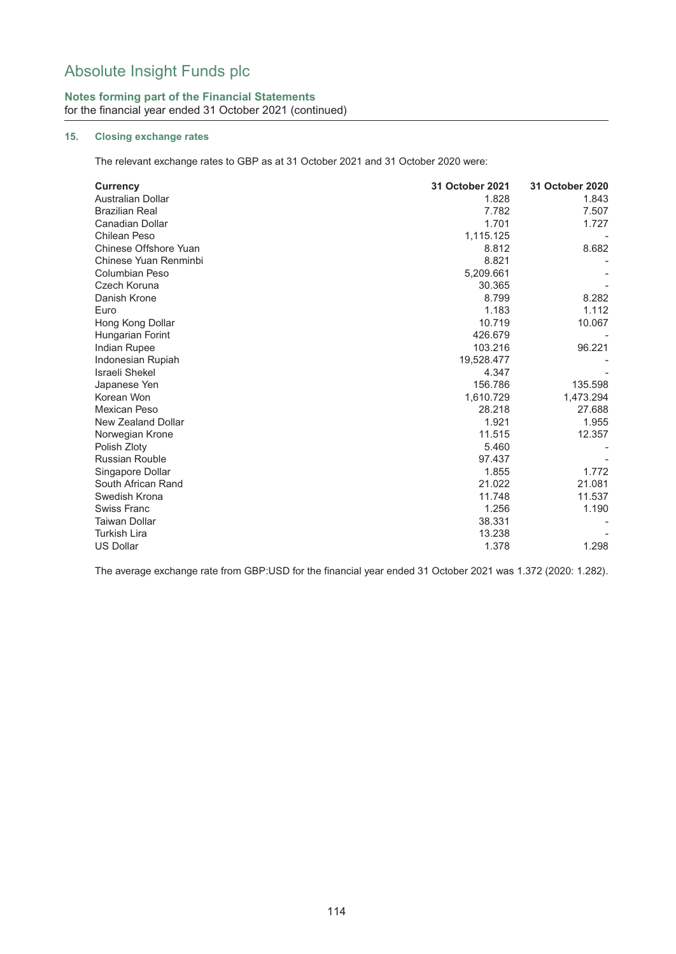## **Notes forming part of the Financial Statements** for the financial year ended 31 October 2021 (continued)

# **15. Closing exchange rates**

The relevant exchange rates to GBP as at 31 October 2021 and 31 October 2020 were:

| <b>Currency</b>          | 31 October 2021 | 31 October 2020 |
|--------------------------|-----------------|-----------------|
| <b>Australian Dollar</b> | 1.828           | 1.843           |
| <b>Brazilian Real</b>    | 7.782           | 7.507           |
| Canadian Dollar          | 1.701           | 1.727           |
| <b>Chilean Peso</b>      | 1,115.125       |                 |
| Chinese Offshore Yuan    | 8.812           | 8.682           |
| Chinese Yuan Renminbi    | 8.821           |                 |
| <b>Columbian Peso</b>    | 5,209.661       |                 |
| Czech Koruna             | 30.365          |                 |
| Danish Krone             | 8.799           | 8.282           |
| Euro                     | 1.183           | 1.112           |
| Hong Kong Dollar         | 10.719          | 10.067          |
| Hungarian Forint         | 426.679         |                 |
| Indian Rupee             | 103.216         | 96.221          |
| Indonesian Rupiah        | 19,528.477      |                 |
| <b>Israeli Shekel</b>    | 4.347           |                 |
| Japanese Yen             | 156.786         | 135.598         |
| Korean Won               | 1,610.729       | 1,473.294       |
| Mexican Peso             | 28.218          | 27.688          |
| New Zealand Dollar       | 1.921           | 1.955           |
| Norwegian Krone          | 11.515          | 12.357          |
| Polish Zloty             | 5.460           |                 |
| <b>Russian Rouble</b>    | 97.437          |                 |
| Singapore Dollar         | 1.855           | 1.772           |
| South African Rand       | 21.022          | 21.081          |
| Swedish Krona            | 11.748          | 11.537          |
| Swiss Franc              | 1.256           | 1.190           |
| <b>Taiwan Dollar</b>     | 38.331          |                 |
| <b>Turkish Lira</b>      | 13.238          |                 |
| <b>US Dollar</b>         | 1.378           | 1.298           |

The average exchange rate from GBP:USD for the financial year ended 31 October 2021 was 1.372 (2020: 1.282).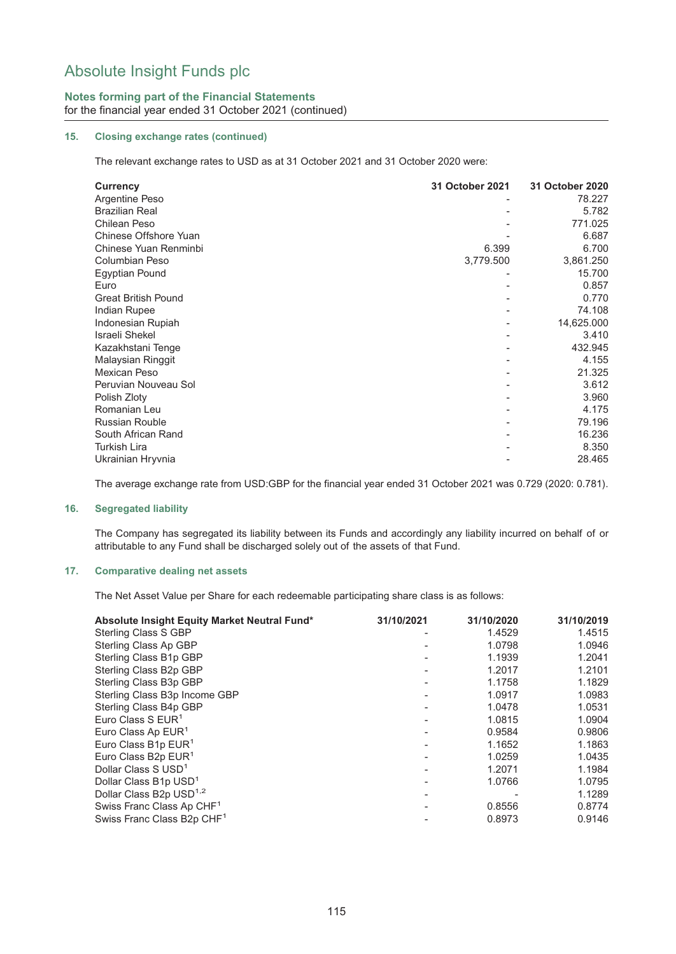## **Notes forming part of the Financial Statements**

for the financial year ended 31 October 2021 (continued)

### **15. Closing exchange rates (continued)**

The relevant exchange rates to USD as at 31 October 2021 and 31 October 2020 were:

| <b>Currency</b>            | 31 October 2021 | 31 October 2020 |
|----------------------------|-----------------|-----------------|
| Argentine Peso             |                 | 78.227          |
| <b>Brazilian Real</b>      |                 | 5.782           |
| Chilean Peso               |                 | 771.025         |
| Chinese Offshore Yuan      |                 | 6.687           |
| Chinese Yuan Renminbi      | 6.399           | 6.700           |
| Columbian Peso             | 3,779.500       | 3,861.250       |
| <b>Egyptian Pound</b>      |                 | 15.700          |
| Euro                       |                 | 0.857           |
| <b>Great British Pound</b> |                 | 0.770           |
| Indian Rupee               |                 | 74.108          |
| Indonesian Rupiah          |                 | 14,625.000      |
| <b>Israeli Shekel</b>      |                 | 3.410           |
| Kazakhstani Tenge          |                 | 432.945         |
| Malaysian Ringgit          |                 | 4.155           |
| Mexican Peso               |                 | 21.325          |
| Peruvian Nouveau Sol       |                 | 3.612           |
| Polish Zloty               |                 | 3.960           |
| Romanian Leu               |                 | 4.175           |
| <b>Russian Rouble</b>      |                 | 79.196          |
| South African Rand         |                 | 16.236          |
| Turkish Lira               |                 | 8.350           |
| Ukrainian Hryvnia          |                 | 28.465          |

The average exchange rate from USD:GBP for the financial year ended 31 October 2021 was 0.729 (2020: 0.781).

### **16. Segregated liability**

The Company has segregated its liability between its Funds and accordingly any liability incurred on behalf of or attributable to any Fund shall be discharged solely out of the assets of that Fund.

#### **17. Comparative dealing net assets**

The Net Asset Value per Share for each redeemable participating share class is as follows:

| Absolute Insight Equity Market Neutral Fund* | 31/10/2021 | 31/10/2020 | 31/10/2019 |
|----------------------------------------------|------------|------------|------------|
| Sterling Class S GBP                         |            | 1.4529     | 1.4515     |
| Sterling Class Ap GBP                        |            | 1.0798     | 1.0946     |
| Sterling Class B1p GBP                       |            | 1.1939     | 1.2041     |
| Sterling Class B2p GBP                       |            | 1.2017     | 1.2101     |
| Sterling Class B3p GBP                       |            | 1.1758     | 1.1829     |
| Sterling Class B3p Income GBP                |            | 1.0917     | 1.0983     |
| Sterling Class B4p GBP                       |            | 1.0478     | 1.0531     |
| Euro Class S $EUR1$                          |            | 1.0815     | 1.0904     |
| Euro Class Ap EUR <sup>1</sup>               |            | 0.9584     | 0.9806     |
| Euro Class B1p EUR <sup>1</sup>              |            | 1.1652     | 1.1863     |
| Euro Class B <sub>2p</sub> EUR <sup>1</sup>  |            | 1.0259     | 1.0435     |
| Dollar Class S USD <sup>1</sup>              |            | 1.2071     | 1.1984     |
| Dollar Class B1p USD <sup>1</sup>            |            | 1.0766     | 1.0795     |
| Dollar Class B2p USD <sup>1,2</sup>          |            |            | 1.1289     |
| Swiss Franc Class Ap CHF <sup>1</sup>        |            | 0.8556     | 0.8774     |
| Swiss Franc Class B2p CHF <sup>1</sup>       |            | 0.8973     | 0.9146     |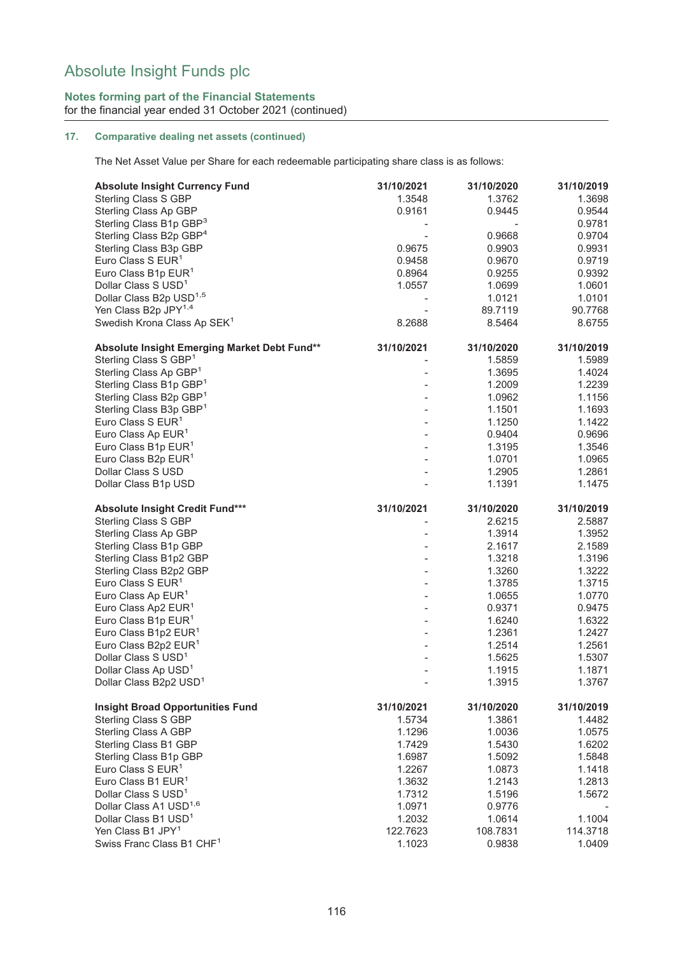### **Notes forming part of the Financial Statements** for the financial year ended 31 October 2021 (continued)

### **17. Comparative dealing net assets (continued)**

The Net Asset Value per Share for each redeemable participating share class is as follows:

| <b>Absolute Insight Currency Fund</b>        | 31/10/2021               | 31/10/2020 | 31/10/2019 |
|----------------------------------------------|--------------------------|------------|------------|
| <b>Sterling Class S GBP</b>                  | 1.3548                   | 1.3762     | 1.3698     |
| Sterling Class Ap GBP                        | 0.9161                   | 0.9445     | 0.9544     |
| Sterling Class B1p GBP <sup>3</sup>          |                          |            | 0.9781     |
| Sterling Class B2p GBP <sup>4</sup>          |                          | 0.9668     | 0.9704     |
| Sterling Class B3p GBP                       | 0.9675                   | 0.9903     | 0.9931     |
| Euro Class S EUR <sup>1</sup>                | 0.9458                   | 0.9670     | 0.9719     |
| Euro Class B1p EUR <sup>1</sup>              | 0.8964                   | 0.9255     | 0.9392     |
| Dollar Class S USD <sup>1</sup>              | 1.0557                   | 1.0699     | 1.0601     |
| Dollar Class B2p USD <sup>1,5</sup>          |                          | 1.0121     | 1.0101     |
| Yen Class B2p JPY <sup>1,4</sup>             |                          | 89.7119    | 90.7768    |
| Swedish Krona Class Ap SEK <sup>1</sup>      | 8.2688                   | 8.5464     | 8.6755     |
| Absolute Insight Emerging Market Debt Fund** | 31/10/2021               | 31/10/2020 | 31/10/2019 |
| Sterling Class S GBP <sup>1</sup>            |                          | 1.5859     | 1.5989     |
| Sterling Class Ap GBP <sup>1</sup>           |                          | 1.3695     | 1.4024     |
|                                              |                          |            |            |
| Sterling Class B1p GBP1                      |                          | 1.2009     | 1.2239     |
| Sterling Class B2p GBP <sup>1</sup>          |                          | 1.0962     | 1.1156     |
| Sterling Class B3p GBP <sup>1</sup>          |                          | 1.1501     | 1.1693     |
| Euro Class S EUR <sup>1</sup>                |                          | 1.1250     | 1.1422     |
| Euro Class Ap EUR <sup>1</sup>               |                          | 0.9404     | 0.9696     |
| Euro Class B1p EUR <sup>1</sup>              |                          | 1.3195     | 1.3546     |
| Euro Class B <sub>2p</sub> EUR <sup>1</sup>  |                          | 1.0701     | 1.0965     |
| Dollar Class S USD                           |                          | 1.2905     | 1.2861     |
| Dollar Class B1p USD                         |                          | 1.1391     | 1.1475     |
| Absolute Insight Credit Fund***              | 31/10/2021               | 31/10/2020 | 31/10/2019 |
| Sterling Class S GBP                         |                          | 2.6215     | 2.5887     |
| Sterling Class Ap GBP                        |                          | 1.3914     | 1.3952     |
| Sterling Class B1p GBP                       |                          | 2.1617     | 2.1589     |
| Sterling Class B1p2 GBP                      |                          | 1.3218     | 1.3196     |
| Sterling Class B2p2 GBP                      |                          | 1.3260     | 1.3222     |
| Euro Class S EUR <sup>1</sup>                |                          | 1.3785     | 1.3715     |
| Euro Class Ap EUR <sup>1</sup>               |                          | 1.0655     | 1.0770     |
| Euro Class Ap2 EUR <sup>1</sup>              |                          | 0.9371     | 0.9475     |
| Euro Class B1p EUR <sup>1</sup>              |                          | 1.6240     | 1.6322     |
| Euro Class B1p2 EUR <sup>1</sup>             |                          | 1.2361     | 1.2427     |
| Euro Class B2p2 EUR <sup>1</sup>             |                          | 1.2514     | 1.2561     |
| Dollar Class S USD <sup>1</sup>              |                          | 1.5625     | 1.5307     |
| Dollar Class Ap USD <sup>1</sup>             |                          | 1.1915     | 1.1871     |
| Dollar Class B2p2 USD <sup>1</sup>           | $\overline{\phantom{a}}$ | 1.3915     | 1.3767     |
| <b>Insight Broad Opportunities Fund</b>      | 31/10/2021               | 31/10/2020 | 31/10/2019 |
| <b>Sterling Class S GBP</b>                  | 1.5734                   | 1.3861     | 1.4482     |
| Sterling Class A GBP                         | 1.1296                   | 1.0036     | 1.0575     |
| Sterling Class B1 GBP                        | 1.7429                   | 1.5430     | 1.6202     |
| Sterling Class B1p GBP                       | 1.6987                   | 1.5092     | 1.5848     |
| Euro Class S EUR <sup>1</sup>                | 1.2267                   | 1.0873     | 1.1418     |
| Euro Class B1 EUR <sup>1</sup>               | 1.3632                   | 1.2143     | 1.2813     |
| Dollar Class S USD <sup>1</sup>              | 1.7312                   | 1.5196     | 1.5672     |
| Dollar Class A1 USD <sup>1,6</sup>           | 1.0971                   | 0.9776     |            |
| Dollar Class B1 USD <sup>1</sup>             | 1.2032                   | 1.0614     | 1.1004     |
| Yen Class B1 JPY <sup>1</sup>                | 122.7623                 | 108.7831   | 114.3718   |
| Swiss Franc Class B1 CHF <sup>1</sup>        | 1.1023                   | 0.9838     | 1.0409     |
|                                              |                          |            |            |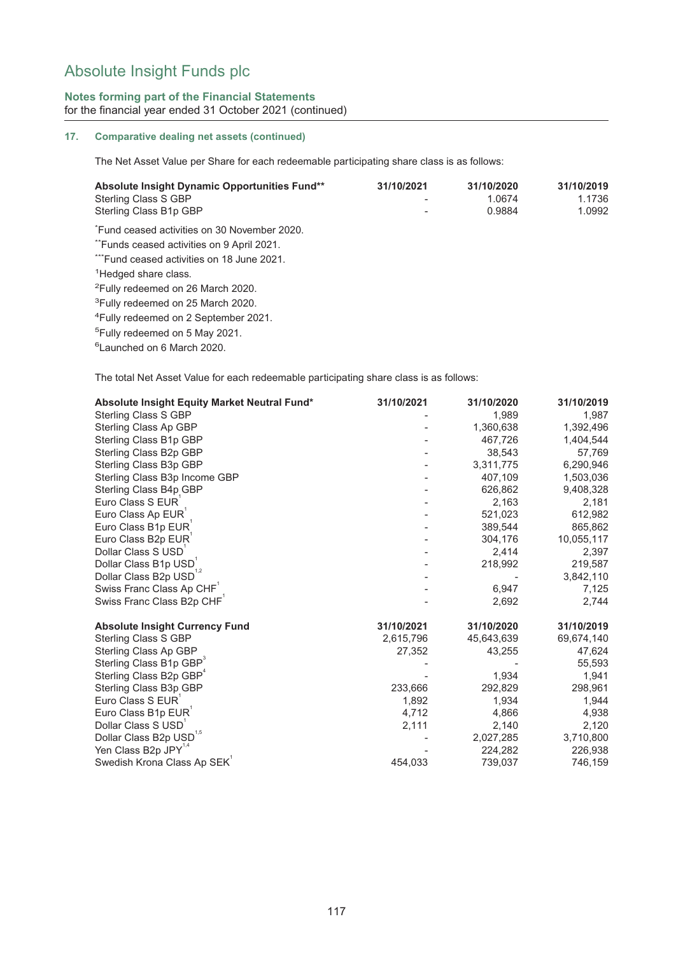## **Notes forming part of the Financial Statements** for the financial year ended 31 October 2021 (continued)

### **17. Comparative dealing net assets (continued)**

The Net Asset Value per Share for each redeemable participating share class is as follows:

| Absolute Insight Dynamic Opportunities Fund**<br>Sterling Class S GBP<br>Sterling Class B1p GBP | 31/10/2021 | 31/10/2020<br>1.0674<br>0.9884 | 31/10/2019<br>1.1736<br>1.0992 |
|-------------------------------------------------------------------------------------------------|------------|--------------------------------|--------------------------------|
| Fund ceased activities on 30 November 2020.                                                     |            |                                |                                |
| "Funds ceased activities on 9 April 2021.                                                       |            |                                |                                |
| ***Fund ceased activities on 18 June 2021.                                                      |            |                                |                                |
| <sup>1</sup> Hedged share class.                                                                |            |                                |                                |
| <sup>2</sup> Fully redeemed on 26 March 2020.                                                   |            |                                |                                |
| <sup>3</sup> Fully redeemed on 25 March 2020.                                                   |            |                                |                                |
| <sup>4</sup> Fully redeemed on 2 September 2021.                                                |            |                                |                                |
| <sup>5</sup> Fully redeemed on 5 May 2021.                                                      |            |                                |                                |
| <sup>6</sup> Launched on 6 March 2020.                                                          |            |                                |                                |

The total Net Asset Value for each redeemable participating share class is as follows:

| Absolute Insight Equity Market Neutral Fund* | 31/10/2021 | 31/10/2020 | 31/10/2019 |
|----------------------------------------------|------------|------------|------------|
| Sterling Class S GBP                         |            | 1,989      | 1,987      |
| Sterling Class Ap GBP                        |            | 1,360,638  | 1,392,496  |
| Sterling Class B1p GBP                       |            | 467,726    | 1,404,544  |
| Sterling Class B2p GBP                       |            | 38.543     | 57,769     |
| Sterling Class B3p GBP                       |            | 3,311,775  | 6,290,946  |
| Sterling Class B3p Income GBP                |            | 407,109    | 1,503,036  |
| Sterling Class B4p GBP                       |            | 626,862    | 9,408,328  |
| Euro Class S EUR                             |            | 2,163      | 2,181      |
| Euro Class Ap EUR                            |            | 521,023    | 612,982    |
| Euro Class B1p EUR                           |            | 389,544    | 865,862    |
| Euro Class B2p EUR                           |            | 304,176    | 10,055,117 |
| Dollar Class S USD                           |            | 2,414      | 2,397      |
| Dollar Class B1p USD                         |            | 218,992    | 219,587    |
| Dollar Class B2p USD <sup>1,2</sup>          |            |            | 3,842,110  |
| Swiss Franc Class Ap CHF                     |            | 6,947      | 7,125      |
| Swiss Franc Class B2p CHF                    |            | 2,692      | 2,744      |
| <b>Absolute Insight Currency Fund</b>        | 31/10/2021 | 31/10/2020 | 31/10/2019 |
| <b>Sterling Class S GBP</b>                  | 2,615,796  | 45,643,639 | 69,674,140 |
| Sterling Class Ap GBP                        | 27,352     | 43,255     | 47,624     |
| Sterling Class B1p GBP                       |            |            | 55,593     |
| Sterling Class B2p GBP <sup>4</sup>          |            | 1,934      | 1,941      |
| Sterling Class B3p GBP                       | 233,666    | 292,829    | 298,961    |
| Euro Class S EUR                             | 1,892      | 1,934      | 1,944      |
| Euro Class B1p EUR                           | 4,712      | 4,866      | 4,938      |
| Dollar Class S USD                           | 2,111      | 2,140      | 2,120      |
| Dollar Class B2p USD <sup>1,5</sup>          |            | 2,027,285  | 3,710,800  |
| Yen Class B2p JPY <sup>1,4</sup>             |            | 224,282    | 226,938    |
| Swedish Krona Class Ap SEK                   | 454,033    | 739,037    | 746,159    |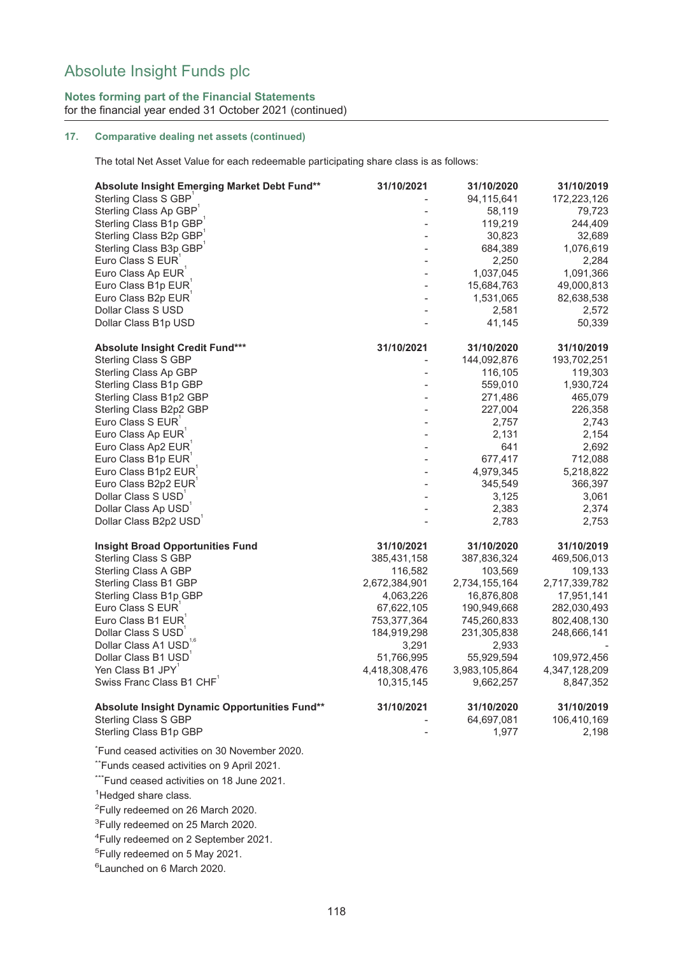## **Notes forming part of the Financial Statements** for the financial year ended 31 October 2021 (continued)

### **17. Comparative dealing net assets (continued)**

The total Net Asset Value for each redeemable participating share class is as follows:

| Absolute Insight Emerging Market Debt Fund**  | 31/10/2021    | 31/10/2020    | 31/10/2019    |
|-----------------------------------------------|---------------|---------------|---------------|
| Sterling Class S GBP                          |               | 94,115,641    | 172,223,126   |
| Sterling Class Ap GBP <sup>1</sup>            |               | 58,119        | 79,723        |
| Sterling Class B1p GBP                        |               | 119,219       | 244,409       |
| Sterling Class B2p GBP                        |               | 30,823        | 32,689        |
| Sterling Class B3p GBP                        |               | 684,389       | 1,076,619     |
| Euro Class S EUR                              |               | 2,250         | 2,284         |
| Euro Class Ap EUR                             |               | 1,037,045     | 1,091,366     |
| Euro Class B1p EUR                            |               | 15,684,763    | 49,000,813    |
| Euro Class B2p EUR                            |               | 1,531,065     | 82,638,538    |
| Dollar Class S USD                            |               | 2,581         | 2,572         |
| Dollar Class B1p USD                          |               | 41,145        | 50,339        |
| Absolute Insight Credit Fund***               | 31/10/2021    | 31/10/2020    | 31/10/2019    |
| <b>Sterling Class S GBP</b>                   |               | 144,092,876   | 193,702,251   |
| Sterling Class Ap GBP                         |               | 116,105       | 119,303       |
| Sterling Class B1p GBP                        |               | 559,010       | 1,930,724     |
| Sterling Class B1p2 GBP                       |               | 271,486       | 465,079       |
| Sterling Class B2p2 GBP                       |               | 227,004       | 226,358       |
| Euro Class S EUR                              |               | 2,757         | 2,743         |
| Euro Class Ap EUR                             |               | 2,131         | 2,154         |
| Euro Class Ap2 EUR                            |               | 641           | 2,692         |
| Euro Class B1p EUR                            |               | 677,417       | 712,088       |
| Euro Class B1p2 EUR                           |               | 4,979,345     | 5,218,822     |
| Euro Class B2p2 EUR                           |               | 345,549       | 366,397       |
| Dollar Class S USD                            |               | 3,125         | 3,061         |
| Dollar Class Ap USD                           |               | 2,383         | 2,374         |
| Dollar Class B2p2 USD                         |               | 2,783         | 2,753         |
| <b>Insight Broad Opportunities Fund</b>       | 31/10/2021    | 31/10/2020    | 31/10/2019    |
| Sterling Class S GBP                          | 385,431,158   | 387,836,324   | 469,506,013   |
| Sterling Class A GBP                          | 116,582       | 103,569       | 109,133       |
| Sterling Class B1 GBP                         | 2,672,384,901 | 2,734,155,164 | 2,717,339,782 |
| Sterling Class B1p GBP                        | 4,063,226     | 16,876,808    | 17,951,141    |
| Euro Class S EUR                              | 67,622,105    | 190,949,668   | 282,030,493   |
| Euro Class B1 EUR                             | 753,377,364   | 745,260,833   | 802,408,130   |
| Dollar Class S USD                            | 184,919,298   | 231,305,838   | 248,666,141   |
| Dollar Class A1 USD                           | 3,291         | 2,933         |               |
| Dollar Class B1 USD                           | 51,766,995    | 55,929,594    | 109,972,456   |
| Yen Class B1 JPY                              | 4,418,308,476 | 3,983,105,864 | 4,347,128,209 |
| Swiss Franc Class B1 CHF                      | 10,315,145    | 9,662,257     | 8,847,352     |
| Absolute Insight Dynamic Opportunities Fund** | 31/10/2021    | 31/10/2020    | 31/10/2019    |
| Sterling Class S GBP                          |               | 64,697,081    | 106,410,169   |
| Sterling Class B1p GBP                        |               | 1,977         | 2,198         |
| *Fund ceased activities on 30 November 2020.  |               |               |               |
| *Funds ceased activities on 9 April 2021.     |               |               |               |
| *Fund ceased activities on 18 June 2021.      |               |               |               |
|                                               |               |               |               |

<sup>1</sup>Hedged share class.

<sup>2</sup>Fully redeemed on 26 March 2020.

<sup>3</sup>Fully redeemed on 25 March 2020.

4 Fully redeemed on 2 September 2021.

5 Fully redeemed on 5 May 2021.

6 Launched on 6 March 2020.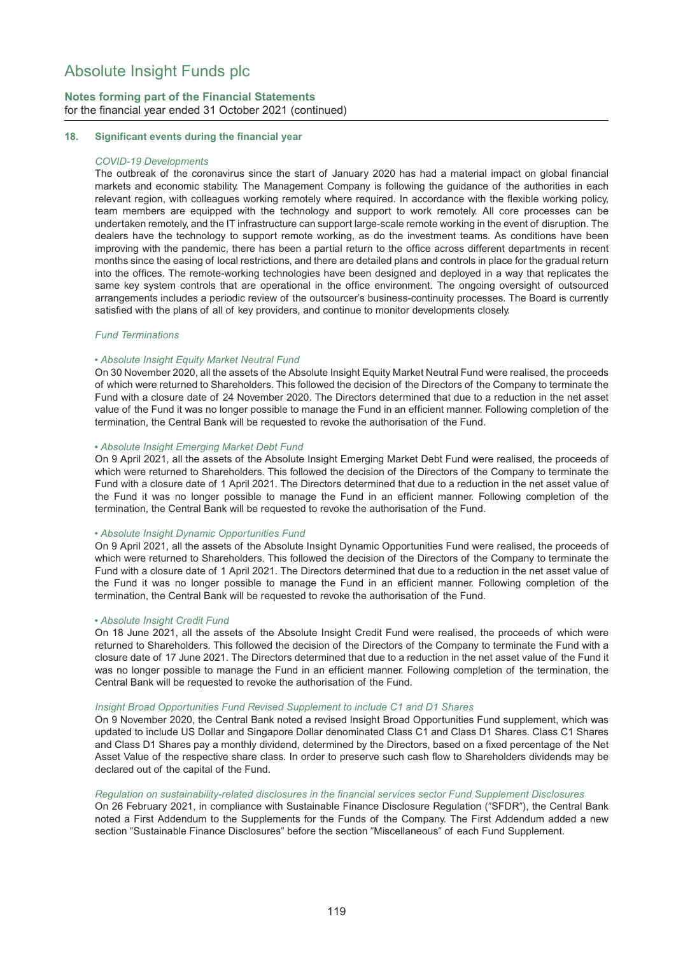## **Notes forming part of the Financial Statements** for the financial year ended 31 October 2021 (continued)

#### **18. Significant events during the financial year**

#### *COVID-19 Developments*

The outbreak of the coronavirus since the start of January 2020 has had a material impact on global financial markets and economic stability. The Management Company is following the guidance of the authorities in each relevant region, with colleagues working remotely where required. In accordance with the flexible working policy, team members are equipped with the technology and support to work remotely. All core processes can be undertaken remotely, and the IT infrastructure can support large-scale remote working in the event of disruption. The dealers have the technology to support remote working, as do the investment teams. As conditions have been improving with the pandemic, there has been a partial return to the office across different departments in recent months since the easing of local restrictions, and there are detailed plans and controls in place for the gradual return into the offices. The remote-working technologies have been designed and deployed in a way that replicates the same key system controls that are operational in the office environment. The ongoing oversight of outsourced arrangements includes a periodic review of the outsourcer's business-continuity processes. The Board is currently satisfied with the plans of all of key providers, and continue to monitor developments closely.

#### *Fund Terminations*

#### • *Absolute Insight Equity Market Neutral Fund*

On 30 November 2020, all the assets of the Absolute Insight Equity Market Neutral Fund were realised, the proceeds of which were returned to Shareholders. This followed the decision of the Directors of the Company to terminate the Fund with a closure date of 24 November 2020. The Directors determined that due to a reduction in the net asset value of the Fund it was no longer possible to manage the Fund in an efficient manner. Following completion of the termination, the Central Bank will be requested to revoke the authorisation of the Fund.

#### • *Absolute Insight Emerging Market Debt Fund*

On 9 April 2021, all the assets of the Absolute Insight Emerging Market Debt Fund were realised, the proceeds of which were returned to Shareholders. This followed the decision of the Directors of the Company to terminate the Fund with a closure date of 1 April 2021. The Directors determined that due to a reduction in the net asset value of the Fund it was no longer possible to manage the Fund in an efficient manner. Following completion of the termination, the Central Bank will be requested to revoke the authorisation of the Fund.

#### • *Absolute Insight Dynamic Opportunities Fund*

On 9 April 2021, all the assets of the Absolute Insight Dynamic Opportunities Fund were realised, the proceeds of which were returned to Shareholders. This followed the decision of the Directors of the Company to terminate the Fund with a closure date of 1 April 2021. The Directors determined that due to a reduction in the net asset value of the Fund it was no longer possible to manage the Fund in an efficient manner. Following completion of the termination, the Central Bank will be requested to revoke the authorisation of the Fund.

#### • *Absolute Insight Credit Fund*

On 18 June 2021, all the assets of the Absolute Insight Credit Fund were realised, the proceeds of which were returned to Shareholders. This followed the decision of the Directors of the Company to terminate the Fund with a closure date of 17 June 2021. The Directors determined that due to a reduction in the net asset value of the Fund it was no longer possible to manage the Fund in an efficient manner. Following completion of the termination, the Central Bank will be requested to revoke the authorisation of the Fund.

#### *Insight Broad Opportunities Fund Revised Supplement to include C1 and D1 Shares*

On 9 November 2020, the Central Bank noted a revised Insight Broad Opportunities Fund supplement, which was updated to include US Dollar and Singapore Dollar denominated Class C1 and Class D1 Shares. Class C1 Shares and Class D1 Shares pay a monthly dividend, determined by the Directors, based on a fixed percentage of the Net Asset Value of the respective share class. In order to preserve such cash flow to Shareholders dividends may be declared out of the capital of the Fund.

#### *Regulation on sustainability-related disclosures in the financial services sector Fund Supplement Disclosures*

On 26 February 2021, in compliance with Sustainable Finance Disclosure Regulation ("SFDR"), the Central Bank noted a First Addendum to the Supplements for the Funds of the Company. The First Addendum added a new section "Sustainable Finance Disclosures" before the section "Miscellaneous" of each Fund Supplement.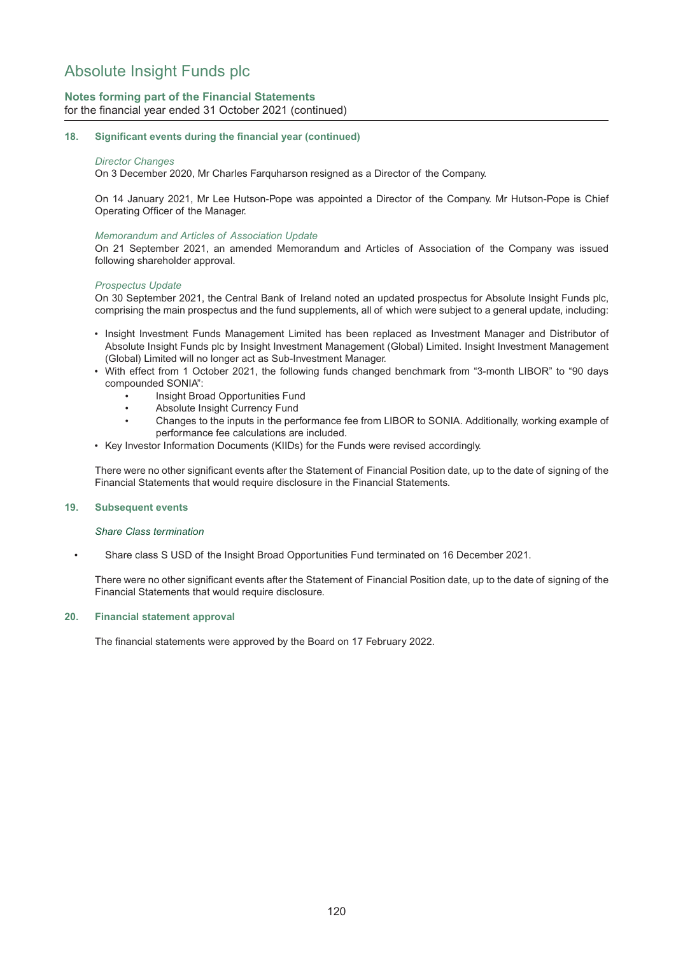## **Notes forming part of the Financial Statements** for the financial year ended 31 October 2021 (continued)

#### **18. Significant events during the financial year (continued)**

#### *Director Changes*

On 3 December 2020, Mr Charles Farquharson resigned as a Director of the Company.

On 14 January 2021, Mr Lee Hutson-Pope was appointed a Director of the Company. Mr Hutson-Pope is Chief Operating Officer of the Manager.

#### *Memorandum and Articles of Association Update*

On 21 September 2021, an amended Memorandum and Articles of Association of the Company was issued following shareholder approval.

#### *Prospectus Update*

On 30 September 2021, the Central Bank of Ireland noted an updated prospectus for Absolute Insight Funds plc, comprising the main prospectus and the fund supplements, all of which were subject to a general update, including:

- Insight Investment Funds Management Limited has been replaced as Investment Manager and Distributor of Absolute Insight Funds plc by Insight Investment Management (Global) Limited. Insight Investment Management (Global) Limited will no longer act as Sub-Investment Manager.
- With effect from 1 October 2021, the following funds changed benchmark from "3-month LIBOR" to "90 days compounded SONIA":
	- Insight Broad Opportunities Fund
	- Absolute Insight Currency Fund
	- Changes to the inputs in the performance fee from LIBOR to SONIA. Additionally, working example of performance fee calculations are included.
- Key Investor Information Documents (KIIDs) for the Funds were revised accordingly.

There were no other significant events after the Statement of Financial Position date, up to the date of signing of the Financial Statements that would require disclosure in the Financial Statements.

#### **19. Subsequent events**

#### *Share Class termination*

• Share class S USD of the Insight Broad Opportunities Fund terminated on 16 December 2021.

There were no other significant events after the Statement of Financial Position date, up to the date of signing of the Financial Statements that would require disclosure.

#### **20. Financial statement approval**

The financial statements were approved by the Board on 17 February 2022.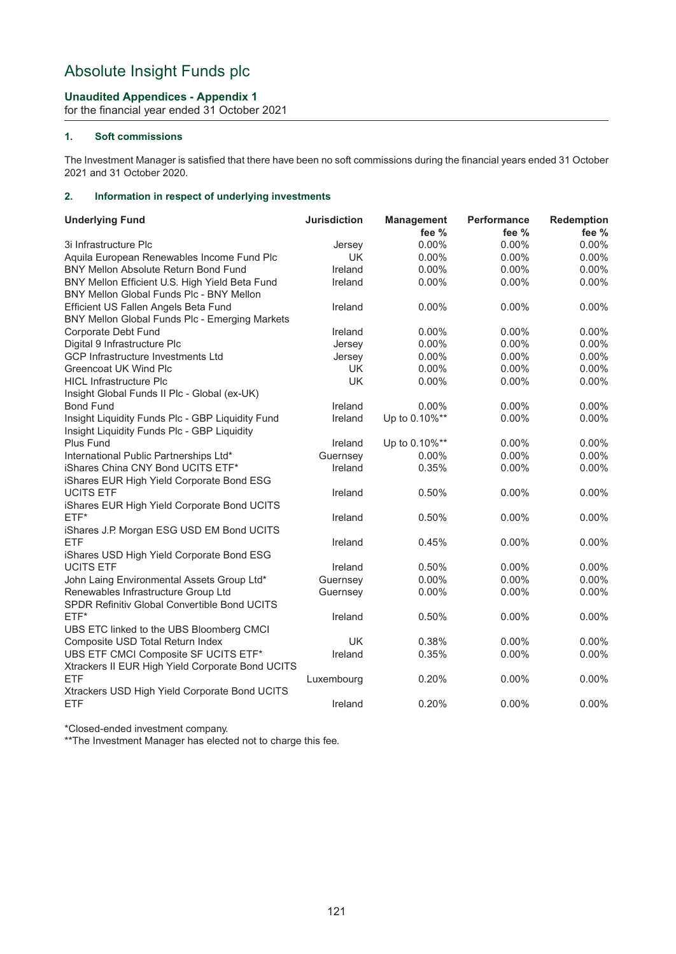## **Unaudited Appendices - Appendix 1**

for the financial year ended 31 October 2021

## **1. Soft commissions**

The Investment Manager is satisfied that there have been no soft commissions during the financial years ended 31 October 2021 and 31 October 2020.

## **2. Information in respect of underlying investments**

| <b>Underlying Fund</b>                           | <b>Jurisdiction</b> | <b>Management</b><br>fee $%$ | Performance<br>fee $%$ | Redemption<br>fee % |
|--------------------------------------------------|---------------------|------------------------------|------------------------|---------------------|
| 3i Infrastructure Plc                            | Jersey              | $0.00\%$                     | $0.00\%$               | 0.00%               |
| Aquila European Renewables Income Fund Plc       | <b>UK</b>           | $0.00\%$                     | $0.00\%$               | $0.00\%$            |
| BNY Mellon Absolute Return Bond Fund             | Ireland             | 0.00%                        | 0.00%                  | 0.00%               |
| BNY Mellon Efficient U.S. High Yield Beta Fund   | Ireland             | 0.00%                        | 0.00%                  | 0.00%               |
| BNY Mellon Global Funds Plc - BNY Mellon         |                     |                              |                        |                     |
| Efficient US Fallen Angels Beta Fund             | Ireland             | 0.00%                        | 0.00%                  | 0.00%               |
| BNY Mellon Global Funds Plc - Emerging Markets   |                     |                              |                        |                     |
| Corporate Debt Fund                              | Ireland             | $0.00\%$                     | $0.00\%$               | 0.00%               |
| Digital 9 Infrastructure Plc                     | Jersey              | 0.00%                        | 0.00%                  | 0.00%               |
| <b>GCP Infrastructure Investments Ltd</b>        | Jersey              | 0.00%                        | 0.00%                  | 0.00%               |
| Greencoat UK Wind Plc                            | <b>UK</b>           | 0.00%                        | 0.00%                  | 0.00%               |
| <b>HICL Infrastructure Plc</b>                   | <b>UK</b>           | 0.00%                        | 0.00%                  | 0.00%               |
| Insight Global Funds II Plc - Global (ex-UK)     |                     |                              |                        |                     |
| <b>Bond Fund</b>                                 | Ireland             | $0.00\%$                     | $0.00\%$               | 0.00%               |
| Insight Liquidity Funds Plc - GBP Liquidity Fund | Ireland             | Up to 0.10%**                | 0.00%                  | 0.00%               |
| Insight Liquidity Funds Plc - GBP Liquidity      |                     |                              |                        |                     |
| Plus Fund                                        | Ireland             | Up to 0.10%**                | 0.00%                  | 0.00%               |
| International Public Partnerships Ltd*           | Guernsey            | 0.00%                        | 0.00%                  | 0.00%               |
| iShares China CNY Bond UCITS ETF*                | Ireland             | 0.35%                        | 0.00%                  | 0.00%               |
| iShares EUR High Yield Corporate Bond ESG        |                     |                              |                        |                     |
| <b>UCITS ETF</b>                                 | Ireland             | 0.50%                        | 0.00%                  | 0.00%               |
| iShares EUR High Yield Corporate Bond UCITS      |                     |                              |                        |                     |
| $ETF*$                                           | Ireland             | 0.50%                        | 0.00%                  | 0.00%               |
| iShares J.P. Morgan ESG USD EM Bond UCITS        |                     |                              |                        |                     |
| ETF                                              | Ireland             | 0.45%                        | $0.00\%$               | 0.00%               |
| iShares USD High Yield Corporate Bond ESG        |                     |                              |                        |                     |
| <b>UCITS ETF</b>                                 | Ireland             | 0.50%                        | $0.00\%$               | $0.00\%$            |
| John Laing Environmental Assets Group Ltd*       | Guernsey            | 0.00%                        | 0.00%                  | 0.00%               |
| Renewables Infrastructure Group Ltd              | Guernsey            | 0.00%                        | 0.00%                  | 0.00%               |
| SPDR Refinitiv Global Convertible Bond UCITS     |                     |                              |                        |                     |
| $ETF*$                                           | Ireland             | 0.50%                        | $0.00\%$               | 0.00%               |
| UBS ETC linked to the UBS Bloomberg CMCI         |                     |                              |                        |                     |
| Composite USD Total Return Index                 | UK                  | 0.38%                        | 0.00%                  | 0.00%               |
| UBS ETF CMCI Composite SF UCITS ETF*             | Ireland             | 0.35%                        | 0.00%                  | 0.00%               |
| Xtrackers II EUR High Yield Corporate Bond UCITS |                     |                              |                        |                     |
| <b>ETF</b>                                       | Luxembourg          | 0.20%                        | 0.00%                  | 0.00%               |
| Xtrackers USD High Yield Corporate Bond UCITS    |                     |                              |                        |                     |
| <b>ETF</b>                                       | Ireland             | 0.20%                        | $0.00\%$               | 0.00%               |

\*Closed-ended investment company.

\*\*The Investment Manager has elected not to charge this fee.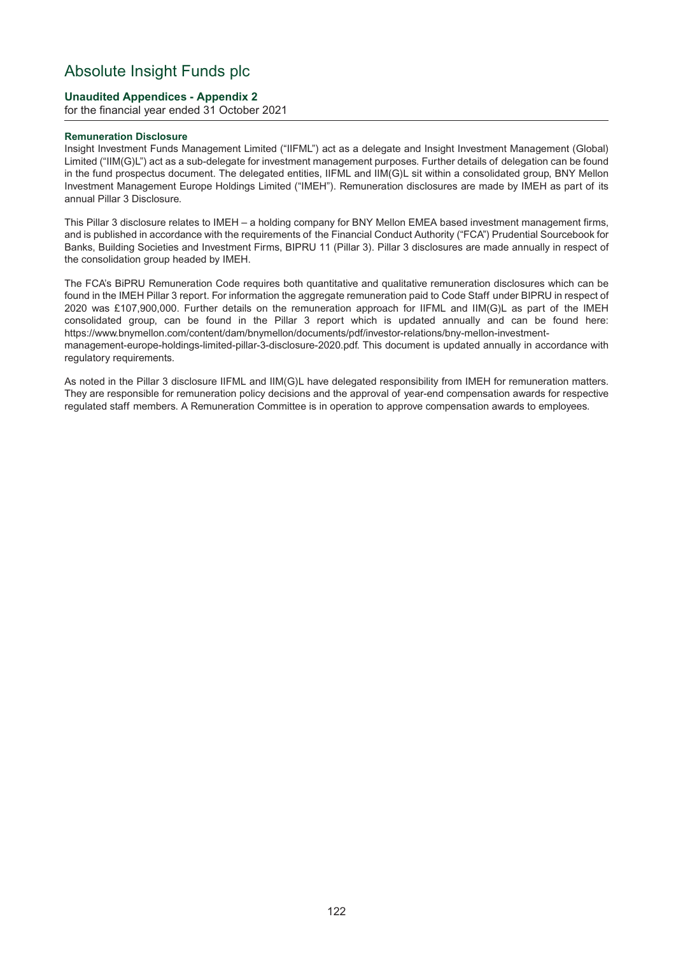## **Unaudited Appendices - Appendix 2**

for the financial year ended 31 October 2021

#### **Remuneration Disclosure**

Insight Investment Funds Management Limited ("IIFML") act as a delegate and Insight Investment Management (Global) Limited ("IIM(G)L") act as a sub-delegate for investment management purposes. Further details of delegation can be found in the fund prospectus document. The delegated entities, IIFML and IIM(G)L sit within a consolidated group, BNY Mellon Investment Management Europe Holdings Limited ("IMEH"). Remuneration disclosures are made by IMEH as part of its annual Pillar 3 Disclosure.

This Pillar 3 disclosure relates to IMEH – a holding company for BNY Mellon EMEA based investment management firms, and is published in accordance with the requirements of the Financial Conduct Authority ("FCA") Prudential Sourcebook for Banks, Building Societies and Investment Firms, BIPRU 11 (Pillar 3). Pillar 3 disclosures are made annually in respect of the consolidation group headed by IMEH.

The FCA's BiPRU Remuneration Code requires both quantitative and qualitative remuneration disclosures which can be found in the IMEH Pillar 3 report. For information the aggregate remuneration paid to Code Staff under BIPRU in respect of 2020 was £107,900,000. Further details on the remuneration approach for IIFML and IIM(G)L as part of the IMEH consolidated group, can be found in the Pillar 3 report which is updated annually and can be found here: [https://www.b](https://www.bnymellon.com/content/dam/bnymellon/documents/pdf/investor-relations/bny-mellon-investment-managementeurope-)nymellon.com/content/dam/bnymellon/documents/pdf/investor-relations/bny-mellon-investmentmanagement-europe-holdings-limited-pillar-3-disclosure-2020.pdf. This document is updated annually in accordance with regulatory requirements.

As noted in the Pillar 3 disclosure IIFML and IIM(G)L have delegated responsibility from IMEH for remuneration matters. They are responsible for remuneration policy decisions and the approval of year-end compensation awards for respective regulated staff members. A Remuneration Committee is in operation to approve compensation awards to employees.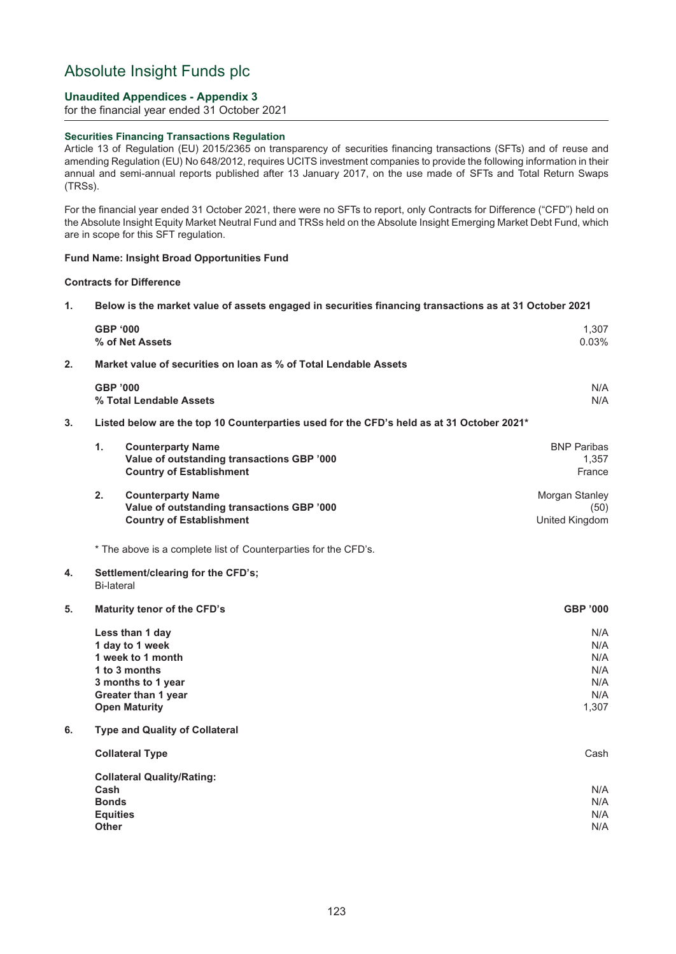## **Unaudited Appendices - Appendix 3**

for the financial year ended 31 October 2021

### **Securities Financing Transactions Regulation**

Article 13 of Regulation (EU) 2015/2365 on transparency of securities financing transactions (SFTs) and of reuse and amending Regulation (EU) No 648/2012, requires UCITS investment companies to provide the following information in their annual and semi-annual reports published after 13 January 2017, on the use made of SFTs and Total Return Swaps (TRSs).

For the financial year ended 31 October 2021, there were no SFTs to report, only Contracts for Difference ("CFD") held on the Absolute Insight Equity Market Neutral Fund and TRSs held on the Absolute Insight Emerging Market Debt Fund, which are in scope for this SFT regulation.

#### **Fund Name: Insight Broad Opportunities Fund**

#### **Contracts for Difference**

**1. Below is the market value of assets engaged in securities financing transactions as at 31 October 2021**

|                  | <b>GBP '000</b><br>% of Net Assets                                                                                                            |                                                                                                           | 1,307<br>0.03%                                  |
|------------------|-----------------------------------------------------------------------------------------------------------------------------------------------|-----------------------------------------------------------------------------------------------------------|-------------------------------------------------|
| $\overline{2}$ . |                                                                                                                                               | Market value of securities on loan as % of Total Lendable Assets                                          |                                                 |
|                  | <b>GBP '000</b><br>% Total Lendable Assets                                                                                                    |                                                                                                           | N/A<br>N/A                                      |
| 3.               |                                                                                                                                               | Listed below are the top 10 Counterparties used for the CFD's held as at 31 October 2021*                 |                                                 |
|                  | 1.                                                                                                                                            | <b>Counterparty Name</b><br>Value of outstanding transactions GBP '000<br><b>Country of Establishment</b> | <b>BNP Paribas</b><br>1,357<br>France           |
|                  | 2.                                                                                                                                            | <b>Counterparty Name</b><br>Value of outstanding transactions GBP '000<br><b>Country of Establishment</b> | Morgan Stanley<br>(50)<br>United Kingdom        |
|                  |                                                                                                                                               | * The above is a complete list of Counterparties for the CFD's.                                           |                                                 |
| 4.               | <b>Bi-lateral</b>                                                                                                                             | Settlement/clearing for the CFD's;                                                                        |                                                 |
| 5.               |                                                                                                                                               | Maturity tenor of the CFD's                                                                               | <b>GBP '000</b>                                 |
|                  | Less than 1 day<br>1 day to 1 week<br>1 week to 1 month<br>1 to 3 months<br>3 months to 1 year<br>Greater than 1 year<br><b>Open Maturity</b> |                                                                                                           | N/A<br>N/A<br>N/A<br>N/A<br>N/A<br>N/A<br>1,307 |
| 6.               |                                                                                                                                               | <b>Type and Quality of Collateral</b>                                                                     |                                                 |
|                  | <b>Collateral Type</b>                                                                                                                        |                                                                                                           | Cash                                            |
|                  | <b>Collateral Quality/Rating:</b><br>Cash<br><b>Bonds</b><br><b>Equities</b><br><b>Other</b>                                                  |                                                                                                           | N/A<br>N/A<br>N/A<br>N/A                        |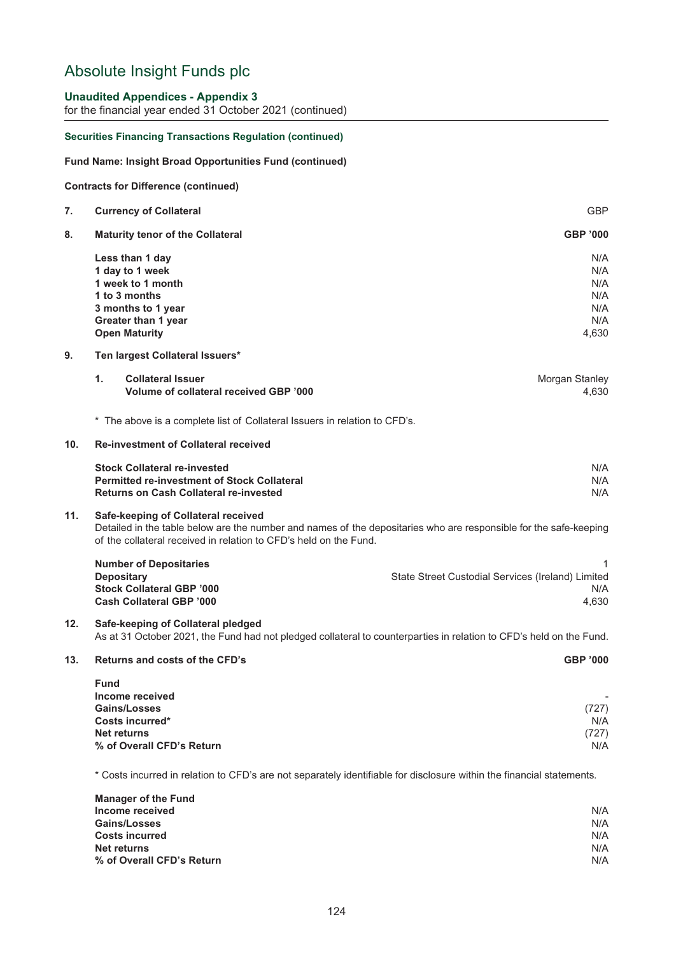### **Unaudited Appendices - Appendix 3**

for the financial year ended 31 October 2021 (continued)

#### **Securities Financing Transactions Regulation (continued)**

#### **Fund Name: Insight Broad Opportunities Fund (continued)**

**Contracts for Difference (continued)**

| 7. | <b>Currency of Collateral</b>           | <b>GBP</b>      |
|----|-----------------------------------------|-----------------|
| 8. | <b>Maturity tenor of the Collateral</b> | <b>GBP '000</b> |
|    | Less than 1 day                         | N/A             |
|    | 1 day to 1 week                         | N/A             |
|    | 1 week to 1 month                       | N/A             |
|    | 1 to 3 months                           | N/A             |
|    | 3 months to 1 year                      | N/A             |
|    | Greater than 1 year                     | N/A             |
|    | <b>Open Maturity</b>                    | 4,630           |
|    |                                         |                 |

### **9. Ten largest Collateral Issuers\***

| <b>Collateral Issuer</b>               | Morgan Stanley |
|----------------------------------------|----------------|
| Volume of collateral received GBP '000 | 4.630          |

\* The above is a complete list of Collateral Issuers in relation to CFD's.

### **10. Re-investment of Collateral received**

| <b>Stock Collateral re-invested</b>                | N/A |
|----------------------------------------------------|-----|
| <b>Permitted re-investment of Stock Collateral</b> | N/A |
| <b>Returns on Cash Collateral re-invested</b>      | N/A |

#### **11. Safe-keeping of Collateral received**

Detailed in the table below are the number and names of the depositaries who are responsible for the safe-keeping of the collateral received in relation to CFD's held on the Fund.

| <b>Number of Depositaries</b>    |                                                   |
|----------------------------------|---------------------------------------------------|
| <b>Depositary</b>                | State Street Custodial Services (Ireland) Limited |
| <b>Stock Collateral GBP '000</b> | N/A                                               |
| <b>Cash Collateral GBP '000</b>  | 4.630                                             |

## **12. Safe-keeping of Collateral pledged**

As at 31 October 2021, the Fund had not pledged collateral to counterparties in relation to CFD's held on the Fund.

#### **13. Returns and costs of the CFD's GBP '000**

| <b>Fund</b>               |       |
|---------------------------|-------|
| Income received           |       |
| <b>Gains/Losses</b>       | (727) |
| Costs incurred*           | N/A   |
| <b>Net returns</b>        | (727) |
| % of Overall CFD's Return | N/A   |

\* Costs incurred in relation to CFD's are not separately identifiable for disclosure within the financial statements.

| <b>Manager of the Fund</b> |     |
|----------------------------|-----|
| Income received            | N/A |
| <b>Gains/Losses</b>        | N/A |
| <b>Costs incurred</b>      | N/A |
| Net returns                | N/A |
| % of Overall CFD's Return  | N/A |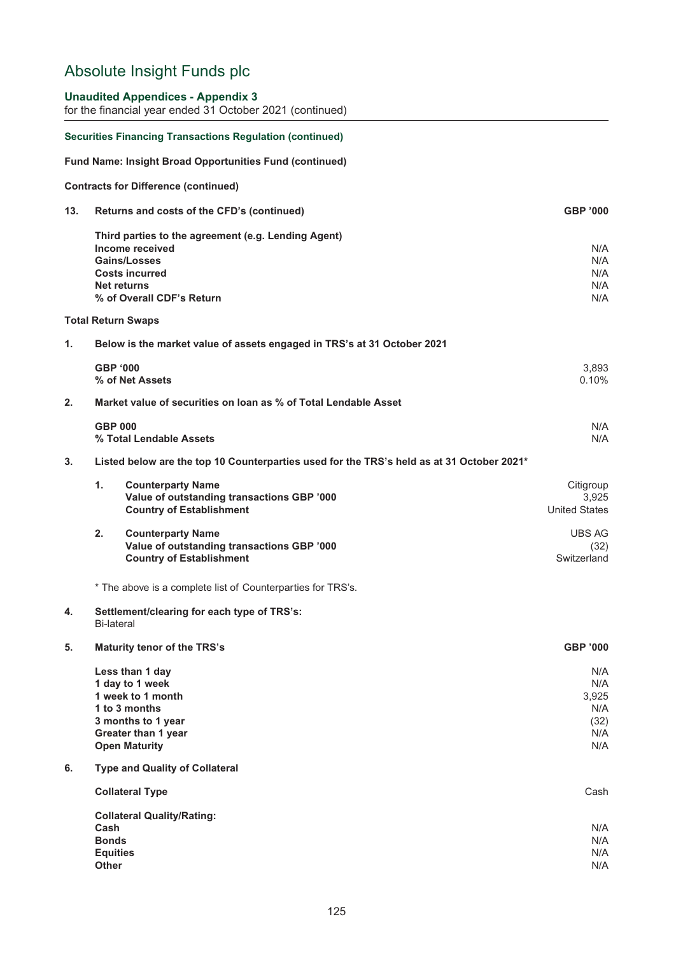## **Unaudited Appendices - Appendix 3**

for the financial year ended 31 October 2021 (continued)

|     | <b>Securities Financing Transactions Regulation (continued)</b>                                                                               |                                                  |
|-----|-----------------------------------------------------------------------------------------------------------------------------------------------|--------------------------------------------------|
|     | <b>Fund Name: Insight Broad Opportunities Fund (continued)</b>                                                                                |                                                  |
|     | <b>Contracts for Difference (continued)</b>                                                                                                   |                                                  |
| 13. | Returns and costs of the CFD's (continued)                                                                                                    | <b>GBP '000</b>                                  |
|     | Third parties to the agreement (e.g. Lending Agent)<br>Income received<br><b>Gains/Losses</b><br><b>Costs incurred</b><br><b>Net returns</b>  | N/A<br>N/A<br>N/A<br>N/A                         |
|     | % of Overall CDF's Return                                                                                                                     | N/A                                              |
|     | <b>Total Return Swaps</b>                                                                                                                     |                                                  |
| 1.  | Below is the market value of assets engaged in TRS's at 31 October 2021                                                                       |                                                  |
|     | <b>GBP '000</b><br>% of Net Assets                                                                                                            | 3,893<br>0.10%                                   |
| 2.  | Market value of securities on loan as % of Total Lendable Asset                                                                               |                                                  |
|     | <b>GBP 000</b><br>% Total Lendable Assets                                                                                                     | N/A<br>N/A                                       |
| 3.  | Listed below are the top 10 Counterparties used for the TRS's held as at 31 October 2021*                                                     |                                                  |
|     | $\mathbf{1}$ .<br><b>Counterparty Name</b><br>Value of outstanding transactions GBP '000<br><b>Country of Establishment</b>                   | Citigroup<br>3,925<br><b>United States</b>       |
|     | 2.<br><b>Counterparty Name</b><br>Value of outstanding transactions GBP '000<br><b>Country of Establishment</b>                               | <b>UBS AG</b><br>(32)<br>Switzerland             |
|     | * The above is a complete list of Counterparties for TRS's.                                                                                   |                                                  |
| 4.  | Settlement/clearing for each type of TRS's:<br><b>Bi-lateral</b>                                                                              |                                                  |
| 5.  | Maturity tenor of the TRS's                                                                                                                   | <b>GBP '000</b>                                  |
|     | Less than 1 day<br>1 day to 1 week<br>1 week to 1 month<br>1 to 3 months<br>3 months to 1 year<br>Greater than 1 year<br><b>Open Maturity</b> | N/A<br>N/A<br>3,925<br>N/A<br>(32)<br>N/A<br>N/A |
| 6.  | <b>Type and Quality of Collateral</b>                                                                                                         |                                                  |
|     | <b>Collateral Type</b>                                                                                                                        | Cash                                             |
|     | <b>Collateral Quality/Rating:</b><br>Cash<br><b>Bonds</b><br><b>Equities</b><br><b>Other</b>                                                  | N/A<br>N/A<br>N/A<br>N/A                         |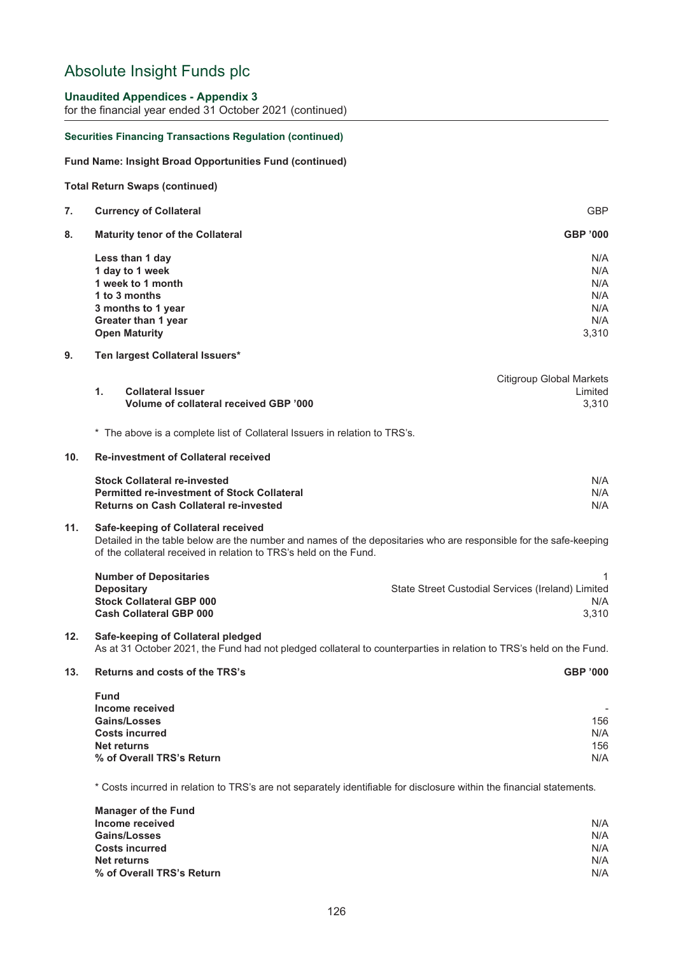### **Unaudited Appendices - Appendix 3**

for the financial year ended 31 October 2021 (continued)

#### **Securities Financing Transactions Regulation (continued)**

#### **Fund Name: Insight Broad Opportunities Fund (continued)**

#### **Total Return Swaps (continued)**

| 7. | <b>Currency of Collateral</b> | <b>GBP</b> |  |
|----|-------------------------------|------------|--|
|    |                               |            |  |

**8. Maturity tenor of the Collateral GBP '000**

| Less than 1 day            | N/A   |
|----------------------------|-------|
| 1 day to 1 week            | N/A   |
| 1 week to 1 month          | N/A   |
| 1 to 3 months              | N/A   |
| 3 months to 1 year         | N/A   |
| <b>Greater than 1 year</b> | N/A   |
| <b>Open Maturity</b>       | 3.310 |

#### **9. Ten largest Collateral Issuers\***

|                                        | Citigroup Global Markets |
|----------------------------------------|--------------------------|
| <b>Collateral Issuer</b>               | Limited                  |
| Volume of collateral received GBP '000 | 3.310                    |
|                                        |                          |

\* The above is a complete list of Collateral Issuers in relation to TRS's.

### **10. Re-investment of Collateral received**

| <b>Stock Collateral re-invested</b>                | N/A |
|----------------------------------------------------|-----|
| <b>Permitted re-investment of Stock Collateral</b> | N/A |
| <b>Returns on Cash Collateral re-invested</b>      | N/A |

### **11. Safe-keeping of Collateral received**

Detailed in the table below are the number and names of the depositaries who are responsible for the safe-keeping of the collateral received in relation to TRS's held on the Fund.

| <b>Number of Depositaries</b>   |                                                   |
|---------------------------------|---------------------------------------------------|
| <b>Depositary</b>               | State Street Custodial Services (Ireland) Limited |
| <b>Stock Collateral GBP 000</b> | N/A                                               |
| <b>Cash Collateral GBP 000</b>  | 3.310                                             |

## **12. Safe-keeping of Collateral pledged**

As at 31 October 2021, the Fund had not pledged collateral to counterparties in relation to TRS's held on the Fund.

### **13. Returns and costs of the TRS's GBP '000**

| <b>Fund</b>               |     |
|---------------------------|-----|
| Income received           | -   |
| <b>Gains/Losses</b>       | 156 |
| <b>Costs incurred</b>     | N/A |
| <b>Net returns</b>        | 156 |
| % of Overall TRS's Return | N/A |

\* Costs incurred in relation to TRS's are not separately identifiable for disclosure within the financial statements.

| <b>Manager of the Fund</b> |     |
|----------------------------|-----|
| Income received            | N/A |
| <b>Gains/Losses</b>        | N/A |
| <b>Costs incurred</b>      | N/A |
| <b>Net returns</b>         | N/A |
| % of Overall TRS's Return  | N/A |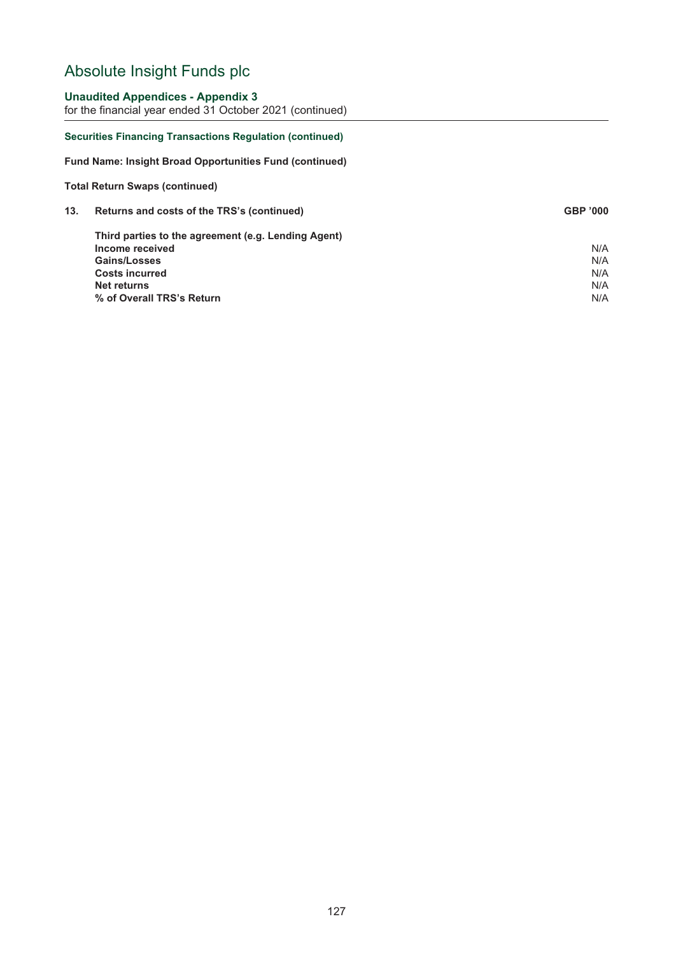## **Unaudited Appendices - Appendix 3**

for the financial year ended 31 October 2021 (continued)

### **Securities Financing Transactions Regulation (continued)**

**Fund Name: Insight Broad Opportunities Fund (continued)**

#### **Total Return Swaps (continued)**

| 13. | Returns and costs of the TRS's (continued)          | <b>GBP '000</b> |
|-----|-----------------------------------------------------|-----------------|
|     | Third parties to the agreement (e.g. Lending Agent) |                 |
|     | Income received                                     | N/A             |
|     | <b>Gains/Losses</b>                                 | N/A             |
|     | <b>Costs incurred</b>                               | N/A             |
|     | Net returns                                         | N/A             |
|     | % of Overall TRS's Return                           | N/A             |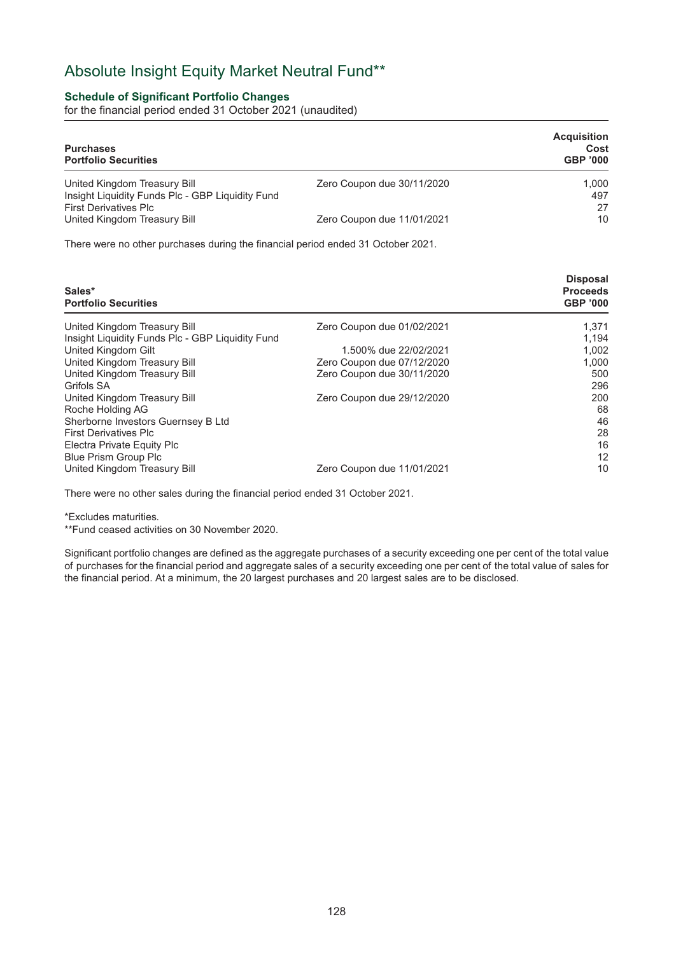## Absolute Insight Equity Market Neutral Fund\*\*

## **Schedule of Significant Portfolio Changes**

for the financial period ended 31 October 2021 (unaudited)

| <b>Purchases</b><br><b>Portfolio Securities</b>                                                                  |                            | <b>Acquisition</b><br>Cost<br><b>GBP '000</b> |
|------------------------------------------------------------------------------------------------------------------|----------------------------|-----------------------------------------------|
| United Kingdom Treasury Bill<br>Insight Liquidity Funds Plc - GBP Liquidity Fund<br><b>First Derivatives Plc</b> | Zero Coupon due 30/11/2020 | 1.000<br>497<br>27                            |
| United Kingdom Treasury Bill                                                                                     | Zero Coupon due 11/01/2021 | 10                                            |

There were no other purchases during the financial period ended 31 October 2021.

| Sales*<br><b>Portfolio Securities</b>            |                            | <b>Disposal</b><br><b>Proceeds</b><br><b>GBP '000</b> |
|--------------------------------------------------|----------------------------|-------------------------------------------------------|
| United Kingdom Treasury Bill                     | Zero Coupon due 01/02/2021 | 1.371                                                 |
| Insight Liquidity Funds Plc - GBP Liquidity Fund |                            | 1.194                                                 |
| United Kingdom Gilt                              | 1.500% due 22/02/2021      | 1.002                                                 |
| United Kingdom Treasury Bill                     | Zero Coupon due 07/12/2020 | 1.000                                                 |
| United Kingdom Treasury Bill                     | Zero Coupon due 30/11/2020 | 500                                                   |
| Grifols SA                                       |                            | 296                                                   |
| United Kingdom Treasury Bill                     | Zero Coupon due 29/12/2020 | 200                                                   |
| Roche Holding AG                                 |                            | 68                                                    |
| Sherborne Investors Guernsey B Ltd               |                            | 46                                                    |
| <b>First Derivatives Plc</b>                     |                            | 28                                                    |
| Electra Private Equity Plc                       |                            | 16                                                    |
| Blue Prism Group Plc                             |                            | 12                                                    |
| United Kingdom Treasury Bill                     | Zero Coupon due 11/01/2021 | 10                                                    |

There were no other sales during the financial period ended 31 October 2021.

\*Excludes maturities.

\*\*Fund ceased activities on 30 November 2020.

Significant portfolio changes are defined as the aggregate purchases of a security exceeding one per cent of the total value of purchases for the financial period and aggregate sales of a security exceeding one per cent of the total value of sales for the financial period. At a minimum, the 20 largest purchases and 20 largest sales are to be disclosed.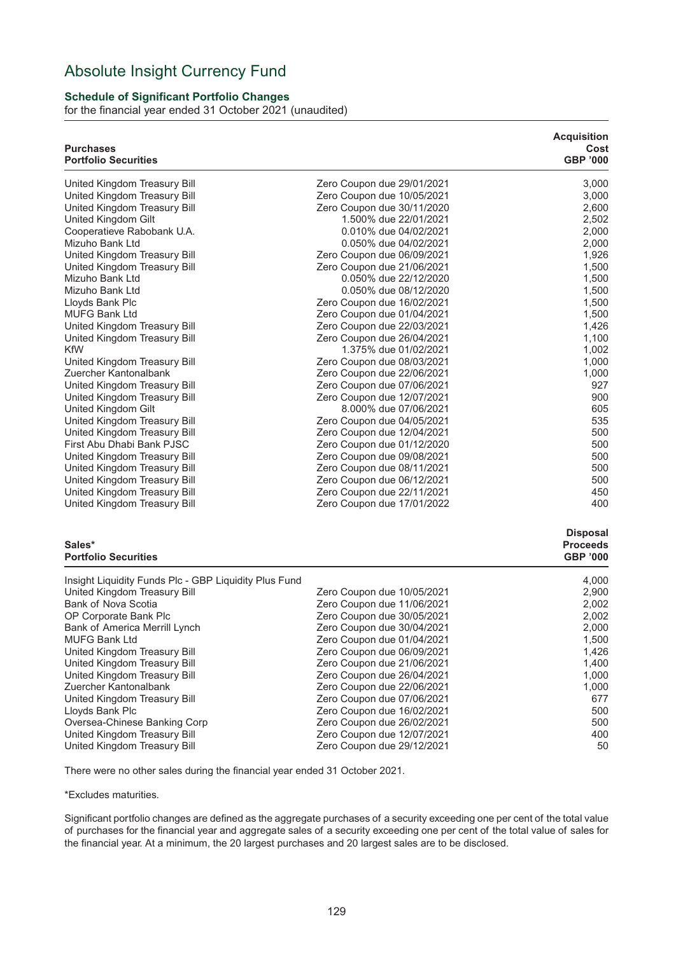## Absolute Insight Currency Fund

### **Schedule of Significant Portfolio Changes**

for the financial year ended 31 October 2021 (unaudited)

| <b>Purchases</b><br><b>Portfolio Securities</b>              |                                                          | <b>Acquisition</b><br>Cost<br><b>GBP '000</b> |
|--------------------------------------------------------------|----------------------------------------------------------|-----------------------------------------------|
| United Kingdom Treasury Bill                                 | Zero Coupon due 29/01/2021                               | 3,000                                         |
| United Kingdom Treasury Bill                                 | Zero Coupon due 10/05/2021                               | 3,000                                         |
| United Kingdom Treasury Bill                                 | Zero Coupon due 30/11/2020                               | 2,600                                         |
| United Kingdom Gilt                                          | 1.500% due 22/01/2021                                    | 2,502                                         |
| Cooperatieve Rabobank U.A.                                   | 0.010% due 04/02/2021                                    | 2,000                                         |
| Mizuho Bank Ltd                                              | 0.050% due 04/02/2021                                    | 2,000                                         |
| United Kingdom Treasury Bill                                 | Zero Coupon due 06/09/2021                               | 1,926                                         |
| United Kingdom Treasury Bill                                 | Zero Coupon due 21/06/2021                               | 1,500                                         |
| Mizuho Bank Ltd                                              | 0.050% due 22/12/2020                                    | 1,500                                         |
| Mizuho Bank Ltd                                              | 0.050% due 08/12/2020                                    | 1,500                                         |
| Lloyds Bank Plc                                              | Zero Coupon due 16/02/2021                               | 1,500                                         |
| <b>MUFG Bank Ltd</b>                                         | Zero Coupon due 01/04/2021                               | 1,500                                         |
| United Kingdom Treasury Bill                                 | Zero Coupon due 22/03/2021                               | 1,426                                         |
| United Kingdom Treasury Bill                                 | Zero Coupon due 26/04/2021                               | 1,100                                         |
| <b>KfW</b>                                                   | 1.375% due 01/02/2021                                    | 1,002                                         |
| United Kingdom Treasury Bill                                 | Zero Coupon due 08/03/2021                               | 1,000                                         |
| Zuercher Kantonalbank                                        | Zero Coupon due 22/06/2021                               | 1,000                                         |
| United Kingdom Treasury Bill<br>United Kingdom Treasury Bill | Zero Coupon due 07/06/2021<br>Zero Coupon due 12/07/2021 | 927<br>900                                    |
| United Kingdom Gilt                                          | 8.000% due 07/06/2021                                    | 605                                           |
| United Kingdom Treasury Bill                                 | Zero Coupon due 04/05/2021                               | 535                                           |
| United Kingdom Treasury Bill                                 | Zero Coupon due 12/04/2021                               | 500                                           |
| First Abu Dhabi Bank PJSC                                    | Zero Coupon due 01/12/2020                               | 500                                           |
| United Kingdom Treasury Bill                                 | Zero Coupon due 09/08/2021                               | 500                                           |
| United Kingdom Treasury Bill                                 | Zero Coupon due 08/11/2021                               | 500                                           |
| United Kingdom Treasury Bill                                 | Zero Coupon due 06/12/2021                               | 500                                           |
| United Kingdom Treasury Bill                                 | Zero Coupon due 22/11/2021                               | 450                                           |
| United Kingdom Treasury Bill                                 | Zero Coupon due 17/01/2022                               | 400                                           |
| Sales*                                                       |                                                          | <b>Disposal</b><br><b>Proceeds</b>            |
| <b>Portfolio Securities</b>                                  |                                                          | <b>GBP '000</b>                               |
| Insight Liquidity Funds Plc - GBP Liquidity Plus Fund        |                                                          | 4,000                                         |
| United Kingdom Treasury Bill                                 | Zero Coupon due 10/05/2021                               | 2,900                                         |
| <b>Bank of Nova Scotia</b>                                   | Zero Coupon due 11/06/2021                               | 2,002                                         |
| OP Corporate Bank Plc                                        | Zero Coupon due 30/05/2021                               | 2,002                                         |
| Bank of America Merrill Lynch                                | Zero Coupon due 30/04/2021                               | 2,000                                         |
| <b>MUFG Bank Ltd</b>                                         | Zero Coupon due 01/04/2021                               | 1,500                                         |
| United Kingdom Treasury Bill                                 | Zero Coupon due 06/09/2021                               | 1,426                                         |
| United Kingdom Treasury Bill                                 | Zero Coupon due 21/06/2021                               | 1,400                                         |
| United Kingdom Treasury Bill                                 | Zero Coupon due 26/04/2021                               | 1,000                                         |
| Zuercher Kantonalbank                                        | Zero Coupon due 22/06/2021                               | 1,000                                         |
| United Kingdom Treasury Bill                                 | Zero Coupon due 07/06/2021                               | 677                                           |
| Lloyds Bank Plc                                              | Zero Coupon due 16/02/2021                               | 500                                           |
| Oversea-Chinese Banking Corp                                 | Zero Coupon due 26/02/2021                               | 500                                           |
| United Kingdom Treasury Bill                                 | Zero Coupon due 12/07/2021                               | 400                                           |
| United Kingdom Treasury Bill                                 | Zero Coupon due 29/12/2021                               | 50                                            |

There were no other sales during the financial year ended 31 October 2021.

\*Excludes maturities.

Significant portfolio changes are defined as the aggregate purchases of a security exceeding one per cent of the total value of purchases for the financial year and aggregate sales of a security exceeding one per cent of the total value of sales for the financial year. At a minimum, the 20 largest purchases and 20 largest sales are to be disclosed.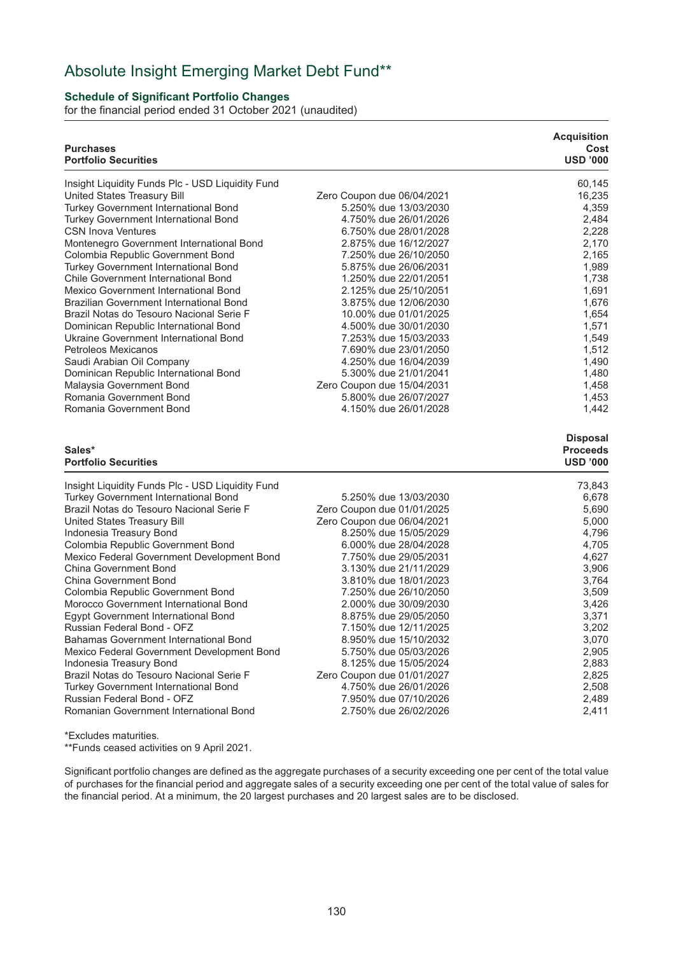## Absolute Insight Emerging Market Debt Fund\*\*

## **Schedule of Significant Portfolio Changes**

for the financial period ended 31 October 2021 (unaudited)

|                                                | <b>Acquisition</b><br>Cost<br><b>USD '000</b>                                                                                                                                                                                                                                                                                                                                                      |
|------------------------------------------------|----------------------------------------------------------------------------------------------------------------------------------------------------------------------------------------------------------------------------------------------------------------------------------------------------------------------------------------------------------------------------------------------------|
|                                                | 60,145                                                                                                                                                                                                                                                                                                                                                                                             |
|                                                | 16,235                                                                                                                                                                                                                                                                                                                                                                                             |
| 5.250% due 13/03/2030                          | 4,359                                                                                                                                                                                                                                                                                                                                                                                              |
| 4.750% due 26/01/2026                          | 2,484                                                                                                                                                                                                                                                                                                                                                                                              |
| 6.750% due 28/01/2028                          | 2,228                                                                                                                                                                                                                                                                                                                                                                                              |
| 2.875% due 16/12/2027                          | 2,170                                                                                                                                                                                                                                                                                                                                                                                              |
| 7.250% due 26/10/2050                          | 2,165                                                                                                                                                                                                                                                                                                                                                                                              |
| 5.875% due 26/06/2031                          | 1,989                                                                                                                                                                                                                                                                                                                                                                                              |
| 1.250% due 22/01/2051                          | 1,738                                                                                                                                                                                                                                                                                                                                                                                              |
| 2.125% due 25/10/2051                          | 1,691                                                                                                                                                                                                                                                                                                                                                                                              |
| 3.875% due 12/06/2030                          | 1,676                                                                                                                                                                                                                                                                                                                                                                                              |
| 10.00% due 01/01/2025                          | 1,654                                                                                                                                                                                                                                                                                                                                                                                              |
| 4.500% due 30/01/2030                          | 1,571                                                                                                                                                                                                                                                                                                                                                                                              |
| 7.253% due 15/03/2033                          | 1,549                                                                                                                                                                                                                                                                                                                                                                                              |
| 7.690% due 23/01/2050                          | 1,512                                                                                                                                                                                                                                                                                                                                                                                              |
| 4.250% due 16/04/2039                          | 1,490                                                                                                                                                                                                                                                                                                                                                                                              |
| 5.300% due 21/01/2041                          | 1,480                                                                                                                                                                                                                                                                                                                                                                                              |
| Zero Coupon due 15/04/2031                     | 1,458                                                                                                                                                                                                                                                                                                                                                                                              |
| 5.800% due 26/07/2027                          | 1,453                                                                                                                                                                                                                                                                                                                                                                                              |
| 4.150% due 26/01/2028                          | 1,442                                                                                                                                                                                                                                                                                                                                                                                              |
|                                                | <b>Disposal</b><br><b>Proceeds</b><br><b>USD '000</b>                                                                                                                                                                                                                                                                                                                                              |
|                                                |                                                                                                                                                                                                                                                                                                                                                                                                    |
|                                                | 73,843                                                                                                                                                                                                                                                                                                                                                                                             |
|                                                | 6,678                                                                                                                                                                                                                                                                                                                                                                                              |
|                                                | 5,690                                                                                                                                                                                                                                                                                                                                                                                              |
|                                                | 5,000                                                                                                                                                                                                                                                                                                                                                                                              |
|                                                | 4,796                                                                                                                                                                                                                                                                                                                                                                                              |
|                                                | 4,705                                                                                                                                                                                                                                                                                                                                                                                              |
|                                                | 4,627                                                                                                                                                                                                                                                                                                                                                                                              |
|                                                | 3,906                                                                                                                                                                                                                                                                                                                                                                                              |
|                                                | 3,764                                                                                                                                                                                                                                                                                                                                                                                              |
|                                                | 3,509                                                                                                                                                                                                                                                                                                                                                                                              |
|                                                | 3,426                                                                                                                                                                                                                                                                                                                                                                                              |
|                                                | 3,371                                                                                                                                                                                                                                                                                                                                                                                              |
|                                                | 3,202                                                                                                                                                                                                                                                                                                                                                                                              |
|                                                | 3,070                                                                                                                                                                                                                                                                                                                                                                                              |
|                                                | 2,905                                                                                                                                                                                                                                                                                                                                                                                              |
|                                                |                                                                                                                                                                                                                                                                                                                                                                                                    |
| 8.125% due 15/05/2024                          | 2,883                                                                                                                                                                                                                                                                                                                                                                                              |
| Zero Coupon due 01/01/2027                     | 2,825                                                                                                                                                                                                                                                                                                                                                                                              |
| 4.750% due 26/01/2026<br>7.950% due 07/10/2026 | 2,508<br>2,489                                                                                                                                                                                                                                                                                                                                                                                     |
|                                                | Zero Coupon due 06/04/2021<br>5.250% due 13/03/2030<br>Zero Coupon due 01/01/2025<br>Zero Coupon due 06/04/2021<br>8.250% due 15/05/2029<br>6.000% due 28/04/2028<br>7.750% due 29/05/2031<br>3.130% due 21/11/2029<br>3.810% due 18/01/2023<br>7.250% due 26/10/2050<br>2.000% due 30/09/2030<br>8.875% due 29/05/2050<br>7.150% due 12/11/2025<br>8.950% due 15/10/2032<br>5.750% due 05/03/2026 |

\*Excludes maturities. \*\*Funds ceased activities on 9 April 2021.

Significant portfolio changes are defined as the aggregate purchases of a security exceeding one per cent of the total value of purchases for the financial period and aggregate sales of a security exceeding one per cent of the total value of sales for the financial period. At a minimum, the 20 largest purchases and 20 largest sales are to be disclosed.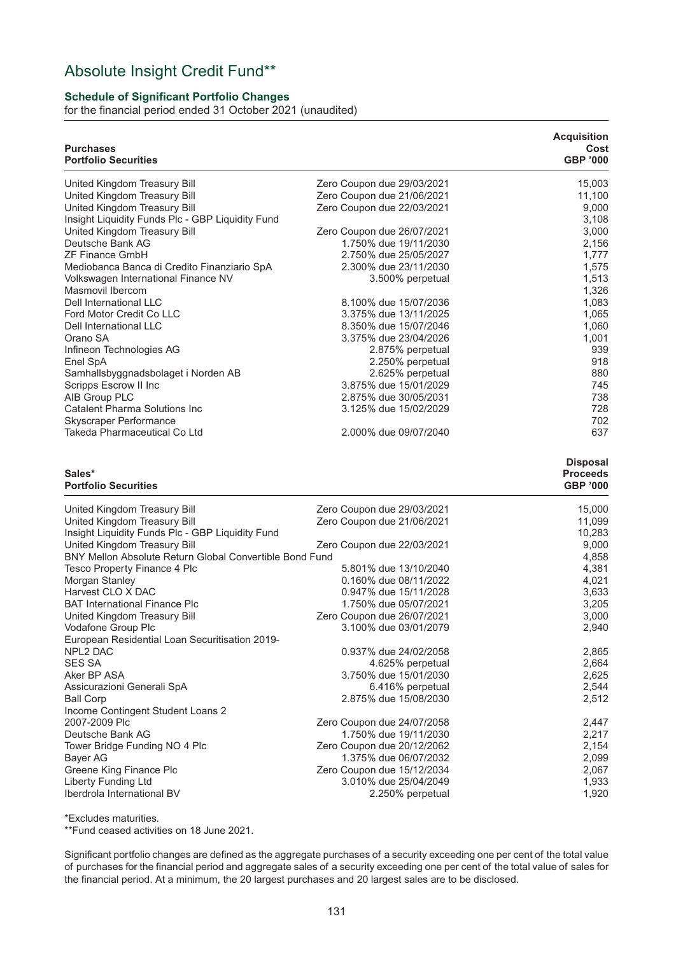## Absolute Insight Credit Fund\*\*

## **Schedule of Significant Portfolio Changes**

for the financial period ended 31 October 2021 (unaudited)

| <b>Purchases</b><br><b>Portfolio Securities</b>         |                                                     | <b>Acquisition</b><br>Cost<br><b>GBP '000</b>         |
|---------------------------------------------------------|-----------------------------------------------------|-------------------------------------------------------|
| United Kingdom Treasury Bill                            | Zero Coupon due 29/03/2021                          | 15,003                                                |
| United Kingdom Treasury Bill                            | Zero Coupon due 21/06/2021                          | 11,100                                                |
| United Kingdom Treasury Bill                            | Zero Coupon due 22/03/2021                          | 9,000                                                 |
| Insight Liquidity Funds Plc - GBP Liquidity Fund        |                                                     | 3,108                                                 |
| United Kingdom Treasury Bill                            | Zero Coupon due 26/07/2021                          | 3,000                                                 |
| Deutsche Bank AG                                        | 1.750% due 19/11/2030                               | 2,156                                                 |
| <b>ZF Finance GmbH</b>                                  | 2.750% due 25/05/2027                               | 1,777                                                 |
| Mediobanca Banca di Credito Finanziario SpA             | 2.300% due 23/11/2030                               | 1,575                                                 |
| Volkswagen International Finance NV                     | 3.500% perpetual                                    | 1,513                                                 |
| Masmovil Ibercom                                        |                                                     | 1,326                                                 |
| Dell International LLC<br>Ford Motor Credit Co LLC      | 8.100% due 15/07/2036<br>3.375% due 13/11/2025      | 1,083                                                 |
| Dell International LLC                                  | 8.350% due 15/07/2046                               | 1,065<br>1,060                                        |
| Orano SA                                                | 3.375% due 23/04/2026                               | 1,001                                                 |
| Infineon Technologies AG                                | 2.875% perpetual                                    | 939                                                   |
| Enel SpA                                                | 2.250% perpetual                                    | 918                                                   |
| Samhallsbyggnadsbolaget i Norden AB                     | 2.625% perpetual                                    | 880                                                   |
| Scripps Escrow II Inc                                   | 3.875% due 15/01/2029                               | 745                                                   |
| AIB Group PLC                                           | 2.875% due 30/05/2031                               | 738                                                   |
| Catalent Pharma Solutions Inc                           | 3.125% due 15/02/2029                               | 728                                                   |
| Skyscraper Performance                                  |                                                     | 702                                                   |
| Takeda Pharmaceutical Co Ltd                            | 2.000% due 09/07/2040                               | 637                                                   |
| Sales*<br><b>Portfolio Securities</b>                   |                                                     | <b>Disposal</b><br><b>Proceeds</b><br><b>GBP '000</b> |
| United Kingdom Treasury Bill                            | Zero Coupon due 29/03/2021                          | 15,000                                                |
| United Kingdom Treasury Bill                            | Zero Coupon due 21/06/2021                          | 11,099                                                |
| Insight Liquidity Funds Plc - GBP Liquidity Fund        |                                                     | 10,283                                                |
| United Kingdom Treasury Bill                            | Zero Coupon due 22/03/2021                          | 9,000                                                 |
| BNY Mellon Absolute Return Global Convertible Bond Fund |                                                     | 4,858                                                 |
| Tesco Property Finance 4 Plc                            | 5.801% due 13/10/2040                               | 4,381                                                 |
| Morgan Stanley                                          | 0.160% due 08/11/2022                               | 4,021                                                 |
| Harvest CLO X DAC                                       | 0.947% due 15/11/2028                               | 3,633                                                 |
| <b>BAT International Finance Plc</b>                    | 1.750% due 05/07/2021                               | 3,205                                                 |
| United Kingdom Treasury Bill                            | Zero Coupon due 26/07/2021                          | 3,000                                                 |
| Vodafone Group Plc                                      | 3.100% due 03/01/2079                               | 2,940                                                 |
| European Residential Loan Securitisation 2019-          |                                                     |                                                       |
| <b>NPL2 DAC</b>                                         | 0.937% due 24/02/2058                               | 2,865                                                 |
| <b>SES SA</b>                                           | 4.625% perpetual                                    | 2,664                                                 |
| Aker BP ASA                                             | 3.750% due 15/01/2030                               | 2,625                                                 |
| Assicurazioni Generali SpA                              | 6.416% perpetual                                    | 2,544                                                 |
| <b>Ball Corp</b>                                        | 2.875% due 15/08/2030                               | 2,512                                                 |
| Income Contingent Student Loans 2<br>2007-2009 Plc      |                                                     |                                                       |
| Deutsche Bank AG                                        | Zero Coupon due 24/07/2058<br>1.750% due 19/11/2030 | 2,447<br>2,217                                        |
| Tower Bridge Funding NO 4 Plc                           | Zero Coupon due 20/12/2062                          | 2,154                                                 |
| Bayer AG                                                | 1.375% due 06/07/2032                               | 2,099                                                 |
| Greene King Finance Plc                                 | Zero Coupon due 15/12/2034                          | 2,067                                                 |
| Liberty Funding Ltd                                     | 3.010% due 25/04/2049                               | 1,933                                                 |
| Iberdrola International BV                              | 2.250% perpetual                                    | 1,920                                                 |
|                                                         |                                                     |                                                       |

\*Excludes maturities.

\*\*Fund ceased activities on 18 June 2021.

Significant portfolio changes are defined as the aggregate purchases of a security exceeding one per cent of the total value of purchases for the financial period and aggregate sales of a security exceeding one per cent of the total value of sales for the financial period. At a minimum, the 20 largest purchases and 20 largest sales are to be disclosed.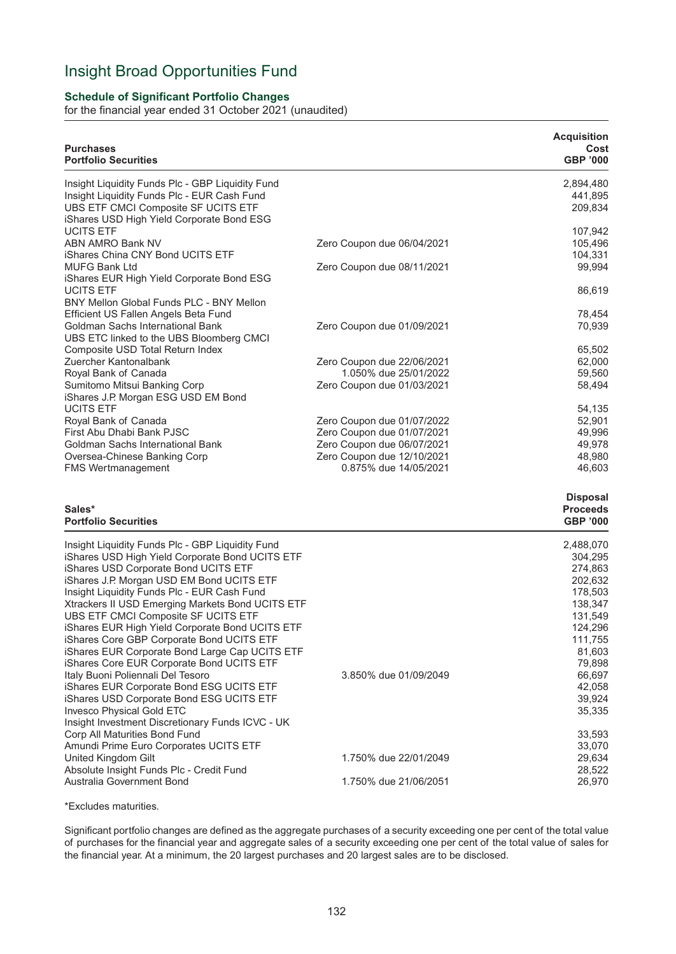## Insight Broad Opportunities Fund

## **Schedule of Significant Portfolio Changes**

for the financial year ended 31 October 2021 (unaudited)

| <b>Purchases</b><br><b>Portfolio Securities</b>                                                                                                                                     |                                                     | <b>Acquisition</b><br>Cost<br><b>GBP '000</b>         |
|-------------------------------------------------------------------------------------------------------------------------------------------------------------------------------------|-----------------------------------------------------|-------------------------------------------------------|
| Insight Liquidity Funds Plc - GBP Liquidity Fund<br>Insight Liquidity Funds Plc - EUR Cash Fund<br>UBS ETF CMCI Composite SF UCITS ETF<br>iShares USD High Yield Corporate Bond ESG |                                                     | 2,894,480<br>441,895<br>209,834                       |
| <b>UCITS ETF</b><br><b>ABN AMRO Bank NV</b><br>iShares China CNY Bond UCITS ETF                                                                                                     | Zero Coupon due 06/04/2021                          | 107,942<br>105,496<br>104,331                         |
| <b>MUFG Bank Ltd</b><br>iShares EUR High Yield Corporate Bond ESG                                                                                                                   | Zero Coupon due 08/11/2021                          | 99,994                                                |
| <b>UCITS ETF</b><br>BNY Mellon Global Funds PLC - BNY Mellon                                                                                                                        |                                                     | 86,619                                                |
| Efficient US Fallen Angels Beta Fund<br>Goldman Sachs International Bank<br>UBS ETC linked to the UBS Bloomberg CMCI                                                                | Zero Coupon due 01/09/2021                          | 78,454<br>70,939                                      |
| Composite USD Total Return Index                                                                                                                                                    |                                                     | 65,502                                                |
| Zuercher Kantonalbank                                                                                                                                                               | Zero Coupon due 22/06/2021                          | 62,000                                                |
| Royal Bank of Canada<br>Sumitomo Mitsui Banking Corp<br>iShares J.P. Morgan ESG USD EM Bond                                                                                         | 1.050% due 25/01/2022<br>Zero Coupon due 01/03/2021 | 59,560<br>58,494                                      |
| <b>UCITS ETF</b>                                                                                                                                                                    |                                                     | 54,135                                                |
| Royal Bank of Canada                                                                                                                                                                | Zero Coupon due 01/07/2022                          | 52,901                                                |
| First Abu Dhabi Bank PJSC                                                                                                                                                           | Zero Coupon due 01/07/2021                          | 49,996                                                |
| Goldman Sachs International Bank                                                                                                                                                    | Zero Coupon due 06/07/2021                          | 49,978                                                |
| Oversea-Chinese Banking Corp<br><b>FMS Wertmanagement</b>                                                                                                                           | Zero Coupon due 12/10/2021<br>0.875% due 14/05/2021 | 48,980<br>46,603                                      |
| Sales*<br><b>Portfolio Securities</b>                                                                                                                                               |                                                     | <b>Disposal</b><br><b>Proceeds</b><br><b>GBP '000</b> |
| Insight Liquidity Funds Plc - GBP Liquidity Fund                                                                                                                                    |                                                     | 2,488,070                                             |
| iShares USD High Yield Corporate Bond UCITS ETF                                                                                                                                     |                                                     | 304,295                                               |
| iShares USD Corporate Bond UCITS ETF                                                                                                                                                |                                                     | 274,863                                               |
| iShares J.P. Morgan USD EM Bond UCITS ETF<br>Insight Liquidity Funds Plc - EUR Cash Fund                                                                                            |                                                     | 202,632<br>178,503                                    |
| Xtrackers II USD Emerging Markets Bond UCITS ETF                                                                                                                                    |                                                     | 138,347                                               |
| UBS ETF CMCI Composite SF UCITS ETF                                                                                                                                                 |                                                     | 131,549                                               |
| iShares EUR High Yield Corporate Bond UCITS ETF                                                                                                                                     |                                                     | 124,296                                               |
| iShares Core GBP Corporate Bond UCITS ETF                                                                                                                                           |                                                     | 111,755                                               |
| iShares EUR Corporate Bond Large Cap UCITS ETF                                                                                                                                      |                                                     | 81,603                                                |
| iShares Core EUR Corporate Bond UCITS ETF                                                                                                                                           |                                                     | 79,898                                                |
| Italy Buoni Poliennali Del Tesoro                                                                                                                                                   | 3.850% due 01/09/2049                               | 66,697                                                |
| iShares EUR Corporate Bond ESG UCITS ETF<br>iShares USD Corporate Bond ESG UCITS ETF                                                                                                |                                                     | 42,058<br>39,924                                      |
| Invesco Physical Gold ETC<br>Insight Investment Discretionary Funds ICVC - UK                                                                                                       |                                                     | 35,335                                                |
| Corp All Maturities Bond Fund                                                                                                                                                       |                                                     | 33,593                                                |
| Amundi Prime Euro Corporates UCITS ETF                                                                                                                                              |                                                     | 33,070                                                |
| United Kingdom Gilt                                                                                                                                                                 | 1.750% due 22/01/2049                               | 29,634                                                |
| Absolute Insight Funds Plc - Credit Fund<br>Australia Government Bond                                                                                                               | 1.750% due 21/06/2051                               | 28.522<br>26,970                                      |

\*Excludes maturities.

Significant portfolio changes are defined as the aggregate purchases of a security exceeding one per cent of the total value of purchases for the financial year and aggregate sales of a security exceeding one per cent of the total value of sales for the financial year. At a minimum, the 20 largest purchases and 20 largest sales are to be disclosed.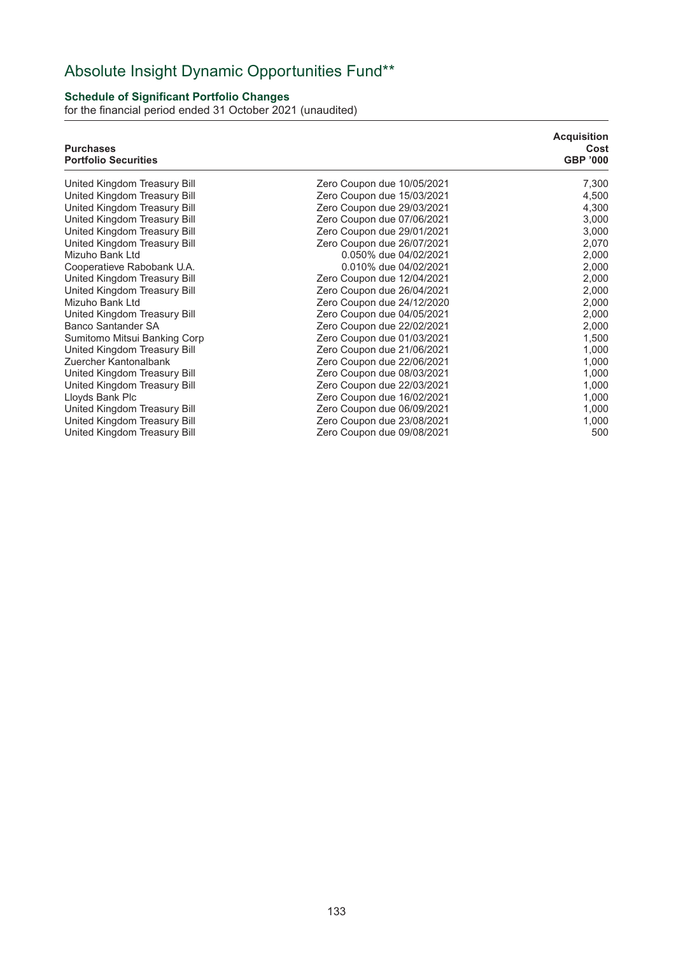# Absolute Insight Dynamic Opportunities Fund\*\*

## **Schedule of Significant Portfolio Changes**

for the financial period ended 31 October 2021 (unaudited)

| <b>Purchases</b><br><b>Portfolio Securities</b> |                            | <b>Acquisition</b><br>Cost<br><b>GBP '000</b> |
|-------------------------------------------------|----------------------------|-----------------------------------------------|
| United Kingdom Treasury Bill                    | Zero Coupon due 10/05/2021 | 7,300                                         |
| United Kingdom Treasury Bill                    | Zero Coupon due 15/03/2021 | 4,500                                         |
| United Kingdom Treasury Bill                    | Zero Coupon due 29/03/2021 | 4,300                                         |
| United Kingdom Treasury Bill                    | Zero Coupon due 07/06/2021 | 3,000                                         |
| United Kingdom Treasury Bill                    | Zero Coupon due 29/01/2021 | 3,000                                         |
| United Kingdom Treasury Bill                    | Zero Coupon due 26/07/2021 | 2,070                                         |
| Mizuho Bank Ltd                                 | 0.050% due 04/02/2021      | 2,000                                         |
| Cooperatieve Rabobank U.A.                      | 0.010% due 04/02/2021      | 2,000                                         |
| United Kingdom Treasury Bill                    | Zero Coupon due 12/04/2021 | 2,000                                         |
| United Kingdom Treasury Bill                    | Zero Coupon due 26/04/2021 | 2,000                                         |
| Mizuho Bank Ltd                                 | Zero Coupon due 24/12/2020 | 2,000                                         |
| United Kingdom Treasury Bill                    | Zero Coupon due 04/05/2021 | 2,000                                         |
| <b>Banco Santander SA</b>                       | Zero Coupon due 22/02/2021 | 2,000                                         |
| Sumitomo Mitsui Banking Corp                    | Zero Coupon due 01/03/2021 | 1,500                                         |
| United Kingdom Treasury Bill                    | Zero Coupon due 21/06/2021 | 1,000                                         |
| Zuercher Kantonalbank                           | Zero Coupon due 22/06/2021 | 1,000                                         |
| United Kingdom Treasury Bill                    | Zero Coupon due 08/03/2021 | 1,000                                         |
| United Kingdom Treasury Bill                    | Zero Coupon due 22/03/2021 | 1,000                                         |
| Lloyds Bank Plc                                 | Zero Coupon due 16/02/2021 | 1,000                                         |
| United Kingdom Treasury Bill                    | Zero Coupon due 06/09/2021 | 1,000                                         |
| United Kingdom Treasury Bill                    | Zero Coupon due 23/08/2021 | 1,000                                         |
| United Kingdom Treasury Bill                    | Zero Coupon due 09/08/2021 | 500                                           |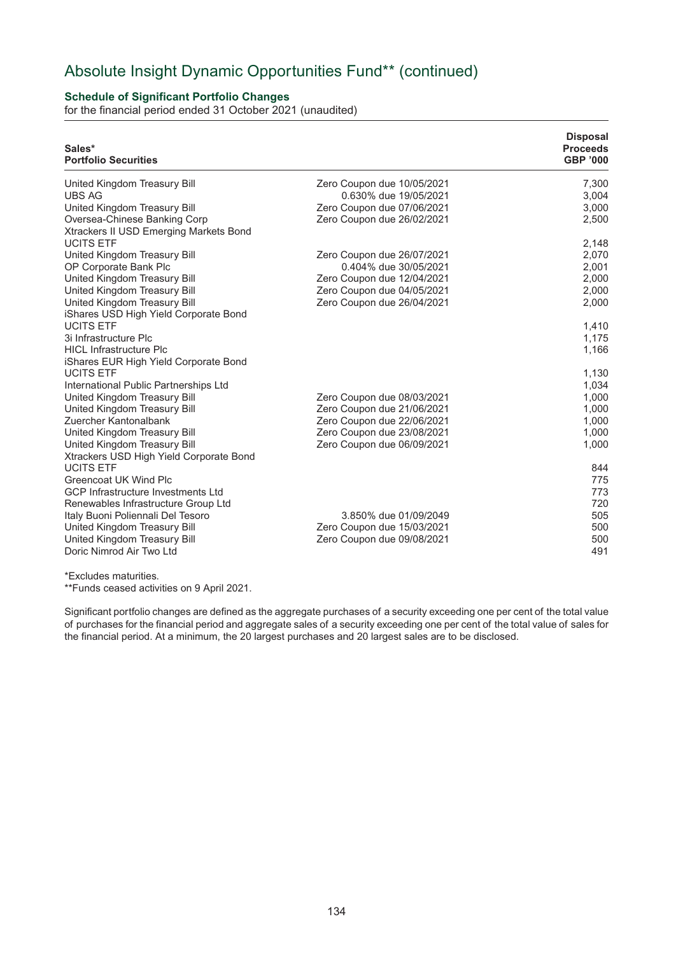## Absolute Insight Dynamic Opportunities Fund\*\* (continued)

## **Schedule of Significant Portfolio Changes**

for the financial period ended 31 October 2021 (unaudited)

| Sales*<br><b>Portfolio Securities</b>                                   |                            | <b>Disposal</b><br><b>Proceeds</b><br><b>GBP '000</b> |
|-------------------------------------------------------------------------|----------------------------|-------------------------------------------------------|
| United Kingdom Treasury Bill                                            | Zero Coupon due 10/05/2021 | 7,300                                                 |
| <b>UBS AG</b>                                                           | 0.630% due 19/05/2021      | 3,004                                                 |
| United Kingdom Treasury Bill                                            | Zero Coupon due 07/06/2021 | 3,000                                                 |
| Oversea-Chinese Banking Corp<br>Xtrackers II USD Emerging Markets Bond  | Zero Coupon due 26/02/2021 | 2,500                                                 |
| <b>UCITS ETF</b>                                                        |                            | 2,148                                                 |
| United Kingdom Treasury Bill                                            | Zero Coupon due 26/07/2021 | 2,070                                                 |
| OP Corporate Bank Plc                                                   | 0.404% due 30/05/2021      | 2,001                                                 |
| United Kingdom Treasury Bill                                            | Zero Coupon due 12/04/2021 | 2,000                                                 |
| United Kingdom Treasury Bill                                            | Zero Coupon due 04/05/2021 | 2,000                                                 |
| United Kingdom Treasury Bill<br>iShares USD High Yield Corporate Bond   | Zero Coupon due 26/04/2021 | 2,000                                                 |
| <b>UCITS ETF</b>                                                        |                            | 1,410                                                 |
| 3i Infrastructure Plc                                                   |                            | 1,175                                                 |
| <b>HICL Infrastructure Plc</b>                                          |                            | 1,166                                                 |
| iShares EUR High Yield Corporate Bond                                   |                            |                                                       |
| <b>UCITS ETF</b>                                                        |                            | 1,130                                                 |
| International Public Partnerships Ltd                                   |                            | 1,034                                                 |
| United Kingdom Treasury Bill                                            | Zero Coupon due 08/03/2021 | 1,000                                                 |
| United Kingdom Treasury Bill                                            | Zero Coupon due 21/06/2021 | 1,000                                                 |
| Zuercher Kantonalbank                                                   | Zero Coupon due 22/06/2021 | 1,000                                                 |
| United Kingdom Treasury Bill                                            | Zero Coupon due 23/08/2021 | 1,000                                                 |
| United Kingdom Treasury Bill<br>Xtrackers USD High Yield Corporate Bond | Zero Coupon due 06/09/2021 | 1,000                                                 |
| <b>UCITS ETF</b>                                                        |                            | 844                                                   |
| Greencoat UK Wind Plc                                                   |                            | 775                                                   |
| <b>GCP Infrastructure Investments Ltd</b>                               |                            | 773                                                   |
| Renewables Infrastructure Group Ltd                                     |                            | 720                                                   |
| Italy Buoni Poliennali Del Tesoro                                       | 3.850% due 01/09/2049      | 505                                                   |
| United Kingdom Treasury Bill                                            | Zero Coupon due 15/03/2021 | 500                                                   |
| United Kingdom Treasury Bill                                            | Zero Coupon due 09/08/2021 | 500                                                   |
| Doric Nimrod Air Two Ltd                                                |                            | 491                                                   |

\*Excludes maturities.

\*\*Funds ceased activities on 9 April 2021.

Significant portfolio changes are defined as the aggregate purchases of a security exceeding one per cent of the total value of purchases for the financial period and aggregate sales of a security exceeding one per cent of the total value of sales for the financial period. At a minimum, the 20 largest purchases and 20 largest sales are to be disclosed.